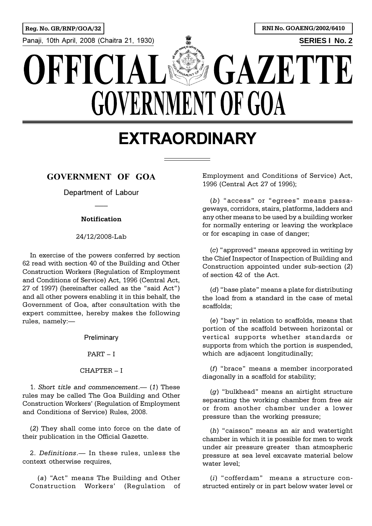

# **EXTRAORDINARY**

# **GOVERNMENT OF GOA**

Department of Labour

#### **Notification**

#### 24/12/2008-Lab

In exercise of the powers conferred by section 62 read with section 40 of the Building and Other Construction Workers (Regulation of Employment and Conditions of Service) Act, 1996 (Central Act, 27 of 1997) (hereinafter called as the "said Act") and all other powers enabling it in this behalf, the Government of Goa, after consultation with the expert committee, hereby makes the following rules, namely:

**Preliminary** 

 $PART - I$ 

#### $CHAPTER - I$

1. *Short title and commencement*. (1) These rules may be called The Goa Building and Other Construction Workers' (Regulation of Employment and Conditions of Service) Rules, 2008.

(*2*) They shall come into force on the date of their publication in the Official Gazette.

2. *Definitions*. In these rules, unless the context otherwise requires,

(a) "Act" means The Building and Other Construction Workers' (Regulation of Employment and Conditions of Service) Act, 1996 (Central Act 27 of 1996);

(b) "access" or "egrees" means passageways, corridors, stairs, platforms, ladders and any other means to be used by a building worker for normally entering or leaving the workplace or for escaping in case of danger;

(*c*) "approved" means approved in writing by the Chief Inspector of Inspection of Building and Construction appointed under sub-section (*2*) of section 42 of the Act.

(*d*) "base plate" means a plate for distributing the load from a standard in the case of metal scaffolds;

(e) "bay" in relation to scaffolds, means that portion of the scaffold between horizontal or vertical supports whether standards or supports from which the portion is suspended, which are adjacent longitudinally;

(*f*) "brace" means a member incorporated diagonally in a scaffold for stability;

(g) "bulkhead" means an airtight structure separating the working chamber from free air or from another chamber under a lower pressure than the working pressure;

(h) "caisson" means an air and watertight chamber in which it is possible for men to work under air pressure greater than atmospheric pressure at sea level excavate material below water level<sup>.</sup>

(*i*) "cofferdam" means a structure constructed entirely or in part below water level or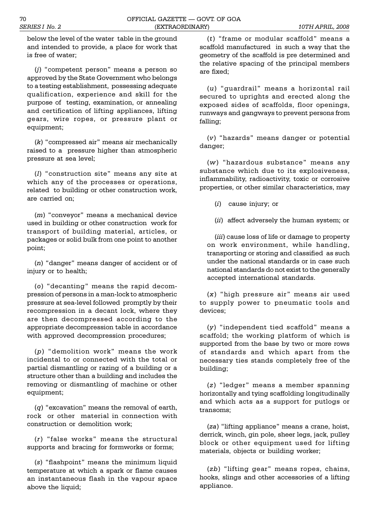below the level of the water table in the ground and intended to provide, a place for work that is free of water;

(*j*) "competent person" means a person so approved by the State Government who belongs to a testing establishment, possessing adequate qualification, experience and skill for the purpose of testing, examination, or annealing and certification of lifting appliances, lifting gears, wire ropes, or pressure plant or equipment;

 $(k)$  "compressed air" means air mechanically raised to a pressure higher than atmospheric pressure at sea level;

(*l*) "construction site" means any site at which any of the processes or operations, related to building or other construction work, are carried on;

(*m*) "conveyor" means a mechanical device used in building or other construction work for transport of building material, articles, or packages or solid bulk from one point to another point;

(n) "danger" means danger of accident or of injury or to health;

(o) "decanting" means the rapid decompression of persons in a man-lock to atmospheric pressure at sea-level followed promptly by their recompression in a decant lock, where they are then decompressed according to the appropriate decompression table in accordance with approved decompression procedures;

(p) "demolition work" means the work incidental to or connected with the total or partial dismantling or razing of a building or a structure other than a building and includes the removing or dismantling of machine or other equipment;

 $(q)$  "excavation" means the removal of earth, rock or other material in connection with construction or demolition work;

(*r*) "false works" means the structural supports and bracing for formworks or forms;

(*s*) "flashpoint" means the minimum liquid temperature at which a spark or flame causes an instantaneous flash in the vapour space above the liquid;

(*t*) "frame or modular scaffold" means a scaffold manufactured in such a way that the geometry of the scaffold is pre determined and the relative spacing of the principal members are fixed;

(*u*) "guardrail" means a horizontal rail secured to uprights and erected along the exposed sides of scaffolds, floor openings, runways and gangways to prevent persons from falling;

(*v*) hazards means danger or potential danger;

(*w*) "hazardous substance" means any substance which due to its explosiveness, inflammability, radioactivity, toxic or corrosive properties, or other similar characteristics, may

(*i*) cause injury; or

(*ii*) affect adversely the human system; or

(*iii*) cause loss of life or damage to property on work environment, while handling, transporting or storing and classified as such under the national standards or in case such national standards do not exist to the generally accepted international standards.

(x) "high pressure air" means air used to supply power to pneumatic tools and devices;

(*y*) "independent tied scaffold" means a scaffold; the working platform of which is supported from the base by two or more rows of standards and which apart from the necessary ties stands completely free of the building;

(*z*) "ledger" means a member spanning horizontally and tying scaffolding longitudinally and which acts as a support for putlogs or transoms;

(za) "lifting appliance" means a crane, hoist, derrick, winch, gin pole, sheer legs, jack, pulley block or other equipment used for lifting materials, objects or building worker;

(*zb*) "lifting gear" means ropes, chains, hooks, slings and other accessories of a lifting appliance.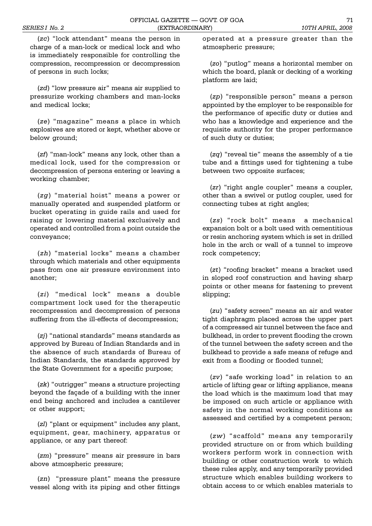(zc) "lock attendant" means the person in charge of a man-lock or medical lock and who is immediately responsible for controlling the compression, recompression or decompression of persons in such locks;

(*zd*) "low pressure air" means air supplied to pressurize working chambers and man-locks and medical locks;

(ze) "magazine" means a place in which explosives are stored or kept, whether above or below ground;

(*zf*) "man-lock" means any lock, other than a medical lock, used for the compression or decompression of persons entering or leaving a working chamber;

(zg) "material hoist" means a power or manually operated and suspended platform or bucket operating in guide rails and used for raising or lowering material exclusively and operated and controlled from a point outside the conveyance;

(*zh*) "material locks" means a chamber through which materials and other equipments pass from one air pressure environment into another;

(*zi*) "medical lock" means a double compartment lock used for the therapeutic recompression and decompression of persons suffering from the ill-effects of decompression;

(*zj*) "national standards" means standards as approved by Bureau of Indian Standards and in the absence of such standards of Bureau of Indian Standards, the standards approved by the State Government for a specific purpose;

(*zk*) "outrigger" means a structure projecting beyond the façade of a building with the inner end being anchored and includes a cantilever or other support;

(*zl*) "plant or equipment" includes any plant, equipment, gear, machinery, apparatus or appliance, or any part thereof:

(*zm*) "pressure" means air pressure in bars above atmospheric pressure;

(*zn*) "pressure plant" means the pressure vessel along with its piping and other fittings

operated at a pressure greater than the atmospheric pressure;

(*zo*) "putlog" means a horizontal member on which the board, plank or decking of a working platform are laid;

(*zp*) "responsible person" means a person appointed by the employer to be responsible for the performance of specific duty or duties and who has a knowledge and experience and the requisite authority for the proper performance of such duty or duties;

 $(zq)$  "reveal tie" means the assembly of a tie tube and a fittings used for tightening a tube between two opposite surfaces;

(*zr*) "right angle coupler" means a coupler, other than a swivel or putlog coupler, used for connecting tubes at right angles;

(zs) "rock bolt" means a mechanical expansion bolt or a bolt used with cementitious or resin anchoring system which is set in drilled hole in the arch or wall of a tunnel to improve rock competency;

(*zt*) "roofing bracket" means a bracket used in sloped roof construction and having sharp points or other means for fastening to prevent slipping;

(*zu*) "safety screen" means an air and water tight diaphragm placed across the upper part of a compressed air tunnel between the face and bulkhead, in order to prevent flooding the crown of the tunnel between the safety screen and the bulkhead to provide a safe means of refuge and exit from a flooding or flooded tunnel;

(zv) "safe working load" in relation to an article of lifting gear or lifting appliance, means the load which is the maximum load that may be imposed on such article or appliance with safety in the normal working conditions as assessed and certified by a competent person;

(*zw*) "scaffold" means any temporarily provided structure on or from which building workers perform work in connection with building or other construction work to which these rules apply, and any temporarily provided structure which enables building workers to obtain access to or which enables materials to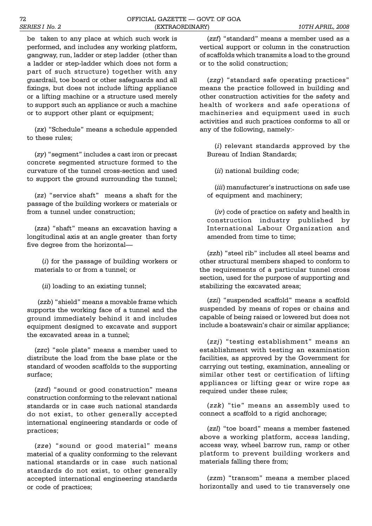be taken to any place at which such work is performed, and includes any working platform, gangway, run, ladder or step ladder (other than a ladder or step-ladder which does not form a part of such structure) together with any guardrail, toe board or other safeguards and all fixings, but does not include lifting appliance or a lifting machine or a structure used merely to support such an appliance or such a machine or to support other plant or equipment;

(zx) "Schedule" means a schedule appended to these rules;

(zy) "segment" includes a cast iron or precast concrete segmented structure formed to the curvature of the tunnel cross-section and used to support the ground surrounding the tunnel;

(zz) "service shaft" means a shaft for the passage of the building workers or materials or from a tunnel under construction;

(*zza*) "shaft" means an excavation having a longitudinal axis at an angle greater than forty five degree from the horizontal

(*i*) for the passage of building workers or materials to or from a tunnel; or

(*ii*) loading to an existing tunnel;

(*zzb*) "shield" means a movable frame which supports the working face of a tunnel and the ground immediately behind it and includes equipment designed to excavate and support the excavated areas in a tunnel;

(zzc) "sole plate" means a member used to distribute the load from the base plate or the standard of wooden scaffolds to the supporting surface;

(*zzd*) "sound or good construction" means construction conforming to the relevant national standards or in case such national standards do not exist, to other generally accepted international engineering standards or code of practices;

(zze) "sound or good material" means material of a quality conforming to the relevant national standards or in case such national standards do not exist, to other generally accepted international engineering standards or code of practices;

(*zzf*) "standard" means a member used as a vertical support or column in the construction of scaffolds which transmits a load to the ground or to the solid construction;

(*zzg*) "standard safe operating practices" means the practice followed in building and other construction activities for the safety and health of workers and safe operations of machineries and equipment used in such activities and such practices conforms to all or any of the following, namely:-

(*i*) relevant standards approved by the Bureau of Indian Standards;

(*ii*) national building code;

(*iii*) manufacturer's instructions on safe use of equipment and machinery;

(*iv*) code of practice on safety and health in construction industry published by International Labour Organization and amended from time to time;

(*zzh*) "steel rib" includes all steel beams and other structural members shaped to conform to the requirements of a particular tunnel cross section, used for the purpose of supporting and stabilizing the excavated areas;

(zzi) "suspended scaffold" means a scaffold suspended by means of ropes or chains and capable of being raised or lowered but does not include a boatswain's chair or similar appliance;

(zzj) "testing establishment" means an establishment with testing an examination facilities, as approved by the Government for carrying out testing, examination, annealing or similar other test or certification of lifting appliances or lifting gear or wire rope as required under these rules;

(zzk) "tie" means an assembly used to connect a scaffold to a rigid anchorage;

(*zzl*) "toe board" means a member fastened above a working platform, access landing, access way, wheel barrow run, ramp or other platform to prevent building workers and materials falling there from;

(*zzm*) "transom" means a member placed horizontally and used to tie transversely one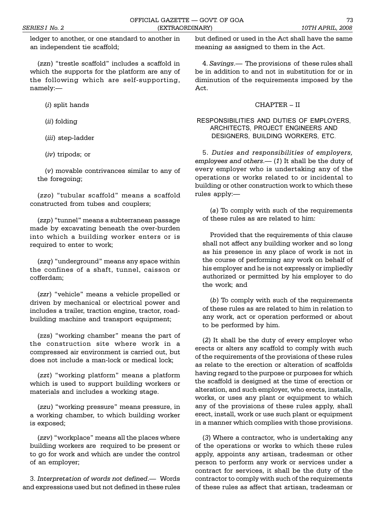ledger to another, or one standard to another in an independent tie scaffold;

(*zzn*) "trestle scaffold" includes a scaffold in which the supports for the platform are any of the following which are self-supporting, namely:

(*i*) split hands

(*ii*) folding

(*iii*) step-ladder

(*iv*) tripods; or

(*v*) movable contrivances similar to any of the foregoing;

(zzo) "tubular scaffold" means a scaffold constructed from tubes and couplers;

(zzp) "tunnel" means a subterranean passage made by excavating beneath the over-burden into which a building worker enters or is required to enter to work;

(*zzq*) "underground" means any space within the confines of a shaft, tunnel, caisson or cofferdam;

(*zzr*) "vehicle" means a vehicle propelled or driven by mechanical or electrical power and includes a trailer, traction engine, tractor, roadbuilding machine and transport equipment;

(zzs) "working chamber" means the part of the construction site where work in a compressed air environment is carried out, but does not include a man-lock or medical lock;

(zzt) "working platform" means a platform which is used to support building workers or materials and includes a working stage.

(*zzu*) "working pressure" means pressure, in a working chamber, to which building worker is exposed;

(*zzv*) "workplace" means all the places where building workers are required to be present or to go for work and which are under the control of an employer;

3. *Interpretation of words not defined*. Words and expressions used but not defined in these rules but defined or used in the Act shall have the same meaning as assigned to them in the Act.

4. Savings. - The provisions of these rules shall be in addition to and not in substitution for or in diminution of the requirements imposed by the Act.

## $CHAPTER - II$

## RESPONSIBILITIES AND DUTIES OF EMPLOYERS, ARCHITECTS, PROJECT ENGINEERS AND DESIGNERS, BUILDING WORKERS, ETC.

5. *Duties and responsibilities of employers, employees and others.* (1) It shall be the duty of every employer who is undertaking any of the operations or works related to or incidental to building or other construction work to which these rules apply:

(*a*) To comply with such of the requirements of these rules as are related to him:

Provided that the requirements of this clause shall not affect any building worker and so long as his presence in any place of work is not in the course of performing any work on behalf of his employer and he is not expressly or impliedly authorized or permitted by his employer to do the work; and

(*b*) To comply with such of the requirements of these rules as are related to him in relation to any work, act or operation performed or about to be performed by him.

(*2*) It shall be the duty of every employer who erects or alters any scaffold to comply with such of the requirements of the provisions of these rules as relate to the erection or alteration of scaffolds having regard to the purpose or purposes for which the scaffold is designed at the time of erection or alteration, and such employer, who erects, installs, works, or uses any plant or equipment to which any of the provisions of these rules apply, shall erect, install, work or use such plant or equipment in a manner which complies with those provisions.

(*3*) Where a contractor, who is undertaking any of the operations or works to which these rules apply, appoints any artisan, tradesman or other person to perform any work or services under a contract for services, it shall be the duty of the contractor to comply with such of the requirements of these rules as affect that artisan, tradesman or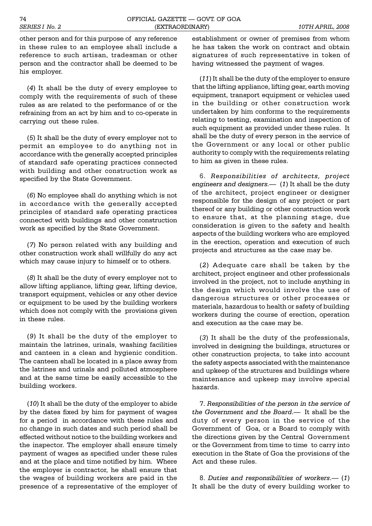other person and for this purpose of any reference in these rules to an employee shall include a reference to such artisan, tradesman or other person and the contractor shall be deemed to be his employer.

(*4*) It shall be the duty of every employee to comply with the requirements of such of these rules as are related to the performance of or the refraining from an act by him and to co-operate in carrying out these rules.

(*5*) It shall be the duty of every employer not to permit an employee to do anything not in accordance with the generally accepted principles of standard safe operating practices connected with building and other construction work as specified by the State Government.

(*6*) No employee shall do anything which is not in accordance with the generally accepted principles of standard safe operating practices connected with buildings and other construction work as specified by the State Government.

(*7*) No person related with any building and other construction work shall willfully do any act which may cause injury to himself or to others.

(*8*) It shall be the duty of every employer not to allow lifting appliance, lifting gear, lifting device, transport equipment, vehicles or any other device or equipment to be used by the building workers which does not comply with the provisions given in these rules.

(*9*) It shall be the duty of the employer to maintain the latrines, urinals, washing facilities and canteen in a clean and hygienic condition. The canteen shall be located in a place away from the latrines and urinals and polluted atmosphere and at the same time be easily accessible to the building workers.

(*10*) It shall be the duty of the employer to abide by the dates fixed by him for payment of wages for a period in accordance with these rules and no change in such dates and such period shall be effected without notice to the building workers and the inspector. The employer shall ensure timely payment of wages as specified under these rules and at the place and time notified by him. Where the employer is contractor, he shall ensure that the wages of building workers are paid in the presence of a representative of the employer of establishment or owner of premises from whom he has taken the work on contract and obtain signatures of such representative in token of having witnessed the payment of wages.

(*11*) It shall be the duty of the employer to ensure that the lifting appliance, lifting gear, earth moving equipment, transport equipment or vehicles used in the building or other construction work undertaken by him conforms to the requirements relating to testing, examination and inspection of such equipment as provided under these rules. It shall be the duty of every person in the service of the Government or any local or other public authority to comply with the requirements relating to him as given in these rules.

6. *Responsibilities of architects, project engineers and designers.* (*1*) It shall be the duty of the architect, project engineer or designer responsible for the design of any project or part thereof or any building or other construction work to ensure that, at the planning stage, due consideration is given to the safety and health aspects of the building workers who are employed in the erection, operation and execution of such projects and structures as the case may be.

(*2*) Adequate care shall be taken by the architect, project engineer and other professionals involved in the project, not to include anything in the design which would involve the use of dangerous structures or other processes or materials, hazardous to health or safety of building workers during the course of erection, operation and execution as the case may be.

(*3*) It shall be the duty of the professionals, involved in designing the buildings, structures or other construction projects, to take into account the safety aspects associated with the maintenance and upkeep of the structures and buildings where maintenance and upkeep may involve special hazards.

7. *Responsibilities of the person in the service of the Government and the Board*. It shall be the duty of every person in the service of the Government of Goa, or a Board to comply with the directions given by the Central Government or the Government from time to time to carry into execution in the State of Goa the provisions of the Act and these rules.

8. *Duties and responsibilities of workers*. (*1*) It shall be the duty of every building worker to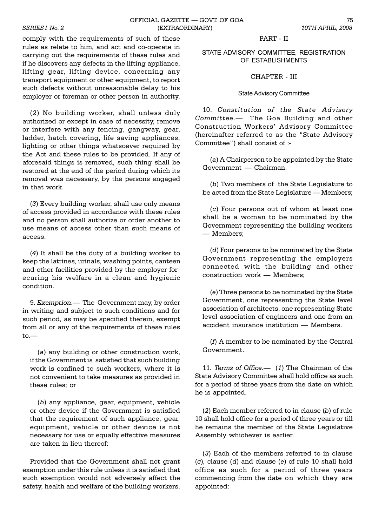comply with the requirements of such of these rules as relate to him, and act and co-operate in carrying out the requirements of these rules and if he discovers any defects in the lifting appliance, lifting gear, lifting device, concerning any transport equipment or other equipment, to report such defects without unreasonable delay to his employer or foreman or other person in authority.

(*2*) No building worker, shall unless duly authorized or except in case of necessity, remove or interfere with any fencing, gangway, gear, ladder, hatch covering, life saving appliances, lighting or other things whatsoever required by the Act and these rules to be provided. If any of aforesaid things is removed, such thing shall be restored at the end of the period during which its removal was necessary, by the persons engaged in that work.

(*3*) Every building worker, shall use only means of access provided in accordance with these rules and no person shall authorize or order another to use means of access other than such means of access.

(*4*) It shall be the duty of a building worker to keep the latrines, urinals, washing points, canteen and other facilities provided by the employer for ecuring his welfare in a clean and hygienic condition.

9. *Exemption*.— The Government may, by order in writing and subject to such conditions and for such period, as may be specified therein, exempt from all or any of the requirements of these rules  $t \circ -$ 

(*a*) any building or other construction work, if the Government is satisfied that such building work is confined to such workers, where it is not convenient to take measures as provided in these rules; or

(*b*) any appliance, gear, equipment, vehicle or other device if the Government is satisfied that the requirement of such appliance, gear, equipment, vehicle or other device is not necessary for use or equally effective measures are taken in lieu thereof:

Provided that the Government shall not grant exemption under this rule unless it is satisfied that such exemption would not adversely affect the safety, health and welfare of the building workers.

## PART - II

STATE ADVISORY COMMITTEE, REGISTRATION OF ESTABLISHMENTS

CHAPTER - III

#### State Advisory Committee

10. *Constitution of the State Advisory Committee*. The Goa Building and other Construction Workers' Advisory Committee (hereinafter referred to as the "State Advisory Committee") shall consist of :-

(*a*) A Chairperson to be appointed by the State Government - Chairman.

(*b*) Two members of the State Legislature to be acted from the State Legislature — Members;

(*c*) Four persons out of whom at least one shall be a woman to be nominated by the Government representing the building workers Members;

(*d*) Four persons to be nominated by the State Government representing the employers connected with the building and other construction work - Members;

(*e*) Three persons to be nominated by the State Government, one representing the State level association of architects, one representing State level association of engineers and one from an accident insurance institution — Members.

(*f*) A member to be nominated by the Central Government.

11. *Terms of Office*. (*1*) The Chairman of the State Advisory Committee shall hold office as such for a period of three years from the date on which he is appointed.

(*2*) Each member referred to in clause (*b*) of rule 10 shall hold office for a period of three years or till he remains the member of the State Legislative Assembly whichever is earlier.

(*3*) Each of the members referred to in clause (*c*), clause (*d*) and clause (*e*) of rule 10 shall hold office as such for a period of three years commencing from the date on which they are appointed: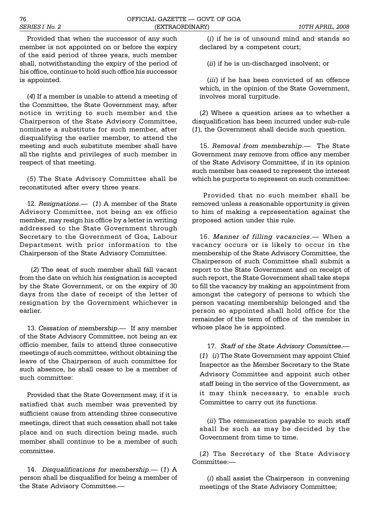Provided that when the successor of any such member is not appointed on or before the expiry of the said period of three years, such member shall, notwithstanding the expiry of the period of his office, continue to hold such office his successor is appointed.

(*4*) If a member is unable to attend a meeting of the Committee, the State Government may, after notice in writing to such member and the Chairperson of the State Advisory Committee, nominate a substitute for such member, after disqualifying the earlier member, to attend the meeting and such substitute member shall have all the rights and privileges of such member in respect of that meeting.

(*5*) The State Advisory Committee shall be reconstituted after every three years.

12. *Resignations.* (1) A member of the State Advisory Committee, not being an ex officio member, may resign his office by a letter in writing addressed to the State Government through Secretary to the Government of Goa, Labour Department with prior information to the Chairperson of the State Advisory Committee.

(*2*) The seat of such member shall fall vacant from the date on which his resignation is accepted by the State Government, or on the expiry of 30 days from the date of receipt of the letter of resignation by the Government whichever is earlier.

13. Cessation of membership.— If any member of the State Advisory Committee, not being an ex officio member, fails to attend three consecutive meetings of such committee, without obtaining the leave of the Chairperson of such committee for such absence, he shall cease to be a member of such committee:

Provided that the State Government may, if it is satisfied that such member was prevented by sufficient cause from attending three consecutive meetings, direct that such cessation shall not take place and on such direction being made, such member shall continue to be a member of such committee.

14. *Disqualifications for membership.* (1) A person shall be disqualified for being a member of the State Advisory Committee.

(*i*) if he is of unsound mind and stands so declared by a competent court;

(*ii*) if he is un-discharged insolvent; or

(*iii*) if he has been convicted of an offence which, in the opinion of the State Government, involves moral turpitude.

(*2*) Where a question arises as to whether a disqualification has been incurred under sub-rule (*1*), the Government shall decide such question.

15. Removal from membership.- The State Government may remove from office any member of the State Advisory Committee, if in its opinion such member has ceased to represent the interest which he purports to represent on such committee:

Provided that no such member shall be removed unless a reasonable opportunity is given to him of making a representation against the proposed action under this rule.

16. *Manner of filling vacancies*. When a vacancy occurs or is likely to occur in the membership of the State Advisory Committee, the Chairperson of such Committee shall submit a report to the State Government and on receipt of such report, the State Government shall take steps to fill the vacancy by making an appointment from amongst the category of persons to which the person vacating membership belonged and the person so appointed shall hold office for the remainder of the term of office of the member in whose place he is appointed.

17. *Staff of the State Advisory Committee*. (*1*) (*i*) The State Government may appoint Chief Inspector as the Member Secretary to the State Advisory Committee and appoint such other staff being in the service of the Government, as it may think necessary, to enable such Committee to carry out its functions.

(*ii*) The remuneration payable to such staff shall be such as may be decided by the Government from time to time.

(*2*) The Secretary of the State Advisory Committee:

(*i*) shall assist the Chairperson in convening meetings of the State Advisory Committee;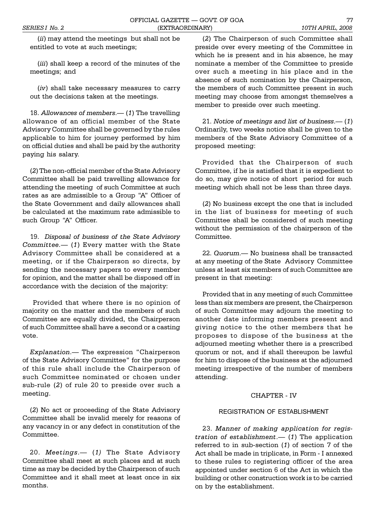(*ii*) may attend the meetings but shall not be entitled to vote at such meetings;

(*iii*) shall keep a record of the minutes of the meetings; and

(*iv*) shall take necessary measures to carry out the decisions taken at the meetings.

18. Allowances of members.— (1) The travelling allowance of an official member of the State Advisory Committee shall be governed by the rules applicable to him for journey performed by him on official duties and shall be paid by the authority paying his salary.

(*2*) The non-official member of the State Advisory Committee shall be paid travelling allowance for attending the meeting of such Committee at such rates as are admissible to a Group "A" Officer of the State Government and daily allowances shall be calculated at the maximum rate admissible to such Group "A" Officer.

19. *Disposal of business of the State Advisory Committee.* (*1*) Every matter with the State Advisory Committee shall be considered at a meeting, or if the Chairperson so directs, by sending the necessary papers to every member for opinion, and the matter shall be disposed off in accordance with the decision of the majority:

 Provided that where there is no opinion of majority on the matter and the members of such Committee are equally divided, the Chairperson of such Committee shall have a second or a casting vote.

*Explanation*. The expression "Chairperson of the State Advisory Committee" for the purpose of this rule shall include the Chairperson of such Committee nominated or chosen under sub-rule (*2*) of rule 20 to preside over such a meeting.

(*2*) No act or proceeding of the State Advisory Committee shall be invalid merely for reasons of any vacancy in or any defect in constitution of the Committee.

20. *Meetings.* (1) The State Advisory Committee shall meet at such places and at such time as may be decided by the Chairperson of such Committee and it shall meet at least once in six months.

(*2*) The Chairperson of such Committee shall preside over every meeting of the Committee in which he is present and in his absence, he may nominate a member of the Committee to preside over such a meeting in his place and in the absence of such nomination by the Chairperson, the members of such Committee present in such meeting may choose from amongst themselves a member to preside over such meeting.

21. *Notice of meetings and list of business*. (*1*) Ordinarily, two weeks notice shall be given to the members of the State Advisory Committee of a proposed meeting:

Provided that the Chairperson of such Committee, if he is satisfied that it is expedient to do so, may give notice of short period for such meeting which shall not be less than three days.

(*2*) No business except the one that is included in the list of business for meeting of such Committee shall be considered of such meeting without the permission of the chairperson of the Committee.

22. *Quorum*. - No business shall be transacted at any meeting of the State Advisory Committee unless at least six members of such Committee are present in that meeting:

Provided that in any meeting of such Committee less than six members are present, the Chairperson of such Committee may adjourn the meeting to another date informing members present and giving notice to the other members that he proposes to dispose of the business at the adjourned meeting whether there is a prescribed quorum or not, and if shall thereupon be lawful for him to dispose of the business at the adjourned meeting irrespective of the number of members attending.

## CHAPTER - IV

## REGISTRATION OF ESTABLISHMENT

23. *Manner of making application for registration of establishment*. (*1*) The application referred to in sub-section (*1*) of section 7 of the Act shall be made in triplicate, in Form - I annexed to these rules to registering officer of the area appointed under section 6 of the Act in which the building or other construction work is to be carried on by the establishment.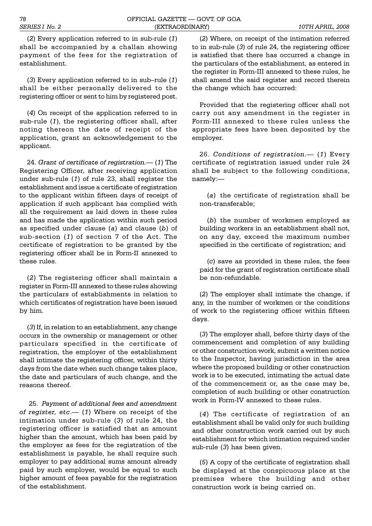(*2*) Every application referred to in sub-rule (*1*) shall be accompanied by a challan showing payment of the fees for the registration of establishment.

 $(3)$  Every application referred to in sub-rule  $(1)$ shall be either personally delivered to the registering officer or sent to him by registered post.

(*4*) On receipt of the application referred to in sub-rule (*1*), the registering officer shall, after noting thereon the date of receipt of the application, grant an acknowledgement to the applicant.

24. *Grant of certificate of registration.* (*1*) The Registering Officer, after receiving application under sub-rule (*1*) of rule 23, shall register the establishment and issue a certificate of registration to the applicant within fifteen days of receipt of application if such applicant has complied with all the requirement as laid down in these rules and has made the application within such period as specified under clause (*a*) and clause (*b*) of sub-section (*1*) of section 7 of the Act. The certificate of registration to be granted by the registering officer shall be in Form-II annexed to these rules.

(*2*) The registering officer shall maintain a register in Form-III annexed to these rules showing the particulars of establishments in relation to which certificates of registration have been issued by him.

(*3*) If, in relation to an establishment, any change occurs in the ownership or management or other particulars specified in the certificate of registration, the employer of the establishment shall intimate the registering officer, within thirty days from the date when such change takes place, the date and particulars of such change, and the reasons thereof.

 25. *Payment of additional fees and amendment of register, etc.* (1) Where on receipt of the intimation under sub-rule (*3*) of rule 24, the registering officer is satisfied that an amount higher than the amount, which has been paid by the employer as fees for the registration of the establishment is payable, he shall require such employer to pay additional sums amount already paid by such employer, would be equal to such higher amount of fees payable for the registration of the establishment.

(*2*) Where, on receipt of the intimation referred to in sub-rule (*3*) of rule 24, the registering officer is satisfied that there has occurred a change in the particulars of the establishment, as entered in the register in Form-III annexed to these rules, he shall amend the said register and record therein the change which has occurred:

Provided that the registering officer shall not carry out any amendment in the register in Form-III annexed to these rules unless the appropriate fees have been deposited by the employer.

26. Conditions of registration. - (1) Every certificate of registration issued under rule 24 shall be subject to the following conditions, namely:

(*a*) the certificate of registration shall be non-transferable;

(*b*) the number of workmen employed as building workers in an establishment shall not, on any day, exceed the maximum number specified in the certificate of registration; and

(*c*) save as provided in these rules, the fees paid for the grant of registration certificate shall be non-refundable.

(*2*) The employer shall intimate the change, if any, in the number of workmen or the conditions of work to the registering officer within fifteen days.

(*3*) The employer shall, before thirty days of the commencement and completion of any building or other construction work, submit a written notice to the Inspector, having jurisdiction in the area where the proposed building or other construction work is to be executed, intimating the actual date of the commencement or, as the case may be, completion of such building or other construction work in Form-IV annexed to these rules.

(*4*) The certificate of registration of an establishment shall be valid only for such building and other construction work carried out by such establishment for which intimation required under sub-rule (*3*) has been given.

(*5*) A copy of the certificate of registration shall be displayed at the conspicuous place at the premises where the building and other construction work is being carried on.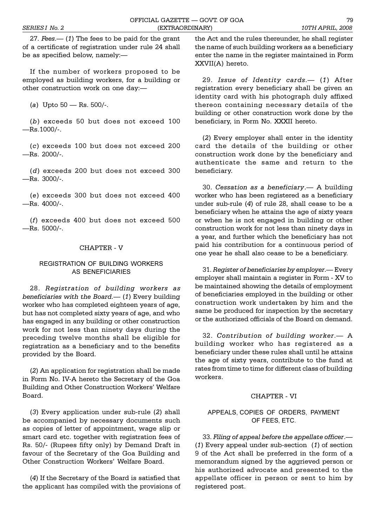27. Fees.— (1) The fees to be paid for the grant of a certificate of registration under rule 24 shall be as specified below, namely:

If the number of workers proposed to be employed as building workers, for a building or other construction work on one day:

(a) Upto 50 - Rs. 500/-.

(*b*) exceeds 50 but does not exceed 100  $-Rs.1000/-$ .

(*c*) exceeds 100 but does not exceed 200  $-Rs. 2000/-$ .

(*d*) exceeds 200 but does not exceed 300  $-Rs. 3000/-$ .

(*e*) exceeds 300 but does not exceed 400  $-Rs. 4000/-$ .

(*f*) exceeds 400 but does not exceed 500  $-Rs. 5000/-.$ 

#### CHAPTER - V

## REGISTRATION OF BUILDING WORKERS AS BENEFICIARIES

28. *Registration of building workers as beneficiaries with the Board.* (*1*) Every building worker who has completed eighteen years of age, but has not completed sixty years of age, and who has engaged in any building or other construction work for not less than ninety days during the preceding twelve months shall be eligible for registration as a beneficiary and to the benefits provided by the Board.

(*2*) An application for registration shall be made in Form No. IV-A hereto the Secretary of the Goa Building and Other Construction Workers' Welfare Board.

(*3*) Every application under sub-rule (*2*) shall be accompanied by necessary documents such as copies of letter of appointment, wage slip or smart card etc. together with registration fees of Rs. 50/- (Rupees fifty only) by Demand Draft in favour of the Secretary of the Goa Building and Other Construction Workers' Welfare Board.

(*4*) If the Secretary of the Board is satisfied that the applicant has compiled with the provisions of the Act and the rules thereunder, he shall register the name of such building workers as a beneficiary enter the name in the register maintained in Form XXVII(A) hereto.

29. *Issue of Identity cards.* (1) After registration every beneficiary shall be given an identity card with his photograph duly affixed thereon containing necessary details of the building or other construction work done by the beneficiary, in Form No. XXXII hereto.

(*2*) Every employer shall enter in the identity card the details of the building or other construction work done by the beneficiary and authenticate the same and return to the beneficiary.

30. *Cessation as a beneficiary*. A building worker who has been registered as a beneficiary under sub-rule (*4*) of rule 28, shall cease to be a beneficiary when he attains the age of sixty years or when he is not engaged in building or other construction work for not less than ninety days in a year, and further which the beneficiary has not paid his contribution for a continuous period of one year he shall also cease to be a beneficiary.

31. *Register of beneficiaries by employer*. Every employer shall maintain a register in Form - XV to be maintained showing the details of employment of beneficiaries employed in the building or other construction work undertaken by him and the same be produced for inspection by the secretary or the authorized officials of the Board on demand.

32. *Contribution of building worker*. A building worker who has registered as a beneficiary under these rules shall until he attains the age of sixty years, contribute to the fund at rates from time to time for different class of building workers.

#### CHAPTER - VI

## APPEALS, COPIES OF ORDERS, PAYMENT OF FEES, ETC.

33. *Filing of appeal before the appellate officer*. (*1*) Every appeal under sub-section (*1*) of section 9 of the Act shall be preferred in the form of a memorandum signed by the aggrieved person or his authorized advocate and presented to the appellate officer in person or sent to him by registered post.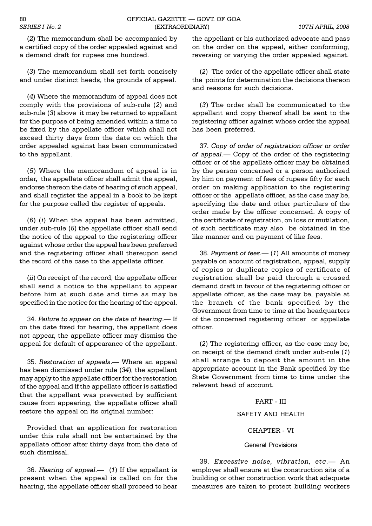(*2*) The memorandum shall be accompanied by a certified copy of the order appealed against and a demand draft for rupees one hundred.

(*3*) The memorandum shall set forth concisely and under distinct heads, the grounds of appeal.

(*4*) Where the memorandum of appeal does not comply with the provisions of sub-rule (*2*) and sub-rule (*3*) above it may be returned to appellant for the purpose of being amended within a time to be fixed by the appellate officer which shall not exceed thirty days from the date on which the order appealed against has been communicated to the appellant.

(*5*) Where the memorandum of appeal is in order, the appellate officer shall admit the appeal, endorse thereon the date of hearing of such appeal, and shall register the appeal in a book to be kept for the purpose called the register of appeals.

(*6*) (*i*) When the appeal has been admitted, under sub-rule (*5*) the appellate officer shall send the notice of the appeal to the registering officer against whose order the appeal has been preferred and the registering officer shall thereupon send the record of the case to the appellate officer.

(*ii*) On receipt of the record, the appellate officer shall send a notice to the appellant to appear before him at such date and time as may be specified in the notice for the hearing of the appeal.

34. Failure to appear on the date of hearing.— If on the date fixed for hearing, the appellant does not appear, the appellate officer may dismiss the appeal for default of appearance of the appellant.

35. *Restoration of appeals*. Where an appeal has been dismissed under rule (*34*), the appellant may apply to the appellate officer for the restoration of the appeal and if the appellate officer is satisfied that the appellant was prevented by sufficient cause from appearing, the appellate officer shall restore the appeal on its original number:

Provided that an application for restoration under this rule shall not be entertained by the appellate officer after thirty days from the date of such dismissal.

36. *Hearing of appeal.* (*1*) If the appellant is present when the appeal is called on for the hearing, the appellate officer shall proceed to hear

the appellant or his authorized advocate and pass on the order on the appeal, either conforming, reversing or varying the order appealed against.

(*2*) The order of the appellate officer shall state the points for determination the decisions thereon and reasons for such decisions.

(*3*) The order shall be communicated to the appellant and copy thereof shall be sent to the registering officer against whose order the appeal has been preferred.

37. *Copy of order of registration officer or order of appeal.* Copy of the order of the registering officer or of the appellate officer may be obtained by the person concerned or a person authorized by him on payment of fees of rupees fifty for each order on making application to the registering officer or the appellate officer, as the case may be, specifying the date and other particulars of the order made by the officer concerned. A copy of the certificate of registration, on loss or mutilation, of such certificate may also be obtained in the like manner and on payment of like fees.

38. Payment of fees.—(1) All amounts of money payable on account of registration, appeal, supply of copies or duplicate copies of certificate of registration shall be paid through a crossed demand draft in favour of the registering officer or appellate officer, as the case may be, payable at the branch of the bank specified by the Government from time to time at the headquarters of the concerned registering officer or appellate officer.

(*2*) The registering officer, as the case may be, on receipt of the demand draft under sub-rule (*1*) shall arrange to deposit the amount in the appropriate account in the Bank specified by the State Government from time to time under the relevant head of account.

## PART - III

## SAFETY AND HEALTH

## CHAPTER - VI

## General Provisions

39. *Excessive noise, vibration, etc*. An employer shall ensure at the construction site of a building or other construction work that adequate measures are taken to protect building workers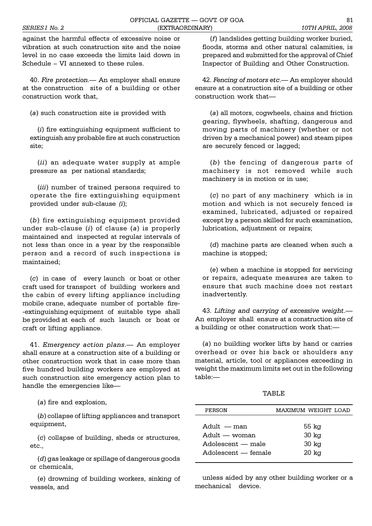against the harmful effects of excessive noise or vibration at such construction site and the noise level in no case exceeds the limits laid down in Schedule - VI annexed to these rules.

40. *Fire protection*. An employer shall ensure at the construction site of a building or other construction work that,

(*a*) such construction site is provided with

(*i*) fire extinguishing equipment sufficient to extinguish any probable fire at such construction site;

(*ii*) an adequate water supply at ample pressure as per national standards;

(*iii*) number of trained persons required to operate the fire extinguishing equipment provided under sub-clause *(i*);

(*b*) fire extinguishing equipment provided under sub-clause (*i*) of clause (*a*) is properly maintained and inspected at regular intervals of not less than once in a year by the responsible person and a record of such inspections is maintained;

(*c*) in case of every launch or boat or other craft used for transport of building workers and the cabin of every lifting appliance including mobile crane, adequate number of portable fire- -extinguishing equipment of suitable type shall be provided at each of such launch or boat or craft or lifting appliance.

41. *Emergency action plans*. An employer shall ensure at a construction site of a building or other construction work that in case more than five hundred building workers are employed at such construction site emergency action plan to handle the emergencies like

(*a*) fire and explosion,

(*b*) collapse of lifting appliances and transport equipment,

(*c*) collapse of building, sheds or structures, etc.,

(*d*) gas leakage or spillage of dangerous goods or chemicals,

(*e*) drowning of building workers, sinking of vessels, and

(*f*) landslides getting building worker buried, floods, storms and other natural calamities, is prepared and submitted for the approval of Chief Inspector of Building and Other Construction.

42. *Fencing of motors etc.* An employer should ensure at a construction site of a building or other construction work that

(*a*) all motors, cogwheels, chains and friction gearing, flywheels, shafting, dangerous and moving parts of machinery (whether or not driven by a mechanical power) and steam pipes are securely fenced or lagged;

(*b*) the fencing of dangerous parts of machinery is not removed while such machinery is in motion or in use;

(*c*) no part of any machinery which is in motion and which is not securely fenced is examined, lubricated, adjusted or repaired except by a person skilled for such examination, lubrication, adjustment or repairs;

(*d*) machine parts are cleaned when such a machine is stopped;

(*e*) when a machine is stopped for servicing or repairs, adequate measures are taken to ensure that such machine does not restart inadvertently.

43. *Lifting and carrying of excessive weight*. An employer shall ensure at a construction site of a building or other construction work that:

(*a*) no building worker lifts by hand or carries overhead or over his back or shoulders any material, article, tool or appliances exceeding in weight the maximum limits set out in the following table:

TABLE

| PERSON                                                                             | MAXIMUM WEIGHT LOAD                                    |
|------------------------------------------------------------------------------------|--------------------------------------------------------|
| $A \text{dult}$ — man<br>Adult — woman<br>Adolescent — male<br>Adolescent — female | 55 kg<br>30 <sub>kg</sub><br>30 <sub>kg</sub><br>20 kg |
|                                                                                    |                                                        |

unless aided by any other building worker or a mechanical device.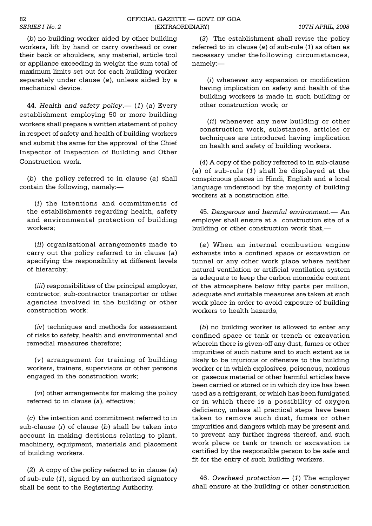(*b*) no building worker aided by other building workers, lift by hand or carry overhead or over their back or shoulders, any material, article tool or appliance exceeding in weight the sum total of maximum limits set out for each building worker separately under clause (*a*), unless aided by a mechanical device.

44. *Health and safety policy.* (1) (a) Every establishment employing 50 or more building workers shall prepare a written statement of policy in respect of safety and health of building workers and submit the same for the approval of the Chief Inspector of Inspection of Building and Other Construction work.

(*b*) the policy referred to in clause (*a*) shall contain the following, namely:

(*i*) the intentions and commitments of the establishments regarding health, safety and environmental protection of building workers;

(*ii*) organizational arrangements made to carry out the policy referred to in clause (*a*) specifying the responsibility at different levels of hierarchy;

(*iii*) responsibilities of the principal employer, contractor, sub-contractor transporter or other agencies involved in the building or other construction work;

(*iv*) techniques and methods for assessment of risks to safety, health and environmental and remedial measures therefore;

(*v*) arrangement for training of building workers, trainers, supervisors or other persons engaged in the construction work;

(*vi*) other arrangements for making the policy referred to in clause (*a*), effective;

(*c*) the intention and commitment referred to in sub-clause (*i*) of clause (*b*) shall be taken into account in making decisions relating to plant, machinery, equipment, materials and placement of building workers.

(*2*) A copy of the policy referred to in clause (*a*) of sub- rule (*1*), signed by an authorized signatory shall be sent to the Registering Authority.

(*3*) The establishment shall revise the policy referred to in clause (*a*) of sub-rule (*1*) as often as necessary under thefollowing circumstances, namely:

(*i*) whenever any expansion or modification having implication on safety and health of the building workers is made in such building or other construction work; or

(*ii*) whenever any new building or other construction work, substances, articles or techniques are introduced having implication on health and safety of building workers.

(*4*) A copy of the policy referred to in sub-clause (*a*) of sub-rule (*1*) shall be displayed at the conspicuous places in Hindi, English and a local language understood by the majority of building workers at a construction site.

45. *Dangerous and harmful environment*. An employer shall ensure at a construction site of a building or other construction work that,

(*a*) When an internal combustion engine exhausts into a confined space or excavation or tunnel or any other work place where neither natural ventilation or artificial ventilation system is adequate to keep the carbon monoxide content of the atmosphere below fifty parts per million, adequate and suitable measures are taken at such work place in order to avoid exposure of building workers to health hazards,

(*b*) no building worker is allowed to enter any confined space or tank or trench or excavation wherein there is given-off any dust, fumes or other impurities of such nature and to such extent as is likely to be injurious or offensive to the building worker or in which explosives, poisonous, noxious or gaseous material or other harmful articles have been carried or stored or in which dry ice has been used as a refrigerant, or which has been fumigated or in which there is a possibility of oxygen deficiency, unless all practical steps have been taken to remove such dust, fumes or other impurities and dangers which may be present and to prevent any further ingress thereof, and such work place or tank or trench or excavation is certified by the responsible person to be safe and fit for the entry of such building workers.

46. Overhead protection.— (1) The employer shall ensure at the building or other construction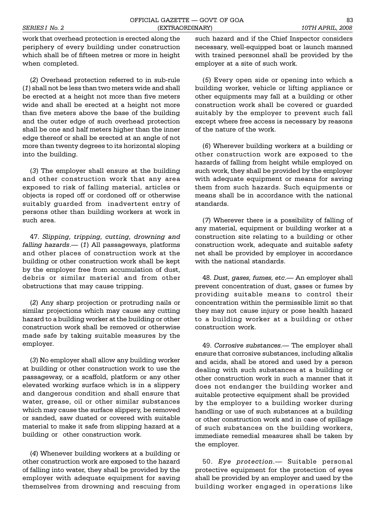work that overhead protection is erected along the periphery of every building under construction which shall be of fifteen metres or more in height when completed.

(*2*) Overhead protection referred to in sub-rule (*1*) shall not be less than two meters wide and shall be erected at a height not more than five meters wide and shall be erected at a height not more than five meters above the base of the building and the outer edge of such overhead protection shall be one and half meters higher than the inner edge thereof or shall be erected at an angle of not more than twenty degrees to its horizontal sloping into the building.

(*3*) The employer shall ensure at the building and other construction work that any area exposed to risk of falling material, articles or objects is roped off or cordoned off or otherwise suitably guarded from inadvertent entry of persons other than building workers at work in such area.

47. *Slipping, tripping, cutting, drowning and falling hazards*. (*1*) All passageways, platforms and other places of construction work at the building or other construction work shall be kept by the employer free from accumulation of dust, debris or similar material and from other obstructions that may cause tripping.

(*2*) Any sharp projection or protruding nails or similar projections which may cause any cutting hazard to a building worker at the building or other construction work shall be removed or otherwise made safe by taking suitable measures by the employer.

(*3*) No employer shall allow any building worker at building or other construction work to use the passageway, or a scaffold, platform or any other elevated working surface which is in a slippery and dangerous condition and shall ensure that water, grease, oil or other similar substances which may cause the surface slippery, be removed or sanded, saw dusted or covered with suitable material to make it safe from slipping hazard at a building or other construction work.

(*4*) Whenever building workers at a building or other construction work are exposed to the hazard of falling into water, they shall be provided by the employer with adequate equipment for saving themselves from drowning and rescuing from such hazard and if the Chief Inspector considers necessary, well-equipped boat or launch manned with trained personnel shall be provided by the employer at a site of such work.

(*5*) Every open side or opening into which a building worker, vehicle or lifting appliance or other equipments may fall at a building or other construction work shall be covered or guarded suitably by the employer to prevent such fall except where free access is necessary by reasons of the nature of the work.

(*6*) Wherever building workers at a building or other construction work are exposed to the hazards of falling from height while employed on such work, they shall be provided by the employer with adequate equipment or means for saving them from such hazards. Such equipments or means shall be in accordance with the national standards.

(*7*) Wherever there is a possibility of falling of any material, equipment or building worker at a construction site relating to a building or other construction work, adequate and suitable safety net shall be provided by employer in accordance with the national standards.

48. *Dust, gases, fumes, etc.* An employer shall prevent concentration of dust, gases or fumes by providing suitable means to control their concentration within the permissible limit so that they may not cause injury or pose health hazard to a building worker at a building or other construction work.

49. *Corrosive substances*. The employer shall ensure that corrosive substances, including alkalis and acids, shall be stored and used by a person dealing with such substances at a building or other construction work in such a manner that it does not endanger the building worker and suitable protective equipment shall be provided by the employer to a building worker during handling or use of such substances at a building or other construction work and in case of spillage of such substances on the building workers, immediate remedial measures shall be taken by the employer.

50. *Eye protection*. Suitable personal protective equipment for the protection of eyes shall be provided by an employer and used by the building worker engaged in operations like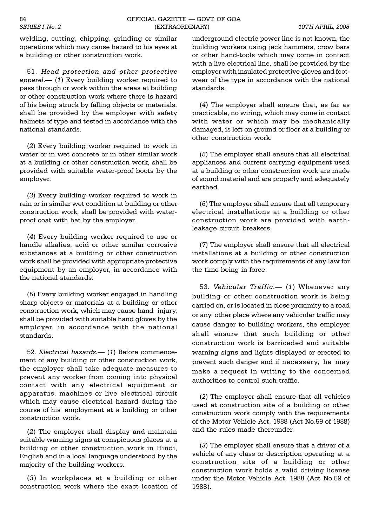welding, cutting, chipping, grinding or similar operations which may cause hazard to his eyes at a building or other construction work.

51. *Head protection and other protective apparel*. (*1*) Every building worker required to pass through or work within the areas at building or other construction work where there is hazard of his being struck by falling objects or materials, shall be provided by the employer with safety helmets of type and tested in accordance with the national standards.

(*2*) Every building worker required to work in water or in wet concrete or in other similar work at a building or other construction work, shall be provided with suitable water-proof boots by the employer.

(*3*) Every building worker required to work in rain or in similar wet condition at building or other construction work, shall be provided with waterproof coat with hat by the employer.

(*4*) Every building worker required to use or handle alkalies, acid or other similar corrosive substances at a building or other construction work shall be provided with appropriate protective equipment by an employer, in accordance with the national standards.

(*5*) Every building worker engaged in handling sharp objects or materials at a building or other construction work, which may cause hand injury, shall be provided with suitable hand gloves by the employer, in accordance with the national standards.

52. *Electrical hazards.* (*1*) Before commencement of any building or other construction work, the employer shall take adequate measures to prevent any worker from coming into physical contact with any electrical equipment or apparatus, machines or live electrical circuit which may cause electrical hazard during the course of his employment at a building or other construction work.

(*2*) The employer shall display and maintain suitable warning signs at conspicuous places at a building or other construction work in Hindi, English and in a local language understood by the majority of the building workers.

(*3*) In workplaces at a building or other construction work where the exact location of underground electric power line is not known, the building workers using jack hammers, crow bars or other hand-tools which may come in contact with a live electrical line, shall be provided by the employer with insulated protective gloves and footwear of the type in accordance with the national standards.

(*4*) The employer shall ensure that, as far as practicable, no wiring, which may come in contact with water or which may be mechanically damaged, is left on ground or floor at a building or other construction work.

(*5*) The employer shall ensure that all electrical appliances and current carrying equipment used at a building or other construction work are made of sound material and are properly and adequately earthed.

(*6*) The employer shall ensure that all temporary electrical installations at a building or other construction work are provided with earthleakage circuit breakers.

(*7*) The employer shall ensure that all electrical installations at a building or other construction work comply with the requirements of any law for the time being in force.

53. *Vehicular Traffic.* (1) Whenever any building or other construction work is being carried on, or is located in close proximity to a road or any other place where any vehicular traffic may cause danger to building workers, the employer shall ensure that such building or other construction work is barricaded and suitable warning signs and lights displayed or erected to prevent such danger and if necessary, he may make a request in writing to the concerned authorities to control such traffic.

(*2*) The employer shall ensure that all vehicles used at construction site of a building or other construction work comply with the requirements of the Motor Vehicle Act, 1988 (Act No.59 of 1988) and the rules made thereunder.

(*3*) The employer shall ensure that a driver of a vehicle of any class or description operating at a construction site of a building or other construction work holds a valid driving license under the Motor Vehicle Act, 1988 (Act No.59 of 1988).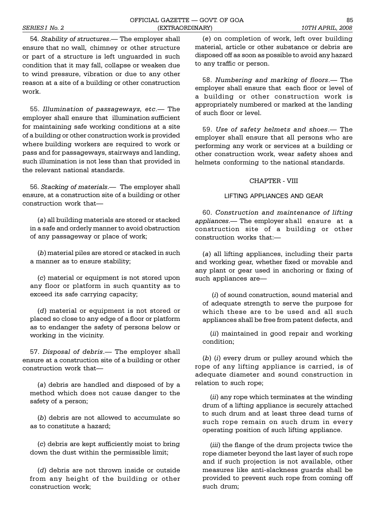54. *Stability of structures*. The employer shall ensure that no wall, chimney or other structure or part of a structure is left unguarded in such condition that it may fall, collapse or weaken due to wind pressure, vibration or due to any other reason at a site of a building or other construction work.

55. *Illumination of passageways, etc*. The employer shall ensure that illumination sufficient for maintaining safe working conditions at a site of a building or other construction work is provided where building workers are required to work or pass and for passageways, stairways and landing, such illumination is not less than that provided in the relevant national standards.

56. *Stacking of materials*. The employer shall ensure, at a construction site of a building or other construction work that

(*a*) all building materials are stored or stacked in a safe and orderly manner to avoid obstruction of any passageway or place of work;

(*b*) material piles are stored or stacked in such a manner as to ensure stability;

(*c*) material or equipment is not stored upon any floor or platform in such quantity as to exceed its safe carrying capacity;

(*d*) material or equipment is not stored or placed so close to any edge of a floor or platform as to endanger the safety of persons below or working in the vicinity.

57. *Disposal of debris*.— The employer shall ensure at a construction site of a building or other construction work that

(*a*) debris are handled and disposed of by a method which does not cause danger to the safety of a person;

(*b*) debris are not allowed to accumulate so as to constitute a hazard;

(*c*) debris are kept sufficiently moist to bring down the dust within the permissible limit;

(*d*) debris are not thrown inside or outside from any height of the building or other construction work;

(*e*) on completion of work, left over building material, article or other substance or debris are disposed off as soon as possible to avoid any hazard to any traffic or person.

58. *Numbering and marking of floors*. The employer shall ensure that each floor or level of a building or other construction work is appropriately numbered or marked at the landing of such floor or level.

59. *Use of safety helmets and shoes*. The employer shall ensure that all persons who are performing any work or services at a building or other construction work, wear safety shoes and helmets conforming to the national standards.

## CHAPTER - VIII

## LIFTING APPLIANCES AND GEAR

60. *Construction and maintenance of lifting appliances*. The employer shall ensure at a construction site of a building or other construction works that:

(*a*) all lifting appliances, including their parts and working gear, whether fixed or movable and any plant or gear used in anchoring or fixing of such appliances are

 (*i*) of sound construction, sound material and of adequate strength to serve the purpose for which these are to be used and all such appliances shall be free from patent defects, and

(*ii*) maintained in good repair and working condition;

(*b*) (*i*) every drum or pulley around which the rope of any lifting appliance is carried, is of adequate diameter and sound construction in relation to such rope;

(*ii*) any rope which terminates at the winding drum of a lifting appliance is securely attached to such drum and at least three dead turns of such rope remain on such drum in every operating position of such lifting appliance.

(*iii*) the flange of the drum projects twice the rope diameter beyond the last layer of such rope and if such projection is not available, other measures like anti-slackness guards shall be provided to prevent such rope from coming off such drum;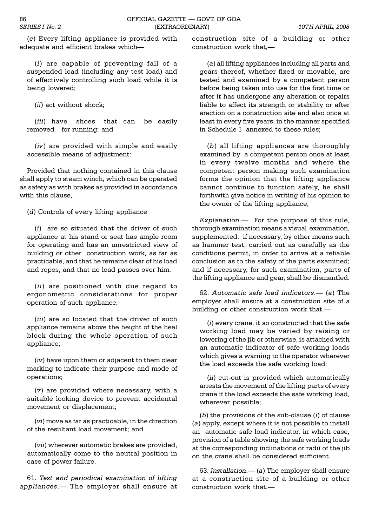(*c*) Every lifting appliance is provided with adequate and efficient brakes which

(*i*) are capable of preventing fall of a suspended load (including any test load) and of effectively controlling such load while it is being lowered;

(*ii*) act without shock;

(*iii*) have shoes that can be easily removed for running; and

(*iv*) are provided with simple and easily accessible means of adjustment:

Provided that nothing contained in this clause shall apply to steam winch, which can be operated as safety as with brakes as provided in accordance with this clause,

(*d*) Controls of every lifting appliance

(*i*) are so situated that the driver of such appliance at his stand or seat has ample room for operating and has an unrestricted view of building or other construction work, as far as practicable, and that he remains clear of his load and ropes, and that no load passes over him;

(*ii*) are positioned with due regard to ergonometric considerations for proper operation of such appliance;

(*iii*) are so located that the driver of such appliance remains above the height of the heel block during the whole operation of such appliance;

(*iv*) have upon them or adjacent to them clear marking to indicate their purpose and mode of operations;

(*v*) are provided where necessary, with a suitable looking device to prevent accidental movement or displacement;

(*vi*) move as far as practicable, in the direction of the resultant load movement; and

(*vii*) wherever automatic brakes are provided, automatically come to the neutral position in case of power failure.

61. *Test and periodical examination of lifting appliances*. The employer shall ensure at construction site of a building or other construction work that,

(*a*) all lifting appliances including all parts and gears thereof, whether fixed or movable, are tested and examined by a competent person before being taken into use for the first time or after it has undergone any alteration or repairs liable to affect its strength or stability or after erection on a construction site and also once at least in every five years, in the manner specified in Schedule I annexed to these rules;

(*b*) all lifting appliances are thoroughly examined by a competent person once at least in every twelve months and where the competent person making such examination forms the opinion that the lifting appliance cannot continue to function safely, he shall forthwith give notice in writing of his opinion to the owner of the lifting appliance;

*Explanation*. For the purpose of this rule, thorough examination means a visual examination, supplemented, if necessary, by other means such as hammer test, carried out as carefully as the conditions permit, in order to arrive at a reliable conclusion as to the safety of the parts examined; and if necessary, for such examination, parts of the lifting appliance and gear, shall be dismantled.

62. *Automatic safe load indicators*. (*a*) The employer shall ensure at a construction site of a building or other construction work that.

(*i*) every crane, it so constructed that the safe working load may be varied by raising or lowering of the jib or otherwise, is attached with an automatic indicator of safe working loads which gives a warning to the operator wherever the load exceeds the safe working load;

(*ii*) cut-out is provided which automatically arrests the movement of the lifting parts of every crane if the load exceeds the safe working load, wherever possible;

(*b*) the provisions of the sub-clause (*i*) of clause (*a*) apply, except where it is not possible to install an automatic safe load indicator, in which case, provision of a table showing the safe working loads at the corresponding inclinations or radii of the jib on the crane shall be considered sufficient.

63. *Installation*. (*a*) The employer shall ensure at a construction site of a building or other construction work that.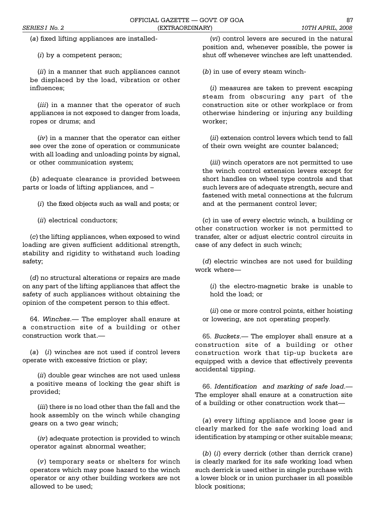(*a*) fixed lifting appliances are installed-

(*i*) by a competent person;

(*ii*) in a manner that such appliances cannot be displaced by the load, vibration or other influences;

(*iii*) in a manner that the operator of such appliances is not exposed to danger from loads, ropes or drums; and

(*iv*) in a manner that the operator can either see over the zone of operation or communicate with all loading and unloading points by signal, or other communication system;

(*b*) adequate clearance is provided between parts or loads of lifting appliances, and

(*i*) the fixed objects such as wall and posts; or

(*ii*) electrical conductors;

(*c*) the lifting appliances, when exposed to wind loading are given sufficient additional strength, stability and rigidity to withstand such loading safety;

(*d*) no structural alterations or repairs are made on any part of the lifting appliances that affect the safety of such appliances without obtaining the opinion of the competent person to this effect.

64. *Winches*. The employer shall ensure at a construction site of a building or other construction work that.

(*a*) (*i*) winches are not used if control levers operate with excessive friction or play;

(*ii*) double gear winches are not used unless a positive means of locking the gear shift is provided;

(*iii*) there is no load other than the fall and the hook assembly on the winch while changing gears on a two gear winch;

(*iv*) adequate protection is provided to winch operator against abnormal weather;

(*v*) temporary seats or shelters for winch operators which may pose hazard to the winch operator or any other building workers are not allowed to be used;

(*vi*) control levers are secured in the natural position and, whenever possible, the power is shut off whenever winches are left unattended.

(*b*) in use of every steam winch-

(*i*) measures are taken to prevent escaping steam from obscuring any part of the construction site or other workplace or from otherwise hindering or injuring any building worker;

(*ii*) extension control levers which tend to fall of their own weight are counter balanced;

(*iii*) winch operators are not permitted to use the winch control extension levers except for short handles on wheel type controls and that such levers are of adequate strength, secure and fastened with metal connections at the fulcrum and at the permanent control lever;

(*c*) in use of every electric winch, a building or other construction worker is not permitted to transfer, alter or adjust electric control circuits in case of any defect in such winch;

(*d*) electric winches are not used for building work where

(*i*) the electro-magnetic brake is unable to hold the load; or

(*ii*) one or more control points, either hoisting or lowering, are not operating properly.

65. *Buckets*. The employer shall ensure at a construction site of a building or other construction work that tip-up buckets are equipped with a device that effectively prevents accidental tipping.

66. *Identification and marking of safe load*. The employer shall ensure at a construction site of a building or other construction work that

(*a*) every lifting appliance and loose gear is clearly marked for the safe working load and identification by stamping or other suitable means;

(*b*) (*i*) every derrick (other than derrick crane) is clearly marked for its safe working load when such derrick is used either in single purchase with a lower block or in union purchaser in all possible block positions;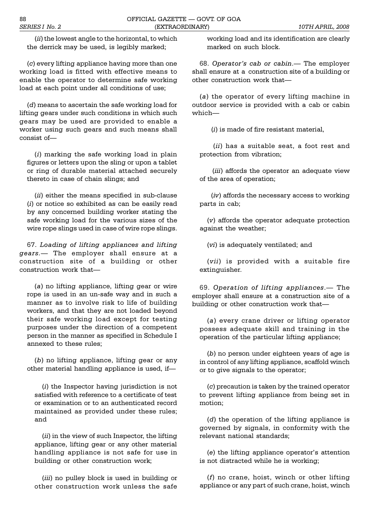(*ii*) the lowest angle to the horizontal, to which the derrick may be used, is legibly marked;

(*c*) every lifting appliance having more than one working load is fitted with effective means to enable the operator to determine safe working load at each point under all conditions of use;

(*d*) means to ascertain the safe working load for lifting gears under such conditions in which such gears may be used are provided to enable a worker using such gears and such means shall consist of

(*i*) marking the safe working load in plain figures or letters upon the sling or upon a tablet or ring of durable material attached securely thereto in case of chain slings; and

(*ii*) either the means specified in sub-clause (*i*) or notice so exhibited as can be easily read by any concerned building worker stating the safe working load for the various sizes of the wire rope slings used in case of wire rope slings.

67. *Loading of lifting appliances and lifting gears.* The employer shall ensure at a construction site of a building or other construction work that

(*a*) no lifting appliance, lifting gear or wire rope is used in an un-safe way and in such a manner as to involve risk to life of building workers, and that they are not loaded beyond their safe working load except for testing purposes under the direction of a competent person in the manner as specified in Schedule I annexed to these rules;

(*b*) no lifting appliance, lifting gear or any other material handling appliance is used, if

(*i*) the Inspector having jurisdiction is not satisfied with reference to a certificate of test or examination or to an authenticated record maintained as provided under these rules; and

(*ii*) in the view of such Inspector, the lifting appliance, lifting gear or any other material handling appliance is not safe for use in building or other construction work;

(*iii*) no pulley block is used in building or other construction work unless the safe

working load and its identification are clearly marked on such block.

68. Operator's cab or cabin.- The employer shall ensure at a construction site of a building or other construction work that

(*a*) the operator of every lifting machine in outdoor service is provided with a cab or cabin which-

(*i*) is made of fire resistant material,

 (*ii*) has a suitable seat, a foot rest and protection from vibration;

 (*iii*) affords the operator an adequate view of the area of operation;

 (*iv*) affords the necessary access to working parts in cab;

(*v*) affords the operator adequate protection against the weather;

(*vi*) is adequately ventilated; and

(*vii*) is provided with a suitable fire extinguisher.

69. *Operation of lifting appliances*. The employer shall ensure at a construction site of a building or other construction work that

(*a*) every crane driver or lifting operator possess adequate skill and training in the operation of the particular lifting appliance;

(*b*) no person under eighteen years of age is in control of any lifting appliance, scaffold winch or to give signals to the operator;

(*c*) precaution is taken by the trained operator to prevent lifting appliance from being set in motion;

(*d*) the operation of the lifting appliance is governed by signals, in conformity with the relevant national standards;

(e) the lifting appliance operator's attention is not distracted while he is working;

(*f*) no crane, hoist, winch or other lifting appliance or any part of such crane, hoist, winch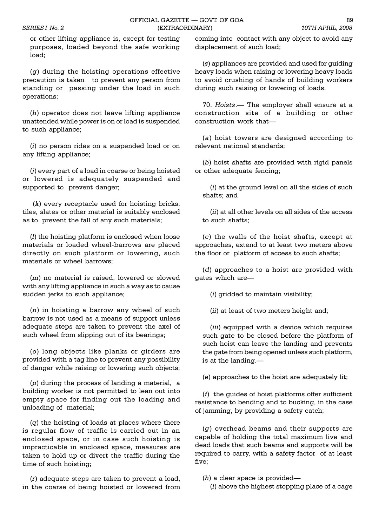or other lifting appliance is, except for testing purposes, loaded beyond the safe working load;

(*g*) during the hoisting operations effective precaution is taken to prevent any person from standing or passing under the load in such operations;

(*h*) operator does not leave lifting appliance unattended while power is on or load is suspended to such appliance;

(*i*) no person rides on a suspended load or on any lifting appliance;

(*j*) every part of a load in coarse or being hoisted or lowered is adequately suspended and supported to prevent danger;

 (*k*) every receptacle used for hoisting bricks, tiles, slates or other material is suitably enclosed as to prevent the fall of any such materials;

(*l*) the hoisting platform is enclosed when loose materials or loaded wheel-barrows are placed directly on such platform or lowering, such materials or wheel barrows;

(*m*) no material is raised, lowered or slowed with any lifting appliance in such a way as to cause sudden jerks to such appliance;

(*n*) in hoisting a barrow any wheel of such barrow is not used as a means of support unless adequate steps are taken to prevent the axel of such wheel from slipping out of its bearings;

(*o*) long objects like planks or girders are provided with a tag line to prevent any possibility of danger while raising or lowering such objects;

(*p*) during the process of landing a material, a building worker is not permitted to lean out into empty space for finding out the loading and unloading of material;

(*q*) the hoisting of loads at places where there is regular flow of traffic is carried out in an enclosed space, or in case such hoisting is impracticable in enclosed space, measures are taken to hold up or divert the traffic during the time of such hoisting;

(*r*) adequate steps are taken to prevent a load, in the coarse of being hoisted or lowered from coming into contact with any object to avoid any displacement of such load;

(*s*) appliances are provided and used for guiding heavy loads when raising or lowering heavy loads to avoid crushing of hands of building workers during such raising or lowering of loads.

70. Hoists.— The employer shall ensure at a construction site of a building or other construction work that

(*a*) hoist towers are designed according to relevant national standards;

(*b*) hoist shafts are provided with rigid panels or other adequate fencing;

(*i*) at the ground level on all the sides of such shafts; and

(*ii*) at all other levels on all sides of the access to such shafts;

(*c*) the walls of the hoist shafts, except at approaches, extend to at least two meters above the floor or platform of access to such shafts;

(*d*) approaches to a hoist are provided with gates which are

(*i*) gridded to maintain visibility;

(*ii*) at least of two meters height and;

(*iii*) equipped with a device which requires such gate to be closed before the platform of such hoist can leave the landing and prevents the gate from being opened unless such platform, is at the landing.

(*e*) approaches to the hoist are adequately lit;

(*f*) the guides of hoist platforms offer sufficient resistance to bending and to bucking, in the case of jamming, by providing a safety catch;

(*g*) overhead beams and their supports are capable of holding the total maximum live and dead loads that such beams and supports will be required to carry, with a safety factor of at least five;

(*h*) a clear space is provided

(*i*) above the highest stopping place of a cage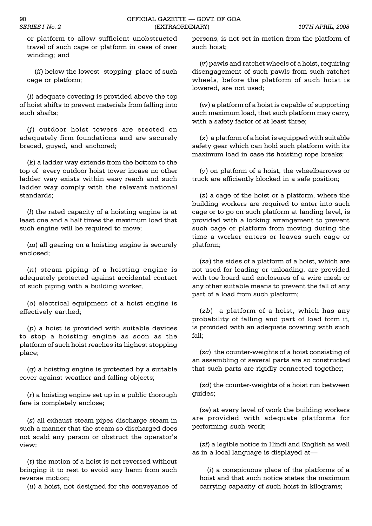or platform to allow sufficient unobstructed travel of such cage or platform in case of over winding; and

(*ii*) below the lowest stopping place of such cage or platform;

(*i*) adequate covering is provided above the top of hoist shifts to prevent materials from falling into such shafts;

(*j*) outdoor hoist towers are erected on adequately firm foundations and are securely braced, guyed, and anchored;

(*k*) a ladder way extends from the bottom to the top of every outdoor hoist tower incase no other ladder way exists within easy reach and such ladder way comply with the relevant national standards;

(*l*) the rated capacity of a hoisting engine is at least one and a half times the maximum load that such engine will be required to move;

(*m*) all gearing on a hoisting engine is securely enclosed;

(*n*) steam piping of a hoisting engine is adequately protected against accidental contact of such piping with a building worker,

(*o*) electrical equipment of a hoist engine is effectively earthed;

(*p*) a hoist is provided with suitable devices to stop a hoisting engine as soon as the platform of such hoist reaches its highest stopping place;

(*q*) a hoisting engine is protected by a suitable cover against weather and falling objects;

(*r*) a hoisting engine set up in a public thorough fare is completely enclose;

(*s*) all exhaust steam pipes discharge steam in such a manner that the steam so discharged does not scald any person or obstruct the operator's view;

(*t*) the motion of a hoist is not reversed without bringing it to rest to avoid any harm from such reverse motion;

(*u*) a hoist, not designed for the conveyance of

persons, is not set in motion from the platform of such hoist;

(*v*) pawls and ratchet wheels of a hoist, requiring disengagement of such pawls from such ratchet wheels, before the platform of such hoist is lowered, are not used;

(*w*) a platform of a hoist is capable of supporting such maximum load, that such platform may carry, with a safety factor of at least three;

(*x*) a platform of a hoist is equipped with suitable safety gear which can hold such platform with its maximum load in case its hoisting rope breaks;

(*y*) on platform of a hoist, the wheelbarrows or truck are efficiently blocked in a safe position;

(*z*) a cage of the hoist or a platform, where the building workers are required to enter into such cage or to go on such platform at landing level, is provided with a locking arrangement to prevent such cage or platform from moving during the time a worker enters or leaves such cage or platform;

(*za*) the sides of a platform of a hoist, which are not used for loading or unloading, are provided with toe board and enclosures of a wire mesh or any other suitable means to prevent the fall of any part of a load from such platform;

(*zb*) a platform of a hoist, which has any probability of falling and part of load form it, is provided with an adequate covering with such fall;

(*zc*) the counter-weights of a hoist consisting of an assembling of several parts are so constructed that such parts are rigidly connected together;

(*zd*) the counter-weights of a hoist run between guides;

(*ze*) at every level of work the building workers are provided with adequate platforms for performing such work;

(*zf*) a legible notice in Hindi and English as well as in a local language is displayed at

(*i*) a conspicuous place of the platforms of a hoist and that such notice states the maximum carrying capacity of such hoist in kilograms;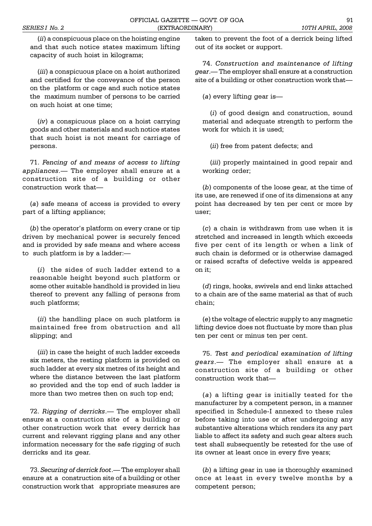(*ii*) a conspicuous place on the hoisting engine and that such notice states maximum lifting capacity of such hoist in kilograms;

(*iii*) a conspicuous place on a hoist authorized and certified for the conveyance of the person on the platform or cage and such notice states the maximum number of persons to be carried on such hoist at one time;

(*iv*) a conspicuous place on a hoist carrying goods and other materials and such notice states that such hoist is not meant for carriage of persons.

71. *Fencing of and means of access to lifting appliances*. The employer shall ensure at a construction site of a building or other construction work that

(*a*) safe means of access is provided to every part of a lifting appliance;

(*b*) the operator's platform on every crane or tip driven by mechanical power is securely fenced and is provided by safe means and where access to such platform is by a ladder:

(*i*) the sides of such ladder extend to a reasonable height beyond such platform or some other suitable handhold is provided in lieu thereof to prevent any falling of persons from such platforms;

(*ii*) the handling place on such platform is maintained free from obstruction and all slipping; and

(*iii*) in case the height of such ladder exceeds six meters, the resting platform is provided on such ladder at every six metres of its height and where the distance between the last platform so provided and the top end of such ladder is more than two metres then on such top end;

72. *Rigging of derricks*.— The employer shall ensure at a construction site of a building or other construction work that every derrick has current and relevant rigging plans and any other information necessary for the safe rigging of such derricks and its gear.

73. *Securing of derrick foot*.— The employer shall ensure at a construction site of a building or other construction work that appropriate measures are taken to prevent the foot of a derrick being lifted out of its socket or support.

74. *Construction and maintenance of lifting gear*. The employer shall ensure at a construction site of a building or other construction work that

(*a*) every lifting gear is

(*i*) of good design and construction, sound material and adequate strength to perform the work for which it is used;

(*ii*) free from patent defects; and

(*iii*) properly maintained in good repair and working order;

(*b*) components of the loose gear, at the time of its use, are renewed if one of its dimensions at any point has decreased by ten per cent or more by user;

(*c*) a chain is withdrawn from use when it is stretched and increased in length which exceeds five per cent of its length or when a link of such chain is deformed or is otherwise damaged or raised scrafts of defective welds is appeared on it;

(*d*) rings, hooks, swivels and end links attached to a chain are of the same material as that of such chain;

(*e*) the voltage of electric supply to any magnetic lifting device does not fluctuate by more than plus ten per cent or minus ten per cent.

75. *Test and periodical examination of lifting gears*. The employer shall ensure at a construction site of a building or other construction work that

(*a*) a lifting gear is initially tested for the manufacturer by a competent person, in a manner specified in Schedule-I annexed to these rules before taking into use or after undergoing any substantive alterations which renders its any part liable to affect its safety and such gear alters such test shall subsequently be retested for the use of its owner at least once in every five years;

(*b*) a lifting gear in use is thoroughly examined once at least in every twelve months by a competent person;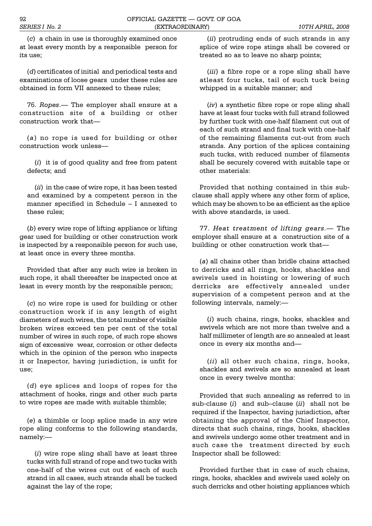(*c*) a chain in use is thoroughly examined once at least every month by a responsible person for its use;

(*d*) certificates of initial and periodical tests and examinations of loose gears under these rules are obtained in form VII annexed to these rules;

76. *Ropes*.— The employer shall ensure at a construction site of a building or other construction work that

(*a*) no rope is used for building or other construction work unless

(*i*) it is of good quality and free from patent defects; and

(*ii*) in the case of wire rope, it has been tested and examined by a competent person in the manner specified in Schedule - I annexed to these rules;

(*b*) every wire rope of lifting appliance or lifting gear used for building or other construction work is inspected by a responsible person for such use, at least once in every three months.

Provided that after any such wire is broken in such rope, it shall thereafter be inspected once at least in every month by the responsible person;

(*c*) no wire rope is used for building or other construction work if in any length of eight diameters of such wires, the total number of visible broken wires exceed ten per cent of the total number of wires in such rope, of such rope shows sign of excessive wear, corrosion or other defects which in the opinion of the person who inspects it or Inspector, having jurisdiction, is unfit for use;

(*d*) eye splices and loops of ropes for the attachment of hooks, rings and other such parts to wire ropes are made with suitable thimble;

(*e*) a thimble or loop splice made in any wire rope sling conforms to the following standards, namely:

(*i*) wire rope sling shall have at least three tucks with full strand of rope and two tucks with one-half of the wires cut out of each of such strand in all cases, such strands shall be tucked against the lay of the rope;

(*ii*) protruding ends of such strands in any splice of wire rope stings shall be covered or treated so as to leave no sharp points;

(*iii*) a fibre rope or a rope sling shall have atleast four tucks, tail of such tuck being whipped in a suitable manner; and

(*iv*) a synthetic fibre rope or rope sling shall have at least four tucks with full strand followed by further tuck with one-half filament cut out of each of such strand and final tuck with one-half of the remaining filaments cut-out from such strands. Any portion of the splices containing such tucks, with reduced number of filaments shall be securely covered with suitable tape or other materials:

Provided that nothing contained in this subclause shall apply where any other form of splice, which may be shown to be as efficient as the splice with above standards, is used.

77. *Heat treatment of lifting gears*. The employer shall ensure at a construction site of a building or other construction work that

(*a*) all chains other than bridle chains attached to derricks and all rings, hooks, shackles and swivels used in hoisting or lowering of such derricks are effectively annealed under supervision of a competent person and at the following intervals, namely:

(*i*) such chains, rings, hooks, shackles and swivels which are not more than twelve and a half millimeter of length are so annealed at least once in every six months and

(*ii*) all other such chains, rings, hooks, shackles and swivels are so annealed at least once in every twelve months:

Provided that such annealing as referred to in sub-clause (*i*) and sub-clause (*ii*) shall not be required if the Inspector, having jurisdiction, after obtaining the approval of the Chief Inspector, directs that such chains, rings, hooks, shackles and swivels undergo some other treatment and in such case the treatment directed by such Inspector shall be followed:

Provided further that in case of such chains, rings, hooks, shackles and swivels used solely on such derricks and other hoisting appliances which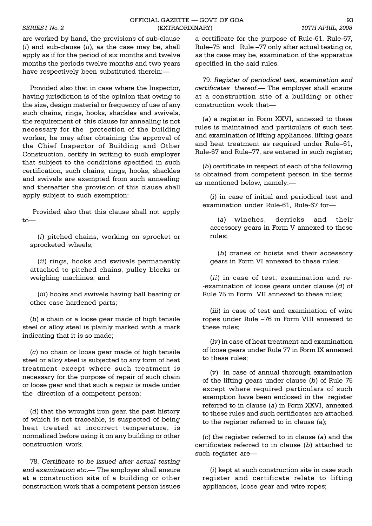are worked by hand, the provisions of sub-clause (*i*) and sub-clause (*ii*), as the case may be, shall apply as if for the period of six months and twelve months the periods twelve months and two years have respectively been substituted therein:

Provided also that in case where the Inspector, having jurisdiction is of the opinion that owing to the size, design material or frequency of use of any such chains, rings, hooks, shackles and swivels, the requirement of this clause for annealing is not necessary for the protection of the building worker, he may after obtaining the approval of the Chief Inspector of Building and Other Construction, certify in writing to such employer that subject to the conditions specified in such certification, such chains, rings, hooks, shackles and swivels are exempted from such annealing and thereafter the provision of this clause shall apply subject to such exemption:

 Provided also that this clause shall not apply  $t \circ$ —

(*i*) pitched chains, working on sprocket or sprocketed wheels;

(*ii*) rings, hooks and swivels permanently attached to pitched chains, pulley blocks or weighing machines; and

(*iii*) hooks and swivels having ball bearing or other case hardened parts;

(*b*) a chain or a loose gear made of high tensile steel or alloy steel is plainly marked with a mark indicating that it is so made;

(*c*) no chain or loose gear made of high tensile steel or alloy steel is subjected to any form of heat treatment except where such treatment is necessary for the purpose of repair of such chain or loose gear and that such a repair is made under the direction of a competent person;

(*d*) that the wrought iron gear, the past history of which is not traceable, is suspected of being heat treated at incorrect temperature, is normalized before using it on any building or other construction work.

78. *Certificate to be issued after actual testing* and examination etc.— The employer shall ensure at a construction site of a building or other construction work that a competent person issues

a certificate for the purpose of Rule-61, Rule-67, Rule-75 and Rule -77 only after actual testing or, as the case may be, examination of the apparatus specified in the said rules.

79. *Register of periodical test, examination and certificates thereof.* The employer shall ensure at a construction site of a building or other construction work that

(*a*) a register in Form XXVI, annexed to these rules is maintained and particulars of such test and examination of lifting appliances, lifting gears and heat treatment as required under Rule-61, Rule-67 and Rule-77, are entered in such register;

(*b*) certificate in respect of each of the following is obtained from competent person in the terms as mentioned below, namely:

(*i*) in case of initial and periodical test and examination under Rule-61, Rule-67 for

(*a*) winches, derricks and their accessory gears in Form V annexed to these rules;

(*b*) cranes or hoists and their accessory gears in Form VI annexed to these rules;

(*ii*) in case of test, examination and re- -examination of loose gears under clause (*d*) of Rule 75 in Form VII annexed to these rules;

(*iii*) in case of test and examination of wire ropes under Rule 76 in Form VIII annexed to these rules;

(*iv*) in case of heat treatment and examination of loose gears under Rule 77 in Form IX annexed to these rules;

(*v*) in case of annual thorough examination of the lifting gears under clause (*b*) of Rule 75 except where required particulars of such exemption have been enclosed in the register referred to in clause (*a*) in Form XXVI, annexed to these rules and such certificates are attached to the register referred to in clause (a);

(*c*) the register referred to in clause (*a*) and the certificates referred to in clause (*b*) attached to such register are

(*i*) kept at such construction site in case such register and certificate relate to lifting appliances, loose gear and wire ropes;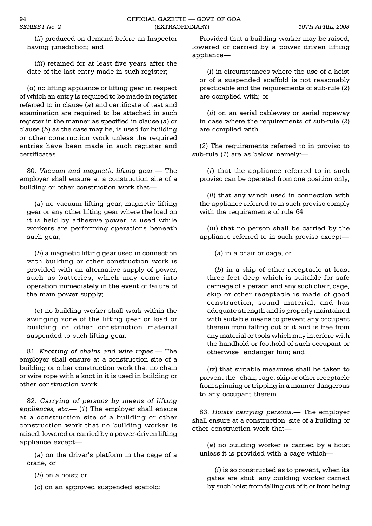(*ii*) produced on demand before an Inspector having jurisdiction; and

(*iii*) retained for at least five years after the date of the last entry made in such register;

(*d*) no lifting appliance or lifting gear in respect of which an entry is required to be made in register referred to in clause (*a*) and certificate of test and examination are required to be attached in such register in the manner as specified in clause (*a*) or clause (*b*) as the case may be, is used for building or other construction work unless the required entries have been made in such register and certificates.

80. *Vacuum and magnetic lifting gear*. The employer shall ensure at a construction site of a building or other construction work that

(*a*) no vacuum lifting gear, magnetic lifting gear or any other lifting gear where the load on it is held by adhesive power, is used while workers are performing operations beneath such gear;

(*b*) a magnetic lifting gear used in connection with building or other construction work is provided with an alternative supply of power, such as batteries, which may come into operation immediately in the event of failure of the main power supply;

(*c*) no building worker shall work within the swinging zone of the lifting gear or load or building or other construction material suspended to such lifting gear.

81. *Knotting of chains and wire ropes*. The employer shall ensure at a construction site of a building or other construction work that no chain or wire rope with a knot in it is used in building or other construction work.

82. *Carrying of persons by means of lifting appliances, etc.* (*1*) The employer shall ensure at a construction site of a building or other construction work that no building worker is raised, lowered or carried by a power-driven lifting appliance except

(a) on the driver's platform in the cage of a crane, or

(*b*) on a hoist; or

(*c*) on an approved suspended scaffold:

Provided that a building worker may be raised, lowered or carried by a power driven lifting appliance

(*i*) in circumstances where the use of a hoist or of a suspended scaffold is not reasonably practicable and the requirements of sub-rule (*2*) are complied with; or

(*ii*) on an aerial cableway or aerial ropeway in case where the requirements of sub-rule (*2*) are complied with.

(*2*) The requirements referred to in proviso to sub-rule (*1*) are as below, namely:

(*i*) that the appliance referred to in such proviso can be operated from one position only;

(*ii*) that any winch used in connection with the appliance referred to in such proviso comply with the requirements of rule 64;

(*iii*) that no person shall be carried by the appliance referred to in such proviso except

(*a*) in a chair or cage, or

(*b*) in a skip of other receptacle at least three feet deep which is suitable for safe carriage of a person and any such chair, cage, skip or other receptacle is made of good construction, sound material, and has adequate strength and is properly maintained with suitable means to prevent any occupant therein from falling out of it and is free from any material or tools which may interfere with the handhold or foothold of such occupant or otherwise endanger him; and

(*iv*) that suitable measures shall be taken to prevent the chair, cage, skip or other receptacle from spinning or tripping in a manner dangerous to any occupant therein.

83. *Hoists carrying persons*. The employer shall ensure at a construction site of a building or other construction work that

(*a*) no building worker is carried by a hoist unless it is provided with a cage which

(*i*) is so constructed as to prevent, when its gates are shut, any building worker carried by such hoist from falling out of it or from being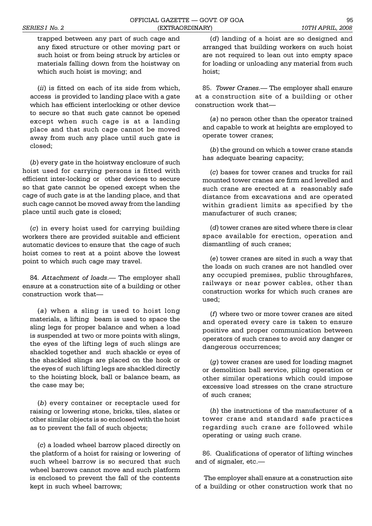trapped between any part of such cage and any fixed structure or other moving part or such hoist or from being struck by articles or materials falling down from the hoistway on which such hoist is moving; and

(*ii*) is fitted on each of its side from which, access is provided to landing place with a gate which has efficient interlocking or other device to secure so that such gate cannot be opened except when such cage is at a landing place and that such cage cannot be moved away from such any place until such gate is closed;

(*b*) every gate in the hoistway enclosure of such hoist used for carrying persons is fitted with efficient inter-locking or other devices to secure so that gate cannot be opened except when the cage of such gate is at the landing place, and that such cage cannot be moved away from the landing place until such gate is closed;

(*c*) in every hoist used for carrying building workers there are provided suitable and efficient automatic devices to ensure that the cage of such hoist comes to rest at a point above the lowest point to which such cage may travel.

84. *Attachment of loads*.— The employer shall ensure at a construction site of a building or other construction work that

(*a*) when a sling is used to hoist long materials, a lifting beam is used to space the sling legs for proper balance and when a load is suspended at two or more points with slings, the eyes of the lifting legs of such slings are shackled together and such shackle or eyes of the shackled slings are placed on the hook or the eyes of such lifting legs are shackled directly to the hoisting block, ball or balance beam, as the case may be;

(*b*) every container or receptacle used for raising or lowering stone, bricks, tiles, slates or other similar objects is so enclosed with the hoist as to prevent the fall of such objects;

(*c*) a loaded wheel barrow placed directly on the platform of a hoist for raising or lowering of such wheel barrow is so secured that such wheel barrows cannot move and such platform is enclosed to prevent the fall of the contents kept in such wheel barrows;

(*d*) landing of a hoist are so designed and arranged that building workers on such hoist are not required to lean out into empty space for loading or unloading any material from such hoist;

85. *Tower Cranes.* The employer shall ensure at a construction site of a building or other construction work that

(*a*) no person other than the operator trained and capable to work at heights are employed to operate tower cranes;

(*b*) the ground on which a tower crane stands has adequate bearing capacity;

(*c*) bases for tower cranes and trucks for rail mounted tower cranes are firm and levelled and such crane are erected at a reasonably safe distance from excavations and are operated within gradient limits as specified by the manufacturer of such cranes;

(*d*) tower cranes are sited where there is clear space available for erection, operation and dismantling of such cranes;

(*e*) tower cranes are sited in such a way that the loads on such cranes are not handled over any occupied premises, public throughfares, railways or near power cables, other than construction works for which such cranes are used;

(*f*) where two or more tower cranes are sited and operated every care is taken to ensure positive and proper communication between operators of such cranes to avoid any danger or dangerous occurrences;

(*g*) tower cranes are used for loading magnet or demolition ball service, piling operation or other similar operations which could impose excessive load stresses on the crane structure of such cranes;

(*h*) the instructions of the manufacturer of a tower crane and standard safe practices regarding such crane are followed while operating or using such crane.

86. Qualifications of operator of lifting winches and of signaler, etc.

 The employer shall ensure at a construction site of a building or other construction work that no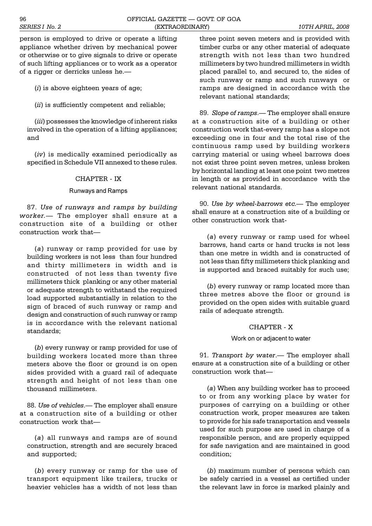#### 96 OFFICIAL GAZETTE GOVT. OF GOA *SERIES I No. 2* (EXTRAORDINARY) *10TH APRIL, 2008*

person is employed to drive or operate a lifting appliance whether driven by mechanical power or otherwise or to give signals to drive or operate of such lifting appliances or to work as a operator of a rigger or derricks unless he.

(*i*) is above eighteen years of age;

(*ii*) is sufficiently competent and reliable;

(*iii*) possesses the knowledge of inherent risks involved in the operation of a lifting appliances; and

(*iv*) is medically examined periodically as specified in Schedule VII annexed to these rules.

#### CHAPTER - IX

#### Runways and Ramps

87. *Use of runways and ramps by building worker.* The employer shall ensure at a construction site of a building or other construction work that

(*a*) runway or ramp provided for use by building workers is not less than four hundred and thirty millimeters in width and is constructed of not less than twenty five millimeters thick planking or any other material or adequate strength to withstand the required load supported substantially in relation to the sign of braced of such runway or ramp and design and construction of such runway or ramp is in accordance with the relevant national standards;

(*b*) every runway or ramp provided for use of building workers located more than three meters above the floor or ground is on open sides provided with a guard rail of adequate strength and height of not less than one thousand millimeters.

88. Use of vehicles.— The employer shall ensure at a construction site of a building or other construction work that

(*a*) all runways and ramps are of sound construction, strength and are securely braced and supported;

(*b*) every runway or ramp for the use of transport equipment like trailers, trucks or heavier vehicles has a width of not less than

three point seven meters and is provided with timber curbs or any other material of adequate strength with not less than two hundred millimeters by two hundred millimeters in width placed parallel to, and secured to, the sides of such runway or ramp and such runways or ramps are designed in accordance with the relevant national standards;

89. *Slope of ramps*.— The employer shall ensure at a construction site of a building or other construction work that-every ramp has a slope not exceeding one in four and the total rise of the continuous ramp used by building workers carrying material or using wheel barrows does not exist three point seven metres, unless broken by horizontal landing at least one point two metres in length or as provided in accordance with the relevant national standards.

90. *Use by wheel-barrows etc.* The employer shall ensure at a construction site of a building or other construction work that-

(*a*) every runway or ramp used for wheel barrows, hand carts or hand trucks is not less than one metre in width and is constructed of not less than fifty millimeters thick planking and is supported and braced suitably for such use;

(*b*) every runway or ramp located more than three metres above the floor or ground is provided on the open sides with suitable guard rails of adequate strength.

## CHAPTER - X

#### Work on or adjacent to water

91. *Transport by water*.— The employer shall ensure at a construction site of a building or other construction work that

(*a*) When any building worker has to proceed to or from any working place by water for purposes of carrying on a building or other construction work, proper measures are taken to provide for his safe transportation and vessels used for such purpose are used in charge of a responsible person, and are properly equipped for safe navigation and are maintained in good condition;

(*b*) maximum number of persons which can be safely carried in a vessel as certified under the relevant law in force is marked plainly and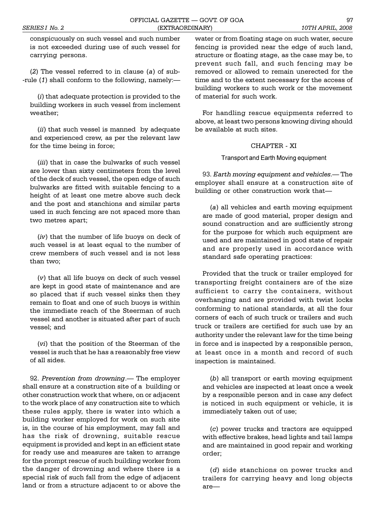conspicuously on such vessel and such number is not exceeded during use of such vessel for carrying persons.

(*2*) The vessel referred to in clause (*a*) of sub- -rule (*1*) shall conform to the following, namely:

(*i*) that adequate protection is provided to the building workers in such vessel from inclement weather;

(*ii*) that such vessel is manned by adequate and experienced crew, as per the relevant law for the time being in force;

(*iii*) that in case the bulwarks of such vessel are lower than sixty centimeters from the level of the deck of such vessel, the open edge of such bulwarks are fitted with suitable fencing to a height of at least one metre above such deck and the post and stanchions and similar parts used in such fencing are not spaced more than two metres apart;

(*iv*) that the number of life buoys on deck of such vessel is at least equal to the number of crew members of such vessel and is not less than two;

(*v*) that all life buoys on deck of such vessel are kept in good state of maintenance and are so placed that if such vessel sinks then they remain to float and one of such buoys is within the immediate reach of the Steerman of such vessel and another is situated after part of such vessel; and

(*vi*) that the position of the Steerman of the vessel is such that he has a reasonably free view of all sides.

92. Prevention from drowning.— The employer shall ensure at a construction site of a building or other construction work that where, on or adjacent to the work place of any construction site to which these rules apply, there is water into which a building worker employed for work on such site is, in the course of his employment, may fall and has the risk of drowning, suitable rescue equipment is provided and kept in an efficient state for ready use and measures are taken to arrange for the prompt rescue of such building worker from the danger of drowning and where there is a special risk of such fall from the edge of adjacent land or from a structure adjacent to or above the

water or from floating stage on such water, secure fencing is provided near the edge of such land, structure or floating stage, as the case may be, to prevent such fall, and such fencing may be removed or allowed to remain unerected for the time and to the extent necessary for the access of building workers to such work or the movement of material for such work.

For handling rescue equipments referred to above, at least two persons knowing diving should be available at such sites.

## CHAPTER - XI

Transport and Earth Moving equipment

93. *Earth moving equipment and vehicles*. The employer shall ensure at a construction site of building or other construction work that

(*a*) all vehicles and earth moving equipment are made of good material, proper design and sound construction and are sufficiently strong for the purpose for which such equipment are used and are maintained in good state of repair and are properly used in accordance with standard safe operating practices:

Provided that the truck or trailer employed for transporting freight containers are of the size sufficient to carry the containers, without overhanging and are provided with twist locks conforming to national standards, at all the four corners of each of such truck or trailers and such truck or trailers are certified for such use by an authority under the relevant law for the time being in force and is inspected by a responsible person, at least once in a month and record of such inspection is maintained.

(*b*) all transport or earth moving equipment and vehicles are inspected at least once a week by a responsible person and in case any defect is noticed in such equipment or vehicle, it is immediately taken out of use;

(*c*) power trucks and tractors are equipped with effective brakes, head lights and tail lamps and are maintained in good repair and working order;

(*d*) side stanchions on power trucks and trailers for carrying heavy and long objects are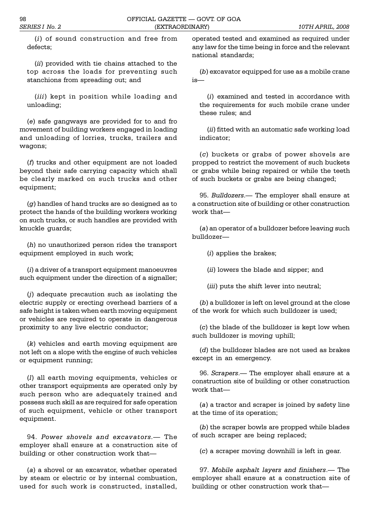(*i*) of sound construction and free from defects;

(*ii*) provided with tie chains attached to the top across the loads for preventing such stanchions from spreading out; and

(*iii*) kept in position while loading and unloading;

(*e*) safe gangways are provided for to and fro movement of building workers engaged in loading and unloading of lorries, trucks, trailers and wagons;

(*f*) trucks and other equipment are not loaded beyond their safe carrying capacity which shall be clearly marked on such trucks and other equipment;

(*g*) handles of hand trucks are so designed as to protect the hands of the building workers working on such trucks, or such handles are provided with knuckle guards;

(*h*) no unauthorized person rides the transport equipment employed in such work;

(*i*) a driver of a transport equipment manoeuvres such equipment under the direction of a signaller;

(*j*) adequate precaution such as isolating the electric supply or erecting overhead barriers of a safe height is taken when earth moving equipment or vehicles are required to operate in dangerous proximity to any live electric conductor;

(*k*) vehicles and earth moving equipment are not left on a slope with the engine of such vehicles or equipment running;

(*l*) all earth moving equipments, vehicles or other transport equipments are operated only by such person who are adequately trained and possess such skill as are required for safe operation of such equipment, vehicle or other transport equipment.

94. *Power shovels and excavators*. The employer shall ensure at a construction site of building or other construction work that

(*a*) a shovel or an excavator, whether operated by steam or electric or by internal combustion, used for such work is constructed, installed,

operated tested and examined as required under any law for the time being in force and the relevant national standards;

(*b*) excavator equipped for use as a mobile crane is

(*i*) examined and tested in accordance with the requirements for such mobile crane under these rules; and

(*ii*) fitted with an automatic safe working load indicator;

(*c*) buckets or grabs of power shovels are propped to restrict the movement of such buckets or grabs while being repaired or while the teeth of such buckets or grabs are being changed;

95. *Bulldozers*. The employer shall ensure at a construction site of building or other construction work that

(*a*) an operator of a bulldozer before leaving such bulldozer

(*i*) applies the brakes;

(*ii*) lowers the blade and sipper; and

(*iii*) puts the shift lever into neutral;

(*b*) a bulldozer is left on level ground at the close of the work for which such bulldozer is used;

(*c*) the blade of the bulldozer is kept low when such bulldozer is moving uphill;

(*d*) the bulldozer blades are not used as brakes except in an emergency.

96. *Scrapers*. The employer shall ensure at a construction site of building or other construction work that-

(*a*) a tractor and scraper is joined by safety line at the time of its operation;

(*b*) the scraper bowls are propped while blades of such scraper are being replaced;

(*c*) a scraper moving downhill is left in gear.

97. *Mobile asphalt layers and finishers*. The employer shall ensure at a construction site of building or other construction work that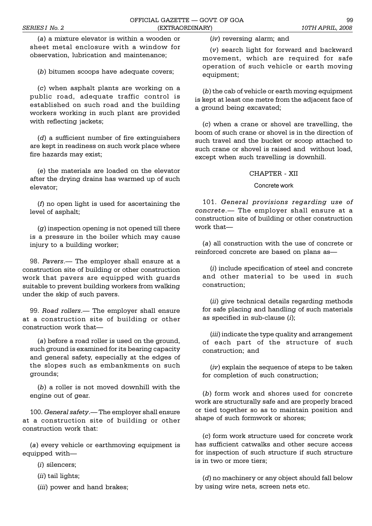(*a*) a mixture elevator is within a wooden or sheet metal enclosure with a window for observation, lubrication and maintenance;

(*b*) bitumen scoops have adequate covers;

(*c*) when asphalt plants are working on a public road, adequate traffic control is established on such road and the building workers working in such plant are provided with reflecting jackets;

(*d*) a sufficient number of fire extinguishers are kept in readiness on such work place where fire hazards may exist;

(*e*) the materials are loaded on the elevator after the drying drains has warmed up of such elevator;

(*f*) no open light is used for ascertaining the level of asphalt;

(*g*) inspection opening is not opened till there is a pressure in the boiler which may cause injury to a building worker;

98. Pavers.- The employer shall ensure at a construction site of building or other construction work that pavers are equipped with guards suitable to prevent building workers from walking under the skip of such pavers.

99. *Road rollers*. The employer shall ensure at a construction site of building or other construction work that

(*a*) before a road roller is used on the ground, such ground is examined for its bearing capacity and general safety, especially at the edges of the slopes such as embankments on such grounds;

(*b*) a roller is not moved downhill with the engine out of gear.

100. *General safety*. The employer shall ensure at a construction site of building or other construction work that:

(*a*) every vehicle or earthmoving equipment is equipped with

(*i*) silencers;

(*ii*) tail lights;

(*iii*) power and hand brakes;

(*iv*) reversing alarm; and

(*v*) search light for forward and backward movement, which are required for safe operation of such vehicle or earth moving equipment;

(*b*) the cab of vehicle or earth moving equipment is kept at least one metre from the adjacent face of a ground being excavated;

(*c*) when a crane or shovel are travelling, the boom of such crane or shovel is in the direction of such travel and the bucket or scoop attached to such crane or shovel is raised and without load, except when such travelling is downhill.

#### CHAPTER - XII

Concrete work

101. *General provisions regarding use of concrete*. The employer shall ensure at a construction site of building or other construction work that-

(*a*) all construction with the use of concrete or reinforced concrete are based on plans as

(*i*) include specification of steel and concrete and other material to be used in such construction;

(*ii*) give technical details regarding methods for safe placing and handling of such materials as specified in sub-clause (*i*);

(*iii*) indicate the type quality and arrangement of each part of the structure of such construction; and

(*iv*) explain the sequence of steps to be taken for completion of such construction;

(*b*) form work and shores used for concrete work are structurally safe and are properly braced or tied together so as to maintain position and shape of such formwork or shores;

(*c*) form work structure used for concrete work has sufficient catwalks and other secure access for inspection of such structure if such structure is in two or more tiers;

(*d*) no machinery or any object should fall below by using wire nets, screen nets etc.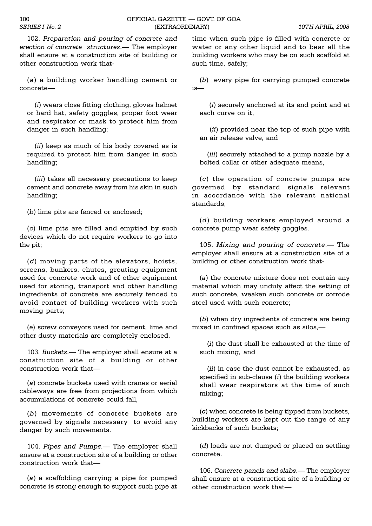102. *Preparation and pouring of concrete and erection of concrete structures*. The employer shall ensure at a construction site of building or other construction work that-

(*a*) a building worker handling cement or concrete

(*i*) wears close fitting clothing, gloves helmet or hard hat, safety goggles, proper foot wear and respirator or mask to protect him from danger in such handling;

(*ii*) keep as much of his body covered as is required to protect him from danger in such handling;

(*iii*) takes all necessary precautions to keep cement and concrete away from his skin in such handling;

(*b*) lime pits are fenced or enclosed;

(*c*) lime pits are filled and emptied by such devices which do not require workers to go into the pit;

(*d*) moving parts of the elevators, hoists, screens, bunkers, chutes, grouting equipment used for concrete work and of other equipment used for storing, transport and other handling ingredients of concrete are securely fenced to avoid contact of building workers with such moving parts;

(*e*) screw conveyors used for cement, lime and other dusty materials are completely enclosed.

103. *Buckets*. The employer shall ensure at a construction site of a building or other construction work that

(*a*) concrete buckets used with cranes or aerial cableways are free from projections from which accumulations of concrete could fall,

(*b*) movements of concrete buckets are governed by signals necessary to avoid any danger by such movements.

104. Pipes and Pumps.— The employer shall ensure at a construction site of a building or other construction work that

(*a*) a scaffolding carrying a pipe for pumped concrete is strong enough to support such pipe at

time when such pipe is filled with concrete or water or any other liquid and to bear all the building workers who may be on such scaffold at such time, safely;

(*b*) every pipe for carrying pumped concrete  $i$ s $-$ 

 (*i*) securely anchored at its end point and at each curve on it,

 (*ii*) provided near the top of such pipe with an air release valve, and

(*iii*) securely attached to a pump nozzle by a bolted collar or other adequate means,

(*c*) the operation of concrete pumps are governed by standard signals relevant in accordance with the relevant national standards,

(*d*) building workers employed around a concrete pump wear safety goggles.

105. *Mixing and pouring of concrete*. The employer shall ensure at a construction site of a building or other construction work that-

(*a*) the concrete mixture does not contain any material which may unduly affect the setting of such concrete, weaken such concrete or corrode steel used with such concrete;

(*b*) when dry ingredients of concrete are being mixed in confined spaces such as silos,

(*i*) the dust shall be exhausted at the time of such mixing, and

(*ii*) in case the dust cannot be exhausted, as specified in sub-clause (*i*) the building workers shall wear respirators at the time of such mixing;

(*c*) when concrete is being tipped from buckets, building workers are kept out the range of any kickbacks of such buckets;

(*d*) loads are not dumped or placed on settling concrete.

106. Concrete panels and slabs.— The employer shall ensure at a construction site of a building or other construction work that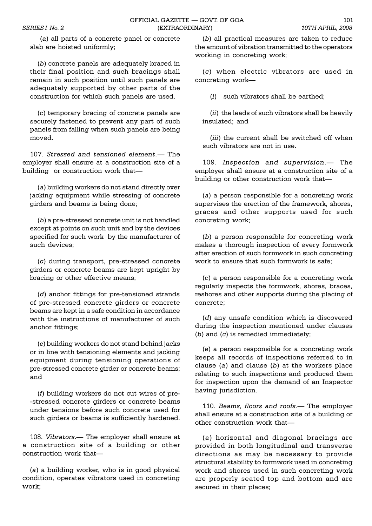(*a*) all parts of a concrete panel or concrete slab are hoisted uniformly;

(*b*) concrete panels are adequately braced in their final position and such bracings shall remain in such position until such panels are adequately supported by other parts of the construction for which such panels are used.

(*c*) temporary bracing of concrete panels are securely fastened to prevent any part of such panels from falling when such panels are being moved.

107. *Stressed and tensioned element.* The employer shall ensure at a construction site of a building or construction work that

(*a*) building workers do not stand directly over jacking equipment while stressing of concrete girders and beams is being done;

(*b*) a pre-stressed concrete unit is not handled except at points on such unit and by the devices specified for such work by the manufacturer of such devices;

(*c*) during transport, pre-stressed concrete girders or concrete beams are kept upright by bracing or other effective means;

(*d*) anchor fittings for pre-tensioned strands of pre-stressed concrete girders or concrete beams are kept in a safe condition in accordance with the instructions of manufacturer of such anchor fittings;

(*e*) building workers do not stand behind jacks or in line with tensioning elements and jacking equipment during tensioning operations of pre-stressed concrete girder or concrete beams; and

(*f*) building workers do not cut wires of pre- -stressed concrete girders or concrete beams under tensions before such concrete used for such girders or beams is sufficiently hardened.

108. *Vibrators*. The employer shall ensure at a construction site of a building or other construction work that

(*a*) a building worker, who is in good physical condition, operates vibrators used in concreting work;

(*b*) all practical measures are taken to reduce the amount of vibration transmitted to the operators working in concreting work;

(*c*) when electric vibrators are used in concreting work

(*i*) such vibrators shall be earthed;

(*ii*) the leads of such vibrators shall be heavily insulated; and

(*iii*) the current shall be switched off when such vibrators are not in use.

109. *Inspection and supervision*. The employer shall ensure at a construction site of a building or other construction work that

(*a*) a person responsible for a concreting work supervises the erection of the framework, shores, graces and other supports used for such concreting work;

(*b*) a person responsible for concreting work makes a thorough inspection of every formwork after erection of such formwork in such concreting work to ensure that such formwork is safe;

(*c*) a person responsible for a concreting work regularly inspects the formwork, shores, braces, reshores and other supports during the placing of concrete;

(*d*) any unsafe condition which is discovered during the inspection mentioned under clauses (*b*) and (*c*) is remedied immediately;

(*e*) a person responsible for a concreting work keeps all records of inspections referred to in clause (*a*) and clause (*b*) at the workers place relating to such inspections and produced them for inspection upon the demand of an Inspector having jurisdiction.

110. *Beams, floors and roofs.* The employer shall ensure at a construction site of a building or other construction work that

(*a*) horizontal and diagonal bracings are provided in both longitudinal and transverse directions as may be necessary to provide structural stability to formwork used in concreting work and shores used in such concreting work are properly seated top and bottom and are secured in their places;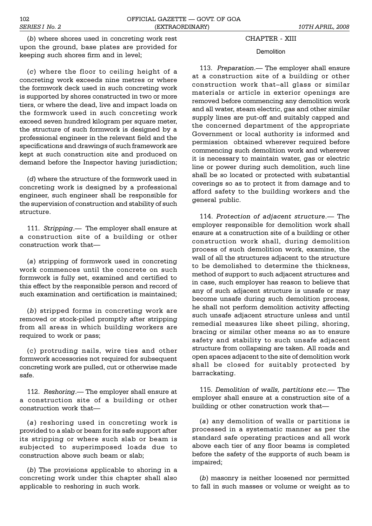CHAPTER - XIII

## **Demolition**

113. *Preparation*.— The employer shall ensure at a construction site of a building or other construction work that-all glass or similar materials or article in exterior openings are removed before commencing any demolition work and all water, steam electric, gas and other similar supply lines are put-off and suitably capped and the concerned department of the appropriate Government or local authority is informed and permission obtained wherever required before commencing such demolition work and wherever it is necessary to maintain water, gas or electric line or power during such demolition, such line shall be so located or protected with substantial coverings so as to protect it from damage and to afford safety to the building workers and the general public.

114. *Protection of adjacent structure*. The employer responsible for demolition work shall ensure at a construction site of a building or other construction work shall, during demolition process of such demolition work, examine, the wall of all the structures adjacent to the structure to be demolished to determine the thickness, method of support to such adjacent structures and in case, such employer has reason to believe that any of such adjacent structure is unsafe or may become unsafe during such demolition process, he shall not perform demolition activity affecting such unsafe adjacent structure unless and until remedial measures like sheet piling, shoring, bracing or similar other means so as to ensure safety and stability to such unsafe adjacent structure from collapsing are taken. All roads and open spaces adjacent to the site of demolition work shall be closed for suitably protected by barrackating.

115. *Demolition of walls, partitions etc.* The employer shall ensure at a construction site of a building or other construction work that

(*a*) any demolition of walls or partitions is processed in a systematic manner as per the standard safe operating practices and all work above each tier of any floor beams is completed before the safety of the supports of such beam is impaired;

(*b*) masonry is neither loosened nor permitted to fall in such masses or volume or weight as to

(*b*) where shores used in concreting work rest upon the ground, base plates are provided for keeping such shores firm and in level;

(*c*) where the floor to ceiling height of a concreting work exceeds nine metres or where the formwork deck used in such concreting work is supported by shores constructed in two or more tiers, or where the dead, live and impact loads on the formwork used in such concreting work exceed seven hundred kilogram per square meter, the structure of such formwork is designed by a professional engineer in the relevant field and the specifications and drawings of such framework are kept at such construction site and produced on demand before the Inspector having jurisdiction;

(*d*) where the structure of the formwork used in concreting work is designed by a professional engineer, such engineer shall be responsible for the supervision of construction and stability of such structure.

111. *Stripping*. The employer shall ensure at a construction site of a building or other construction work that

(*a*) stripping of formwork used in concreting work commences until the concrete on such formwork is fully set, examined and certified to this effect by the responsible person and record of such examination and certification is maintained;

(*b*) stripped forms in concreting work are removed or stock-piled promptly after stripping from all areas in which building workers are required to work or pass;

(c) protruding nails, wire ties and other formwork accessories not required for subsequent concreting work are pulled, cut or otherwise made safe.

112. Reshoring.— The employer shall ensure at a construction site of a building or other construction work that

(*a*) reshoring used in concreting work is provided to a slab or beam for its safe support after its stripping or where such slab or beam is subjected to superimposed loads due to construction above such beam or slab;

(*b*) The provisions applicable to shoring in a concreting work under this chapter shall also applicable to reshoring in such work.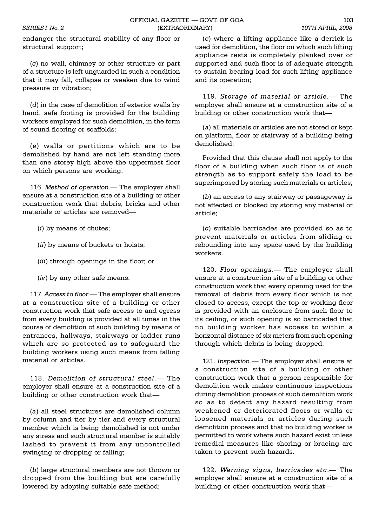endanger the structural stability of any floor or structural support;

(*c*) no wall, chimney or other structure or part of a structure is left unguarded in such a condition that it may fall, collapse or weaken due to wind pressure or vibration;

(*d*) in the case of demolition of exterior walls by hand, safe footing is provided for the building workers employed for such demolition, in the form of sound flooring or scaffolds;

(*e*) walls or partitions which are to be demolished by hand are not left standing more than one storey high above the uppermost floor on which persons are working.

116. Method of operation.— The employer shall ensure at a construction site of a building or other construction work that debris, bricks and other materials or articles are removed

(*i*) by means of chutes;

(*ii*) by means of buckets or hoists;

(*iii*) through openings in the floor; or

(*iv*) by any other safe means.

117. *Access to floor.*— The employer shall ensure at a construction site of a building or other construction work that safe access to and egress from every building is provided at all times in the course of demolition of such building by means of entrances, hallways, stairways or ladder runs which are so protected as to safeguard the building workers using such means from falling material or articles.

118. *Demolition of structural steel*.— The employer shall ensure at a construction site of a building or other construction work that

(*a*) all steel structures are demolished column by column and tier by tier and every structural member which is being demolished is not under any stress and such structural member is suitably lashed to prevent it from any uncontrolled swinging or dropping or falling;

(*b*) large structural members are not thrown or dropped from the building but are carefully lowered by adopting suitable safe method;

(*c*) where a lifting appliance like a derrick is used for demolition, the floor on which such lifting appliance rests is completely planked over or supported and such floor is of adequate strength to sustain bearing load for such lifting appliance and its operation;

119. *Storage of material or article*.— The employer shall ensure at a construction site of a building or other construction work that

(*a*) all materials or articles are not stored or kept on platform, floor or stairway of a building being demolished:

Provided that this clause shall not apply to the floor of a building when such floor is of such strength as to support safely the load to be superimposed by storing such materials or articles;

(*b*) an access to any stairway or passageway is not affected or blocked by storing any material or article;

(*c*) suitable barricades are provided so as to prevent materials or articles from sliding or rebounding into any space used by the building workers.

120. *Floor openings*. The employer shall ensure at a construction site of a building or other construction work that every opening used for the removal of debris from every floor which is not closed to access, except the top or working floor is provided with an enclosure from such floor to its ceiling, or such opening is so barricaded that no building worker has access to within a horizontal distance of six meters from such opening through which debris is being dropped.

121. *Inspection*. The employer shall ensure at a construction site of a building or other construction work that a person responsible for demolition work makes continuous inspections during demolition process of such demolition work so as to detect any hazard resulting from weakened or deteriorated floors or walls or loosened materials or articles during such demolition process and that no building worker is permitted to work where such hazard exist unless remedial measures like shoring or bracing are taken to prevent such hazards.

122. *Warning signs, barricades etc.* The employer shall ensure at a construction site of a building or other construction work that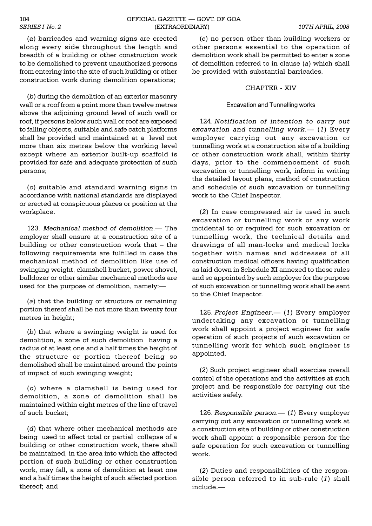(*a*) barricades and warning signs are erected along every side throughout the length and breadth of a building or other construction work to be demolished to prevent unauthorized persons from entering into the site of such building or other construction work during demolition operations;

(*b*) during the demolition of an exterior masonry wall or a roof from a point more than twelve metres above the adjoining ground level of such wall or roof, if persons below such wall or roof are exposed to falling objects, suitable and safe catch platforms shall be provided and maintained at a level not more than six metres below the working level except where an exterior built-up scaffold is provided for safe and adequate protection of such persons;

(*c*) suitable and standard warning signs in accordance with national standards are displayed or erected at conspicuous places or position at the workplace.

123. *Mechanical method of demolition*. The employer shall ensure at a construction site of a building or other construction work that  $-$  the following requirements are fulfilled in case the mechanical method of demolition like use of swinging weight, clamshell bucket, power shovel, bulldozer or other similar mechanical methods are used for the purpose of demolition, namely:

(*a*) that the building or structure or remaining portion thereof shall be not more than twenty four metres in height;

(*b*) that where a swinging weight is used for demolition, a zone of such demolition having a radius of at least one and a half times the height of the structure or portion thereof being so demolished shall be maintained around the points of impact of such swinging weight;

(*c*) where a clamshell is being used for demolition, a zone of demolition shall be maintained within eight metres of the line of travel of such bucket;

(*d*) that where other mechanical methods are being used to affect total or partial collapse of a building or other construction work, there shall be maintained, in the area into which the affected portion of such building or other construction work, may fall, a zone of demolition at least one and a half times the height of such affected portion thereof; and

(*e*) no person other than building workers or other persons essential to the operation of demolition work shall be permitted to enter a zone of demolition referred to in clause (*a*) which shall be provided with substantial barricades.

#### CHAPTER - XIV

#### Excavation and Tunnelling works

124. *Notification of intention to carry out excavation and tunnelling work*. (*1*) Every employer carrying out any excavation or tunnelling work at a construction site of a building or other construction work shall, within thirty days, prior to the commencement of such excavation or tunnelling work, inform in writing the detailed layout plans, method of construction and schedule of such excavation or tunnelling work to the Chief Inspector.

(*2*) In case compressed air is used in such excavation or tunnelling work or any work incidental to or required for such excavation or tunnelling work, the technical details and drawings of all man-locks and medical locks together with names and addresses of all construction medical officers having qualification as laid down in Schedule XI annexed to these rules and so appointed by such employer for the purpose of such excavation or tunnelling work shall be sent to the Chief Inspector.

125. *Project Engineer*. (*1*) Every employer undertaking any excavation or tunnelling work shall appoint a project engineer for safe operation of such projects of such excavation or tunnelling work for which such engineer is appointed.

(*2*) Such project engineer shall exercise overall control of the operations and the activities at such project and be responsible for carrying out the activities safely.

126. *Responsible person*. (*1*) Every employer carrying out any excavation or tunnelling work at a construction site of building or other construction work shall appoint a responsible person for the safe operation for such excavation or tunnelling work.

(*2*) Duties and responsibilities of the responsible person referred to in sub-rule (*1*) shall include.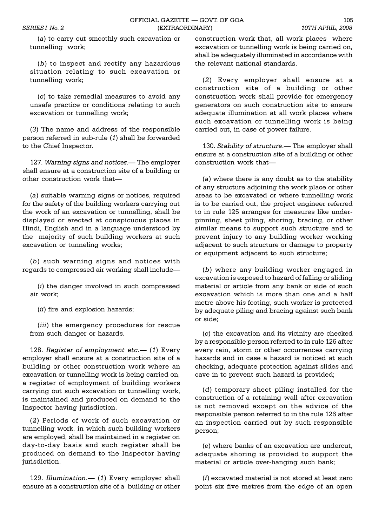(*a*) to carry out smoothly such excavation or tunnelling work;

(*b*) to inspect and rectify any hazardous situation relating to such excavation or tunnelling work;

(*c*) to take remedial measures to avoid any unsafe practice or conditions relating to such excavation or tunnelling work;

(*3*) The name and address of the responsible person referred in sub-rule (*1*) shall be forwarded to the Chief Inspector.

127. *Warning signs and notices*.— The employer shall ensure at a construction site of a building or other construction work that

(*a*) suitable warning signs or notices, required for the safety of the building workers carrying out the work of an excavation or tunnelling, shall be displayed or erected at conspicuous places in Hindi, English and in a language understood by the majority of such building workers at such excavation or tunneling works;

(*b*) such warning signs and notices with regards to compressed air working shall include

(*i*) the danger involved in such compressed air work;

(*ii*) fire and explosion hazards;

(*iii*) the emergency procedures for rescue from such danger or hazards.

128. Register of employment etc.— (1) Every employer shall ensure at a construction site of a building or other construction work where an excavation or tunnelling work is being carried on, a register of employment of building workers carrying out such excavation or tunnelling work, is maintained and produced on demand to the Inspector having jurisdiction.

(*2*) Periods of work of such excavation or tunnelling work, in which such building workers are employed, shall be maintained in a register on day-to-day basis and such register shall be produced on demand to the Inspector having jurisdiction.

129. *Illumination*. (1) Every employer shall ensure at a construction site of a building or other construction work that, all work places where excavation or tunnelling work is being carried on, shall be adequately illuminated in accordance with the relevant national standards.

(*2*) Every employer shall ensure at a construction site of a building or other construction work shall provide for emergency generators on such construction site to ensure adequate illumination at all work places where such excavation or tunnelling work is being carried out, in case of power failure.

130. *Stability of structure*.— The employer shall ensure at a construction site of a building or other construction work that

(*a*) where there is any doubt as to the stability of any structure adjoining the work place or other areas to be excavated or where tunnelling work is to be carried out, the project engineer referred to in rule 125 arranges for measures like underpinning, sheet piling, shoring, bracing, or other similar means to support such structure and to prevent injury to any building worker working adjacent to such structure or damage to property or equipment adjacent to such structure;

(*b*) where any building worker engaged in excavation is exposed to hazard of falling or sliding material or article from any bank or side of such excavation which is more than one and a half metre above his footing, such worker is protected by adequate piling and bracing against such bank or side;

(*c*) the excavation and its vicinity are checked by a responsible person referred to in rule 126 after every rain, storm or other occurrences carrying hazards and in case a hazard is noticed at such checking, adequate protection against slides and cave in to prevent such hazard is provided;

(*d*) temporary sheet piling installed for the construction of a retaining wall after excavation is not removed except on the advice of the responsible person referred to in the rule 126 after an inspection carried out by such responsible person;

(*e*) where banks of an excavation are undercut, adequate shoring is provided to support the material or article over-hanging such bank;

(*f*) excavated material is not stored at least zero point six five metres from the edge of an open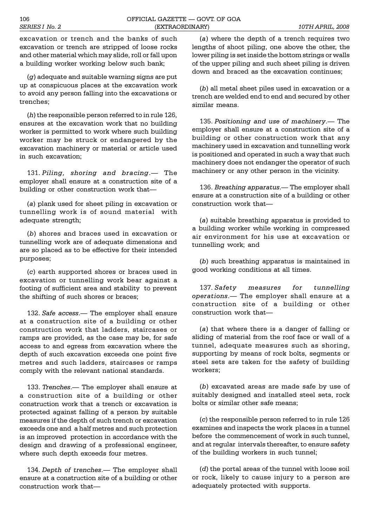excavation or trench and the banks of such excavation or trench are stripped of loose rocks and other material which may slide, roll or fall upon a building worker working below such bank;

(*g*) adequate and suitable warning signs are put up at conspicuous places at the excavation work to avoid any person falling into the excavations or trenches;

(*h*) the responsible person referred to in rule 126, ensures at the excavation work that no building worker is permitted to work where such building worker may be struck or endangered by the excavation machinery or material or article used in such excavation;

131. *Piling, shoring and bracing*. The employer shall ensure at a construction site of a building or other construction work that

(*a*) plank used for sheet piling in excavation or tunnelling work is of sound material with adequate strength;

(*b*) shores and braces used in excavation or tunnelling work are of adequate dimensions and are so placed as to be effective for their intended purposes;

(*c*) earth supported shores or braces used in excavation or tunnelling work bear against a footing of sufficient area and stability to prevent the shifting of such shores or braces;

132. *Safe access*. The employer shall ensure at a construction site of a building or other construction work that ladders, staircases or ramps are provided, as the case may be, for safe access to and egress from excavation where the depth of such excavation exceeds one point five metres and such ladders, staircases or ramps comply with the relevant national standards.

133. *Trenches*.— The employer shall ensure at a construction site of a building or other construction work that a trench or excavation is protected against falling of a person by suitable measures if the depth of such trench or excavation exceeds one and a half metres and such protection is an improved protection in accordance with the design and drawing of a professional engineer, where such depth exceeds four metres.

134. *Depth of trenches*. The employer shall ensure at a construction site of a building or other construction work that

(*a*) where the depth of a trench requires two lengths of shoot piling, one above the other, the lower piling is set inside the bottom strings or walls of the upper piling and such sheet piling is driven down and braced as the excavation continues;

(*b*) all metal sheet piles used in excavation or a trench are welded end to end and secured by other similar means.

135. *Positioning and use of machinery*. The employer shall ensure at a construction site of a building or other construction work that any machinery used in excavation and tunnelling work is positioned and operated in such a way that such machinery does not endanger the operator of such machinery or any other person in the vicinity.

136. *Breathing apparatus*. The employer shall ensure at a construction site of a building or other construction work that

(*a*) suitable breathing apparatus is provided to a building worker while working in compressed air environment for his use at excavation or tunnelling work; and

(*b*) such breathing apparatus is maintained in good working conditions at all times.

137. *Safety measures for tunnelling operations*. The employer shall ensure at a construction site of a building or other construction work that

(*a*) that where there is a danger of falling or sliding of material from the roof face or wall of a tunnel, adequate measures such as shoring, supporting by means of rock bolts, segments or steel sets are taken for the safety of building workers;

(*b*) excavated areas are made safe by use of suitably designed and installed steel sets, rock bolts or similar other safe means;

(*c*) the responsible person referred to in rule 126 examines and inspects the work places in a tunnel before the commencement of work in such tunnel, and at regular intervals thereafter, to ensure safety of the building workers in such tunnel;

(*d*) the portal areas of the tunnel with loose soil or rock, likely to cause injury to a person are adequately protected with supports.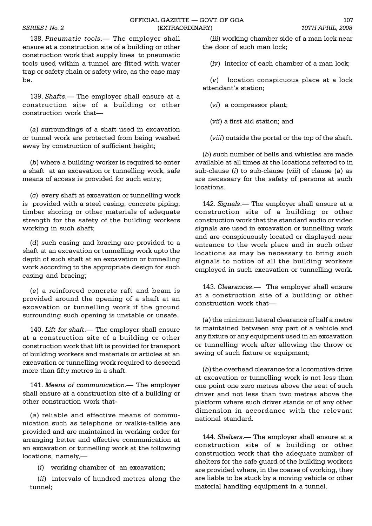138. Pneumatic tools.— The employer shall ensure at a construction site of a building or other construction work that supply lines to pneumatic tools used within a tunnel are fitted with water trap or safety chain or safety wire, as the case may be.

139. *Shafts*.— The employer shall ensure at a construction site of a building or other construction work that

(*a*) surroundings of a shaft used in excavation or tunnel work are protected from being washed away by construction of sufficient height;

(*b*) where a building worker is required to enter a shaft at an excavation or tunnelling work, safe means of access is provided for such entry;

(*c*) every shaft at excavation or tunnelling work is provided with a steel casing, concrete piping, timber shoring or other materials of adequate strength for the safety of the building workers working in such shaft;

(*d*) such casing and bracing are provided to a shaft at an excavation or tunnelling work upto the depth of such shaft at an excavation or tunnelling work according to the appropriate design for such casing and bracing;

(*e*) a reinforced concrete raft and beam is provided around the opening of a shaft at an excavation or tunnelling work if the ground surrounding such opening is unstable or unsafe.

140. *Lift for shaft.* The employer shall ensure at a construction site of a building or other construction work that lift is provided for transport of building workers and materials or articles at an excavation or tunnelling work required to descend more than fifty metres in a shaft.

141. Means of communication.— The employer shall ensure at a construction site of a building or other construction work that-

(*a*) reliable and effective means of communication such as telephone or walkie-talkie are provided and are maintained in working order for arranging better and effective communication at an excavation or tunnelling work at the following locations, namely,

(*i*) working chamber of an excavation;

(*ii*) intervals of hundred metres along the tunnel;

(*iii*) working chamber side of a man lock near the door of such man lock;

(*iv*) interior of each chamber of a man lock;

(*v*) location conspicuous place at a lock attendant's station:

(*vi*) a compressor plant;

(*vii*) a first aid station; and

(*viii*) outside the portal or the top of the shaft.

(*b*) such number of bells and whistles are made available at all times at the locations referred to in sub-clause (*i*) to sub-clause (*viii*) of clause (*a*) as are necessary for the safety of persons at such locations.

142. Signals.- The employer shall ensure at a construction site of a building or other construction work that the standard audio or video signals are used in excavation or tunnelling work and are conspicuously located or displayed near entrance to the work place and in such other locations as may be necessary to bring such signals to notice of all the building workers employed in such excavation or tunnelling work.

143. *Clearances*. The employer shall ensure at a construction site of a building or other construction work that

(*a*) the minimum lateral clearance of half a metre is maintained between any part of a vehicle and any fixture or any equipment used in an excavation or tunnelling work after allowing the throw or swing of such fixture or equipment;

(*b*) the overhead clearance for a locomotive drive at excavation or tunnelling work is not less than one point one zero metres above the seat of such driver and not less than two metres above the platform where such driver stands or of any other dimension in accordance with the relevant national standard.

144. *Shelters*.— The employer shall ensure at a construction site of a building or other construction work that the adequate number of shelters for the safe guard of the building workers are provided where, in the coarse of working, they are liable to be stuck by a moving vehicle or other material handling equipment in a tunnel.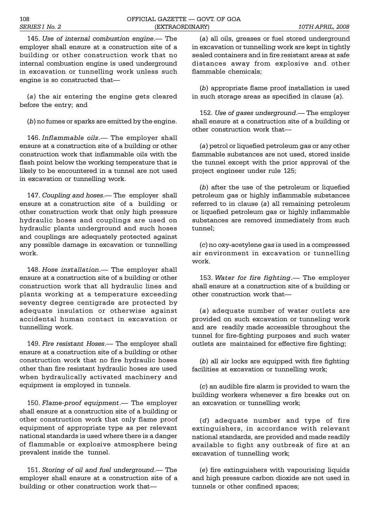145. *Use of internal combustion engine*. The employer shall ensure at a construction site of a building or other construction work that no internal combustion engine is used underground in excavation or tunnelling work unless such engine is so constructed that

(*a*) the air entering the engine gets cleared before the entry; and

(*b*) no fumes or sparks are emitted by the engine.

146. *Inflammable oils*.— The employer shall ensure at a construction site of a building or other construction work that inflammable oils with the flash point below the working temperature that is likely to be encountered in a tunnel are not used in excavation or tunnelling work.

147. *Coupling and hoses*.— The employer shall ensure at a construction site of a building or other construction work that only high pressure hydraulic hoses and couplings are used on hydraulic plants underground and such hoses and couplings are adequately protected against any possible damage in excavation or tunnelling work.

148. Hose installation.— The employer shall ensure at a construction site of a building or other construction work that all hydraulic lines and plants working at a temperature exceeding seventy degree centigrade are protected by adequate insulation or otherwise against accidental human contact in excavation or tunnelling work.

149. *Fire resistant Hoses*. The employer shall ensure at a construction site of a building or other construction work that no fire hydraulic hoses other than fire resistant hydraulic hoses are used when hydraulically activated machinery and equipment is employed in tunnels.

150. *Flame-proof equipment*. The employer shall ensure at a construction site of a building or other construction work that only flame proof equipment of appropriate type as per relevant national standards is used where there is a danger of flammable or explosive atmosphere being prevalent inside the tunnel.

151. *Storing of oil and fuel underground*. The employer shall ensure at a construction site of a building or other construction work that

(*a*) all oils, greases or fuel stored underground in excavation or tunnelling work are kept in tightly sealed containers and in fire resistant areas at safe distances away from explosive and other flammable chemicals;

(*b*) appropriate flame proof installation is used in such storage areas as specified in clause (*a*).

152. *Use of gases underground*. The employer shall ensure at a construction site of a building or other construction work that

(*a*) petrol or liquefied petroleum gas or any other flammable substances are not used, stored inside the tunnel except with the prior approval of the project engineer under rule 125;

(*b*) after the use of the petroleum or liquefied petroleum gas or highly inflammable substances referred to in clause (*a*) all remaining petroleum or liquefied petroleum gas or highly inflammable substances are removed immediately from such tunnel;

(*c*) no oxy-acetylene gas is used in a compressed air environment in excavation or tunnelling work.

153. Water for fire fighting.— The employer shall ensure at a construction site of a building or other construction work that

(*a*) adequate number of water outlets are provided on such excavation or tunneling work and are readily made accessible throughout the tunnel for fire-fighting purposes and such water outlets are maintained for effective fire fighting;

(*b*) all air locks are equipped with fire fighting facilities at excavation or tunnelling work;

(*c*) an audible fire alarm is provided to warn the building workers whenever a fire breaks out on an excavation or tunnelling work;

(*d*) adequate number and type of fire extinguishers, in accordance with relevant national standards, are provided and made readily available to fight any outbreak of fire at an excavation of tunnelling work;

(*e*) fire extinguishers with vapourising liquids and high pressure carbon dioxide are not used in tunnels or other confined spaces;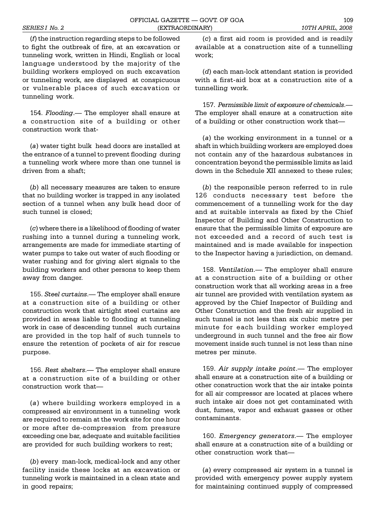(*f*) the instruction regarding steps to be followed to fight the outbreak of fire, at an excavation or tunneling work, written in Hindi, English or local language understood by the majority of the building workers employed on such excavation or tunneling work, are displayed at conspicuous or vulnerable places of such excavation or tunneling work.

154. *Flooding*.— The employer shall ensure at a construction site of a building or other construction work that-

(*a*) water tight bulk head doors are installed at the entrance of a tunnel to prevent flooding during a tunneling work where more than one tunnel is driven from a shaft;

(*b*) all necessary measures are taken to ensure that no building worker is trapped in any isolated section of a tunnel when any bulk head door of such tunnel is closed;

(*c*) where there is a likelihood of flooding of water rushing into a tunnel during a tunneling work, arrangements are made for immediate starting of water pumps to take out water of such flooding or water rushing and for giving alert signals to the building workers and other persons to keep them away from danger.

155. *Steel curtains*.— The employer shall ensure at a construction site of a building or other construction work that airtight steel curtains are provided in areas liable to flooding at tunneling work in case of descending tunnel such curtains are provided in the top half of such tunnels to ensure the retention of pockets of air for rescue purpose.

156. *Rest shelters*. The employer shall ensure at a construction site of a building or other construction work that

(*a*) where building workers employed in a compressed air environment in a tunneling work are required to remain at the work site for one hour or more after de-compression from pressure exceeding one bar, adequate and suitable facilities are provided for such building workers to rest;

(*b*) every man-lock, medical-lock and any other facility inside these locks at an excavation or tunneling work is maintained in a clean state and in good repairs;

(*c*) a first aid room is provided and is readily available at a construction site of a tunnelling work;

(*d*) each man-lock attendant station is provided with a first-aid box at a construction site of a tunnelling work.

157. *Permissible limit of exposure of chemicals*. The employer shall ensure at a construction site of a building or other construction work that

(*a*) the working environment in a tunnel or a shaft in which building workers are employed does not contain any of the hazardous substances in concentration beyond the permissible limits as laid down in the Schedule XII annexed to these rules;

(*b*) the responsible person referred to in rule 126 conducts necessary test before the commencement of a tunnelling work for the day and at suitable intervals as fixed by the Chief Inspector of Building and Other Construction to ensure that the permissible limits of exposure are not exceeded and a record of such test is maintained and is made available for inspection to the Inspector having a jurisdiction, on demand.

158. *Ventilation*.— The employer shall ensure at a construction site of a building or other construction work that all working areas in a free air tunnel are provided with ventilation system as approved by the Chief Inspector of Building and Other Construction and the fresh air supplied in such tunnel is not less than six cubic metre per minute for each building worker employed underground in such tunnel and the free air flow movement inside such tunnel is not less than nine metres per minute.

159. Air supply intake point.— The employer shall ensure at a construction site of a building or other construction work that the air intake points for all air compressor are located at places where such intake air does not get contaminated with dust, fumes, vapor and exhaust gasses or other contaminants.

160. *Emergency generators*.— The employer shall ensure at a construction site of a building or other construction work that

(*a*) every compressed air system in a tunnel is provided with emergency power supply system for maintaining continued supply of compressed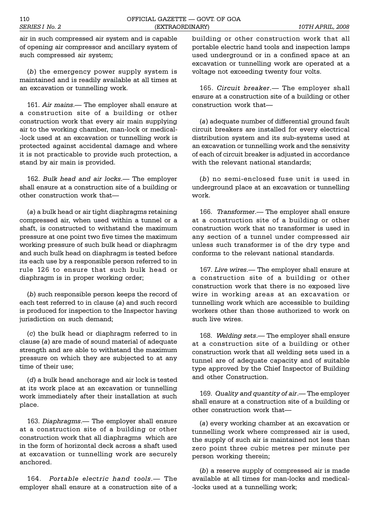air in such compressed air system and is capable of opening air compressor and ancillary system of such compressed air system;

(*b*) the emergency power supply system is maintained and is readily available at all times at an excavation or tunnelling work.

161. Air mains.— The employer shall ensure at a construction site of a building or other construction work that every air main supplying air to the working chamber, man-lock or medical- -lock used at an excavation or tunnelling work is protected against accidental damage and where it is not practicable to provide such protection, a stand by air main is provided.

162. *Bulk head and air locks*. The employer shall ensure at a construction site of a building or other construction work that

(*a*) a bulk head or air tight diaphragms retaining compressed air, when used within a tunnel or a shaft, is constructed to withstand the maximum pressure at one point two five times the maximum working pressure of such bulk head or diaphragm and such bulk head on diaphragm is tested before its each use by a responsible person referred to in rule 126 to ensure that such bulk head or diaphragm is in proper working order;

(*b*) such responsible person keeps the record of each test referred to in clause (*a*) and such record is produced for inspection to the Inspector having jurisdiction on such demand;

(*c*) the bulk head or diaphragm referred to in clause (*a*) are made of sound material of adequate strength and are able to withstand the maximum pressure on which they are subjected to at any time of their use;

(*d*) a bulk head anchorage and air lock is tested at its work place at an excavation or tunnelling work immediately after their installation at such place.

163. *Diaphragms*. The employer shall ensure at a construction site of a building or other construction work that all diaphragms which are in the form of horizontal deck across a shaft used at excavation or tunnelling work are securely anchored.

164. *Portable electric hand tools*. The employer shall ensure at a construction site of a building or other construction work that all portable electric hand tools and inspection lamps used underground or in a confined space at an excavation or tunnelling work are operated at a voltage not exceeding twenty four volts.

165. *Circuit breaker.* The employer shall ensure at a construction site of a building or other construction work that

(*a*) adequate number of differential ground fault circuit breakers are installed for every electrical distribution system and its sub-systems used at an excavation or tunnelling work and the sensivity of each of circuit breaker is adjusted in accordance with the relevant national standards:

(*b*) no semi-enclosed fuse unit is used in underground place at an excavation or tunnelling work.

166. *Transformer.* The employer shall ensure at a construction site of a building or other construction work that no transformer is used in any section of a tunnel under compressed air unless such transformer is of the dry type and conforms to the relevant national standards.

167. Live wires.— The employer shall ensure at a construction site of a building or other construction work that there is no exposed live wire in working areas at an excavation or tunnelling work which are accessible to building workers other than those authorized to work on such live wires.

168. Welding sets.— The employer shall ensure at a construction site of a building or other construction work that all welding sets used in a tunnel are of adequate capacity and of suitable type approved by the Chief Inspector of Building and other Construction.

169. *Quality and quantity of air*. The employer shall ensure at a construction site of a building or other construction work that

(*a*) every working chamber at an excavation or tunnelling work where compressed air is used, the supply of such air is maintained not less than zero point three cubic metres per minute per person working therein;

(*b*) a reserve supply of compressed air is made available at all times for man-locks and medical- -locks used at a tunnelling work;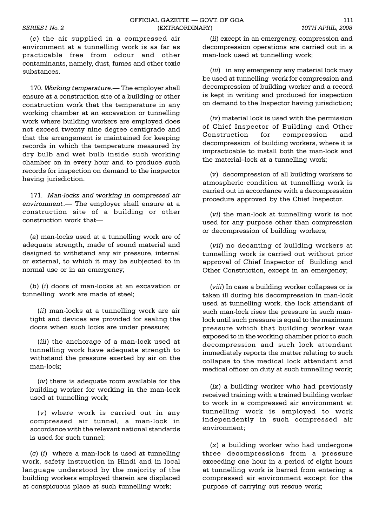(*c*) the air supplied in a compressed air environment at a tunnelling work is as far as practicable free from odour and other contaminants, namely, dust, fumes and other toxic substances.

170. Working temperature. The employer shall ensure at a construction site of a building or other construction work that the temperature in any working chamber at an excavation or tunnelling work where building workers are employed does not exceed twenty nine degree centigrade and that the arrangement is maintained for keeping records in which the temperature measured by dry bulb and wet bulb inside such working chamber on in every hour and to produce such records for inspection on demand to the inspector having jurisdiction.

171. *Man-locks and working in compressed air environment*. The employer shall ensure at a construction site of a building or other construction work that

(*a*) man-locks used at a tunnelling work are of adequate strength, made of sound material and designed to withstand any air pressure, internal or external, to which it may be subjected to in normal use or in an emergency;

(*b*) (*i*) doors of man-locks at an excavation or tunnelling work are made of steel;

(*ii*) man-locks at a tunnelling work are air tight and devices are provided for sealing the doors when such locks are under pressure;

(*iii*) the anchorage of a man-lock used at tunnelling work have adequate strength to withstand the pressure exerted by air on the man-lock;

(*iv*) there is adequate room available for the building worker for working in the man-lock used at tunnelling work;

(*v*) where work is carried out in any compressed air tunnel, a man-lock in accordance with the relevant national standards is used for such tunnel;

(*c*) (*i*) where a man-lock is used at tunnelling work, safety instruction in Hindi and in local language understood by the majority of the building workers employed therein are displaced at conspicuous place at such tunnelling work;

(*ii*) except in an emergency, compression and decompression operations are carried out in a man-lock used at tunnelling work;

(*iii*) in any emergency any material lock may be used at tunnelling work for compression and decompression of building worker and a record is kept in writing and produced for inspection on demand to the Inspector having jurisdiction;

(*iv*) material lock is used with the permission of Chief Inspector of Building and Other Construction for compression and decompression of building workers, where it is impracticable to install both the man-lock and the material-lock at a tunnelling work;

(*v*) decompression of all building workers to atmospheric condition at tunnelling work is carried out in accordance with a decompression procedure approved by the Chief Inspector.

(*vi*) the man-lock at tunnelling work is not used for any purpose other than compression or decompression of building workers;

(*vii*) no decanting of building workers at tunnelling work is carried out without prior approval of Chief Inspector of Building and Other Construction, except in an emergency;

(*viii*) In case a building worker collapses or is taken ill during his decompression in man-lock used at tunnelling work, the lock attendant of such man-lock rises the pressure in such manlock until such pressure is equal to the maximum pressure which that building worker was exposed to in the working chamber prior to such decompression and such lock attendant immediately reports the matter relating to such collapse to the medical lock attendant and medical officer on duty at such tunnelling work;

(*ix*) a building worker who had previously received training with a trained building worker to work in a compressed air environment at tunnelling work is employed to work independently in such compressed air environment;

(*x*) a building worker who had undergone three decompressions from a pressure exceeding one hour in a period of eight hours at tunnelling work is barred from entering a compressed air environment except for the purpose of carrying out rescue work;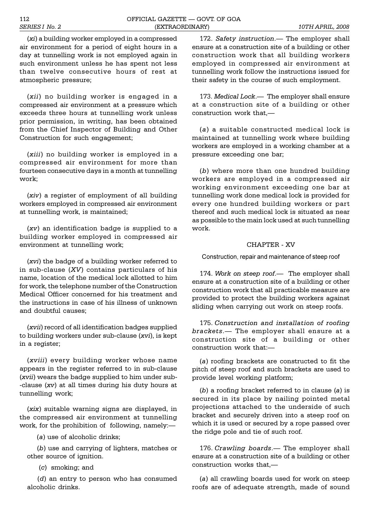(*xi*) a building worker employed in a compressed air environment for a period of eight hours in a day at tunnelling work is not employed again in such environment unless he has spent not less than twelve consecutive hours of rest at atmospheric pressure;

(*xii*) no building worker is engaged in a compressed air environment at a pressure which exceeds three hours at tunnelling work unless prior permission, in writing, has been obtained from the Chief Inspector of Building and Other Construction for such engagement;

(*xiii*) no building worker is employed in a compressed air environment for more than fourteen consecutive days in a month at tunnelling work;

(*xiv*) a register of employment of all building workers employed in compressed air environment at tunnelling work, is maintained;

(*xv*) an identification badge is supplied to a building worker employed in compressed air environment at tunnelling work;

(*xvi*) the badge of a building worker referred to in sub-clause (*XV*) contains particulars of his name, location of the medical lock allotted to him for work, the telephone number of the Construction Medical Officer concerned for his treatment and the instructions in case of his illness of unknown and doubtful causes;

(*xvii*) record of all identification badges supplied to building workers under sub-clause (*xvi*), is kept in a register;

(*xviii*) every building worker whose name appears in the register referred to in sub-clause (*xvii*) wears the badge supplied to him under sub- -clause (*xv*) at all times during his duty hours at tunnelling work;

(*xix*) suitable warning signs are displayed, in the compressed air environment at tunnelling work, for the prohibition of following, namely:

(*a*) use of alcoholic drinks;

 (*b*) use and carrying of lighters, matches or other source of ignition.

(*c*) smoking; and

 (*d*) an entry to person who has consumed alcoholic drinks.

172. *Safety instruction*.— The employer shall ensure at a construction site of a building or other construction work that all building workers employed in compressed air environment at tunnelling work follow the instructions issued for their safety in the course of such employment.

173. Medical Lock.- The employer shall ensure at a construction site of a building or other construction work that,

(*a*) a suitable constructed medical lock is maintained at tunnelling work where building workers are employed in a working chamber at a pressure exceeding one bar;

(*b*) where more than one hundred building workers are employed in a compressed air working environment exceeding one bar at tunnelling work done medical lock is provided for every one hundred building workers or part thereof and such medical lock is situated as near as possible to the main lock used at such tunnelling work.

# CHAPTER - XV

Construction, repair and maintenance of steep roof

174. Work on steep roof.— The employer shall ensure at a construction site of a building or other construction work that all practicable measure are provided to protect the building workers against sliding when carrying out work on steep roofs.

175. *Construction and installation of roofing brackets*. The employer shall ensure at a construction site of a building or other construction work that:

(*a*) roofing brackets are constructed to fit the pitch of steep roof and such brackets are used to provide level working platform;

(*b*) a roofing bracket referred to in clause (*a*) is secured in its place by nailing pointed metal projections attached to the underside of such bracket and securely driven into a steep roof on which it is used or secured by a rope passed over the ridge pole and tie of such roof.

176. *Crawling boards*.— The employer shall ensure at a construction site of a building or other construction works that,

(*a*) all crawling boards used for work on steep roofs are of adequate strength, made of sound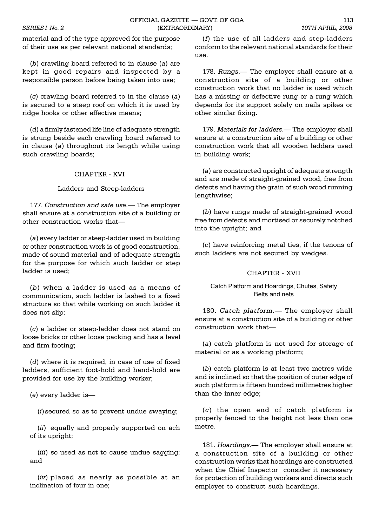material and of the type approved for the purpose of their use as per relevant national standards;

(*b*) crawling board referred to in clause (*a*) are kept in good repairs and inspected by a responsible person before being taken into use;

(*c*) crawling board referred to in the clause (*a*) is secured to a steep roof on which it is used by ridge hooks or other effective means;

(*d*) a firmly fastened life line of adequate strength is strung beside each crawling board referred to in clause (*a*) throughout its length while using such crawling boards;

# CHAPTER - XVI

# Ladders and Steep-ladders

177. Construction and safe use.- The employer shall ensure at a construction site of a building or other construction works that

(*a*) every ladder or steep-ladder used in building or other construction work is of good construction, made of sound material and of adequate strength for the purpose for which such ladder or step ladder is used;

(*b*) when a ladder is used as a means of communication, such ladder is lashed to a fixed structure so that while working on such ladder it does not slip;

(*c*) a ladder or steep-ladder does not stand on loose bricks or other loose packing and has a level and firm footing;

(*d*) where it is required, in case of use of fixed ladders, sufficient foot-hold and hand-hold are provided for use by the building worker;

(*e*) every ladder is

(*i*) secured so as to prevent undue swaying;

(*ii*) equally and properly supported on ach of its upright;

(*iii*) so used as not to cause undue sagging; and

(*iv*) placed as nearly as possible at an inclination of four in one;

(*f*) the use of all ladders and step-ladders conform to the relevant national standards for their use.

178. *Rungs*. The employer shall ensure at a construction site of a building or other construction work that no ladder is used which has a missing or defective rung or a rung which depends for its support solely on nails spikes or other similar fixing.

179. Materials for ladders.— The employer shall ensure at a construction site of a building or other construction work that all wooden ladders used in building work;

(*a*) are constructed upright of adequate strength and are made of straight-grained wood, free from defects and having the grain of such wood running lengthwise;

(*b*) have rungs made of straight-grained wood free from defects and mortised or securely notched into the upright; and

(*c*) have reinforcing metal ties, if the tenons of such ladders are not secured by wedges.

#### CHAPTER - XVII

# Catch Platform and Hoardings, Chutes, Safety Belts and nets

180. *Catch platform*. - The employer shall ensure at a construction site of a building or other construction work that

(*a*) catch platform is not used for storage of material or as a working platform;

(*b*) catch platform is at least two metres wide and is inclined so that the position of outer edge of such platform is fifteen hundred millimetres higher than the inner edge;

(*c*) the open end of catch platform is properly fenced to the height not less than one metre.

181. *Hoardings*. The employer shall ensure at a construction site of a building or other construction works that hoardings are constructed when the Chief Inspector consider it necessary for protection of building workers and directs such employer to construct such hoardings.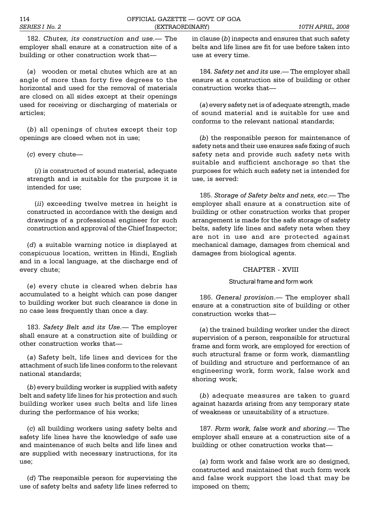182. *Chutes, its construction and use*.— The employer shall ensure at a construction site of a building or other construction work that

(*a*) wooden or metal chutes which are at an angle of more than forty five degrees to the horizontal and used for the removal of materials are closed on all sides except at their openings used for receiving or discharging of materials or articles;

(*b*) all openings of chutes except their top openings are closed when not in use;

(*c*) every chute

(*i*) is constructed of sound material, adequate strength and is suitable for the purpose it is intended for use;

(*ii*) exceeding twelve metres in height is constructed in accordance with the design and drawings of a professional engineer for such construction and approval of the Chief Inspector;

(*d*) a suitable warning notice is displayed at conspicuous location, written in Hindi, English and in a local language, at the discharge end of every chute;

(*e*) every chute is cleared when debris has accumulated to a height which can pose danger to building worker but such clearance is done in no case less frequently than once a day.

183. *Safety Belt and its Use*.— The employer shall ensure at a construction site of building or other construction works that

(*a*) Safety belt, life lines and devices for the attachment of such life lines conform to the relevant national standards;

(*b*) every building worker is supplied with safety belt and safety life lines for his protection and such building worker uses such belts and life lines during the performance of his works;

(*c*) all building workers using safety belts and safety life lines have the knowledge of safe use and maintenance of such belts and life lines and are supplied with necessary instructions, for its use;

(*d*) The responsible person for supervising the use of safety belts and safety life lines referred to

in clause (*b*) inspects and ensures that such safety belts and life lines are fit for use before taken into use at every time.

184. *Safety net and its use*. The employer shall ensure at a construction site of building or other construction works that

(*a*) every safety net is of adequate strength, made of sound material and is suitable for use and conforms to the relevant national standards;

(*b*) the responsible person for maintenance of safety nets and their use ensures safe fixing of such safety nets and provide such safety nets with suitable and sufficient anchorage so that the purposes for which such safety net is intended for use, is served:

185. *Storage of Safety belts and nets, etc.*— The employer shall ensure at a construction site of building or other construction works that proper arrangement is made for the safe storage of safety belts, safety life lines and safety nets when they are not in use and are protected against mechanical damage, damages from chemical and damages from biological agents.

# CHAPTER - XVIII

# Structural frame and form work

186. *General provision*.— The employer shall ensure at a construction site of building or other construction works that

(*a*) the trained building worker under the direct supervision of a person, responsible for structural frame and form work, are employed for erection of such structural frame or form work, dismantling of building and structure and performance of an engineering work, form work, false work and shoring work;

(*b*) adequate measures are taken to guard against hazards arising from any temporary state of weakness or unsuitability of a structure.

187. *Form work, false work and shoring*.— The employer shall ensure at a construction site of a building or other construction works that

(*a*) form work and false work are so designed, constructed and maintained that such form work and false work support the load that may be imposed on them;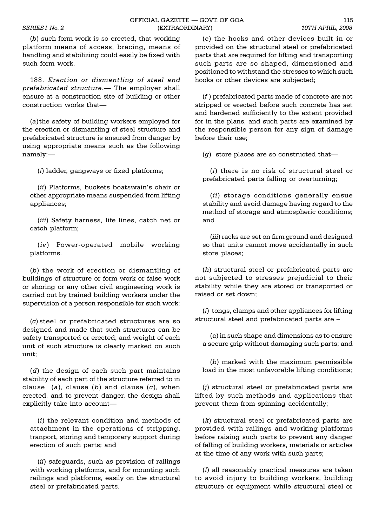(*b*) such form work is so erected, that working platform means of access, bracing, means of handling and stabilizing could easily be fixed with such form work.

188. *Erection or dismantling of steel and prefabricated structure*. The employer shall ensure at a construction site of building or other construction works that

(*a*) the safety of building workers employed for the erection or dismantling of steel structure and prefabricated structure is ensured from danger by using appropriate means such as the following namely:

(*i*) ladder, gangways or fixed platforms;

(*ii*) Platforms, buckets boatswain's chair or other appropriate means suspended from lifting appliances;

(*iii*) Safety harness, life lines, catch net or catch platform;

(*iv*) Power-operated mobile working platforms.

(*b*) the work of erection or dismantling of buildings of structure or form work or false work or shoring or any other civil engineering work is carried out by trained building workers under the supervision of a person responsible for such work;

(*c*) steel or prefabricated structures are so designed and made that such structures can be safety transported or erected; and weight of each unit of such structure is clearly marked on such unit;

(*d*) the design of each such part maintains stability of each part of the structure referred to in clause (*a*), clause (*b*) and clause (*c*), when erected, and to prevent danger, the design shall explicitly take into account

(*i*) the relevant condition and methods of attachment in the operations of stripping, tranport, storing and temporary support during erection of such parts; and

(*ii*) safeguards, such as provision of railings with working platforms, and for mounting such railings and platforms, easily on the structural steel or prefabricated parts.

(*e*) the hooks and other devices built in or provided on the structural steel or prefabricated parts that are required for lifting and transporting such parts are so shaped, dimensioned and positioned to withstand the stresses to which such hooks or other devices are subjected;

(*f* ) prefabricated parts made of concrete are not stripped or erected before such concrete has set and hardened sufficiently to the extent provided for in the plans, and such parts are examined by the responsible person for any sign of damage before their use;

(*g*) store places are so constructed that

(*i*) there is no risk of structural steel or prefabricated parts falling or overturning;

(*ii*) storage conditions generally ensue stability and avoid damage having regard to the method of storage and atmospheric conditions; and

(*iii*) racks are set on firm ground and designed so that units cannot move accidentally in such store places;

(*h*) structural steel or prefabricated parts are not subjected to stresses prejudicial to their stability while they are stored or transported or raised or set down;

(*i*) tongs, clamps and other appliances for lifting structural steel and prefabricated parts are

(*a*) in such shape and dimensions as to ensure a secure grip without damaging such parts; and

(*b*) marked with the maximum permissible load in the most unfavorable lifting conditions;

(*j*) structural steel or prefabricated parts are lifted by such methods and applications that prevent them from spinning accidentally;

(*k*) structural steel or prefabricated parts are provided with railings and working platforms before raising such parts to prevent any danger of falling of building workers, materials or articles at the time of any work with such parts;

(*l*) all reasonably practical measures are taken to avoid injury to building workers, building structure or equipment while structural steel or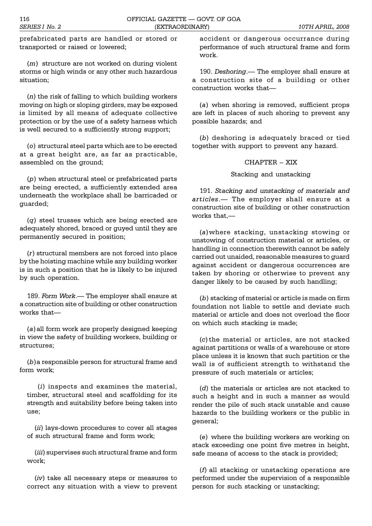prefabricated parts are handled or stored or transported or raised or lowered;

(*m*) structure are not worked on during violent storms or high winds or any other such hazardous situation;

(*n*) the risk of falling to which building workers moving on high or sloping girders, may be exposed is limited by all means of adequate collective protection or by the use of a safety harness which is well secured to a sufficiently strong support;

(*o*) structural steel parts which are to be erected at a great height are, as far as practicable, assembled on the ground;

(*p*) when structural steel or prefabricated parts are being erected, a sufficiently extended area underneath the workplace shall be barricaded or guarded;

(*q*) steel trusses which are being erected are adequately shored, braced or guyed until they are permanently secured in position;

(*r*) structural members are not forced into place by the hoisting machine while any building worker is in such a position that he is likely to be injured by such operation.

189. *Form Work*.— The employer shall ensure at a construction site of building or other construction works that-

(*a*) all form work are properly designed keeping in view the safety of building workers, building or structures;

(*b*)a responsible person for structural frame and form work;

 (*i*) inspects and examines the material, timber, structural steel and scaffolding for its strength and suitability before being taken into use;

(*ii*) lays-down procedures to cover all stages of such structural frame and form work;

(*iii*) supervises such structural frame and form work;

(*iv*) take all necessary steps or measures to correct any situation with a view to prevent

accident or dangerous occurrance during performance of such structural frame and form work.

190. *Deshoring*. The employer shall ensure at a construction site of a building or other construction works that

(*a*) when shoring is removed, sufficient props are left in places of such shoring to prevent any possible hazards; and

(*b*) deshoring is adequately braced or tied together with support to prevent any hazard.

# CHAPTER - XIX

Stacking and unstacking

191. *Stacking and unstacking of materials and articles*. The employer shall ensure at a construction site of building or other construction works that,

(*a*)where stacking, unstacking stowing or unstowing of construction material or articles, or handling in connection therewith cannot be safely carried out unaided, reasonable measures to guard against accident or dangerous occurrences are taken by shoring or otherwise to prevent any danger likely to be caused by such handling;

(*b*) stacking of material or article is made on firm foundation not liable to settle and deviate such material or article and does not overload the floor on which such stacking is made;

(*c*) the material or articles, are not stacked against partitions or walls of a warehouse or store place unless it is known that such partition or the wall is of sufficient strength to withstand the pressure of such materials or articles;

(*d*) the materials or articles are not stacked to such a height and in such a manner as would render the pile of such stack unstable and cause hazards to the building workers or the public in general;

(*e*) where the building workers are working on stack exceeding one point five metres in height, safe means of access to the stack is provided;

(*f*) all stacking or unstacking operations are performed under the supervision of a responsible person for such stacking or unstacking;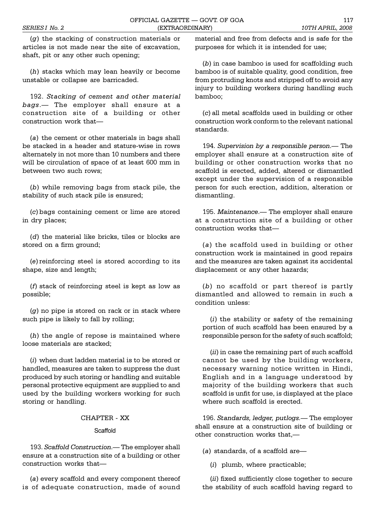(*g*) the stacking of construction materials or articles is not made near the site of excavation, shaft, pit or any other such opening;

(*h*) stacks which may lean heavily or become unstable or collapse are barricaded.

192. *Stacking of cement and other material bags*. The employer shall ensure at a construction site of a building or other construction work that

(*a*) the cement or other materials in bags shall be stacked in a header and stature-wise in rows alternately in not more than 10 numbers and there will be circulation of space of at least 600 mm in between two such rows;

(*b*) while removing bags from stack pile, the stability of such stack pile is ensured;

(*c*) bags containing cement or lime are stored in dry places;

(*d*) the material like bricks, tiles or blocks are stored on a firm ground;

(*e*) reinforcing steel is stored according to its shape, size and length;

(*f*) stack of reinforcing steel is kept as low as possible;

(*g*) no pipe is stored on rack or in stack where such pipe is likely to fall by rolling;

(*h*) the angle of repose is maintained where loose materials are stacked;

(*i*) when dust ladden material is to be stored or handled, measures are taken to suppress the dust produced by such storing or handling and suitable personal protective equipment are supplied to and used by the building workers working for such storing or handling.

# CHAPTER - XX

#### **Scaffold**

193. *Scaffold Construction*. The employer shall ensure at a construction site of a building or other construction works that

(*a*) every scaffold and every component thereof is of adequate construction, made of sound material and free from defects and is safe for the purposes for which it is intended for use;

(*b*) in case bamboo is used for scaffolding such bamboo is of suitable quality, good condition, free from protruding knots and stripped off to avoid any injury to building workers during handling such bamboo;

(*c*) all metal scaffolds used in building or other construction work conform to the relevant national standards.

194. Supervision by a responsible person.- The employer shall ensure at a construction site of building or other construction works that no scaffold is erected, added, altered or dismantled except under the supervision of a responsible person for such erection, addition, alteration or dismantling.

195. *Maintenance*. The employer shall ensure at a construction site of a building or other construction works that

(*a*) the scaffold used in building or other construction work is maintained in good repairs and the measures are taken against its accidental displacement or any other hazards;

(*b*) no scaffold or part thereof is partly dismantled and allowed to remain in such a condition unless:

(*i*) the stability or safety of the remaining portion of such scaffold has been ensured by a responsible person for the safety of such scaffold;

(*ii*) in case the remaining part of such scaffold cannot be used by the building workers, necessary warning notice written in Hindi, English and in a language understood by majority of the building workers that such scaffold is unfit for use, is displayed at the place where such scaffold is erected.

196. *Standards, ledger, putlogs.* The employer shall ensure at a construction site of building or other construction works that,

(*a*) standards, of a scaffold are

(*i*) plumb, where practicable;

(*ii*) fixed sufficiently close together to secure the stability of such scaffold having regard to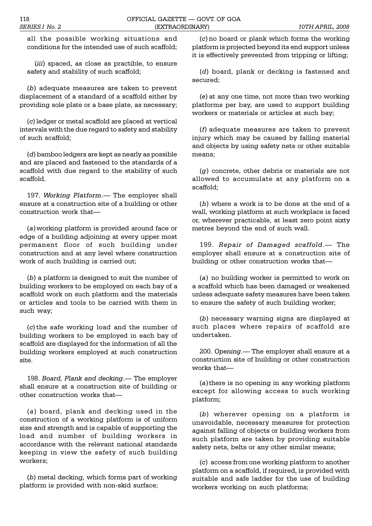all the possible working situations and conditions for the intended use of such scaffold;

(*iii*) spaced, as close as practible, to ensure safety and stability of such scaffold;

(*b*) adequate measures are taken to prevent displacement of a standard of a scaffold either by providing sole plate or a base plate, as necessary;

(*c*) ledger or metal scaffold are placed at vertical intervals with the due regard to safety and stability of such scaffold;

(*d*) bamboo ledgers are kept as nearly as possible and are placed and fastened to the standards of a scaffold with due regard to the stability of such scaffold.

197. Working Platform.— The employer shall ensure at a construction site of a building or other construction work that

(*a*)working platform is provided around face or edge of a building adjoining at every upper most permanent floor of such building under construction and at any level where construction work of such building is carried out;

(*b*) a platform is designed to suit the number of building workers to be employed on each bay of a scaffold work on such platform and the materials or articles and tools to be carried with them in such way;

(*c*) the safe working load and the number of building workers to be employed in each bay of scaffold are displayed for the information of all the building workers employed at such construction site.

198. Board, Plank and decking.- The employer shall ensure at a construction site of building or other construction works that

(*a*) board, plank and decking used in the construction of a working platform is of uniform size and strength and is capable of supporting the load and number of building workers in accordance with the relevant national standards keeping in view the safety of such building workers;

(*b*) metal decking, which forms part of working platform is provided with non-skid surface;

(*c*) no board or plank which forms the working platform is projected beyond its end support unless it is effectively prevented from tripping or lifting;

(*d*) board, plank or decking is fastened and secured;

(*e*) at any one time, not more than two working platforms per bay, are used to support building workers or materials or articles at such bay;

(*f*) adequate measures are taken to prevent injury which may be caused by falling material and objects by using safety nets or other suitable means;

(*g*) concrete, other debris or materials are not allowed to accumulate at any platform on a scaffold;

(*h*) where a work is to be done at the end of a wall, working platform at such workplace is faced or, wherever practicable, at least zero point sixty metres beyond the end of such wall.

199. *Repair of Damaged scaffold*. The employer shall ensure at a construction site of building or other construction works that

(*a*) no building worker is permitted to work on a scaffold which has been damaged or weakened unless adequate safety measures have been taken to ensure the safety of such building worker;

(*b*) necessary warning signs are displayed at such places where repairs of scaffold are undertaken.

200. Opening.— The employer shall ensure at a construction site of building or other construction works that-

(*a*) there is no opening in any working platform except for allowing access to such working platform;

(*b*) wherever opening on a platform is unavoidable, necessary measures for protection against falling of objects or building workers from such platform are taken by providing suitable safety nets, belts or any other similar means;

(*c*) access from one working platform to another platform on a scaffold, if required, is provided with suitable and safe ladder for the use of building workers working on such platforms;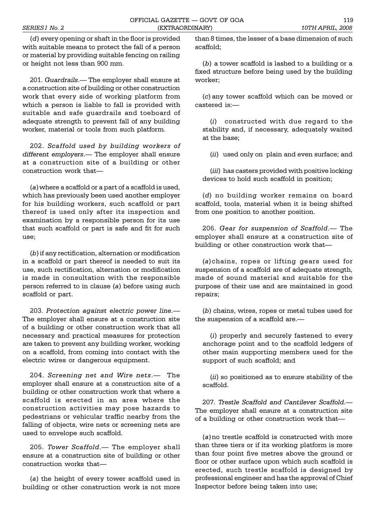(*d*) every opening or shaft in the floor is provided with suitable means to protect the fall of a person or material by providing suitable fencing on railing or height not less than 900 mm.

201. *Guardrails*. The employer shall ensure at a construction site of building or other construction work that every side of working platform from which a person is liable to fall is provided with suitable and safe guardrails and toeboard of adequate strength to prevent fall of any building worker, material or tools from such platform.

202. *Scaffold used by building workers of* different employers.- The employer shall ensure at a construction site of a building or other construction work that

(*a*)where a scaffold or a part of a scaffold is used, which has previously been used another employer for his building workers, such scaffold or part thereof is used only after its inspection and examination by a responsible person for its use that such scaffold or part is safe and fit for such use;

(*b*) if any rectification, alternation or modification in a scaffold or part thereof is needed to suit its use, such rectification, alternation or modification is made in consultation with the responsible person referred to in clause (*a*) before using such scaffold or part.

203. *Protection against electric power line*. The employer shall ensure at a construction site of a building or other construction work that all necessary and practical measures for protection are taken to prevent any building worker, working on a scaffold, from coming into contact with the electric wires or dangerous equipment.

204. *Screening net and Wire nets*. The employer shall ensure at a construction site of a building or other construction work that where a scaffold is erected in an area where the construction activities may pose hazards to pedestrians or vehicular traffic nearby from the falling of objects, wire nets or screening nets are used to envelope such scaffold.

205. Tower Scaffold.- The employer shall ensure at a construction site of building or other construction works that

(*a*) the height of every tower scaffold used in building or other construction work is not more than 8 times, the lesser of a base dimension of such scaffold;

(*b*) a tower scaffold is lashed to a building or a fixed structure before being used by the building worker;

(*c*) any tower scaffold which can be moved or castered is:

(*i*) constructed with due regard to the stability and, if necessary, adequately waited at the base;

(*ii*) used only on plain and even surface; and

(*iii*) has casters provided with positive locking devices to hold such scaffold in position;

(*d*) no building worker remains on board scaffold, tools, material when it is being shifted from one position to another position.

206. *Gear for suspension of Scaffold*.— The employer shall ensure at a construction site of building or other construction work that

(*a*)chains, ropes or lifting gears used for suspension of a scaffold are of adequate strength, made of sound material and suitable for the purpose of their use and are maintained in good repairs;

(*b*) chains, wires, ropes or metal tubes used for the suspension of a scaffold are.

(*i*) properly and securely fastened to every anchorage point and to the scaffold ledgers of other main supporting members used for the support of such scaffold; and

(*ii*) so positioned as to ensure stability of the scaffold.

207. *Trestle Scaffold and Cantilever Scaffold.* The employer shall ensure at a construction site of a building or other construction work that

(*a*) no trestle scaffold is constructed with more than three tiers or if its working platform is more than four point five metres above the ground or floor or other surface upon which such scaffold is erected, such trestle scaffold is designed by professional engineer and has the approval of Chief Inspector before being taken into use;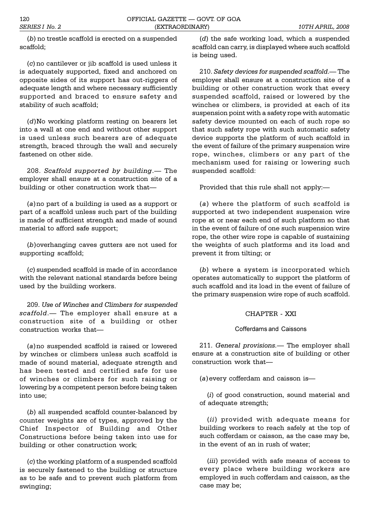(*b*) no trestle scaffold is erected on a suspended scaffold;

(*c*) no cantilever or jib scaffold is used unless it is adequately supported, fixed and anchored on opposite sides of its support has out-riggers of adequate length and where necessary sufficiently supported and braced to ensure safety and stability of such scaffold;

(*d*)No working platform resting on bearers let into a wall at one end and without other support is used unless such bearers are of adequate strength, braced through the wall and securely fastened on other side.

208. *Scaffold supported by building*. The employer shall ensure at a construction site of a building or other construction work that

(*a*) no part of a building is used as a support or part of a scaffold unless such part of the building is made of sufficient strength and made of sound material to afford safe support;

(*b*)overhanging caves gutters are not used for supporting scaffold;

(*c*) suspended scaffold is made of in accordance with the relevant national standards before being used by the building workers.

209. *Use of Winches and Climbers for suspended scaffold*. The employer shall ensure at a construction site of a building or other construction works that

(*a*) no suspended scaffold is raised or lowered by winches or climbers unless such scaffold is made of sound material, adequate strength and has been tested and certified safe for use of winches or climbers for such raising or lowering by a competent person before being taken into use;

(*b*) all suspended scaffold counter-balanced by counter weights are of types, approved by the Chief Inspector of Building and Other Constructions before being taken into use for building or other construction work;

(*c*) the working platform of a suspended scaffold is securely fastened to the building or structure as to be safe and to prevent such platform from swinging;

(*d*) the safe working load, which a suspended scaffold can carry, is displayed where such scaffold is being used.

210. *Safety devices for suspended scaffold*. The employer shall ensure at a construction site of a building or other construction work that every suspended scaffold, raised or lowered by the winches or climbers, is provided at each of its suspension point with a safety rope with automatic safety device mounted on each of such rope so that such safety rope with such automatic safety device supports the platform of such scaffold in the event of failure of the primary suspension wire rope, winches, climbers or any part of the mechanism used for raising or lowering such suspended scaffold:

Provided that this rule shall not apply:

(*a*) where the platform of such scaffold is supported at two independent suspension wire rope at or near each end of such platform so that in the event of failure of one such suspension wire rope, the other wire rope is capable of sustaining the weights of such platforms and its load and prevent it from tilting; or

(*b*) where a system is incorporated which operates automatically to support the platform of such scaffold and its load in the event of failure of the primary suspension wire rope of such scaffold.

# CHAPTER - XXI

# Cofferdams and Caissons

211. *General provisions.* The employer shall ensure at a construction site of building or other construction work that

(*a*) every cofferdam and caisson is

(*i*) of good construction, sound material and of adequate strength;

(*ii*) provided with adequate means for building workers to reach safely at the top of such cofferdam or caisson, as the case may be, in the event of an in rush of water;

(*iii*) provided with safe means of access to every place where building workers are employed in such cofferdam and caisson, as the case may be;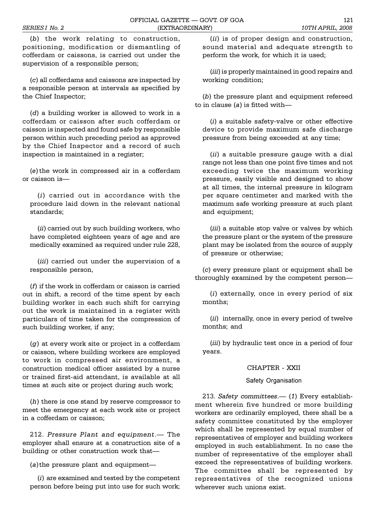(*b*) the work relating to construction, positioning, modification or dismantling of cofferdam or caissons, is carried out under the supervision of a responsible person;

(*c*) all cofferdams and caissons are inspected by a responsible person at intervals as specified by the Chief Inspector;

(*d*) a building worker is allowed to work in a cofferdam or caisson after such cofferdam or caisson is inspected and found safe by responsible person within such preceding period as approved by the Chief Inspector and a record of such inspection is maintained in a register;

(*e*) the work in compressed air in a cofferdam or caisson is

(*i*) carried out in accordance with the procedure laid down in the relevant national standards;

(*ii*) carried out by such building workers, who have completed eighteen years of age and are medically examined as required under rule 228,

(*iii*) carried out under the supervision of a responsible person,

(*f*) if the work in cofferdam or caisson is carried out in shift, a record of the time spent by each building worker in each such shift for carrying out the work is maintained in a register with particulars of time taken for the compression of such building worker, if any;

(*g*) at every work site or project in a cofferdam or caisson, where building workers are employed to work in compressed air environment, a construction medical officer assisted by a nurse or trained first-aid attendant, is available at all times at such site or project during such work;

(*h*) there is one stand by reserve compressor to meet the emergency at each work site or project in a cofferdam or caisson;

212. *Pressure Plant and equipment*. The employer shall ensure at a construction site of a building or other construction work that

(*a*) the pressure plant and equipment

(*i*) are examined and tested by the competent person before being put into use for such work;

(*ii*) is of proper design and construction, sound material and adequate strength to perform the work, for which it is used;

(*iii*) is properly maintained in good repairs and working condition;

(*b*) the pressure plant and equipment refereed to in clause (*a*) is fitted with

(*i*) a suitable safety-valve or other effective device to provide maximum safe discharge pressure from being exceeded at any time;

(*ii*) a suitable pressure gauge with a dial range not less than one point five times and not exceeding twice the maximum working pressure, easily visible and designed to show at all times, the internal pressure in kilogram per square centimeter and marked with the maximum safe working pressure at such plant and equipment;

(*iii*) a suitable stop valve or valves by which the pressure plant or the system of the pressure plant may be isolated from the source of supply of pressure or otherwise;

(*c*) every pressure plant or equipment shall be thoroughly examined by the competent person

(*i*) externally, once in every period of six months;

(*ii*) internally, once in every period of twelve months; and

(*iii*) by hydraulic test once in a period of four years.

# CHAPTER - XXII

# Safety Organisation

213. *Safety committees.* (1) Every establishment wherein five hundred or more building workers are ordinarily employed, there shall be a safety committee constituted by the employer which shall be represented by equal number of representatives of employer and building workers employed in such establishment. In no case the number of representative of the employer shall exceed the representatives of building workers. The committee shall be represented by representatives of the recognized unions wherever such unions exist.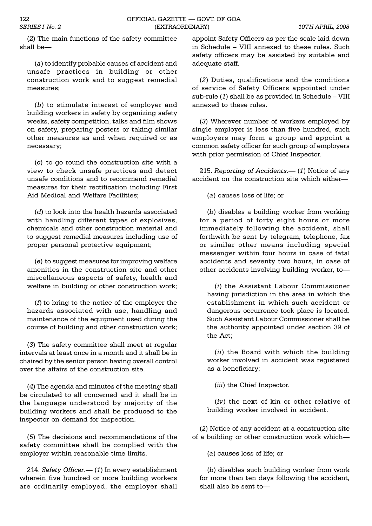(*2*) The main functions of the safety committee shall be

(*a*) to identify probable causes of accident and unsafe practices in building or other construction work and to suggest remedial measures;

(*b*) to stimulate interest of employer and building workers in safety by organizing safety weeks, safety competition, talks and film shows on safety, preparing posters or taking similar other measures as and when required or as necessary;

(*c*) to go round the construction site with a view to check unsafe practices and detect unsafe conditions and to recommend remedial measures for their rectification including First Aid Medical and Welfare Facilities;

(*d*) to look into the health hazards associated with handling different types of explosives, chemicals and other construction material and to suggest remedial measures including use of proper personal protective equipment;

(*e*) to suggest measures for improving welfare amenities in the construction site and other miscellaneous aspects of safety, health and welfare in building or other construction work;

(*f*) to bring to the notice of the employer the hazards associated with use, handling and maintenance of the equipment used during the course of building and other construction work;

(*3*) The safety committee shall meet at regular intervals at least once in a month and it shall be in chaired by the senior person having overall control over the affairs of the construction site.

(*4*) The agenda and minutes of the meeting shall be circulated to all concerned and it shall be in the language understood by majority of the building workers and shall be produced to the inspector on demand for inspection.

(*5*) The decisions and recommendations of the safety committee shall be complied with the employer within reasonable time limits.

214. *Safety Officer.* (1) In every establishment wherein five hundred or more building workers are ordinarily employed, the employer shall appoint Safety Officers as per the scale laid down in Schedule - VIII annexed to these rules. Such safety officers may be assisted by suitable and adequate staff.

(*2*) Duties, qualifications and the conditions of service of Safety Officers appointed under  $sub$ -rule  $(1)$  shall be as provided in Schedule  $-$  VIII annexed to these rules.

(*3*) Wherever number of workers employed by single employer is less than five hundred, such employers may form a group and appoint a common safety officer for such group of employers with prior permission of Chief Inspector.

215. *Reporting of Accidents.* (1) Notice of any accident on the construction site which either

(*a*) causes loss of life; or

(*b*) disables a building worker from working for a period of forty eight hours or more immediately following the accident, shall forthwith be sent by telegram, telephone, fax or similar other means including special messenger within four hours in case of fatal accidents and seventy two hours, in case of other accidents involving building worker, to

(*i*) the Assistant Labour Commissioner having jurisdiction in the area in which the establishment in which such accident or dangerous occurrence took place is located. Such Assistant Labour Commissioner shall be the authority appointed under section 39 of the Act;

(*ii*) the Board with which the building worker involved in accident was registered as a beneficiary;

(*iii*) the Chief Inspector.

(*iv*) the next of kin or other relative of building worker involved in accident.

(*2*) Notice of any accident at a construction site of a building or other construction work which

(*a*) causes loss of life; or

(*b*) disables such building worker from work for more than ten days following the accident, shall also be sent to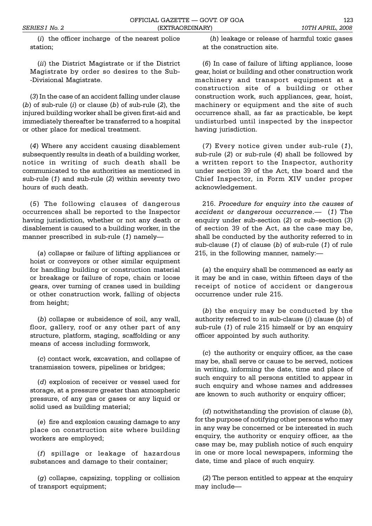(*i*) the officer incharge of the nearest police station;

(*ii*) the District Magistrate or if the District Magistrate by order so desires to the Sub- -Divisional Magistrate.

(*3*) In the case of an accident falling under clause (*b*) of sub-rule (*i*) or clause (*b*) of sub-rule (*2*), the injured building worker shall be given first-aid and immediately thereafter be transferred to a hospital or other place for medical treatment.

(*4*) Where any accident causing disablement subsequently results in death of a building worker, notice in writing of such death shall be communicated to the authorities as mentioned in sub-rule (*1*) and sub-rule (*2*) within seventy two hours of such death.

(*5*) The following clauses of dangerous occurrences shall be reported to the Inspector having jurisdiction, whether or not any death or disablement is caused to a building worker, in the manner prescribed in sub-rule (*1*) namely

(*a*) collapse or failure of lifting appliances or hoist or conveyors or other similar equipment for handling building or construction material or breakage or failure of rope, chain or loose gears, over turning of cranes used in building or other construction work, falling of objects from height;

(*b*) collapse or subsidence of soil, any wall, floor, gallery, roof or any other part of any structure, platform, staging, scaffolding or any means of access including formwork,

(*c*) contact work, excavation, and collapse of transmission towers, pipelines or bridges;

(*d*) explosion of receiver or vessel used for storage, at a pressure greater than atmospheric pressure, of any gas or gases or any liquid or solid used as building material;

(*e*) fire and explosion causing damage to any place on construction site where building workers are employed;

(*f*) spillage or leakage of hazardous substances and damage to their container;

(*g*) collapse, capsizing, toppling or collision of transport equipment;

(*h*) leakage or release of harmful toxic gases at the construction site.

(*6*) In case of failure of lifting appliance, loose gear, hoist or building and other construction work machinery and transport equipment at a construction site of a building or other construction work, such appliances, gear, hoist, machinery or equipment and the site of such occurrence shall, as far as practicable, be kept undisturbed until inspected by the inspector having jurisdiction.

(*7*) Every notice given under sub-rule (*1*), sub-rule (*2*) or sub-rule (*4*) shall be followed by a written report to the Inspector, authority under section 39 of the Act, the board and the Chief Inspector, in Form XIV under proper acknowledgement.

216. *Procedure for enquiry into the causes of accident or dangerous occurrence*. (*1*) The enquiry under sub-section (2) or sub-section (3) of section 39 of the Act, as the case may be, shall be conducted by the authority referred to in sub-clause (*1*) of clause (*b*) of sub-rule (*1*) of rule 215, in the following manner, namely:

(*a*) the enquiry shall be commenced as early as it may be and in case, within fifteen days of the receipt of notice of accident or dangerous occurrence under rule 215.

(*b*) the enquiry may be conducted by the authority referred to in sub-clause (*i*) clause (*b*) of sub-rule (*1*) of rule 215 himself or by an enquiry officer appointed by such authority.

(*c*) the authority or enquiry officer, as the case may be, shall serve or cause to be served, notices in writing, informing the date, time and place of such enquiry to all persons entitled to appear in such enquiry and whose names and addresses are known to such authority or enquiry officer;

(*d*) notwithstanding the provision of clause (*b*), for the purpose of notifying other persons who may in any way be concerned or be interested in such enquiry, the authority or enquiry officer, as the case may be, may publish notice of such enquiry in one or more local newspapers, informing the date, time and place of such enquiry.

(*2*) The person entitled to appear at the enquiry may include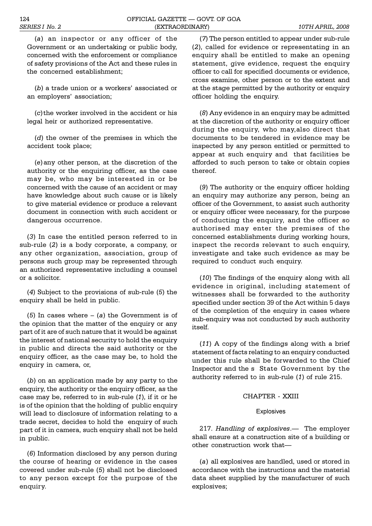(*a*) an inspector or any officer of the Government or an undertaking or public body, concerned with the enforcement or compliance of safety provisions of the Act and these rules in the concerned establishment;

(b) a trade union or a workers' associated or an employers' association;

(*c*) the worker involved in the accident or his legal heir or authorized representative.

(*d*) the owner of the premises in which the accident took place;

(*e*) any other person, at the discretion of the authority or the enquiring officer, as the case may be, who may be interested in or be concerned with the cause of an accident or may have knowledge about such cause or is likely to give material evidence or produce a relevant document in connection with such accident or dangerous occurrence.

(*3*) In case the entitled person referred to in sub-rule (*2*) is a body corporate, a company, or any other organization, association, group of persons such group may be represented through an authorized representative including a counsel or a solicitor.

(*4*) Subject to the provisions of sub-rule (*5*) the enquiry shall be held in public.

(5) In cases where  $-$  (*a*) the Government is of the opinion that the matter of the enquiry or any part of it are of such nature that it would be against the interest of national security to hold the enquiry in public and directs the said authority or the enquiry officer, as the case may be, to hold the enquiry in camera, or,

(*b*) on an application made by any party to the enquiry, the authority or the enquiry officer, as the case may be, referred to in sub-rule (*1*), if it or he is of the opinion that the holding of public enquiry will lead to disclosure of information relating to a trade secret, decides to hold the enquiry of such part of it in camera, such enquiry shall not be held in public.

(*6*) Information disclosed by any person during the course of hearing or evidence in the cases covered under sub-rule (*5*) shall not be disclosed to any person except for the purpose of the enquiry.

(*7*) The person entitled to appear under sub-rule (*2*), called for evidence or representating in an enquiry shall be entitled to make an opening statement, give evidence, request the enquiry officer to call for specified documents or evidence, cross examine, other person or to the extent and at the stage permitted by the authority or enquiry officer holding the enquiry.

(*8*) Any evidence in an enquiry may be admitted at the discretion of the authority or enquiry officer during the enquiry, who may,also direct that documents to be tendered in evidence may be inspected by any person entitled or permitted to appear at such enquiry and that facilities be afforded to such person to take or obtain copies thereof.

(*9*) The authority or the enquiry officer holding an enquiry may authorize any person, being an officer of the Government, to assist such authority or enquiry officer were necessary, for the purpose of conducting the enquiry, and the officer so authorised may enter the premises of the concerned establishments during working hours, inspect the records relevant to such enquiry, investigate and take such evidence as may be required to conduct such enquiry.

(*10*) The findings of the enquiry along with all evidence in original, including statement of witnesses shall be forwarded to the authority specified under section 39 of the Act within 5 days of the completion of the enquiry in cases where sub-enquiry was not conducted by such authority itself.

(*11*) A copy of the findings along with a brief statement of facts relating to an enquiry conducted under this rule shall be forwarded to the Chief Inspector and the s State Government by the authority referred to in sub-rule (*1*) of rule 215.

# CHAPTER - XXIII

# **Explosives**

217. *Handling of explosives*.— The employer shall ensure at a construction site of a building or other construction work that

(*a*) all explosives are handled, used or stored in accordance with the instructions and the material data sheet supplied by the manufacturer of such explosives;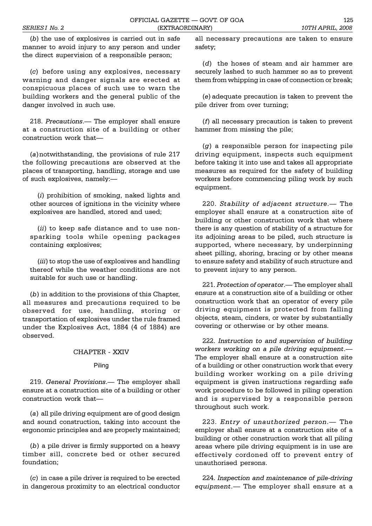(*b*) the use of explosives is carried out in safe manner to avoid injury to any person and under the direct supervision of a responsible person;

(*c*) before using any explosives, necessary warning and danger signals are erected at conspicuous places of such use to warn the building workers and the general public of the danger involved in such use.

218. Precautions.— The employer shall ensure at a construction site of a building or other construction work that

(*a*) notwithstanding, the provisions of rule 217 the following precautions are observed at the places of transporting, handling, storage and use of such explosives, namely:

(*i*) prohibition of smoking, naked lights and other sources of ignitions in the vicinity where explosives are handled, stored and used;

(*ii*) to keep safe distance and to use nonsparking tools while opening packages containing explosives;

(*iii*) to stop the use of explosives and handling thereof while the weather conditions are not suitable for such use or handling.

(*b*) in addition to the provisions of this Chapter, all measures and precautions required to be observed for use, handling, storing or transportation of explosives under the rule framed under the Explosives Act, 1884 (4 of 1884) are observed.

# CHAPTER - XXIV

## Piling

219. *General Provisions*. The employer shall ensure at a construction site of a building or other construction work that

(*a*) all pile driving equipment are of good design and sound construction, taking into account the ergonomic principles and are properly maintained;

(*b*) a pile driver is firmly supported on a heavy timber sill, concrete bed or other secured foundation;

(*c*) in case a pile driver is required to be erected in dangerous proximity to an electrical conductor

all necessary precautions are taken to ensure safety;

(*d*) the hoses of steam and air hammer are securely lashed to such hammer so as to prevent them from whipping in case of connection or break;

(*e*) adequate precaution is taken to prevent the pile driver from over turning;

(*f*) all necessary precaution is taken to prevent hammer from missing the pile;

(*g*) a responsible person for inspecting pile driving equipment, inspects such equipment before taking it into use and takes all appropriate measures as required for the safety of building workers before commencing piling work by such equipment.

220. *Stability of adjacent structure*. The employer shall ensure at a construction site of building or other construction work that where there is any question of stability of a structure for its adjoining areas to be piled, such structure is supported, where necessary, by underpinning sheet pilling, shoring, bracing or by other means to ensure safety and stability of such structure and to prevent injury to any person.

221. *Protection of operator*.— The employer shall ensure at a construction site of a building or other construction work that an operator of every pile driving equipment is protected from falling objects, steam, cinders, or water by substantially covering or otherwise or by other means.

222. *Instruction to and supervision of building workers working on a pile driving equipment*. The employer shall ensure at a construction site of a building or other construction work that every building worker working on a pile driving equipment is given instructions regarding safe work procedure to be followed in piling operation and is supervised by a responsible person throughout such work.

223. *Entry of unauthorized person*.— The employer shall ensure at a construction site of a building or other construction work that all piling areas where pile driving equipment is in use are effectively cordoned off to prevent entry of unauthorised persons.

224. *Inspection and maintenance of pile-driving equipment.* The employer shall ensure at a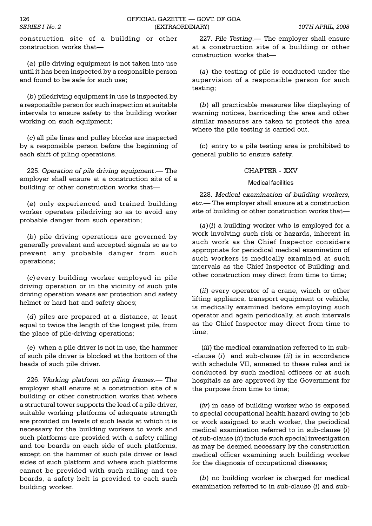construction site of a building or other construction works that

(*a*) pile driving equipment is not taken into use until it has been inspected by a responsible person and found to be safe for such use;

(*b*) piledriving equipment in use is inspected by a responsible person for such inspection at suitable intervals to ensure safety to the building worker working on such equipment;

(*c*) all pile lines and pulley blocks are inspected by a responsible person before the beginning of each shift of piling operations.

225. *Operation of pile driving equipment*. The employer shall ensure at a construction site of a building or other construction works that

(*a*) only experienced and trained building worker operates piledriving so as to avoid any probable danger from such operation;

(*b*) pile driving operations are governed by generally prevalent and accepted signals so as to prevent any probable danger from such operations;

(*c*) every building worker employed in pile driving operation or in the vicinity of such pile driving operation wears ear protection and safety helmet or hard hat and safety shoes;

(*d*) piles are prepared at a distance, at least equal to twice the length of the longest pile, from the place of pile-driving operations;

(*e*) when a pile driver is not in use, the hammer of such pile driver is blocked at the bottom of the heads of such pile driver.

226. *Working platform on piling frames*. The employer shall ensure at a construction site of a building or other construction works that where a structural tower supports the lead of a pile driver, suitable working platforms of adequate strength are provided on levels of such leads at which it is necessary for the building workers to work and such platforms are provided with a safety railing and toe boards on each side of such platforms, except on the hammer of such pile driver or lead sides of such platform and where such platforms cannot be provided with such railing and toe boards, a safety belt is provided to each such building worker.

227. Pile Testing. - The employer shall ensure at a construction site of a building or other construction works that

(*a*) the testing of pile is conducted under the supervision of a responsible person for such testing;

(*b*) all practicable measures like displaying of warning notices, barricading the area and other similar measures are taken to protect the area where the pile testing is carried out.

(*c*) entry to a pile testing area is prohibited to general public to ensure safety.

# CHAPTER - XXV

#### Medical facilities

228. *Medical examination of building workers, etc*. The employer shall ensure at a construction site of building or other construction works that

(*a*) (*i*) a building worker who is employed for a work involving such risk or hazards, inherent in such work as the Chief Inspector considers appropriate for periodical medical examination of such workers is medically examined at such intervals as the Chief Inspector of Building and other construction may direct from time to time;

(*ii*) every operator of a crane, winch or other lifting appliance, transport equipment or vehicle, is medically examined before employing such operator and again periodically, at such intervals as the Chief Inspector may direct from time to time;

 (*iii*) the medical examination referred to in sub- -clause (*i*) and sub-clause (*ii*) is in accordance with schedule VII, annexed to these rules and is conducted by such medical officers or at such hospitals as are approved by the Government for the purpose from time to time;

(*iv*) in case of building worker who is exposed to special occupational health hazard owing to job or work assigned to such worker, the periodical medical examination referred to in sub-clause (*i*) of sub-clause (*ii*) include such special investigation as may be deemed necessary by the construction medical officer examining such building worker for the diagnosis of occupational diseases;

(*b*) no building worker is charged for medical examination referred to in sub-clause (*i*) and sub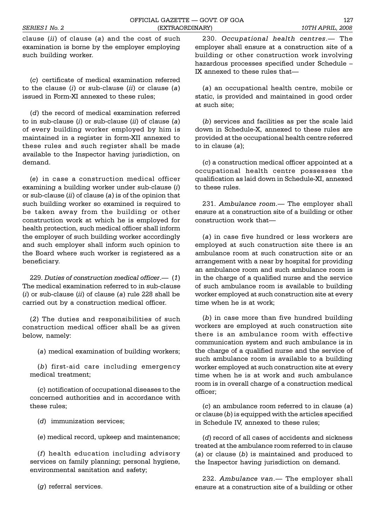clause (*ii*) of clause (*a*) and the cost of such examination is borne by the employer employing such building worker.

(*c*) certificate of medical examination referred to the clause (*i*) or sub-clause (*ii*) or clause (*a*) issued in Form-XI annexed to these rules;

(*d*) the record of medical examination referred to in sub-clause (*i*) or sub-clause (*ii*) of clause (*a*) of every building worker employed by him is maintained in a register in form-XII annexed to these rules and such register shall be made available to the Inspector having jurisdiction, on demand.

(*e*) in case a construction medical officer examining a building worker under sub-clause (*i*) or sub-clause (*ii*) of clause (*a*) is of the opinion that such building worker so examined is required to be taken away from the building or other construction work at which he is employed for health protection, such medical officer shall inform the employer of such building worker accordingly and such employer shall inform such opinion to the Board where such worker is registered as a beneficiary.

229. *Duties of construction medical officer*. (*1*) The medical examination referred to in sub-clause (*i*) or sub-clause (*ii*) of clause (*a*) rule 228 shall be carried out by a construction medical officer.

(*2*) The duties and responsibilities of such construction medical officer shall be as given below, namely:

(*a*) medical examination of building workers;

(*b*) first-aid care including emergency medical treatment;

(*c*) notification of occupational diseases to the concerned authorities and in accordance with these rules;

(*d*) immunization services;

(*e*) medical record, upkeep and maintenance;

(*f*) health education including advisory services on family planning; personal hygiene, environmental sanitation and safety;

(*g*) referral services.

230. Occupational health centres.- The employer shall ensure at a construction site of a building or other construction work involving hazardous processes specified under Schedule IX annexed to these rules that

(*a*) an occupational health centre, mobile or static, is provided and maintained in good order at such site;

(*b*) services and facilities as per the scale laid down in Schedule-X, annexed to these rules are provided at the occupational health centre referred to in clause (*a*);

(*c*) a construction medical officer appointed at a occupational health centre possesses the qualification as laid down in Schedule-XI, annexed to these rules.

231. Ambulance room.- The employer shall ensure at a construction site of a building or other construction work that

(*a*) in case five hundred or less workers are employed at such construction site there is an ambulance room at such construction site or an arrangement with a near by hospital for providing an ambulance room and such ambulance room is in the charge of a qualified nurse and the service of such ambulance room is available to building worker employed at such construction site at every time when he is at work;

(*b*) in case more than five hundred building workers are employed at such construction site there is an ambulance room with effective communication system and such ambulance is in the charge of a qualified nurse and the service of such ambulance room is available to a building worker employed at such construction site at every time when he is at work and such ambulance room is in overall charge of a construction medical officer;

(*c*) an ambulance room referred to in clause (*a*) or clause (*b*) is equipped with the articles specified in Schedule IV, annexed to these rules;

(*d*) record of all cases of accidents and sickness treated at the ambulance room referred to in clause (*a*) or clause (*b*) is maintained and produced to the Inspector having jurisdiction on demand.

232. Ambulance van.- The employer shall ensure at a construction site of a building or other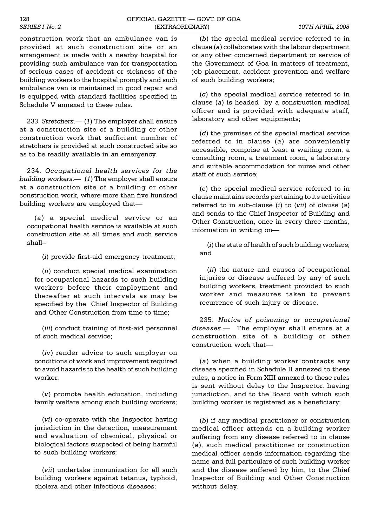construction work that an ambulance van is provided at such construction site or an arrangement is made with a nearby hospital for providing such ambulance van for transportation of serious cases of accident or sickness of the building workers to the hospital promptly and such ambulance van is maintained in good repair and is equipped with standard facilities specified in Schedule V annexed to these rules.

233. *Stretchers.* (1) The employer shall ensure at a construction site of a building or other construction work that sufficient number of stretchers is provided at such constructed site so as to be readily available in an emergency.

234. *Occupational health services for the building workers.* (1) The employer shall ensure at a construction site of a building or other construction work, where more than five hundred building workers are employed that

(*a*) a special medical service or an occupational health service is available at such construction site at all times and such service shall

(*i*) provide first-aid emergency treatment;

(*ii*) conduct special medical examination for occupational hazards to such building workers before their employment and thereafter at such intervals as may be specified by the Chief Inspector of Building and Other Construction from time to time;

(*iii*) conduct training of first-aid personnel of such medical service;

(*iv*) render advice to such employer on conditions of work and improvement required to avoid hazards to the health of such building worker.

(*v*) promote health education, including family welfare among such building workers;

(*vi*) co-operate with the Inspector having jurisdiction in the detection, measurement and evaluation of chemical, physical or biological factors suspected of being harmful to such building workers;

(*vii*) undertake immunization for all such building workers against tetanus, typhoid, cholera and other infectious diseases;

(*b*) the special medical service referred to in clause (*a*) collaborates with the labour department or any other concerned department or service of the Government of Goa in matters of treatment, job placement, accident prevention and welfare of such building workers;

(*c*) the special medical service referred to in clause (*a*) is headed by a construction medical officer and is provided with adequate staff, laboratory and other equipments;

(*d*) the premises of the special medical service referred to in clause (*a*) are conveniently accessible, comprise at least a waiting room, a consulting room, a treatment room, a laboratory and suitable accommodation for nurse and other staff of such service;

(*e*) the special medical service referred to in clause maintains records pertaining to its activities referred to in sub-clause (*i*) to (*vii*) of clause (*a*) and sends to the Chief Inspector of Building and Other Construction, once in every three months, information in writing on

(*i*) the state of health of such building workers; and

(*ii*) the nature and causes of occupational injuries or disease suffered by any of such building workers, treatment provided to such worker and measures taken to prevent recurrence of such injury or disease.

235. *Notice of poisoning or occupational diseases.* The employer shall ensure at a construction site of a building or other construction work that

(*a*) when a building worker contracts any disease specified in Schedule II annexed to these rules, a notice in Form XIII annexed to these rules is sent without delay to the Inspector, having jurisdiction, and to the Board with which such building worker is registered as a beneficiary;

(*b*) if any medical practitioner or construction medical officer attends on a building worker suffering from any disease referred to in clause (*a*), such medical practitioner or construction medical officer sends information regarding the name and full particulars of such building worker and the disease suffered by him, to the Chief Inspector of Building and Other Construction without delay.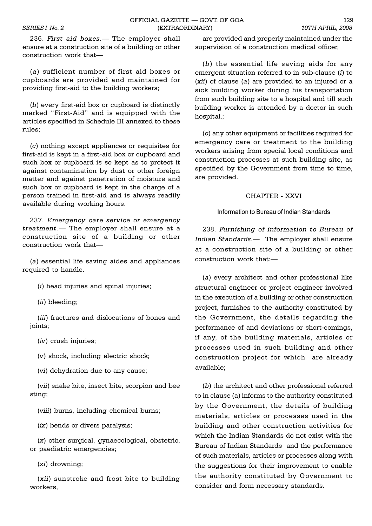236. *First aid boxes*. The employer shall ensure at a construction site of a building or other construction work that

(*a*) sufficient number of first aid boxes or cupboards are provided and maintained for providing first-aid to the building workers;

(*b*) every first-aid box or cupboard is distinctly marked "First-Aid" and is equipped with the articles specified in Schedule III annexed to these rules;

(*c*) nothing except appliances or requisites for first-aid is kept in a first-aid box or cupboard and such box or cupboard is so kept as to protect it against contamination by dust or other foreign matter and against penetration of moisture and such box or cupboard is kept in the charge of a person trained in first-aid and is always readily available during working hours.

237. *Emergency care service or emergency treatment*. The employer shall ensure at a construction site of a building or other construction work that

(*a*) essential life saving aides and appliances required to handle.

(*i*) head injuries and spinal injuries;

(*ii*) bleeding;

(*iii*) fractures and dislocations of bones and joints;

(*iv*) crush injuries;

(*v*) shock, including electric shock;

(*vi*) dehydration due to any cause;

(*vii*) snake bite, insect bite, scorpion and bee sting;

(*viii*) burns, including chemical burns;

(*ix*) bends or divers paralysis;

(*x*) other surgical, gynaecological, obstetric, or paediatric emergencies;

(*xi*) drowning;

(*xii*) sunstroke and frost bite to building workers,

are provided and properly maintained under the supervision of a construction medical officer,

(*b*) the essential life saving aids for any emergent situation referred to in sub-clause (*i*) to (*xii*) of clause (*a*) are provided to an injured or a sick building worker during his transportation from such building site to a hospital and till such building worker is attended by a doctor in such hospital.;

(*c*) any other equipment or facilities required for emergency care or treatment to the building workers arising from special local conditions and construction processes at such building site, as specified by the Government from time to time, are provided.

### CHAPTER - XXVI

Information to Bureau of Indian Standards

238. *Furnishing of information to Bureau of Indian Standards.* The employer shall ensure at a construction site of a building or other construction work that:

(*a*) every architect and other professional like structural engineer or project engineer involved in the execution of a building or other construction project, furnishes to the authority constituted by the Government, the details regarding the performance of and deviations or short-comings, if any, of the building materials, articles or processes used in such building and other construction project for which are already available;

(*b*) the architect and other professional referred to in clause (a) informs to the authority constituted by the Government, the details of building materials, articles or processes used in the building and other construction activities for which the Indian Standards do not exist with the Bureau of Indian Standards and the performance of such materials, articles or processes along with the suggestions for their improvement to enable the authority constituted by Government to consider and form necessary standards.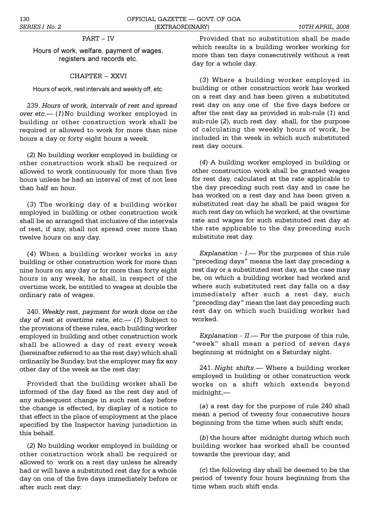# PART - IV

Hours of work, welfare, payment of wages, registers and records etc.

# CHAPTER - XXVI

Hours of work, rest intervals and weekly off, etc.

239. *Hours of work, intervals of rest and spread over etc.* (1)No building worker employed in building or other construction work shall be required or allowed to work for more than nine hours a day or forty eight hours a week.

(*2*) No building worker employed in building or other construction work shall be required or allowed to work continuously for more than five hours unless he had an interval of rest of not less than half an hour.

(*3*) The working day of a building worker employed in building or other construction work shall be so arranged that inclusive of the intervals of rest, if any, shall not spread over more than twelve hours on any day.

(*4*) When a building worker works in any building or other construction work for more than nine hours on any day or for more than forty eight hours in any week, he shall, in respect of the overtime work, be entitled to wages at double the ordinary rate of wages.

240. *Weekly rest, payment for work done on the day of rest at overtime rate, etc.* (1) Subject to the provisions of these rules, each building worker employed in building and other construction work shall be allowed a day of rest every week (hereinafter referred to as the rest day) which shall ordinarily be Sunday, but the employer may fix any other day of the week as the rest day:

Provided that the building worker shall be informed of the day fixed as the rest day and of any subsequent change in such rest day before the change is effected, by display of a notice to that effect in the place of employment at the place specified by the Inspector having jurisdiction in this behalf.

(*2*) No building worker employed in building or other construction work shall be required or allowed to work on a rest day unless he already had or will have a substituted rest day for a whole day on one of the five days immediately before or after such rest day:

Provided that no substitution shall be made which results in a building worker working for more than ten days consecutively without a rest day for a whole day.

(*3*) Where a building worker employed in building or other construction work has worked on a rest day and has been given a substituted rest day on any one of the five days before or after the rest day as provided in sub-rule (*1*) and sub-rule (*2*), such rest day shall, for the purpose of calculating the weekly hours of work, be included in the week in which such substituted rest day occurs.

(*4*) A building worker employed in building or other construction work shall be granted wages for rest day, calculated at the rate applicable to the day preceding such rest day and in case he has worked on a rest day and has been given a substituted rest day he shall be paid wages for such rest day on which he worked, at the overtime rate and wages for such substituted rest day at the rate applicable to the day preceding such substitute rest day.

*Explanation - I.*— For the purposes of this rule "preceding days" means the last day preceding a rest day or a substituted rest day, as the case may be, on which a building worker had worked and where such substituted rest day falls on a day immediately after such a rest day, such "preceding day" mean the last day preceding such rest day on which such building worker had worked.

 $Explanation - II$ . For the purpose of this rule, "week" shall mean a period of seven days beginning at midnight on a Saturday night.

241. *Night shifts*. Where a building worker employed in building or other construction work works on a shift which extends beyond midnight,

(*a*) a rest day for the purpose of rule 240 shall mean a period of twenty four consecutive hours beginning from the time when such shift ends;

(*b*) the hours after midnight during which such building worker has worked shall be counted towards the previous day; and

(*c*) the following day shall be deemed to be the period of twenty four hours beginning from the time when such shift ends.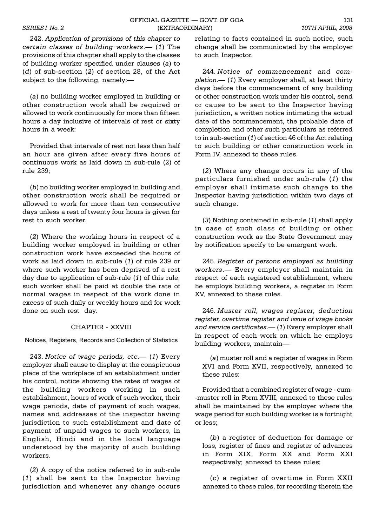242. *Application of provisions of this chapter to certain classes of building workers*. (*1*) The provisions of this chapter shall apply to the classes of building worker specified under clauses (*a*) to (*d*) of sub-section (*2*) of section 28, of the Act subject to the following, namely:

(*a*) no building worker employed in building or other construction work shall be required or allowed to work continuously for more than fifteen hours a day inclusive of intervals of rest or sixty hours in a week:

Provided that intervals of rest not less than half an hour are given after every five hours of continuous work as laid down in sub-rule (2) of rule 239;

(*b*) no building worker employed in building and other construction work shall be required or allowed to work for more than ten consecutive days unless a rest of twenty four hours is given for rest to such worker.

(*2*) Where the working hours in respect of a building worker employed in building or other construction work have exceeded the hours of work as laid down in sub-rule (*1*) of rule 239 or where such worker has been deprived of a rest day due to application of sub-rule (*1*) of this rule, such worker shall be paid at double the rate of normal wages in respect of the work done in excess of such daily or weekly hours and for work done on such rest day.

# CHAPTER - XXVIII

Notices, Registers, Records and Collection of Statistics

243. *Notice of wage periods, etc.* (1) Every employer shall cause to display at the conspicuous place of the workplace of an establishment under his control, notice showing the rates of wages of the building workers working in such establishment, hours of work of such worker, their wage periods, date of payment of such wages, names and addresses of the inspector having jurisdiction to such establishment and date of payment of unpaid wages to such workers, in English, Hindi and in the local language understood by the majority of such building workers.

(*2*) A copy of the notice referred to in sub-rule (*1*) shall be sent to the Inspector having jurisdiction and whenever any change occurs

relating to facts contained in such notice, such change shall be communicated by the employer to such Inspector.

244. *Notice of commencement and completion*. (*1*) Every employer shall, at least thirty days before the commencement of any building or other construction work under his control, send or cause to be sent to the Inspector having jurisdiction, a written notice intimating the actual date of the commencement, the probable date of completion and other such particulars as referred to in sub-section (*1*) of section 46 of the Act relating to such building or other construction work in Form IV, annexed to these rules.

(*2*) Where any change occurs in any of the particulars furnished under sub-rule (*1*) the employer shall intimate such change to the Inspector having jurisdiction within two days of such change.

(*3*) Nothing contained in sub-rule (*1*) shall apply in case of such class of building or other construction work as the State Government may by notification specify to be emergent work.

245. *Register of persons employed as building workers*. Every employer shall maintain in respect of each registered establishment, where he employs building workers, a register in Form XV, annexed to these rules.

246. *Muster roll, wages register, deduction register, overtime register and issue of wage books and service certificates*. (*1*) Every employer shall in respect of each work on which he employs building workers, maintain

(*a*) muster roll and a register of wages in Form XVI and Form XVII, respectively, annexed to these rules:

Provided that a combined register of wage - cum- -muster roll in Form XVIII, annexed to these rules shall be maintained by the employer where the wage period for such building worker is a fortnight or less;

(*b*) a register of deduction for damage or loss, register of fines and register of advances in Form XIX, Form XX and Form XXI respectively; annexed to these rules;

(*c*) a register of over time in Form XXII annexed to these rules, for recording therein the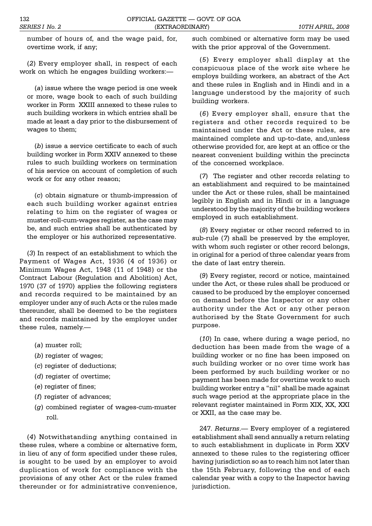number of hours of, and the wage paid, for, overtime work, if any;

(*2*) Every employer shall, in respect of each work on which he engages building workers:

(*a*) issue where the wage period is one week or more, wage book to each of such building worker in Form XXIII annexed to these rules to such building workers in which entries shall be made at least a day prior to the disbursement of wages to them;

(*b*) issue a service certificate to each of such building worker in Form XXIV annexed to these rules to such building workers on termination of his service on account of completion of such work or for any other reason;

(*c*) obtain signature or thumb-impression of each such building worker against entries relating to him on the register of wages or muster-roll-cum-wages register, as the case may be, and such entries shall be authenticated by the employer or his authorized representative.

(*3*) In respect of an establishment to which the Payment of Wages Act, 1936 (4 of 1936) or Minimum Wages Act, 1948 (11 of 1948) or the Contract Labour (Regulation and Abolition) Act, 1970 (37 of 1970) applies the following registers and records required to be maintained by an employer under any of such Acts or the rules made thereunder, shall be deemed to be the registers and records maintained by the employer under these rules, namely.

- (*a*) muster roll;
- (*b*) register of wages;
- (*c*) register of deductions;
- (*d*) register of overtime;
- (*e*) register of fines;
- (*f*) register of advances;
- (*g*) combined register of wages-cum-muster roll.

(*4*) Notwithstanding anything contained in these rules, where a combine or alternative form, in lieu of any of form specified under these rules, is sought to be used by an employer to avoid duplication of work for compliance with the provisions of any other Act or the rules framed thereunder or for administrative convenience,

such combined or alternative form may be used with the prior approval of the Government.

(*5*) Every employer shall display at the conspicuous place of the work site where he employs building workers, an abstract of the Act and these rules in English and in Hindi and in a language understood by the majority of such building workers.

(*6*) Every employer shall, ensure that the registers and other records required to be maintained under the Act or these rules, are maintained complete and up-to-date, and,unless otherwise provided for, are kept at an office or the nearest convenient building within the precincts of the concerned workplace.

(*7*) The register and other records relating to an establishment and required to be maintained under the Act or these rules, shall be maintained legibly in English and in Hindi or in a language understood by the majority of the building workers employed in such establishment.

(*8*) Every register or other record referred to in sub-rule (*7*) shall be preserved by the employer, with whom such register or other record belongs, in original for a period of three calendar years from the date of last entry therein.

(*9*) Every register, record or notice, maintained under the Act, or these rules shall be produced or caused to be produced by the employer concerned on demand before the Inspector or any other authority under the Act or any other person authorised by the State Government for such purpose.

(*10*) In case, where during a wage period, no deduction has been made from the wage of a building worker or no fine has been imposed on such building worker or no over time work has been performed by such building worker or no payment has been made for overtime work to such building worker entry a "nil" shall be made against such wage period at the appropriate place in the relevant register maintained in Form XIX, XX, XXI or XXII, as the case may be.

247. Returns. - Every employer of a registered establishment shall send annually a return relating to such establishment in duplicate in Form XXV annexed to these rules to the registering officer having jurisdiction so as to reach him not later than the 15th February, following the end of each calendar year with a copy to the Inspector having jurisdiction.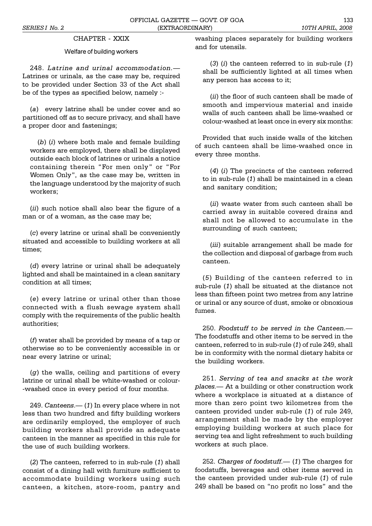# CHAPTER - XXIX

# Welfare of building workers

248. *Latrine and urinal accommodation.* Latrines or urinals, as the case may be, required to be provided under Section 33 of the Act shall be of the types as specified below, namely :-

(*a*) every latrine shall be under cover and so partitioned off as to secure privacy, and shall have a proper door and fastenings;

(*b*) (*i*) where both male and female building workers are employed, there shall be displayed outside each block of latrines or urinals a notice containing therein "For men only" or "For Women Only", as the case may be, written in the language understood by the majority of such workers;

(*ii*) such notice shall also bear the figure of a man or of a woman, as the case may be;

(*c*) every latrine or urinal shall be conveniently situated and accessible to building workers at all times;

(*d*) every latrine or urinal shall be adequately lighted and shall be maintained in a clean sanitary condition at all times;

(*e*) every latrine or urinal other than those connected with a flush sewage system shall comply with the requirements of the public health authorities;

(*f*) water shall be provided by means of a tap or otherwise so to be conveniently accessible in or near every latrine or urinal;

(*g*) the walls, ceiling and partitions of every latrine or urinal shall be white-washed or colour- -washed once in every period of four months.

249. *Canteens.* (1) In every place where in not less than two hundred and fifty building workers are ordinarily employed, the employer of such building workers shall provide an adequate canteen in the manner as specified in this rule for the use of such building workers.

(*2*) The canteen, referred to in sub-rule (*1*) shall consist of a dining hall with furniture sufficient to accommodate building workers using such canteen, a kitchen, store-room, pantry and washing places separately for building workers and for utensils.

(*3*) (*i*) the canteen referred to in sub-rule (*1*) shall be sufficiently lighted at all times when any person has access to it;

(*ii*) the floor of such canteen shall be made of smooth and impervious material and inside walls of such canteen shall be lime-washed or colour-washed at least once in every six months:

Provided that such inside walls of the kitchen of such canteen shall be lime-washed once in every three months.

(*4*) (*i*) The precincts of the canteen referred to in sub-rule (*1*) shall be maintained in a clean and sanitary condition;

(*ii*) waste water from such canteen shall be carried away in suitable covered drains and shall not be allowed to accumulate in the surrounding of such canteen;

(*iii*) suitable arrangement shall be made for the collection and disposal of garbage from such canteen.

(*5*) Building of the canteen referred to in sub-rule (*1*) shall be situated at the distance not less than fifteen point two metres from any latrine or urinal or any source of dust, smoke or obnoxious fumes.

250. *Foodstuff to be served in the Canteen*. The foodstuffs and other items to be served in the canteen, referred to in sub-rule (*1*) of rule 249, shall be in conformity with the normal dietary habits or the building workers.

251. *Serving of tea and snacks at the work places.* At a building or other construction work where a workplace is situated at a distance of more than zero point two kilometres from the canteen provided under sub-rule (*1*) of rule 249, arrangement shall be made by the employer employing building workers at such place for serving tea and light refreshment to such building workers at such place.

252. *Charges of foodstuff.* (*1*) The charges for foodstuffs, beverages and other items served in the canteen provided under sub-rule (*1*) of rule 249 shall be based on "no profit no loss" and the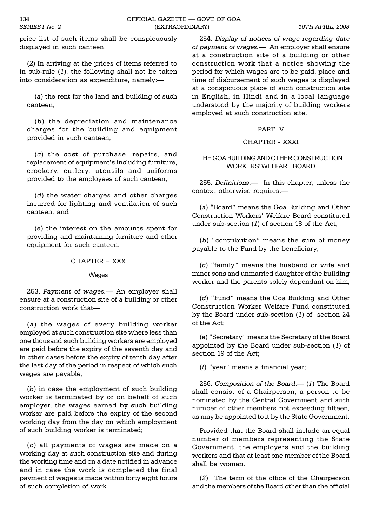price list of such items shall be conspicuously displayed in such canteen.

(*2*) In arriving at the prices of items referred to in sub-rule (*1*), the following shall not be taken into consideration as expenditure, namely:

(*a*) the rent for the land and building of such canteen;

(*b*) the depreciation and maintenance charges for the building and equipment provided in such canteen;

(*c*) the cost of purchase, repairs, and replacement of equipment's including furniture, crockery, cutlery, utensils and uniforms provided to the employees of such canteen;

(*d*) the water charges and other charges incurred for lighting and ventilation of such canteen; and

(*e*) the interest on the amounts spent for providing and maintaining furniture and other equipment for such canteen.

### CHAPTER - XXX

Wages

253. *Payment of wages.* An employer shall ensure at a construction site of a building or other construction work that

(*a*) the wages of every building worker employed at such construction site where less than one thousand such building workers are employed are paid before the expiry of the seventh day and in other cases before the expiry of tenth day after the last day of the period in respect of which such wages are payable;

(*b*) in case the employment of such building worker is terminated by or on behalf of such employer, the wages earned by such building worker are paid before the expiry of the second working day from the day on which employment of such building worker is terminated;

(*c*) all payments of wages are made on a working day at such construction site and during the working time and on a date notified in advance and in case the work is completed the final payment of wages is made within forty eight hours of such completion of work.

254. *Display of notices of wage regarding date of payment of wages.* An employer shall ensure at a construction site of a building or other construction work that a notice showing the period for which wages are to be paid, place and time of disbursement of such wages is displayed at a conspicuous place of such construction site in English, in Hindi and in a local language understood by the majority of building workers employed at such construction site.

# PART V

# CHAPTER - XXXI

# THE GOA BUILDING AND OTHER CONSTRUCTION WORKERS' WELFARE BOARD

255. *Definitions*. In this chapter, unless the context otherwise requires.

(a) "Board" means the Goa Building and Other Construction Workers' Welfare Board constituted under sub-section (*1*) of section 18 of the Act;

(b) "contribution" means the sum of money payable to the Fund by the beneficiary;

(*c*) family means the husband or wife and minor sons and unmarried daughter of the building worker and the parents solely dependant on him;

(*d*) "Fund" means the Goa Building and Other Construction Worker Welfare Fund constituted by the Board under sub-section (*1*) of section 24 of the Act;

(e) "Secretary" means the Secretary of the Board appointed by the Board under sub-section (*1*) of section 19 of the Act;

(*f*) "year" means a financial year;

256. *Composition of the Board.* (1) The Board shall consist of a Chairperson, a person to be nominated by the Central Government and such number of other members not exceeding fifteen, as may be appointed to it by the State Government:

Provided that the Board shall include an equal number of members representing the State Government, the employers and the building workers and that at least one member of the Board shall be woman.

(*2*) The term of the office of the Chairperson and the members of the Board other than the official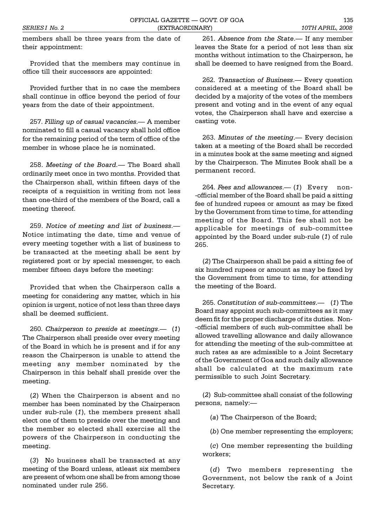members shall be three years from the date of their appointment:

Provided that the members may continue in office till their successors are appointed:

Provided further that in no case the members shall continue in office beyond the period of four years from the date of their appointment.

257. *Filling up of casual vacancies*. A member nominated to fill a casual vacancy shall hold office for the remaining period of the term of office of the member in whose place he is nominated.

258. *Meeting of the Board.* The Board shall ordinarily meet once in two months. Provided that the Chairperson shall, within fifteen days of the receipts of a requisition in writing from not less than one-third of the members of the Board, call a meeting thereof.

259. *Notice of meeting and list of business*. Notice intimating the date, time and venue of every meeting together with a list of business to be transacted at the meeting shall be sent by registered post or by special messenger, to each member fifteen days before the meeting:

Provided that when the Chairperson calls a meeting for considering any matter, which in his opinion is urgent, notice of not less than three days shall be deemed sufficient.

260. *Chairperson to preside at meetings*. (*1*) The Chairperson shall preside over every meeting of the Board in which he is present and if for any reason the Chairperson is unable to attend the meeting any member nominated by the Chairperson in this behalf shall preside over the meeting.

(*2*) When the Chairperson is absent and no member has been nominated by the Chairperson under sub-rule (*1*), the members present shall elect one of them to preside over the meeting and the member so elected shall exercise all the powers of the Chairperson in conducting the meeting.

(*3*) No business shall be transacted at any meeting of the Board unless, atleast six members are present of whom one shall be from among those nominated under rule 256.

261. *Absence from the State*.— If any member leaves the State for a period of not less than six months without intimation to the Chairperson, he shall be deemed to have resigned from the Board.

262. *Transaction of Business*. Every question considered at a meeting of the Board shall be decided by a majority of the votes of the members present and voting and in the event of any equal votes, the Chairperson shall have and exercise a casting vote.

263. *Minutes of the meeting*.— Every decision taken at a meeting of the Board shall be recorded in a minutes book at the same meeting and signed by the Chairperson. The Minutes Book shall be a permanent record.

264. Fees and allowances.— (1) Every non--official member of the Board shall be paid a sitting fee of hundred rupees or amount as may be fixed by the Government from time to time, for attending meeting of the Board. This fee shall not be applicable for meetings of sub-committee appointed by the Board under sub-rule (*1*) of rule 265.

(*2*) The Chairperson shall be paid a sitting fee of six hundred rupees or amount as may be fixed by the Government from time to time, for attending the meeting of the Board.

265. *Constitution of sub-committees*. (*1*) The Board may appoint such sub-committees as it may deem fit for the proper discharge of its duties. Non- -official members of such sub-committee shall be allowed travelling allowance and daily allowance for attending the meeting of the sub-committee at such rates as are admissible to a Joint Secretary of the Government of Goa and such daily allowance shall be calculated at the maximum rate permissible to such Joint Secretary.

(*2*) Sub-committee shall consist of the following persons, namely:

(*a*) The Chairperson of the Board;

(*b*) One member representing the employers;

(*c*) One member representing the building workers;

(*d*) Two members representing the Government, not below the rank of a Joint Secretary.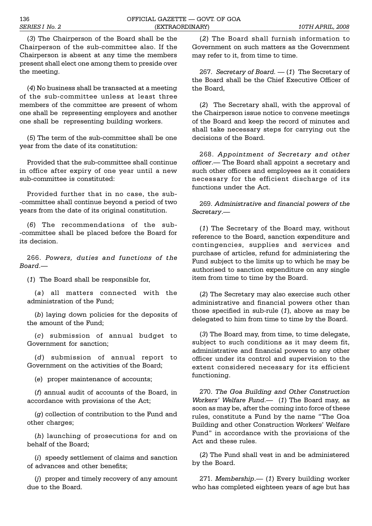(*3*) The Chairperson of the Board shall be the Chairperson of the sub-committee also. If the Chairperson is absent at any time the members present shall elect one among them to preside over the meeting.

(*4*) No business shall be transacted at a meeting of the sub-committee unless at least three members of the committee are present of whom one shall be representing employers and another one shall be representing building workers.

(*5*) The term of the sub-committee shall be one year from the date of its constitution:

Provided that the sub-committee shall continue in office after expiry of one year until a new sub-committee is constituted:

Provided further that in no case, the sub- -committee shall continue beyond a period of two years from the date of its original constitution.

(*6*) The recommendations of the sub- -committee shall be placed before the Board for its decision.

266. *Powers, duties and functions of the Board*.

(*1*) The Board shall be responsible for,

(*a*) all matters connected with the administration of the Fund;

(*b*) laying down policies for the deposits of the amount of the Fund;

(*c*) submission of annual budget to Government for sanction;

(*d*) submission of annual report to Government on the activities of the Board;

(*e*) proper maintenance of accounts;

(*f*) annual audit of accounts of the Board, in accordance with provisions of the Act;

(*g*) collection of contribution to the Fund and other charges;

(*h*) launching of prosecutions for and on behalf of the Board;

(*i*) speedy settlement of claims and sanction of advances and other benefits;

(*j*) proper and timely recovery of any amount due to the Board.

(*2*) The Board shall furnish information to Government on such matters as the Government may refer to it, from time to time.

267. *Secretary of Board.*  $-$  (1) The Secretary of the Board shall be the Chief Executive Officer of the Board,

(*2*) The Secretary shall, with the approval of the Chairperson issue notice to convene meetings of the Board and keep the record of minutes and shall take necessary steps for carrying out the decisions of the Board.

268. *Appointment of Secretary and other officer*. The Board shall appoint a secretary and such other officers and employees as it considers necessary for the efficient discharge of its functions under the Act.

269. *Administrative and financial powers of the Secretary*.

(*1*) The Secretary of the Board may, without reference to the Board, sanction expenditure and contingencies, supplies and services and purchase of articles, refund for administering the Fund subject to the limits up to which he may be authorised to sanction expenditure on any single item from time to time by the Board.

(*2*) The Secretary may also exercise such other administrative and financial powers other than those specified in sub-rule (*1*), above as may be delegated to him from time to time by the Board.

(*3*) The Board may, from time, to time delegate, subject to such conditions as it may deem fit, administrative and financial powers to any other officer under its control and supervision to the extent considered necessary for its efficient functioning.

270. *The Goa Building and Other Construction Workers' Welfare Fund.* (1) The Board may, as soon as may be, after the coming into force of these rules, constitute a Fund by the name "The Goa Building and other Construction Workers' Welfare Fund" in accordance with the provisions of the Act and these rules.

(*2*) The Fund shall vest in and be administered by the Board.

271. Membership. - (1) Every building worker who has completed eighteen years of age but has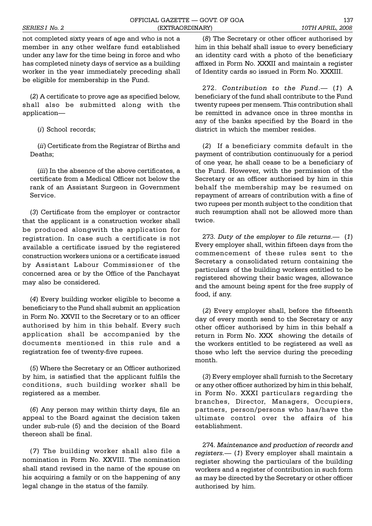not completed sixty years of age and who is not a member in any other welfare fund established under any law for the time being in force and who has completed ninety days of service as a building worker in the year immediately preceding shall be eligible for membership in the Fund.

(*2*) A certificate to prove age as specified below, shall also be submitted along with the application

(*i*) School records;

(*ii*) Certificate from the Registrar of Births and Deaths;

(*iii*) In the absence of the above certificates, a certificate from a Medical Officer not below the rank of an Assistant Surgeon in Government Service.

(*3*) Certificate from the employer or contractor that the applicant is a construction worker shall be produced alongwith the application for registration. In case such a certificate is not available a certificate issued by the registered construction workers unions or a certificate issued by Assistant Labour Commissioner of the concerned area or by the Office of the Panchayat may also be considered.

(*4*) Every building worker eligible to become a beneficiary to the Fund shall submit an application in Form No. XXVII to the Secretary or to an officer authorised by him in this behalf. Every such application shall be accompanied by the documents mentioned in this rule and a registration fee of twenty-five rupees.

(*5*) Where the Secretary or an Officer authorized by him, is satisfied that the applicant fulfils the conditions, such building worker shall be registered as a member.

(*6*) Any person may within thirty days, file an appeal to the Board against the decision taken under sub-rule (*5*) and the decision of the Board thereon shall be final.

(*7*) The building worker shall also file a nomination in Form No. XXVIII. The nomination shall stand revised in the name of the spouse on his acquiring a family or on the happening of any legal change in the status of the family.

(*8*) The Secretary or other officer authorised by him in this behalf shall issue to every beneficiary an identity card with a photo of the beneficiary affixed in Form No. XXXII and maintain a register of Identity cards so issued in Form No. XXXIII.

272. Contribution to the Fund.- (1) A beneficiary of the fund shall contribute to the Fund twenty rupees per mensem. This contribution shall be remitted in advance once in three months in any of the banks specified by the Board in the district in which the member resides.

(*2*) If a beneficiary commits default in the payment of contribution continuously for a period of one year, he shall cease to be a beneficiary of the Fund. However, with the permission of the Secretary or an officer authorised by him in this behalf the membership may be resumed on repayment of arrears of contribution with a fine of two rupees per month subject to the condition that such resumption shall not be allowed more than twice.

273. Duty of the employer to file returns.— (1) Every employer shall, within fifteen days from the commencement of these rules sent to the Secretary a consolidated return containing the particulars of the building workers entitled to be registered showing their basic wages, allowance and the amount being spent for the free supply of food, if any.

(*2*) Every employer shall, before the fifteenth day of every month send to the Secretary or any other officer authorised by him in this behalf a return in Form No. XXX showing the details of the workers entitled to be registered as well as those who left the service during the preceding month.

(*3*) Every employer shall furnish to the Secretary or any other officer authorized by him in this behalf, in Form No. XXXI particulars regarding the branches, Director, Managers, Occupiers, partners, person/persons who has/have the ultimate control over the affairs of his establishment.

274. *Maintenance and production of records and registers.* (*1*) Every employer shall maintain a register showing the particulars of the building workers and a register of contribution in such form as may be directed by the Secretary or other officer authorised by him.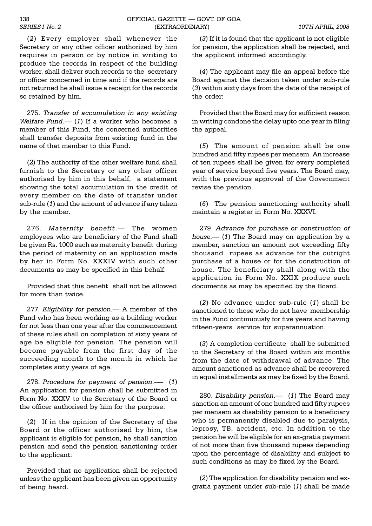(*2*) Every employer shall whenever the Secretary or any other officer authorized by him requires in person or by notice in writing to produce the records in respect of the building worker, shall deliver such records to the secretary or officer concerned in time and if the records are not returned he shall issue a receipt for the records so retained by him.

275. *Transfer of accumulation in any existing Welfare Fund.* (1) If a worker who becomes a member of this Fund, the concerned authorities shall transfer deposits from existing fund in the name of that member to this Fund.

(*2*) The authority of the other welfare fund shall furnish to the Secretary or any other officer authorised by him in this behalf, a statement showing the total accumulation in the credit of every member on the date of transfer under sub-rule (*1*) and the amount of advance if any taken by the member.

276. Maternity benefit.- The women employees who are beneficiary of the Fund shall be given Rs. 1000 each as maternity benefit during the period of maternity on an application made by her in Form No. XXXIV with such other documents as may be specified in this behalf:

Provided that this benefit shall not be allowed for more than twice.

277. *Eligibility for pension*. A member of the Fund who has been working as a building worker for not less than one year after the commencement of these rules shall on completion of sixty years of age be eligible for pension. The pension will become payable from the first day of the succeeding month to the month in which he completes sixty years of age.

278. *Procedure for payment of pension*.- (*1*) An application for pension shall be submitted in Form No. XXXV to the Secretary of the Board or the officer authorised by him for the purpose.

(*2*) If in the opinion of the Secretary of the Board or the officer authorised by him, the applicant is eligible for pension, he shall sanction pension and send the pension sanctioning order to the applicant:

Provided that no application shall be rejected unless the applicant has been given an opportunity of being heard.

(*3*) If it is found that the applicant is not eligible for pension, the application shall be rejected, and the applicant informed accordingly.

(*4*) The applicant may file an appeal before the Board against the decision taken under sub-rule (*3*) within sixty days from the date of the receipt of the order:

Provided that the Board may for sufficient reason in writing condone the delay upto one year in filing the appeal.

(*5*) The amount of pension shall be one hundred and fifty rupees per mensem. An increase of ten rupees shall be given for every completed year of service beyond five years. The Board may, with the previous approval of the Government revise the pension.

(*6*) The pension sanctioning authority shall maintain a register in Form No. XXXVI.

279. *Advance for purchase or construction of house.* (*1*) The Board may on application by a member, sanction an amount not exceeding fifty thousand rupees as advance for the outright purchase of a house or for the construction of house. The beneficiary shall along with the application in Form No. XXIX produce such documents as may be specified by the Board.

(*2*) No advance under sub-rule (*1*) shall be sanctioned to those who do not have membership in the Fund continuously for five years and having fifteen-years service for superannuation.

(*3*) A completion certificate shall be submitted to the Secretary of the Board within six months from the date of withdrawal of advance. The amount sanctioned as advance shall be recovered in equal installments as may be fixed by the Board.

280. *Disability pension.* (1) The Board may sanction an amount of one hundred and fifty rupees per mensem as disability pension to a beneficiary who is permanently disabled due to paralysis, leprosy, TB, accident, etc. In addition to the pension he will be eligible for an ex-gratia payment of not more than five thousand rupees depending upon the percentage of disability and subject to such conditions as may be fixed by the Board.

(*2*) The application for disability pension and exgratia payment under sub-rule (*1*) shall be made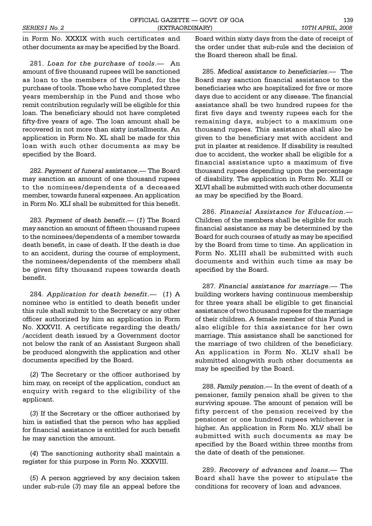in Form No. XXXIX with such certificates and other documents as may be specified by the Board.

281. *Loan for the purchase of tools*. An amount of five thousand rupees will be sanctioned as loan to the members of the Fund, for the purchase of tools. Those who have completed three years membership in the Fund and those who remit contribution regularly will be eligible for this loan. The beneficiary should not have completed fifty-five years of age. The loan amount shall be recovered in not more than sixty installments. An application in Form No. XL shall be made for this loan with such other documents as may be specified by the Board.

282. *Payment of funeral assistance*. The Board may sanction an amount of one thousand rupees to the nominees/dependents of a deceased member, towards funeral expenses. An application in Form No. XLI shall be submitted for this benefit.

283. Payment of death benefit.— (1) The Board may sanction an amount of fifteen thousand rupees to the nominees/dependents of a member towards death benefit, in case of death. If the death is due to an accident, during the course of employment, the nominees/dependents of the members shall be given fifty thousand rupees towards death benefit.

284. Application for death benefit.— (1) A nominee who is entitled to death benefit under this rule shall submit to the Secretary or any other officer authorized by him an application in Form No. XXXVII. A certificate regarding the death/ /accident death issued by a Government doctor not below the rank of an Assistant Surgeon shall be produced alongwith the application and other documents specified by the Board.

(*2*) The Secretary or the officer authorised by him may, on receipt of the application, conduct an enquiry with regard to the eligibility of the applicant.

(*3*) If the Secretary or the officer authorised by him is satisfied that the person who has applied for financial assistance is entitled for such benefit he may sanction the amount.

(*4*) The sanctioning authority shall maintain a register for this purpose in Form No. XXXVIII.

(*5*) A person aggrieved by any decision taken under sub-rule (*3*) may file an appeal before the

Board within sixty days from the date of receipt of the order under that sub-rule and the decision of the Board thereon shall be final.

285. *Medical assistance to beneficiaries*. The Board may sanction financial assistance to the beneficiaries who are hospitalized for five or more days due to accident or any disease. The financial assistance shall be two hundred rupees for the first five days and twenty rupees each for the remaining days, subject to a maximum one thousand rupees. This assistance shall also be given to the beneficiary met with accident and put in plaster at residence. If disability is resulted due to accident, the worker shall be eligible for a financial assistance upto a maximum of five thousand rupees depending upon the percentage of disability. The application in Form No. XLII or XLVI shall be submitted with such other documents as may be specified by the Board.

286. *Financial Assistance for Education*. Children of the members shall be eligible for such financial assistance as may be determined by the Board for such courses of study as may be specified by the Board from time to time. An application in Form No. XLIII shall be submitted with such documents and within such time as may be specified by the Board.

287. *Financial assistance for marriage*. The building workers having continuous membership for three years shall be eligible to get financial assistance of two thousand rupees for the marriage of their children. A female member of this Fund is also eligible for this assistance for her own marriage. This assistance shall be sanctioned for the marriage of two children of the beneficiary. An application in Form No. XLIV shall be submitted alongwith such other documents as may be specified by the Board.

288. Family pension.— In the event of death of a pensioner, family pension shall be given to the surviving spouse. The amount of pension will be fifty percent of the pension received by the pensioner or one hundred rupees whichever is higher. An application in Form No. XLV shall be submitted with such documents as may be specified by the Board within three months from the date of death of the pensioner.

289. Recovery of advances and loans.- The Board shall have the power to stipulate the conditions for recovery of loan and advances.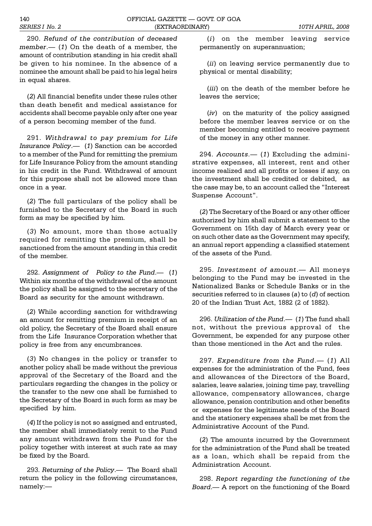290. *Refund of the contribution of deceased member*. (*1*) On the death of a member, the amount of contribution standing in his credit shall be given to his nominee. In the absence of a nominee the amount shall be paid to his legal heirs in equal shares.

(*2*) All financial benefits under these rules other than death benefit and medical assistance for accidents shall become payable only after one year of a person becoming member of the fund.

291. *Withdrawal to pay premium for Life Insurance Policy.* (1) Sanction can be accorded to a member of the Fund for remitting the premium for Life Insurance Policy from the amount standing in his credit in the Fund. Withdrawal of amount for this purpose shall not be allowed more than once in a year.

(*2*) The full particulars of the policy shall be furnished to the Secretary of the Board in such form as may be specified by him.

(*3*) No amount, more than those actually required for remitting the premium, shall be sanctioned from the amount standing in this credit of the member.

292. Assignment of Policy to the Fund. (1) Within six months of the withdrawal of the amount the policy shall be assigned to the secretary of the Board as security for the amount withdrawn.

(*2*) While according sanction for withdrawing an amount for remitting premium in receipt of an old policy, the Secretary of the Board shall ensure from the Life Insurance Corporation whether that policy is free from any encumbrances.

(*3*) No changes in the policy or transfer to another policy shall be made without the previous approval of the Secretary of the Board and the particulars regarding the changes in the policy or the transfer to the new one shall be furnished to the Secretary of the Board in such form as may be specified by him.

(*4*) If the policy is not so assigned and entrusted, the member shall immediately remit to the Fund any amount withdrawn from the Fund for the policy together with interest at such rate as may be fixed by the Board.

293. *Returning of the Policy*. The Board shall return the policy in the following circumstances, namely:

(*i*) on the member leaving service permanently on superannuation;

(*ii*) on leaving service permanently due to physical or mental disability;

(*iii*) on the death of the member before he leaves the service;

(*iv*) on the maturity of the policy assigned before the member leaves service or on the member becoming entitled to receive payment of the money in any other manner.

294. Accounts.— (1) Excluding the administrative expenses, all interest, rent and other income realized and all profits or losses if any, on the investment shall be credited or debited, as the case may be, to an account called the "Interest Suspense Account".

(*2*) The Secretary of the Board or any other officer authorized by him shall submit a statement to the Government on 15th day of March every year or on such other date as the Government may specify, an annual report appending a classified statement of the assets of the Fund.

295. *Investment of amount*. All moneys belonging to the Fund may be invested in the Nationalized Banks or Schedule Banks or in the securities referred to in clauses (*a*) to (*d*) of section 20 of the Indian Trust Act, 1882 (2 of 1882).

296. *Utilization of the Fund*. (1) The fund shall not, without the previous approval of the Government, be expended for any purpose other than those mentioned in the Act and the rules.

297. *Expenditure from the Fund.* (1) All expenses for the administration of the Fund, fees and allowances of the Directors of the Board, salaries, leave salaries, joining time pay, travelling allowance, compensatory allowances, charge allowance, pension contribution and other benefits or expenses for the legitimate needs of the Board and the stationery expenses shall be met from the Administrative Account of the Fund.

(*2*) The amounts incurred by the Government for the administration of the Fund shall be treated as a loan, which shall be repaid from the Administration Account.

298. *Report regarding the functioning of the Board*. A report on the functioning of the Board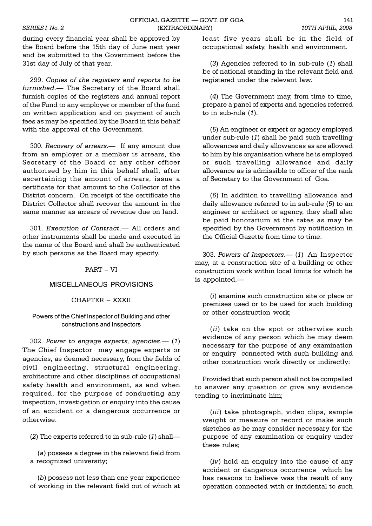during every financial year shall be approved by the Board before the 15th day of June next year and be submitted to the Government before the 31st day of July of that year.

299. *Copies of the registers and reports to be furnished*. The Secretary of the Board shall furnish copies of the registers and annual report of the Fund to any employer or member of the fund on written application and on payment of such fees as may be specified by the Board in this behalf with the approval of the Government.

300. *Recovery of arrears*. If any amount due from an employer or a member is arrears, the Secretary of the Board or any other officer authorised by him in this behalf shall, after ascertaining the amount of arrears, issue a certificate for that amount to the Collector of the District concern. On receipt of the certificate the District Collector shall recover the amount in the same manner as arrears of revenue due on land.

301. *Execution of Contract*. All orders and other instruments shall be made and executed in the name of the Board and shall be authenticated by such persons as the Board may specify.

## $PART - VI$

# MISCELLANEOUS PROVISIONS

### CHAPTER - XXXII

## Powers of the Chief Inspector of Building and other constructions and Inspectors

302. *Power to engage experts, agencies.* (*1*) The Chief Inspector may engage experts or agencies, as deemed necessary, from the fields of civil engineering, structural engineering, architecture and other disciplines of occupational safety health and environment, as and when required, for the purpose of conducting any inspection, investigation or enquiry into the cause of an accident or a dangerous occurrence or otherwise.

(*2*) The experts referred to in sub-rule (*1*) shall

(*a*) possess a degree in the relevant field from a recognized university;

(*b*) possess not less than one year experience of working in the relevant field out of which at least five years shall be in the field of occupational safety, health and environment.

(*3*) Agencies referred to in sub-rule (*1*) shall be of national standing in the relevant field and registered under the relevant law.

(*4*) The Government may, from time to time, prepare a panel of experts and agencies referred to in sub-rule (*1*).

(*5*) An engineer or expert or agency employed under sub-rule (*1*) shall be paid such travelling allowances and daily allowances as are allowed to him by his organisation where he is employed or such travelling allowance and daily allowance as is admissible to officer of the rank of Secretary to the Government of Goa.

(*6*) In addition to travelling allowance and daily allowance referred to in sub-rule (*5*) to an engineer or architect or agency, they shall also be paid honorarium at the rates as may be specified by the Government by notification in the Official Gazette from time to time.

303. *Powers of Inspectors*. (*1*) An Inspector may, at a construction site of a building or other construction work within local limits for which he is appointed,

(*i*) examine such construction site or place or premises used or to be used for such building or other construction work;

(*ii*) take on the spot or otherwise such evidence of any person which he may deem necessary for the purpose of any examination or enquiry connected with such building and other construction work directly or indirectly:

Provided that such person shall not be compelled to answer any question or give any evidence tending to incriminate him;

(*iii*) take photograph, video clips, sample weight or measure or record or make such sketches as he may consider necessary for the purpose of any examination or enquiry under these rules;

(*iv*) hold an enquiry into the cause of any accident or dangerous occurrence which he has reasons to believe was the result of any operation connected with or incidental to such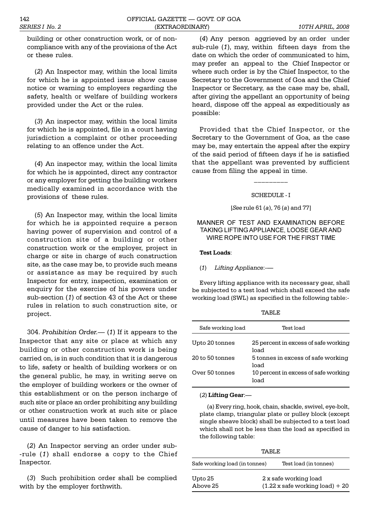building or other construction work, or of noncompliance with any of the provisions of the Act or these rules.

(*2*) An Inspector may, within the local limits for which he is appointed issue show cause notice or warning to employers regarding the safety, health or welfare of building workers provided under the Act or the rules.

(*3*) An inspector may, within the local limits for which he is appointed, file in a court having jurisdiction a complaint or other proceeding relating to an offence under the Act.

(*4*) An inspector may, within the local limits for which he is appointed, direct any contractor or any employer for getting the building workers medically examined in accordance with the provisions of these rules.

(*5*) An Inspector may, within the local limits for which he is appointed require a person having power of supervision and control of a construction site of a building or other construction work or the employer, project in charge or site in charge of such construction site, as the case may be, to provide such means or assistance as may be required by such Inspector for entry, inspection, examination or enquiry for the exercise of his powers under sub-section (*1*) of section 43 of the Act or these rules in relation to such construction site, or project.

304. *Prohibition Order.* (*1*) If it appears to the Inspector that any site or place at which any building or other construction work is being carried on, is in such condition that it is dangerous to life, safety or health of building workers or on the general public, he may, in writing serve on the employer of building workers or the owner of this establishment or on the person incharge of such site or place an order prohibiting any building or other construction work at such site or place until measures have been taken to remove the cause of danger to his satisfaction.

(*2*) An Inspector serving an order under sub- -rule (*1*) shall endorse a copy to the Chief Inspector.

(*3*) Such prohibition order shall be complied with by the employer forthwith.

(*4*) Any person aggrieved by an order under sub-rule (*1*), may, within fifteen days from the date on which the order of communicated to him, may prefer an appeal to the Chief Inspector or where such order is by the Chief Inspector, to the Secretary to the Government of Goa and the Chief Inspector or Secretary, as the case may be, shall, after giving the appellant an opportunity of being heard, dispose off the appeal as expeditiously as possible:

Provided that the Chief Inspector, or the Secretary to the Government of Goa, as the case may be, may entertain the appeal after the expiry of the said period of fifteen days if he is satisfied that the appellant was prevented by sufficient cause from filing the appeal in time.

#### SCHEDULE - I

 $\_$ 

[*See* rule 61 (*a*), 76 (*a*) and 77]

### MANNER OF TEST AND EXAMINATION BEFORE TAKING LIFTING APPLIANCE, LOOSE GEAR AND WIRE ROPE INTO USE FOR THE FIRST TIME

**Test Loads**:

#### (*1*) *Lifting Appliance*:-

Every lifting appliance with its necessary gear, shall be subjected to a test load which shall exceed the safe working load (SWL) as specified in the following table:-

|--|--|

| Safe working load | Test load                                    |
|-------------------|----------------------------------------------|
| Upto 20 tonnes    | 25 percent in excess of safe working<br>load |
| 20 to 50 tonnes   | 5 tonnes in excess of safe working<br>load   |
| Over 50 tonnes    | 10 percent in excess of safe working<br>load |

(*2*) **Lifting Gear**:

(a) Every ring, hook, chain, shackle, swivel, eye-bolt, plate clamp, triangular plate or pulley block (except single sheave block) shall be subjected to a test load which shall not be less than the load as specified in the following table:

| TARLE.                        |                                                                        |  |  |  |
|-------------------------------|------------------------------------------------------------------------|--|--|--|
| Safe working load (in tonnes) | Test load (in tonnes)                                                  |  |  |  |
| Upto 25<br>Above 25           | 2 x safe working load<br>$(1.22 \times \text{safe working load}) + 20$ |  |  |  |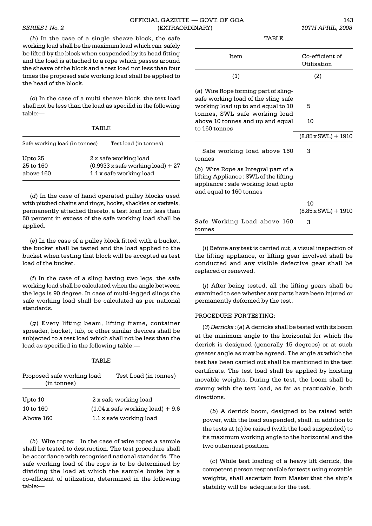(*b*) In the case of a single sheave block, the safe working load shall be the maximum load which can safely be lifted by the block when suspended by its head fitting and the load is attached to a rope which passes around the sheave of the block and a test load not less than four times the proposed safe working load shall be applied to the head of the block.

(*c*) In the case of a multi sheave block, the test load shall not be less than the load as specifid in the following table:

| TARLE.                            |  |                                                                                                     |  |  |
|-----------------------------------|--|-----------------------------------------------------------------------------------------------------|--|--|
| Safe working load (in tonnes)     |  | Test load (in tonnes)                                                                               |  |  |
| Upto 25<br>25 to 160<br>above 160 |  | 2 x safe working load<br>$(0.9933 \times \text{safe working load}) + 27$<br>1.1 x safe working load |  |  |

(*d*) In the case of hand operated pulley blocks used with pitched chains and rings, hooks, shackles or swivels, permanently attached thereto, a test load not less than 50 percent in excess of the safe working load shall be applied.

(*e*) In the case of a pulley block fitted with a bucket, the bucket shall be tested and the load applied to the bucket when testing that block will be accepted as test load of the bucket.

(*f*) In the case of a sling having two legs, the safe working load shall be calculated when the angle between the legs is 90 degree. In case of multi-legged slings the safe working load shall be calculated as per national standards.

(*g*) Every lifting beam, lifting frame, container spreader, bucket, tub, or other similar devices shall be subjected to a test load which shall not be less than the load as specified in the following table:

| м. |  |
|----|--|
|----|--|

| Test Load (in tonnes)<br>Proposed safe working load |  |
|-----------------------------------------------------|--|
| 2 x safe working load                               |  |
| $(1.04 x \text{ safe working load}) + 9.6$          |  |
| 1.1 x safe working load                             |  |
|                                                     |  |

(*h*) Wire ropes: In the case of wire ropes a sample shall be tested to destruction. The test procedure shall be accordance with recognised national standards. The safe working load of the rope is to be determined by dividing the load at which the sample broke by a co-efficient of utilization, determined in the following table:

| TABLE.                                                                                                                                                                                                  |                                       |
|---------------------------------------------------------------------------------------------------------------------------------------------------------------------------------------------------------|---------------------------------------|
| Item                                                                                                                                                                                                    | Co-efficient of<br>Utilisation        |
| (1)                                                                                                                                                                                                     | (2)                                   |
| (a) Wire Rope forming part of sling-<br>safe working load of the sling safe<br>working load up to and equal to 10<br>tonnes, SWL safe working load<br>above 10 tonnes and up and equal<br>to 160 tonnes | 5<br>10<br>$(8.85 \times SWL) + 1910$ |
| Safe working load above 160<br>tonnes                                                                                                                                                                   | 3                                     |
| (b) Wire Rope as Integral part of a<br>lifting Appliance : SWL of the lifting<br>appliance : safe working load upto<br>and equal to 160 tonnes                                                          |                                       |
|                                                                                                                                                                                                         | 10<br>$(8.85 \times SWL) + 1910$      |
| Safe Working Load above 160<br>tonnes                                                                                                                                                                   | 3                                     |

(*i*) Before any test is carried out, a visual inspection of the lifting appliance, or lifting gear involved shall be conducted and any visible defective gear shall be replaced or renewed.

(*j*) After being tested, all the lifting gears shall be examined to see whether any parts have been injured or permanently deformed by the test.

# PROCEDURE FOR TESTING:

(*3*) *Derricks* : (*a*) A derricks shall be tested with its boom at the minimum angle to the horizontal for which the derrick is designed (generally 15 degrees) or at such greater angle as may be agreed. The angle at which the test has been carried out shall be mentioned in the test certificate. The test load shall be applied by hoisting movable weights. During the test, the boom shall be swung with the test load, as far as practicable, both directions.

(*b*) A derrick boom, designed to be raised with power, with the load suspended, shall, in addition to the tests at (*a*) be raised (with the load suspended) to its maximum working angle to the horizontal and the two outermost position.

(*c*) While test loading of a heavy lift derrick, the competent person responsible for tests using movable weights, shall ascertain from Master that the ship's stability will be adequate for the test.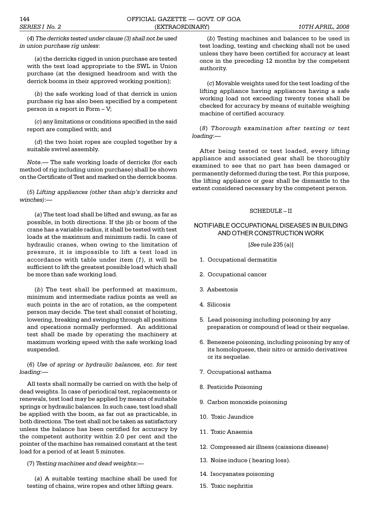(*4*) *The derricks tested under clause (3) shall not be used in union purchase rig unless*:

(*a*) the derricks rigged in union purchase are tested with the test load appropriate to the SWL in Union purchase (at the designed headroom and with the derrick booms in their approved working position);

(*b*) the safe working load of that derrick in union purchase rig has also been specified by a competent person in a report in Form  $-V$ ;

(*c*) any limitations or conditions specified in the said report are complied with; and

(*d*) the two hoist ropes are coupled together by a suitable swivel assembly.

*Note*. The safe working loads of derricks (for each method of rig including union purchase) shall be shown on the Certificate of Test and marked on the derrick booms.

(5) *Lifting appliances (other than ship's derricks and winches)*:

(*a*) The test load shall be lifted and swung, as far as possible, in both directions. If the jib or boom of the crane has a variable radius, it shall be tested with test loads at the maximum and minimum radii. In case of hydraulic cranes, when owing to the limitation of pressure, it is impossible to lift a test load in accordance with table under item (*1*), it will be sufficient to lift the greatest possible load which shall be more than safe working load.

(*b*) The test shall be performed at maximum, minimum and intermediate radius points as well as such points in the arc of rotation, as the competent person may decide. The test shall consist of hoisting, lowering, breaking and swinging through all positions and operations normally performed. An additional test shall be made by operating the machinery at maximum working speed with the safe working load suspended.

(*6*) *Use of spring or hydraulic balances, etc. for test loading*:

All tests shall normally be carried on with the help of dead weights. In case of periodical test, replacements or renewals, test load may be applied by means of suitable springs or hydraulic balances. In such case, test load shall be applied with the boom, as far out as practicable, in both directions. The test shall not be taken as satisfactory unless the balance has been certified for accuracy by the competent authority within 2.0 per cent and the pointer of the machine has remained constant at the test load for a period of at least 5 minutes.

(7) *Testing machines and dead weights*:

(*a*) A suitable testing machine shall be used for testing of chains, wire ropes and other lifting gears.

(*b*) Testing machines and balances to be used in test loading, testing and checking shall not be used unless they have been certified for accuracy at least once in the preceding 12 months by the competent authority.

(*c*) Movable weights used for the test loading of the lifting appliance having appliances having a safe working load not exceeding twenty tones shall be checked for accuracy by means of suitable weighing machine of certified accuracy.

(*8*) *Thorough examination after testing or test loading*:

After being tested or test loaded, every lifting appliance and associated gear shall be thoroughly examined to see that no part has been damaged or permanently deformed during the test. For this purpose, the lifting appliance or gear shall be dismantle to the extent considered necessary by the competent person.

#### $SCHEDUI.E-II$

### NOTIFIABLE OCCUPATIONAL DISEASES IN BUILDING AND OTHER CONSTRUCTION WORK

[*See* rule 235 (a)]

- 1. Occupational dermatitis
- 2. Occupational cancer
- 3. Asbestosis
- 4. Silicosis
- 5. Lead poisoning including poisoning by any preparation or compound of lead or their sequelae.
- 6. Benezene poisoning, including poisoning by any of its homologuese, their nitro or armido derivatives or its sequelae.
- 7. Occupational asthama
- 8. Pesticide Poisoning
- 9. Carbon monoxide poisoning
- 10. Toxic Jaundice
- 11. Toxic Anaemia
- 12. Compressed air illness (caissions disease)
- 13. Noise induce ( hearing loss).
- 14. Isocyanates poisoning
- 15. Toxic nephritis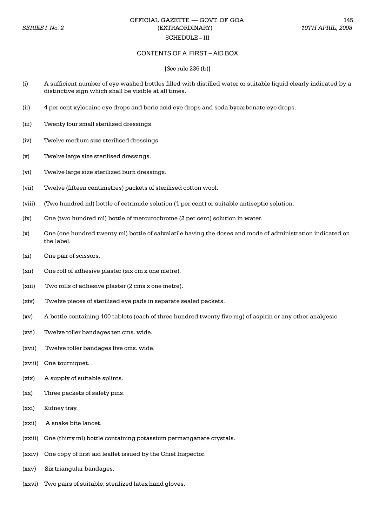### SCHEDULE-III

### CONTENTS OF A FIRST-AID BOX

#### [*See* rule 236 (b)]

- (i) A sufficient number of eye washed bottles filled with distilled water or suitable liquid clearly indicated by a distinctive sign which shall be visible at all times.
- (ii) 4 per cent xylocaine eye drops and boric acid eye drops and soda bycarbonate eye drops.
- (iii) Twenty four small sterilised dressings.
- (iv) Twelve medium size sterilised dressings.
- (v) Twelve large size sterilised dressings.
- (vi) Twelve large size sterilized burn dressings.
- (vii) Twelve (fifteen centimetres) packets of sterilised cotton wool.
- (viii) (Two hundred ml) bottle of cetrimide solution (1 per cent) or suitable antiseptic solution.
- (ix) One (two hundred ml) bottle of mercurochrome (2 per cent) solution in water.
- (x) One (one hundred twenty ml) bottle of salvalatile having the doses and mode of administration indicated on the label.
- (xi) One pair of scissors.
- (xii) One roll of adhesive plaster (six cm x one metre).
- (xiii) Two rolls of adhesive plaster (2 cms x one metre).
- (xiv) Twelve pieces of sterilised eye pads in separate sealed packets.
- (xv) A bottle containing 100 tablets (each of three hundred twenty five mg) of aspirin or any other analgesic.
- (xvi) Twelve roller bandages ten cms. wide.
- (xvii) Twelve roller bandages five cms. wide.
- (xviii) One tourniquet.
- (xix) A supply of suitable splints.
- (xx) Three packets of safety pins.
- (xxi) Kidney tray.
- (xxii) A snake bite lancet.
- (xxiii) One (thirty ml) bottle containing potassium permanganate crystals.
- (xxiv) One copy of first aid leaflet issued by the Chief Inspector.
- (xxv) Six triangular bandages.
- (xxvi) Two pairs of suitable, sterilized latex hand gloves.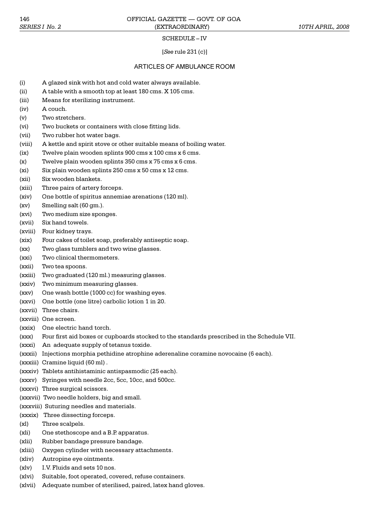#### SCHEDULE-IV

#### [*See* rule 231 (c)]

### ARTICLES OF AMBULANCE ROOM

- (i) A glazed sink with hot and cold water always available.
- (ii) A table with a smooth top at least 180 cms. X 105 cms.
- (iii) Means for sterilizing instrument.
- (iv) A couch.
- (v) Two stretchers.
- (vi) Two buckets or containers with close fitting lids.
- (vii) Two rubber hot water bags.
- (viii) A kettle and spirit stove or other suitable means of boiling water.
- (ix) Twelve plain wooden splints 900 cms x 100 cms x 6 cms.
- (x) Twelve plain wooden splints 350 cms x 75 cms x 6 cms.
- (xi) Six plain wooden splints 250 cms x 50 cms x 12 cms.
- (xii) Six wooden blankets.
- (xiii) Three pairs of artery forceps.
- (xiv) One bottle of spiritus annemiae arenations (120 ml).
- $(xv)$  Smelling salt  $(60 \text{ cm.})$ .
- (xvi) Two medium size sponges.
- (xvii) Six hand towels.
- (xviii) Four kidney trays.
- (xix) Four cakes of toilet soap, preferably antiseptic soap.
- (xx) Two glass tumblers and two wine glasses.
- (xxi) Two clinical thermometers.
- (xxii) Two tea spoons.
- (xxiii) Two graduated (120 ml.) measuring glasses.
- (xxiv) Two minimum measuring glasses.
- (xxv) One wash bottle (1000 cc) for washing eyes.
- (xxvi) One bottle (one litre) carbolic lotion 1 in 20.
- (xxvii) Three chairs.
- (xxviii) One screen.
- (xxix) One electric hand torch.
- (xxx) Four first aid boxes or cupboards stocked to the standards prescribed in the Schedule VII.
- (xxxi) An adequate supply of tetanus toxide.
- (xxxii) Injections morphia pethidine atrophine aderenaline coramine novocaine (6 each).
- (xxxiii) Cramine liquid (60 ml) .
- (xxxiv) Tablets antihistaminic antispasmodic (25 each).
- (xxxv) Syringes with needle 2cc, 5cc, 10cc, and 500cc.
- (xxxvi) Three surgical scissors.
- (xxxvii) Two needle holders, big and small.
- (xxxviii) Suturing needles and materials.
- (xxxix) Three dissecting forceps.
- (xl) Three scalpels.
- (xli) One stethoscope and a B.P. apparatus.
- (xlii) Rubber bandage pressure bandage.
- (xliii) Oxygen cylinder with necessary attachments.
- (xliv) Autropine eye ointments.
- (xlv) I.V. Fluids and sets 10 nos.
- (xlvi) Suitable, foot operated, covered, refuse containers.
- (xlvii) Adequate number of sterilised, paired, latex hand gloves.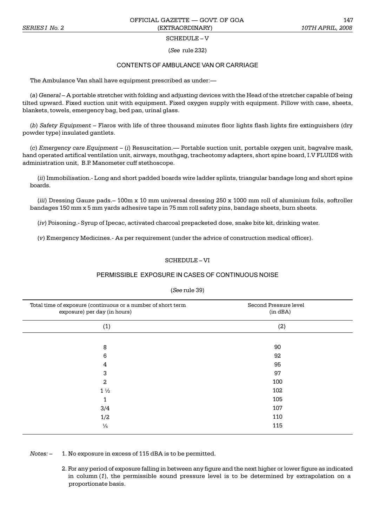### SCHEDULE-V

(*See* rule 232)

# CONTENTS OF AMBULANCE VAN OR CARRIAGE

The Ambulance Van shall have equipment prescribed as under:

(*a*) *General* A portable stretcher with folding and adjusting devices with the Head of the stretcher capable of being tilted upward. Fixed suction unit with equipment. Fixed oxygen supply with equipment. Pillow with case, sheets, blankets, towels, emergency bag, bed pan, urinal glass.

(*b*) *Safety Equipment* Flaros with life of three thousand minutes floor lights flash lights fire extinguishers (dry powder type) insulated gantlets.

(*c*) *Emergency care Equipment* (*i*) Resuscitation. Portable suction unit, portable oxygen unit, bagvalve mask, hand operated artifical ventilation unit, airways, mouthgag, tracheotomy adapters, short spine board, I.V FLUIDS with administration unit, B.P. Manometer cuff stethoscope.

(*ii*) Immobilisation.- Long and short padded boards wire ladder splints, triangular bandage long and short spine boards.

(*iii*) Dressing Gauze pads. - 100m x 10 mm universal dressing 250 x 1000 mm roll of aluminium foils, softroller bandages 150 mm x 5 mm yards adhesive tape in 75 mm roll safety pins, bandage sheets, burn sheets.

(*iv*) Poisoning.- Syrup of Ipecac, activated charcoal prepacketed dose, snake bite kit, drinking water.

(*v*) Emergency Medicines.- As per requirement (under the advice of construction medical officer).

### $SCHENDIJJ.E-VI$

### PERMISSIBLE EXPOSURE IN CASES OF CONTINUOUS NOISE

#### (*See* rule 39)

| Total time of exposure (continuous or a number of short term<br>exposure) per day (in hours) | Second Pressure level<br>(in dBA) |
|----------------------------------------------------------------------------------------------|-----------------------------------|
| (1)                                                                                          | (2)                               |
|                                                                                              |                                   |
| 8                                                                                            | 90                                |
| 6                                                                                            | 92                                |
| 4                                                                                            | 95                                |
| 3                                                                                            | 97                                |
| $\overline{a}$                                                                               | 100                               |
| $1\frac{1}{2}$                                                                               | 102                               |
| 1                                                                                            | 105                               |
| 3/4                                                                                          | 107                               |
| 1/2                                                                                          | 110                               |
| $\frac{1}{4}$                                                                                | 115                               |

*Notes:*  $-$  1. No exposure in excess of 115 dBA is to be permitted.

2. For any period of exposure falling in between any figure and the next higher or lower figure as indicated in column (*1*), the permissible sound pressure level is to be determined by extrapolation on a proportionate basis.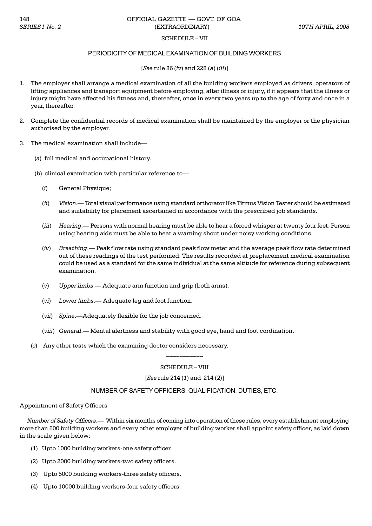### SCHEDULE-VII

## PERIODICITY OF MEDICAL EXAMINATION OF BUILDING WORKERS

[*See* rule 86 (*iv*) and 228 (*a*) (*iii*)]

- 1. The employer shall arrange a medical examination of all the building workers employed as drivers, operators of lifting appliances and transport equipment before employing, after illness or injury, if it appears that the illness or injury might have affected his fitness and, thereafter, once in every two years up to the age of forty and once in a year, thereafter.
- 2. Complete the confidential records of medical examination shall be maintained by the employer or the physician authorised by the employer.
- 3. The medical examination shall include
	- (*a*) full medical and occupational history.
	- (*b*) clinical examination with particular reference to
		- (*i*) General Physique;
		- (*ii*) *Vision*. Total visual performance using standard orthorator like Titmus Vision Tester should be estimated and suitability for placement ascertained in accordance with the prescribed job standards.
		- (*iii*) Hearing.— Persons with normal hearing must be able to hear a forced whisper at twenty four feet. Person using hearing aids must be able to hear a warning shout under noisy working conditions.
		- (*iv*) *Breathing*. Peak flow rate using standard peak flow meter and the average peak flow rate determined out of these readings of the test performed. The results recorded at preplacement medical examination could be used as a standard for the same individual at the same altitude for reference during subsequent examination.
		- (*v*) *Upper limbs*. Adequate arm function and grip (both arms).
		- (*vi*) *Lower limbs*. Adequate leg and foot function.
		- (*vii*) *Spine*.—Adequately flexible for the job concerned.
		- (*viii*) *General*. Mental alertness and stability with good eye, hand and foot cordination.
	- (*c*) Any other tests which the examining doctor considers necessary.

# SCHEDULE-VIII

\_\_\_\_\_\_\_\_\_\_\_

#### [*See* rule 214 (*1*) and 214 (*2*)]

#### NUMBER OF SAFETY OFFICERS, QUALIFICATION, DUTIES, ETC.

#### Appointment of Safety Officers

*Number of Safety Officers.* Within six months of coming into operation of these rules, every establishment employing more than 500 building workers and every other employer of building worker shall appoint safety officer, as laid down in the scale given below:

- (1) Upto 1000 building workers-one safety officer.
- (2) Upto 2000 building workers-two safety officers.
- (3) Upto 5000 building workers-three safety officers.
- (4) Upto 10000 building workers-four safety officers.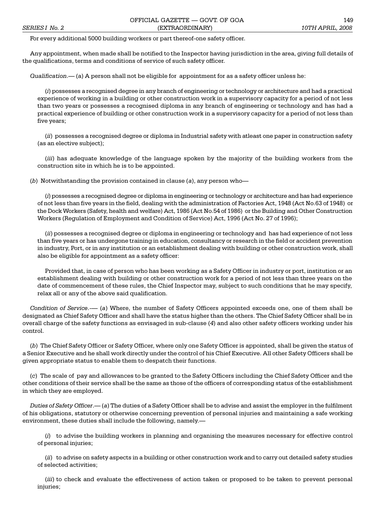For every additional 5000 building workers or part thereof-one safety officer.

Any appointment, when made shall be notified to the Inspector having jurisdiction in the area, giving full details of the qualifications, terms and conditions of service of such safety officer.

*Qualification*. (a) A person shall not be eligible for appointment for as a safety officer unless he:

(*i*) possesses a recognised degree in any branch of engineering or technology or architecture and had a practical experience of working in a building or other construction work in a supervisory capacity for a period of not less than two years or possesses a recognised diploma in any branch of engineering or technology and has had a practical experience of building or other construction work in a supervisory capacity for a period of not less than five years;

(*ii*) possesses a recognised degree or diploma in Industrial safety with atleast one paper in construction safety (as an elective subject);

(*iii*) has adequate knowledge of the language spoken by the majority of the building workers from the construction site in which he is to be appointed.

(*b*) Notwithstanding the provision contained in clause (*a*), any person who

(*i*) possesses a recognised degree or diploma in engineering or technology or architecture and has had experience of not less than five years in the field, dealing with the administration of Factories Act, 1948 (Act No.63 of 1948) or the Dock Workers (Safety, health and welfare) Act, 1986 (Act No.54 of 1986) or the Building and Other Construction Workers (Regulation of Employment and Condition of Service) Act, 1996 (Act No. 27 of 1996);

(*ii*) possesses a recognised degree or diploma in engineering or technology and has had experience of not less than five years or has undergone training in education, consultancy or research in the field or accident prevention in industry, Port, or in any institution or an establishment dealing with building or other construction work, shall also be eligible for appointment as a safety officer:

Provided that, in case of person who has been working as a Safety Officer in industry or port, institution or an establishment dealing with building or other construction work for a period of not less than three years on the date of commencement of these rules, the Chief Inspector may, subject to such conditions that he may specify, relax all or any of the above said qualification.

*Condition of Service*.— (*a*) Where, the number of Safety Officers appointed exceeds one, one of them shall be designated as Chief Safety Officer and shall have the status higher than the others. The Chief Safety Officer shall be in overall charge of the safety functions as envisaged in sub-clause (*4*) and also other safety officers working under his control.

(*b*) The Chief Safety Officer or Safety Officer, where only one Safety Officer is appointed, shall be given the status of a Senior Executive and he shall work directly under the control of his Chief Executive. All other Safety Officers shall be given appropriate status to enable them to despatch their functions.

(*c*) The scale of pay and allowances to be granted to the Safety Officers including the Chief Safety Officer and the other conditions of their service shall be the same as those of the officers of corresponding status of the establishment in which they are employed.

*Duties of Safety Officer*. (*a*) The duties of a Safety Officer shall be to advise and assist the employer in the fulfilment of his obligations, statutory or otherwise concerning prevention of personal injuries and maintaining a safe working environment, these duties shall include the following, namely.

(*i*) to advise the building workers in planning and organising the measures necessary for effective control of personal injuries;

(*ii*) to advise on safety aspects in a building or other construction work and to carry out detailed safety studies of selected activities;

(*iii*) to check and evaluate the effectiveness of action taken or proposed to be taken to prevent personal injuries;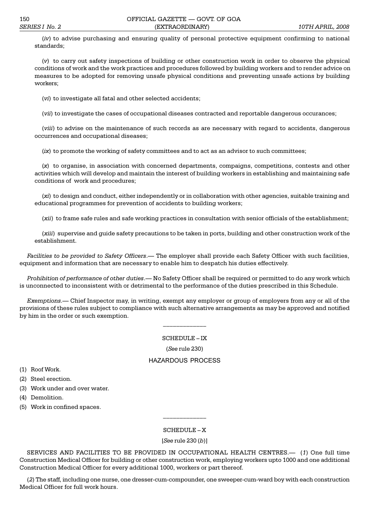(*iv*) to advise purchasing and ensuring quality of personal protective equipment confirming to national standards;

(*v*) to carry out safety inspections of building or other construction work in order to observe the physical conditions of work and the work practices and procedures followed by building workers and to render advice on measures to be adopted for removing unsafe physical conditions and preventing unsafe actions by building workers;

(*vi*) to investigate all fatal and other selected accidents;

(*vii*) to investigate the cases of occupational diseases contracted and reportable dangerous occurances;

(*viii*) to advise on the maintenance of such records as are necessary with regard to accidents, dangerous occurrences and occupational diseases;

(*ix*) to promote the working of safety committees and to act as an advisor to such committees;

(*x*) to organise, in association with concerned departments, compaigns, competitions, contests and other activities which will develop and maintain the interest of building workers in establishing and maintaining safe conditions of work and procedures;

(*xi*) to design and conduct, either independently or in collaboration with other agencies, suitable training and educational programmes for prevention of accidents to building workers;

(*xii*) to frame safe rules and safe working practices in consultation with senior officials of the establishment;

(*xiii*) supervise and guide safety precautions to be taken in ports, building and other construction work of the establishment.

*Facilities to be provided to Safety Officers*. The employer shall provide each Safety Officer with such facilities, equipment and information that are necessary to enable him to despatch his duties effectively.

*Prohibition of performance of other duties*.— No Safety Officer shall be required or permitted to do any work which is unconnected to inconsistent with or detrimental to the performance of the duties prescribed in this Schedule.

*Exemptions*. Chief Inspector may, in writing, exempt any employer or group of employers from any or all of the provisions of these rules subject to compliance with such alternative arrangements as may be approved and notified by him in the order or such exemption.

\_\_\_\_\_\_\_\_\_\_\_\_\_

SCHEDULE-IX

(*See* rule 230)

#### HAZARDOUS PROCESS

(1) Roof Work.

(2) Steel erection.

(3) Work under and over water.

- (4) Demolition.
- (5) Work in confined spaces.

#### $SCHEDULE - X$

\_\_\_\_\_\_\_\_\_\_\_\_\_

[*See* rule 230 (*b*)]

SERVICES AND FACILITIES TO BE PROVIDED IN OCCUPATIONAL HEALTH CENTRES. (*1*) One full time Construction Medical Officer for building or other construction work, employing workers upto 1000 and one additional Construction Medical Officer for every additional 1000, workers or part thereof.

(*2*) The staff, including one nurse, one dresser-cum-compounder, one sweeper-cum-ward boy with each construction Medical Officer for full work hours.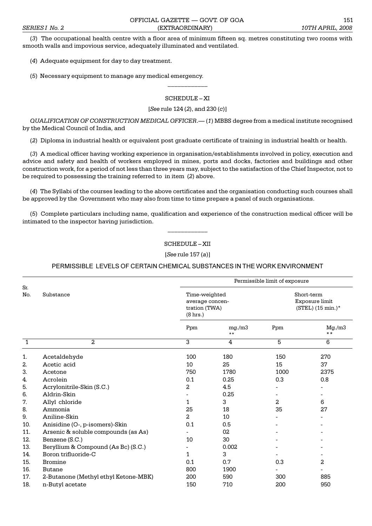(*3*) The occupational health centre with a floor area of minimum fifteen sq. metres constituting two rooms with smooth walls and impovious service, adequately illuminated and ventilated.

(*4*) Adequate equipment for day to day treatment.

(*5*) Necessary equipment to manage any medical emergency.

## SCHEDULE-XI

 $\overline{\phantom{a}}$ 

### [*See* rule 124 (*2*), and 230 (*c*)]

*QUALIFICATION OF CONSTRUCTION MEDICAL OFFICER*. (*1*) MBBS degree from a medical institute recognised by the Medical Council of India, and

(*2*) Diploma in industrial health or equivalent post graduate certificate of training in industrial health or health.

(*3*) A medical officer having working experience in organisation/establishments involved in policy, execution and advice and safety and health of workers employed in mines, ports and docks, factories and buildings and other construction work, for a period of not less than three years may, subject to the satisfaction of the Chief Inspector, not to be required to possessing the training referred to in item (*2*) above.

(*4*) The Syllabi of the courses leading to the above certificates and the organisation conducting such courses shall be approved by the Government who may also from time to time prepare a panel of such organisations.

(*5*) Complete particulars including name, qualification and experience of the construction medical officer will be intimated to the inspector having jurisdiction.

> $\overline{\phantom{a}}$ SCHEDULE-XII

[*See* rule 157 (*a*)]

PERMISSIBLE LEVELS OF CERTAIN CHEMICAL SUBSTANCES IN THE WORK ENVIRONMENT

|              |                                      | Permissible limit of exposure                                 |                 |                                                   |                         |
|--------------|--------------------------------------|---------------------------------------------------------------|-----------------|---------------------------------------------------|-------------------------|
| Sr.<br>No.   | Substance                            | Time-weighted<br>average concen-<br>tration (TWA)<br>(8 hrs.) |                 | Short-term<br>Exposure limit<br>(STEL) (15 min.)* |                         |
|              |                                      | Ppm                                                           | mg./m3<br>$***$ | Ppm                                               | Mg./m3<br>$* *$         |
| $\mathbf{1}$ | 2                                    | 3                                                             | 4               | 5                                                 | 6                       |
| 1.           | Acetaldehyde                         | 100                                                           | 180             | 150                                               | 270                     |
| 2.           | Acetic acid                          | 10                                                            | 25              | 15                                                | 37                      |
| 3.           | Acetone                              | 750                                                           | 1780            | 1000                                              | 2375                    |
| 4.           | Acrolein                             | 0.1                                                           | 0.25            | 0.3                                               | 0.8                     |
| 5.           | Acrylonitrile-Skin (S.C.)            | 2                                                             | 4.5             |                                                   |                         |
| 6.           | Aldrin-Skin                          |                                                               | 0.25            |                                                   |                         |
| 7.           | Allyl chloride                       | 1                                                             | 3               | 2                                                 | 6                       |
| 8.           | Ammonia                              | 25                                                            | 18              | 35                                                | 27                      |
| 9.           | Aniline-Skin                         | 2                                                             | 10              |                                                   |                         |
| 10.          | Anisidine (O-, p-isomers)-Skin       | 0.1                                                           | 0.5             |                                                   |                         |
| 11.          | Arsenic & soluble compounds (as As)  |                                                               | 02              |                                                   |                         |
| 12.          | Benzene (S.C.)                       | 10                                                            | 30              |                                                   |                         |
| 13.          | Beryllium & Compound (As Bc) (S.C.)  |                                                               | 0.002           |                                                   |                         |
| 14.          | Boron trifluoride-C                  | 1                                                             | 3               |                                                   |                         |
| 15.          | <b>Bromine</b>                       | 0.1                                                           | 0.7             | 0.3                                               | $\overline{\mathbf{c}}$ |
| 16.          | <b>Butane</b>                        | 800                                                           | 1900            |                                                   |                         |
| 17.          | 2-Butanone (Methyl ethyl Ketone-MBK) | 200                                                           | 590             | 300                                               | 885                     |
| 18.          | n-Butyl acetate                      | 150                                                           | 710             | 200                                               | 950                     |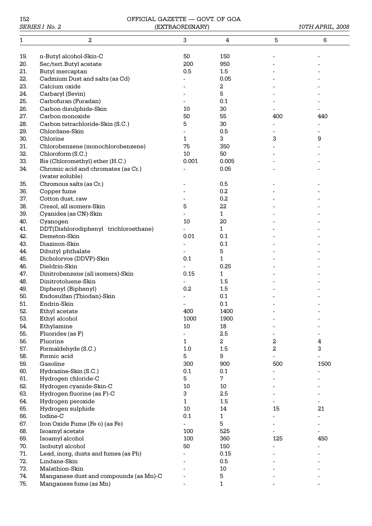| 152         |  |
|-------------|--|
| SERIES I No |  |

# 152 OFFICIAL GAZETTE — GOVT. OF GOA *SERIES I No. 2* (EXTRAORDINARY) *10TH APRIL, 2008*

| 1   | 2                                      | 3              | 4      | 5                | 6                       |
|-----|----------------------------------------|----------------|--------|------------------|-------------------------|
|     |                                        |                |        |                  |                         |
| 19. | n-Butyl alcohol-Skin-C                 | 50             | 150    |                  |                         |
| 20. | Sec/tert.Butyl acetate                 | 200            | 950    |                  |                         |
| 21. | Butyl mercaptan                        | 0.5            | 1.5    |                  |                         |
| 22. | Cadmium Dust and salts (as Cd)         |                | 0.05   |                  |                         |
| 23. | Calcium oxide                          |                | 2      |                  |                         |
| 24. | Carbaryl (Sevin)                       |                | 5      |                  |                         |
| 25. | Carbofuran (Furadan)                   |                | 0.1    |                  |                         |
| 26. | Carbon disulphide-Skin                 | 10             | 30     |                  |                         |
| 27. | Carbon monoxide                        | 50             | 55     | 400              | 440                     |
| 28. | Carbon tetrachloride-Skin (S.C.)       | 5              | 30     |                  |                         |
| 29. | Chlordane-Skin                         |                | 0.5    |                  |                         |
| 30. | Chlorine                               | 1              | 3      | 3                | 9                       |
| 31. | Chlorobenzene (monochlorobenzene)      | 75             | 350    |                  |                         |
| 32. | Chloroform (S.C.)                      | 10             | 50     |                  |                         |
| 33. | Bis (Chloromethyl) ether (H.C.)        | 0.001          | 0.005  |                  |                         |
| 34. | Chromic acid and chromates (as Cr.)    |                | 0.05   |                  |                         |
|     | (water soluble)                        |                |        |                  |                         |
| 35. | Chromous salts (as Cr.)                |                | 0.5    |                  |                         |
| 36. | Copper fume                            |                | 0.2    |                  |                         |
| 37. | Cotton dust, raw                       |                | 0.2    |                  |                         |
| 38. | Cresol, all isomers-Skin               | 5              | 22     |                  |                         |
| 39. | Cyanides (as CN)-Skin                  |                | 1      |                  |                         |
| 40. | Cyanogen                               | 10             | 20     |                  |                         |
| 41. | DDT(Dishlorodiphenyl trichloroethane)  |                | 1      |                  |                         |
| 42. | Demeton-Skin                           | 0.01           | 0.1    |                  |                         |
| 43. | Diazinon-Skin                          |                | 0.1    |                  |                         |
| 44. | Dibutyl phthalate                      |                | 5      |                  |                         |
| 45. | Dicholorvos (DDVP)-Skin                | 0.1            | 1      |                  |                         |
| 46. | Dieldrin-Skin                          |                | 0.25   |                  |                         |
| 47. | Dinitrobenzene (all isomers)-Skin      | 0.15           | 1      |                  |                         |
| 48. | Dinitrotoluene-Skin                    |                | 1.5    |                  |                         |
| 49. | Diphenyl (Biphenyl)                    | 0.2            | 1.5    |                  |                         |
| 50. | Endosulfan (Thiodan)-Skin              |                | 0.1    |                  |                         |
| 51. | Endrin-Skin                            |                | 0.1    |                  |                         |
| 52. | Ethyl acetate                          | 400            | 1400   |                  |                         |
| 53. | Ethyl alcohol                          | 1000           | 1900   |                  |                         |
| 54. | Ethylamine                             | $10\,$         | 18     |                  |                         |
| 55. | Fluorides (as F)                       | $\overline{a}$ | 2.5    |                  |                         |
| 56. | Fluorine                               | 1              | 2      | $\boldsymbol{2}$ | $\overline{\mathbf{4}}$ |
| 57. | Formaldehyde (S.C.)                    | 1.0            | 1.5    | 2                | 3                       |
| 58. | Formic acid                            | 5              | 9      |                  |                         |
| 59. | Gasoline                               | 300            | 900    | 500              | 1500                    |
| 60. | Hydrazine-Skin (S.C.)                  | 0.1            | 0.1    |                  |                         |
| 61. | Hydrogen chloride-C                    | 5              | 7      |                  |                         |
| 62. | Hydrogen cyanide-Skin-C                | 10             | 10     |                  |                         |
| 63. | Hydrogen fluorine (as F)-C             | 3              | 2.5    |                  |                         |
| 64. | Hydrogen peroxide                      | 1              | 1.5    |                  |                         |
| 65. | Hydrogen sulphide                      | 10             | 14     | 15               | 21                      |
| 66. | Iodine-C                               | 0.1            | 1      |                  |                         |
| 67. | Iron Oxide Fume (Fe o) (as Fe)         |                | 5      |                  |                         |
| 68. | Isoamyl acetate                        | 100            | 525    |                  |                         |
| 69. | Isoamyl alcohol                        | 100            | 360    | 125              | 450                     |
| 70. | Isobutyl alcohol                       | 50             | 150    |                  |                         |
| 71. | Lead, inorg, dusts and fumes (as Pb)   |                | 0.15   |                  |                         |
| 72. | Lindane-Skin                           |                | 0.5    |                  |                         |
| 73. | Malathion-Skin                         |                | $10\,$ |                  |                         |
| 74. | Manganese dust and compounds (as Mn)-C |                | 5      |                  |                         |
| 75. | Manganese fume (as Mn)                 |                | 1      |                  |                         |
|     |                                        |                |        |                  |                         |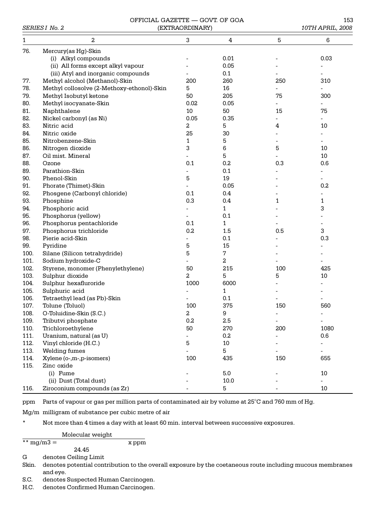#### OFFICIAL GAZETTE — GOVT. OF GOA 153<br>(EXTRAORDINARY) (10TH APRIL 2008) **SERIES I No. 2** (EXTRAORDINARY)

|      |                                            | , ,,,,,,,,,,,,,,,,,,,,,,, |                         |     | 10111111111111, 2000 |
|------|--------------------------------------------|---------------------------|-------------------------|-----|----------------------|
| 1    | 2                                          | 3                         | $\overline{\mathbf{4}}$ | 5   | 6                    |
| 76.  | Mercury(as Hg)-Skin                        |                           |                         |     |                      |
|      | (i) Alkyl compounds                        |                           | 0.01                    |     | 0.03                 |
|      | (ii) All forms except alkyl vapour         |                           | 0.05                    |     |                      |
|      | (iii) Atyl and inorganic compounds         |                           | 0.1                     |     |                      |
| 77.  | Methyl alcohol (Methanol)-Skin             | 200                       | 260                     | 250 | 310                  |
| 78.  | Methyl collosolve (2-Methoxy-ethonol)-Skin | 5                         | 16                      |     |                      |
| 79.  | Methyl Isobutyl ketone                     | 50                        | 205                     | 75  | 300                  |
| 80.  | Methyl isocyanate-Skin                     | 0.02                      | 0.05                    |     |                      |
| 81.  | Naphthalene                                | 10                        | 50                      | 15  | 75                   |
| 82.  | Nickel carbonyl (as Ni)                    | 0.05                      | 0.35                    |     |                      |
| 83.  | Nitric acid                                | 2                         | 5                       | 4   | 10                   |
| 84.  | Nitric oxide                               | 25                        | 30                      |     |                      |
| 85.  | Nitrobenzene-Skin                          | 1                         | 5                       |     |                      |
| 86.  | Nitrogen dioxide                           | 3                         | 6                       | 5   | 10                   |
| 87.  | Oil mist. Mineral                          |                           | 5                       |     | 10                   |
| 88.  | Ozone                                      | 0.1                       | 0.2                     | 0.3 | 0.6                  |
| 89.  | Parathion-Skin                             |                           | 0.1                     |     |                      |
| 90.  | Phenol-Skin                                | 5                         | 19                      |     |                      |
| 91.  | Phorate (Thimet)-Skin                      |                           | 0.05                    |     | 0.2                  |
| 92.  | Phosgene (Carbonyl chloride)               | 0.1                       | 0.4                     |     |                      |
| 93.  | Phosphine                                  | 0.3                       | 0.4                     | 1   | 1                    |
| 94.  | Phosphoric acid                            |                           | $\mathbf{1}$            |     | 3                    |
| 95.  | Phosphorus (yellow)                        |                           | 0.1                     |     |                      |
| 96.  | Phosphorus pentachloride                   | 0.1                       | $\mathbf{1}$            |     |                      |
| 97.  | Phosphorus trichloride                     | 0.2                       | 1.5                     | 0.5 | 3                    |
| 98.  | Pierie acid-Skin                           |                           | 0.1                     |     | 0.3                  |
| 99.  | Pyridine                                   | 5                         | 15                      |     |                      |
| 100. | Silane (Silicon tetrahydride)              | 5                         | 7                       |     |                      |
| 101. | Sodium hydroxide-C                         |                           | 2                       |     |                      |
| 102. | Styrene, monomer (Phenylethylene)          | 50                        | 215                     | 100 | 425                  |
| 103. | Sulphur dioxide                            | 2                         | 5                       | 5   | 10                   |
| 104. | Sulphur hexafluroride                      | 1000                      | 6000                    |     |                      |
| 105. | Sulphuric acid                             |                           | 1                       |     |                      |
| 106. | Tetraethyl lead (as Pb)-Skin               |                           | 0.1                     |     |                      |
| 107. | Tolune (Toluol)                            | 100                       | 375                     | 150 | 560                  |
| 108. | O-Toluidine-Skin (S.C.)                    | $\overline{\mathbf{c}}$   | 9                       |     | -                    |
| 109. | Tributvi phosphate                         | 0.2                       | 2.5                     |     |                      |
| 110. | Trichloroethylene                          | 50                        | 270                     | 200 | 1080                 |
| 111. | Uranium, natural (as U)                    |                           | 0.2                     |     | 0.6                  |
| 112. | Vinyl chloride (H.C.)                      | 5                         | $10\,$                  |     |                      |
| 113. | Welding fumes                              |                           | 5                       |     |                      |
| 114. | Xylene (o-,m-,p-isomers)                   | 100                       | 435                     | 150 | 655                  |
| 115. | Zinc oxide                                 |                           |                         |     |                      |
|      | (i) Fume                                   |                           | 5.0                     |     | 10                   |
|      | (ii) Dust (Total dust)                     |                           | 10.0                    |     |                      |
| 116. | Ziroconium compounds (as Zr)               |                           | 5                       |     | 10                   |
|      |                                            |                           |                         |     |                      |

ppm Parts of vapour or gas per million parts of contaminated air by volume at 25°C and 760 mm of Hg.

Mg/m milligram of substance per cubic metre of air

\* Not more than 4 times a day with at least 60 min. interval between successive exposures.

Molecular weight

 $\frac{1}{x}$  mg/m3 =  $\frac{1}{x}$  ppm 24.45

G denotes Ceiling Limit

Skin. denotes potential contribution to the overall exposure by the coetaneous route including mucous membranes and eye.

S.C. denotes Suspected Human Carcinogen.

H.C. denotes Confirmed Human Carcinogen.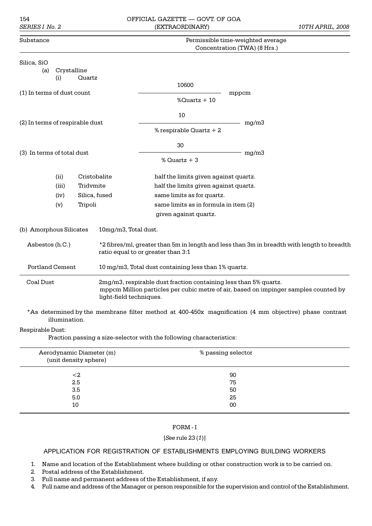### 154 OFFICIAL GAZETTE GOVT. OF GOA *SERIES I No. 2* (EXTRAORDINARY) *10TH APRIL, 2008*

| Substance                       |                    |              |                                   | Permissible time-weighted average                                |                                                                                                        |  |  |  |  |  |  |
|---------------------------------|--------------------|--------------|-----------------------------------|------------------------------------------------------------------|--------------------------------------------------------------------------------------------------------|--|--|--|--|--|--|
|                                 |                    |              |                                   |                                                                  | Concentration (TWA) (8 Hrs.)                                                                           |  |  |  |  |  |  |
| Silica, SiO<br>(a)              | Crystalline<br>(i) | Quartz       |                                   |                                                                  |                                                                                                        |  |  |  |  |  |  |
| (1) In terms of dust count      |                    |              | 10600<br>mppcm<br>% $Quartz + 10$ |                                                                  |                                                                                                        |  |  |  |  |  |  |
| (2) In terms of respirable dust |                    |              |                                   | 10                                                               | mg/m3                                                                                                  |  |  |  |  |  |  |
|                                 |                    |              |                                   | % respirable $Quartz + 2$                                        |                                                                                                        |  |  |  |  |  |  |
| (3) In terms of total dust      |                    |              |                                   | 30                                                               | mg/m3                                                                                                  |  |  |  |  |  |  |
|                                 |                    |              | % $Quartz + 3$                    |                                                                  |                                                                                                        |  |  |  |  |  |  |
|                                 | (ii)               | Cristobalite |                                   | half the limits given against quartz.                            |                                                                                                        |  |  |  |  |  |  |
|                                 | (iii)              | Tridvmite    |                                   | half the limits given against quartz.                            |                                                                                                        |  |  |  |  |  |  |
|                                 | (iv)               |              | Silica, fused                     | same limits as for quartz.                                       |                                                                                                        |  |  |  |  |  |  |
|                                 | (v)                | Tripoli      |                                   | same limits as in formula in item (2)                            |                                                                                                        |  |  |  |  |  |  |
|                                 |                    |              |                                   | given against quartz.                                            |                                                                                                        |  |  |  |  |  |  |
| (b) Amorphous Silicates         |                    |              | 10mg/m3, Total dust.              |                                                                  |                                                                                                        |  |  |  |  |  |  |
| Asbestos (h.C.)                 |                    |              |                                   | ratio equal to or greater than 3:1                               | *2 fibres/ml, greater than 5m in length and less than 3m in breadth with length to breadth             |  |  |  |  |  |  |
| <b>Portland Cement</b>          |                    |              |                                   | 10 mg/m3, Total dust containing less than 1% quartz.             |                                                                                                        |  |  |  |  |  |  |
| <b>Coal Dust</b>                |                    |              | light-field techniques.           | 2mg/m3, respirable dust fraction containing less than 5% quartz. | mppcm Million particles per cubic metre of air, based on impinger samples counted by                   |  |  |  |  |  |  |
|                                 | illumination.      |              |                                   |                                                                  | *As determined by the membrane filter method at 400-450x magnification (4 mm objective) phase contrast |  |  |  |  |  |  |

### Respirable Dust:

Fraction passing a size-selector with the following characteristics:

| Aerodynamic Diameter (m)<br>(unit density sphere) | % passing selector |  |
|---------------------------------------------------|--------------------|--|
| ${<}2$                                            | 90                 |  |
| 2.5                                               | 75                 |  |
| 3.5                                               | 50                 |  |
| 5.0                                               | 25                 |  |
| 10                                                | 00                 |  |

## FORM - I

#### [*See* rule 23 (*1*)]

## APPLICATION FOR REGISTRATION OF ESTABLISHMENTS EMPLOYING BUILDING WORKERS

- 1. Name and location of the Establishment where building or other construction work is to be carried on.
- 2. Postal address of the Establishment.
- 3. Full name and permanent address of the Establishment, if any.
- 4. Full name and address of the Manager or person responsible for the supervision and control of the Establishment.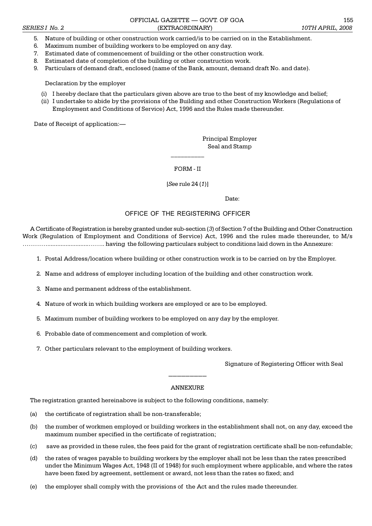#### OFFICIAL GAZETTE GOVT. OF GOA 155 *SERIES I No. 2* (EXTRAORDINARY) *10TH APRIL, 2008*

- 5. Nature of building or other construction work carried/is to be carried on in the Establishment.
- 6. Maximum number of building workers to be employed on any day.
- 7. Estimated date of commencement of building or the other construction work.
- 8. Estimated date of completion of the building or other construction work.
- 9. Particulars of demand draft, enclosed (name of the Bank, amount, demand draft No. and date).

Declaration by the employer

- (i) I hereby declare that the particulars given above are true to the best of my knowledge and belief;
- (ii) I undertake to abide by the provisions of the Building and other Construction Workers (Regulations of Employment and Conditions of Service) Act, 1996 and the Rules made thereunder.

Date of Receipt of application:

Principal Employer Seal and Stamp

FORM - II

 $\mathcal{L}=\mathcal{L}$ 

[*See* rule 24 (*1*)]

Date:

#### OFFICE OF THE REGISTERING OFFICER

A Certificate of Registration is hereby granted under sub-section (*3*) of Section 7 of the Building and Other Construction Work (Regulation of Employment and Conditions of Service) Act, 1996 and the rules made thereunder, to M/s ........................... having the following particulars subject to conditions laid down in the Annexure:

- 1. Postal Address/location where building or other construction work is to be carried on by the Employer.
- 2. Name and address of employer including location of the building and other construction work.
- 3. Name and permanent address of the establishment.
- 4. Nature of work in which building workers are employed or are to be employed.
- 5. Maximum number of building workers to be employed on any day by the employer.
- 6. Probable date of commencement and completion of work.
- 7. Other particulars relevant to the employment of building workers.

Signature of Registering Officer with Seal

#### ANNEXURE

 $\overline{\phantom{a}}$  ,  $\overline{\phantom{a}}$  ,  $\overline{\phantom{a}}$  ,  $\overline{\phantom{a}}$  ,  $\overline{\phantom{a}}$  ,  $\overline{\phantom{a}}$  ,  $\overline{\phantom{a}}$  ,  $\overline{\phantom{a}}$  ,  $\overline{\phantom{a}}$  ,  $\overline{\phantom{a}}$  ,  $\overline{\phantom{a}}$  ,  $\overline{\phantom{a}}$  ,  $\overline{\phantom{a}}$  ,  $\overline{\phantom{a}}$  ,  $\overline{\phantom{a}}$  ,  $\overline{\phantom{a}}$ 

The registration granted hereinabove is subject to the following conditions, namely:

- (a) the certificate of registration shall be non-transferable;
- (b) the number of workmen employed or building workers in the establishment shall not, on any day, exceed the maximum number specified in the certificate of registration;
- (c) save as provided in these rules, the fees paid for the grant of registration certificate shall be non-refundable;
- (d) the rates of wages payable to building workers by the employer shall not be less than the rates prescribed under the Minimum Wages Act, 1948 (II of 1948) for such employment where applicable, and where the rates have been fixed by agreement, settlement or award, not less than the rates so fixed; and
- (e) the employer shall comply with the provisions of the Act and the rules made thereunder.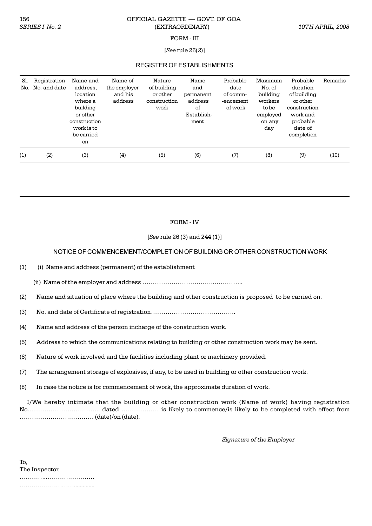#### 156 OFFICIAL GAZETTE GOVT. OF GOA *SERIES I No. 2* (EXTRAORDINARY) *10TH APRIL, 2008*

#### FORM - III

### [*See* rule 25(*2*)]

# REGISTER OF ESTABLISHMENTS

| Sl.<br>No. | Registration<br>No. and date | Name and<br>address.<br>location<br>where a<br>building<br>or other<br>construction<br>work is to<br>be carried<br>on | Name of<br>the employer<br>and his<br>address | Nature<br>of building<br>or other<br>construction<br>work | Name<br>and<br>permanent<br>address<br>of<br>Establish-<br>ment | Probable<br>date<br>of comm-<br>-encement<br>of work | Maximum<br>No. of<br>building<br>workers<br>to be<br>employed<br>on any<br>day | Probable<br>duration<br>of building<br>or other<br>construction<br>work and<br>probable<br>date of<br>completion | Remarks |
|------------|------------------------------|-----------------------------------------------------------------------------------------------------------------------|-----------------------------------------------|-----------------------------------------------------------|-----------------------------------------------------------------|------------------------------------------------------|--------------------------------------------------------------------------------|------------------------------------------------------------------------------------------------------------------|---------|
| (1)        | (2)                          | (3)                                                                                                                   | (4)                                           | (5)                                                       | (6)                                                             | (7)                                                  | (8)                                                                            | (9)                                                                                                              | (10)    |

### FORM - IV

### [*See* rule 26 (3) and 244 (1)]

#### NOTICE OF COMMENCEMENT/COMPLETION OF BUILDING OR OTHER CONSTRUCTION WORK

- (1) (i) Name and address (permanent) of the establishment
	- (ii) Name of the employer and address ....
- (2) Name and situation of place where the building and other construction is proposed to be carried on.
- (3) No. and date of Certificate of registration..
- (4) Name and address of the person incharge of the construction work.
- (5) Address to which the communications relating to building or other construction work may be sent.
- (6) Nature of work involved and the facilities including plant or machinery provided.
- (7) The arrangement storage of explosives, if any, to be used in building or other construction work.
- (8) In case the notice is for commencement of work, the approximate duration of work.

I/We hereby intimate that the building or other construction work (Name of work) having registration No.. dated is likely to commence/is likely to be completed with effect from (date)/on (date).

*Signature of the Employer*

| To.            |  |  |  |  |  |  |  |  |  |  |  |  |  |  |
|----------------|--|--|--|--|--|--|--|--|--|--|--|--|--|--|
| The Inspector, |  |  |  |  |  |  |  |  |  |  |  |  |  |  |
|                |  |  |  |  |  |  |  |  |  |  |  |  |  |  |
| .              |  |  |  |  |  |  |  |  |  |  |  |  |  |  |
|                |  |  |  |  |  |  |  |  |  |  |  |  |  |  |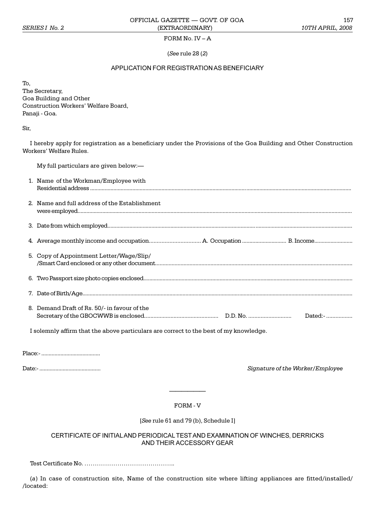# FORM No.  $IV - A$

(*See* rule 28 (*2*)

### APPLICATION FOR REGISTRATION AS BENEFICIARY

To,

The Secretary, Goa Building and Other Construction Workers' Welfare Board, Panaji - Goa.

Sir,

I hereby apply for registration as a beneficiary under the Provisions of the Goa Building and Other Construction Workers' Welfare Rules.

| My full particulars are given below:—         |
|-----------------------------------------------|
| 1. Name of the Workman/Employee with          |
| 2. Name and full address of the Establishment |
|                                               |
|                                               |
| 5. Copy of Appointment Letter/Wage/Slip/      |
|                                               |
|                                               |
| 8. Demand Draft of Rs. 50/- in favour of the  |

I solemnly affirm that the above particulars are correct to the best of my knowledge.

Place:- ........................................

Date:- .......................................... *Signature of the Worker/Employee*

FORM - V

[*See* rule 61 and 79 (b), Schedule I]

# CERTIFICATE OF INITIAL AND PERIODICAL TEST AND EXAMINATION OF WINCHES, DERRICKS AND THEIR ACCESSORY GEAR

Test Certificate No. ..

(*a*) In case of construction site, Name of the construction site where lifting appliances are fitted/installed/ /located: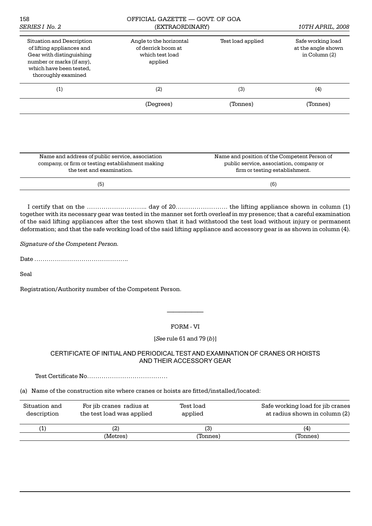| 158<br>SERIES I No. 2                                                                                                                                             | OFFICIAL GAZETTE - GOVT, OF GOA<br>(EXTRAORDINARY)                          | 10TH APRIL, 2008  |                                                            |  |
|-------------------------------------------------------------------------------------------------------------------------------------------------------------------|-----------------------------------------------------------------------------|-------------------|------------------------------------------------------------|--|
| Situation and Description<br>of lifting appliances and<br>Gear with distinguishing<br>number or marks (if any).<br>which have been tested,<br>thoroughly examined | Angle to the horizontal<br>of derrick boom at<br>which test load<br>applied | Test load applied | Safe working load<br>at the angle shown<br>in Column $(2)$ |  |
| (1)                                                                                                                                                               | (2)                                                                         | (3)               | (4)                                                        |  |
|                                                                                                                                                                   | (Degrees)                                                                   | (Tonnes)          | (Tonnes)                                                   |  |
|                                                                                                                                                                   |                                                                             |                   |                                                            |  |

| Name and address of public service, association  | Name and position of the Competent Person of |
|--------------------------------------------------|----------------------------------------------|
| company, or firm or testing establishment making | public service, association, company or      |
| the test and examination.                        | firm or testing establishment.               |
| (5)                                              | (6)                                          |

I certify that on the .. day of 20. the lifting appliance shown in column (1) together with its necessary gear was tested in the manner set forth overleaf in my presence; that a careful examination of the said lifting appliances after the test shown that it had withstood the test load without injury or permanent deformation; and that the safe working load of the said lifting appliance and accessory gear is as shown in column (4).

*Signature of the Competent Person.*

Date .

Seal

Registration/Authority number of the Competent Person.

## FORM - VI

# [*See* rule 61 and 79 (*b*)]

# CERTIFICATE OF INITIAL AND PERIODICAL TEST AND EXAMINATION OF CRANES OR HOISTS AND THEIR ACCESSORY GEAR

Test Certificate No

(a) Name of the construction site where cranes or hoists are fitted/installed/located:

| Situation and<br>description | For jib cranes radius at<br>the test load was applied | Test load<br>applied | Safe working load for jib cranes<br>at radius shown in column (2) |
|------------------------------|-------------------------------------------------------|----------------------|-------------------------------------------------------------------|
| $1^{\circ}$                  | (2                                                    | (3)                  | (4)                                                               |
|                              | (Metres)                                              | (Tonnes)             | 'Tonnes)                                                          |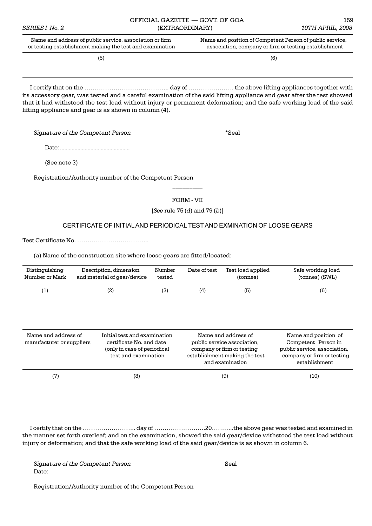|                | OFFICIAL GAZETTE — GOVT. OF GOA                          | 159                                                      |
|----------------|----------------------------------------------------------|----------------------------------------------------------|
| SERIES I No. 2 | (EXTRAORDINARY)                                          | 10TH APRIL, 2008                                         |
|                | Name and address of public service, association or firm  | Name and position of Competent Person of public service. |
|                | or testing establishment making the test and examination | association, company or firm or testing establishment    |

 $(5)$ 

I certify that on the .. day of . the above lifting appliances together with its accessory gear, was tested and a careful examination of the said lifting appliance and gear after the test showed that it had withstood the test load without injury or permanent deformation; and the safe working load of the said lifting appliance and gear is as shown in column (4).

*Signature of the Competent Person* \*Seal

Date: ................................................

(See note 3)

Registration/Authority number of the Competent Person

# FORM - VII

\_\_\_\_\_\_\_\_\_

[*See* rule 75 (*d*) and 79 (*b*)]

# CERTIFICATE OF INITIAL AND PERIODICAL TEST AND EXMINATION OF LOOSE GEARS

Test Certificate No. ..

(a) Name of the construction site where loose gears are fitted/located:

| Distinguishing | Description, dimension      | Number | Date of test | Test load applied | Safe working load |
|----------------|-----------------------------|--------|--------------|-------------------|-------------------|
| Number or Mark | and material of gear/device | tested |              | (tonnes)          | (tonnes) (SWL)    |
|                | $\left( 2\right)$           | (3)    | (4)          | (5)               | (6)               |

| Name and address of<br>manufacturer or suppliers | Initial test and examination<br>certificate No. and date<br>(only in case of periodical<br>test and examination | Name and address of<br>public service association.<br>company or firm or testing<br>establishment making the test<br>and examination | Name and position of<br>Competent Person in<br>public service, association,<br>company or firm or testing<br>establishment |
|--------------------------------------------------|-----------------------------------------------------------------------------------------------------------------|--------------------------------------------------------------------------------------------------------------------------------------|----------------------------------------------------------------------------------------------------------------------------|
| (7)                                              | (8)                                                                                                             | (9)                                                                                                                                  | (10)                                                                                                                       |

I certify that on the .. day of .20..the above gear was tested and examined in the manner set forth overleaf; and on the examination, showed the said gear/device withstood the test load without injury or deformation; and that the safe working load of the said gear/device is as shown in column 6.

*Signature of the Competent Person* Seal Date:

Registration/Authority number of the Competent Person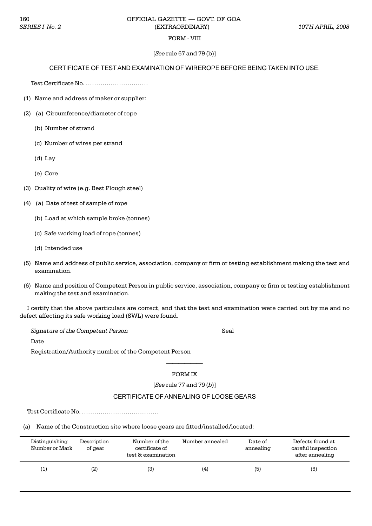## FORM - VIII

## [*See* rule 67 and 79 (b)]

## CERTIFICATE OF TEST AND EXAMINATION OF WIREROPE BEFORE BEING TAKEN INTO USE.

Test Certificate No.

- (1) Name and address of maker or supplier:
- (2) (a) Circumference/diameter of rope
	- (b) Number of strand
	- (c) Number of wires per strand
	- (d) Lay
	- (e) Core
- (3) Quality of wire (e.g. Best Plough steel)
- (4) (a) Date of test of sample of rope
	- (b) Load at which sample broke (tonnes)
	- (c) Safe working load of rope (tonnes)
	- (d) Intended use
- (5) Name and address of public service, association, company or firm or testing establishment making the test and examination.
- (6) Name and position of Competent Person in public service, association, company or firm or testing establishment making the test and examination.

I certify that the above particulars are correct, and that the test and examination were carried out by me and no defect affecting its safe working load (SWL) were found.

*Signature of the Competent Person* Seal

Date

Registration/Authority number of the Competent Person

# FORM IX

[*See* rule 77 and 79 (*b*)]

## CERTIFICATE OF ANNEALING OF LOOSE GEARS

Test Certificate No. .

(a) Name of the Construction site where loose gears are fitted/installed/located:

| Distinguishing<br>Number or Mark | Description<br>of gear | Number of the<br>certificate of<br>test & examination | Number annealed | Date of<br>annealing | Defects found at<br>careful inspection<br>after annealing |
|----------------------------------|------------------------|-------------------------------------------------------|-----------------|----------------------|-----------------------------------------------------------|
|                                  | (2)                    | (3)                                                   | (4)             | (5)                  | (6)                                                       |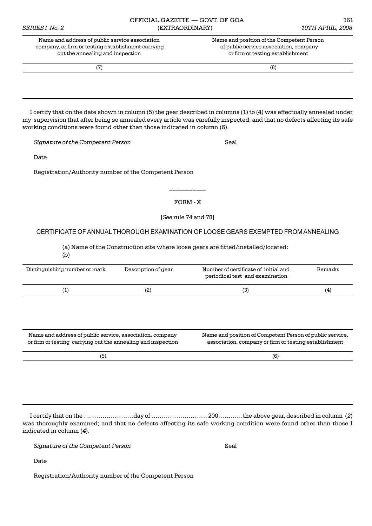| SERIES I No. 2                                                                                                                           | (EXTRAORDINARY) | 10TH APRIL, 2008                                                                                                        |
|------------------------------------------------------------------------------------------------------------------------------------------|-----------------|-------------------------------------------------------------------------------------------------------------------------|
| Name and address of public service association<br>company, or firm or testing establishment carrying<br>out the annealing and inspection |                 | Name and position of the Competent Person<br>of public service association, company<br>or firm or testing establishment |
|                                                                                                                                          |                 | (8)                                                                                                                     |

OFFICIAL GAZETTE — GOVT. OF GOA 161

I certify that on the date shown in column (5) the gear described in columns (1) to (4) was effectually annealed under my supervision that after being so annealed every article was carefully inspected; and that no defects affecting its safe working conditions were found other than those indicated in column (6).

*Signature of the Competent Person* Seal

Date

Registration/Authority number of the Competent Person

### FORM - X

\_\_\_\_\_\_\_\_\_\_\_

[*See* rule 74 and 78]

### CERTIFICATE OF ANNUAL THOROUGH EXAMINATION OF LOOSE GEARS EXEMPTED FROM ANNEALING

(a) Name of the Construction site where loose gears are fitted/installed/located:

(b)

| Distinguishing number or mark                                                                                            | Description of gear | Number of certificate of initial and<br>periodical test and examination                                           | Remarks |
|--------------------------------------------------------------------------------------------------------------------------|---------------------|-------------------------------------------------------------------------------------------------------------------|---------|
| (1)                                                                                                                      | (2)                 | (3)                                                                                                               | (4)     |
|                                                                                                                          |                     |                                                                                                                   |         |
|                                                                                                                          |                     |                                                                                                                   |         |
|                                                                                                                          |                     |                                                                                                                   |         |
| Name and address of public service, association, company<br>or firm or testing carrying out the annealing and inspection |                     | Name and position of Competent Person of public service.<br>association, company or firm or testing establishment |         |
| (5)                                                                                                                      |                     | (6)                                                                                                               |         |

I certify that on the day of 200the above gear, described in column (*2*) was thoroughly examined; and that no defects affecting its safe working condition were found other than those I indicated in column (*4*).

*Signature of the Competent Person* Seal

Date

Registration/Authority number of the Competent Person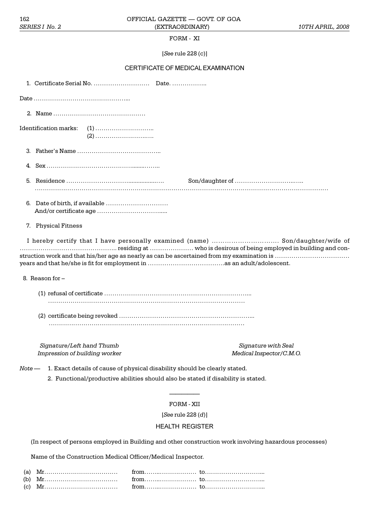## FORM - XI

[*See* rule 228 (c)]

# CERTIFICATE OF MEDICAL EXAMINATION

|          | Identification marks:                                                                                                            |
|----------|----------------------------------------------------------------------------------------------------------------------------------|
|          |                                                                                                                                  |
|          |                                                                                                                                  |
|          |                                                                                                                                  |
|          |                                                                                                                                  |
|          | 7. Physical Fitness                                                                                                              |
|          | I hereby certify that I have personally examined (name)  Son/daughter/wife of                                                    |
|          | 8. Reason for -                                                                                                                  |
|          |                                                                                                                                  |
|          |                                                                                                                                  |
|          | Signature/Left hand Thumb<br>Signature with Seal<br>Impression of building worker<br>Medical Inspector/C.M.O.                    |
| $Note -$ | 1. Exact details of cause of physical disability should be clearly stated.                                                       |
|          | 2. Functional/productive abilities should also be stated if disability is stated.                                                |
|          |                                                                                                                                  |
|          | FORM - XII                                                                                                                       |
|          |                                                                                                                                  |
|          | [See rule $228(d)$ ]                                                                                                             |
|          | <b>HEALTH REGISTER</b><br>(In respect of persons employed in Building and other construction work involving hazardous processes) |

| (b) $Mr_1, , , , , , from, , , , , to, , , , , , , , , $                                                                                                                                                                                                                                                                                                                                                                    |  |
|-----------------------------------------------------------------------------------------------------------------------------------------------------------------------------------------------------------------------------------------------------------------------------------------------------------------------------------------------------------------------------------------------------------------------------|--|
| (c) $Mr_{1}, \ldots, r_{n}, \ldots, r_{n}, \ldots, r_{n}, \ldots, r_{n}, \ldots, r_{n}, \ldots, r_{n}, \ldots, r_{n}, \ldots, r_{n}, \ldots, r_{n}, \ldots, r_{n}, \ldots, r_{n}, \ldots, r_{n}, \ldots, r_{n}, \ldots, r_{n}, \ldots, r_{n}, \ldots, r_{n}, \ldots, r_{n}, \ldots, r_{n}, \ldots, r_{n}, \ldots, r_{n}, \ldots, r_{n}, \ldots, r_{n}, \ldots, r_{n}, \ldots, r_{n}, \ldots, r_{n}, \ldots, r_{n}, \ldots,$ |  |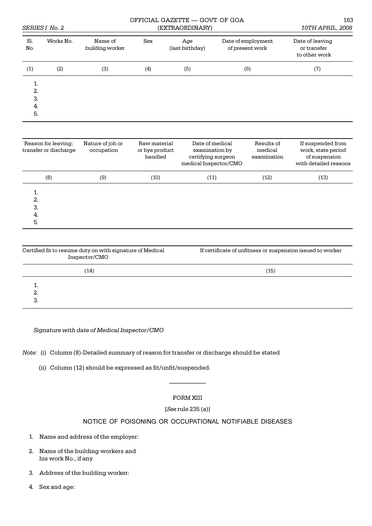|                             | SERIES I No. 2 | OFFICIAL GAZETTE — GOVT. OF GOA | 163<br>10TH APRIL, 2008 |                        |                                       |                                                 |
|-----------------------------|----------------|---------------------------------|-------------------------|------------------------|---------------------------------------|-------------------------------------------------|
| Sl.<br>No.                  | Works No.      | Name of<br>building worker      | Sex                     | Age<br>(last birthday) | Date of employment<br>of present work | Date of leaving<br>or transfer<br>to other work |
| (1)                         | (2)            | (3)                             | (4)                     | (5)                    | (6)                                   | (7)                                             |
| 1.<br>2.<br>3.<br>-4.<br>5. |                |                                 |                         |                        |                                       |                                                 |

| Reason for leaving;<br>transfer or discharge | Nature of job or<br>occupation | Raw material<br>or bye product<br>handled | Date of medical<br>examination by<br>certifying surgeon<br>medical Inspector/CMO | Results of<br>medical<br>examination | If suspended from<br>work, state period<br>of suspension<br>with detailed reasons |
|----------------------------------------------|--------------------------------|-------------------------------------------|----------------------------------------------------------------------------------|--------------------------------------|-----------------------------------------------------------------------------------|
| (8)                                          | (9)                            | (10)                                      | (11)                                                                             | (12)                                 | (13)                                                                              |
| 1.<br>2.<br>3.<br>-4.<br>5.                  |                                |                                           |                                                                                  |                                      |                                                                                   |

| Certified fit to resume duty on with signature of Medical<br>Inspector/CMO | If certificate of unfitness or suspension issued to worker |  |  |
|----------------------------------------------------------------------------|------------------------------------------------------------|--|--|
| (14)                                                                       | (15)                                                       |  |  |
| 2.<br>.ت                                                                   |                                                            |  |  |

*Signature with date of Medical Inspector/CMO*

*Note*: (i) Column (8)-Detailed summary of reason for transfer or discharge should be stated

(ii) Column (12) should be expressed as fit/unfit/suspended.

# FORM XIII

# [*See* rule 235 (a)]

# NOTICE OF POISONING OR OCCUPATIONAL NOTIFIABLE DISEASES

- 1. Name and address of the employer:
- 2. Name of the building workers and his work No., if any
- 3. Address of the building worker:
- 4. Sex and age: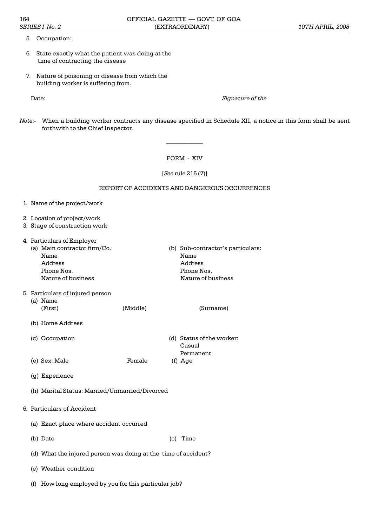- 5. Occupation:
- 6. State exactly what the patient was doing at the time of contracting the disease
- 7. Nature of poisoning or disease from which the building worker is suffering from.

Date: *Signature of the*

*Note*:- When a building worker contracts any disease specified in Schedule XII, a notice in this form shall be sent forthwith to the Chief Inspector.

FORM - XIV

[*See* rule 215 (*7*)]

#### REPORT OF ACCIDENTS AND DANGEROUS OCCURRENCES

- 1. Name of the project/work
- 2. Location of project/work
- 3. Stage of construction work

| 4. Particulars of Employer                                                           |          |                                                                                          |
|--------------------------------------------------------------------------------------|----------|------------------------------------------------------------------------------------------|
| (a) Main contractor firm/Co.:<br>Name<br>Address<br>Phone Nos.<br>Nature of business |          | (b) Sub-contractor's particulars:<br>Name<br>Address<br>Phone Nos.<br>Nature of business |
| 5. Particulars of injured person<br>Name<br>(a)<br>(First)                           | (Middle) | (Surname)                                                                                |
| (b) Home Address                                                                     |          |                                                                                          |
| (c) Occupation                                                                       |          | (d) Status of the worker:<br>Casual<br>Permanent                                         |
| (e) Sex: Male                                                                        | Female   | $(f)$ Age                                                                                |
|                                                                                      |          |                                                                                          |

- (g) Experience
- (h) Marital Status: Married/Unmarried/Divorced
- 6. Particulars of Accident
	- (a) Exact place where accident occurred
	- (b) Date (c) Time
	- (d) What the injured person was doing at the time of accident?
	- (e) Weather condition
	- (f) How long employed by you for this particular job?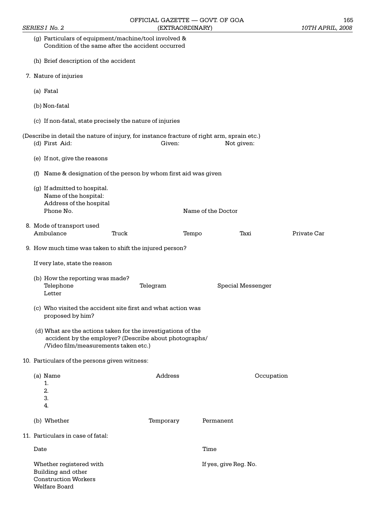| (g) Particulars of equipment/machine/tool involved &<br>Condition of the same after the accident occurred                                                      |           |       |                       |            |             |
|----------------------------------------------------------------------------------------------------------------------------------------------------------------|-----------|-------|-----------------------|------------|-------------|
| (h) Brief description of the accident                                                                                                                          |           |       |                       |            |             |
| 7. Nature of injuries                                                                                                                                          |           |       |                       |            |             |
| (a) Fatal                                                                                                                                                      |           |       |                       |            |             |
| (b) Non-fatal                                                                                                                                                  |           |       |                       |            |             |
| (c) If non-fatal, state precisely the nature of injuries                                                                                                       |           |       |                       |            |             |
|                                                                                                                                                                |           |       |                       |            |             |
| (Describe in detail the nature of injury, for instance fracture of right arm, sprain etc.)<br>(d) First Aid:                                                   | Given:    |       | Not given:            |            |             |
| (e) If not, give the reasons                                                                                                                                   |           |       |                       |            |             |
| (f) Name & designation of the person by whom first aid was given                                                                                               |           |       |                       |            |             |
| (g) If admitted to hospital.<br>Name of the hospital:<br>Address of the hospital<br>Phone No.                                                                  |           |       | Name of the Doctor    |            |             |
|                                                                                                                                                                |           |       |                       |            |             |
| 8. Mode of transport used<br>Ambulance<br>Truck                                                                                                                |           | Tempo | Taxi                  |            | Private Car |
| 9. How much time was taken to shift the injured person?                                                                                                        |           |       |                       |            |             |
| If very late, state the reason                                                                                                                                 |           |       |                       |            |             |
| (b) How the reporting was made?<br>Telephone<br>Letter                                                                                                         | Telegram  |       | Special Messenger     |            |             |
| (c) Who visited the accident site first and what action was<br>proposed by him?                                                                                |           |       |                       |            |             |
| (d) What are the actions taken for the investigations of the<br>accident by the employer? (Describe about photographs/<br>/Video film/measurements taken etc.) |           |       |                       |            |             |
| 10. Particulars of the persons given witness:                                                                                                                  |           |       |                       |            |             |
| (a) Name<br>1.<br>2.<br>3.<br>4.                                                                                                                               | Address   |       |                       | Occupation |             |
| (b) Whether                                                                                                                                                    | Temporary |       | Permanent             |            |             |
| 11. Particulars in case of fatal:                                                                                                                              |           |       |                       |            |             |
| Date                                                                                                                                                           |           |       | Time                  |            |             |
| Whether registered with<br>Building and other<br><b>Construction Workers</b><br>Welfare Board                                                                  |           |       | If yes, give Reg. No. |            |             |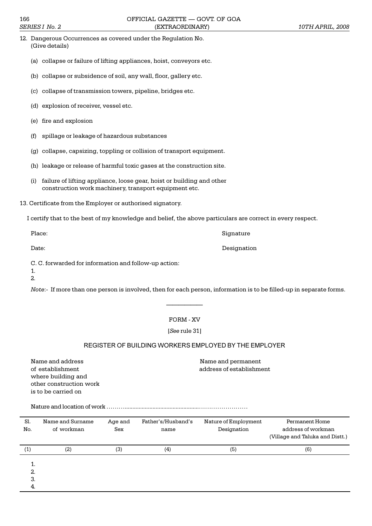| 12. Dangerous Occurrences as covered under the Regulation No. |
|---------------------------------------------------------------|
| (Give details)                                                |

- (a) collapse or failure of lifting appliances, hoist, conveyors etc.
- (b) collapse or subsidence of soil, any wall, floor, gallery etc.
- (c) collapse of transmission towers, pipeline, bridges etc.
- (d) explosion of receiver, vessel etc.
- (e) fire and explosion
- (f) spillage or leakage of hazardous substances
- (g) collapse, capsizing, toppling or collision of transport equipment.
- (h) leakage or release of harmful toxic gases at the construction site.
- (i) failure of lifting appliance, loose gear, hoist or building and other construction work machinery, transport equipment etc.
- 13. Certificate from the Employer or authorised signatory.

I certify that to the best of my knowledge and belief, the above particulars are correct in every respect.

C. C. forwarded for information and follow-up action:

1. 2.

*Note*:- If more than one person is involved, then for each person, information is to be filled-up in separate forms.

## FORM - XV

[*See* rule 31]

# REGISTER OF BUILDING WORKERS EMPLOYED BY THE EMPLOYER

Name and address Name and permanent of establishment address of establishment where building and other construction work is to be carried on

Nature and location of work ................................................

| Sl.<br>No.          | Name and Surname<br>of workman | Age and<br>Sex | Father's/Husband's<br>name | Nature of Employment<br>Designation | Permanent Home<br>address of workman<br>(Village and Taluka and Distt.) |
|---------------------|--------------------------------|----------------|----------------------------|-------------------------------------|-------------------------------------------------------------------------|
| $\scriptstyle{(1)}$ | (2)                            | (3)            | $\scriptstyle{(4)}$        | (5)                                 | (6)                                                                     |
| 1.<br>2.            |                                |                |                            |                                     |                                                                         |
| З.<br>4.            |                                |                |                            |                                     |                                                                         |

Place: Signature Signature Signature Signature Signature Signature Signature Signature Signature Signature Signature

Date: Designation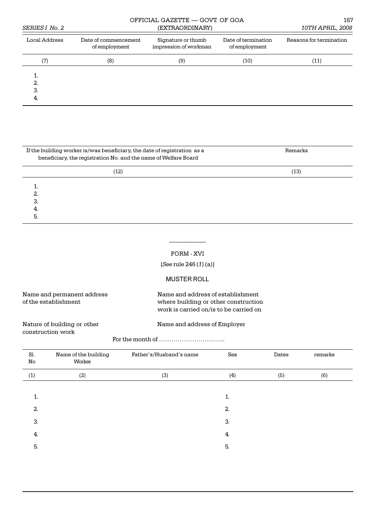| <i>SERIES I No. 2</i> | OFFICIAL GAZETTE - GOVT. OF GOA       | 167<br>10TH APRIL, 2008                     |                                      |                         |
|-----------------------|---------------------------------------|---------------------------------------------|--------------------------------------|-------------------------|
| Local Address         | Date of commencement<br>of employment | Signature or thumb<br>impression of workman | Date of termination<br>of employment | Reasons for termination |
| (7)                   | (8)                                   | (9)                                         | (10)                                 | (11)                    |
| <br>2.<br>3.<br>4.    |                                       |                                             |                                      |                         |

| If the building worker is/was beneficiary, the date of registration as a<br>beneficiary, the registration No. and the name of Welfare Board | Remarks |
|---------------------------------------------------------------------------------------------------------------------------------------------|---------|
| (12)                                                                                                                                        | (13)    |
|                                                                                                                                             |         |
| 2.                                                                                                                                          |         |
| З.                                                                                                                                          |         |
| 4.                                                                                                                                          |         |
| 5.                                                                                                                                          |         |

### FORM - XVI

\_\_\_\_\_\_\_\_\_\_\_

[*See* rule 246 (*1*) (a)]

# MUSTER ROLL

| Name and permanent address |  |
|----------------------------|--|
| of the establishment       |  |

Name and address of establishment where building or other construction work is carried on/is to be carried on

Nature of building or other Name and address of Employer construction work

For the month of ..

| Sl.<br>No | Name of the building<br>Worker | Father's/Husband's name | Sex | Dates | remarks |
|-----------|--------------------------------|-------------------------|-----|-------|---------|
| (1)       | (2)                            | (3)                     | (4) | (5)   | (6)     |
|           |                                |                         |     |       |         |
| 1.        |                                |                         | 1.  |       |         |
| 2.        |                                |                         | 2.  |       |         |
| 3.        |                                |                         | 3.  |       |         |
| 4.        |                                |                         | 4.  |       |         |
| 5.        |                                |                         | 5.  |       |         |
|           |                                |                         |     |       |         |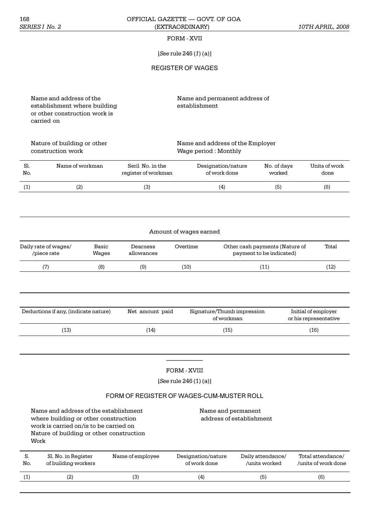### 168 OFFICIAL GAZETTE — GOVT. OF GOA *SERIES I No. 2* (EXTRAORDINARY) *10TH APRIL, 2008*

## FORM - XVII

[*See* rule 246 (*1*) (a)]

REGISTER OF WAGES

establishment where building or other construction work is carried on

Name and address of the Name and permanent address of<br>establishment where building establishment

construction work Wage period : Monthly

Nature of building or other Name and address of the Employer

| Sl. | Name of workman | Seril No. in the    | Designation/nature | No. of days | Units of work |
|-----|-----------------|---------------------|--------------------|-------------|---------------|
| No. |                 | register of workman | of work done       | worked      | done          |
|     | (2)             |                     | (4)                | (5          | (6)           |

| Amount of wages earned |  |
|------------------------|--|
|                        |  |

| Daily rate of wages/<br>/piece rate | Basic<br>Waqes | Dearness<br>allowances | Overtime | Other cash payments (Nature of<br>payment to be indicated) | Total |
|-------------------------------------|----------------|------------------------|----------|------------------------------------------------------------|-------|
| (7)                                 | (8)            | (9)                    | (10)     | $\left(11\right)$                                          | (12)  |

| Deductions if any, (indicate nature) | Net amount paid | Signature/Thumb impression<br>of workman | Initial of employer<br>or his representative |
|--------------------------------------|-----------------|------------------------------------------|----------------------------------------------|
| (13)                                 | (14)            | (15)                                     | (16)                                         |

# FORM - XVIII

[*See* rule 246 (1) (a)]

# FORM OF REGISTER OF WAGES-CUM-MUSTER ROLL

|                     | Name and address of the establishment<br>where building or other construction<br>work is carried on/is to be carried on<br>Nature of building or other construction<br>Work |                  | Name and permanent                 | address of establishment           |                                          |
|---------------------|-----------------------------------------------------------------------------------------------------------------------------------------------------------------------------|------------------|------------------------------------|------------------------------------|------------------------------------------|
| S.<br>No.           | Sl. No. in Register<br>of building workers                                                                                                                                  | Name of employee | Designation/nature<br>of work done | Daily attendance/<br>/units worked | Total attendance/<br>/units of work done |
| $\scriptstyle{(1)}$ | (2)                                                                                                                                                                         | (3)              | (4)                                | (5)                                | (6)                                      |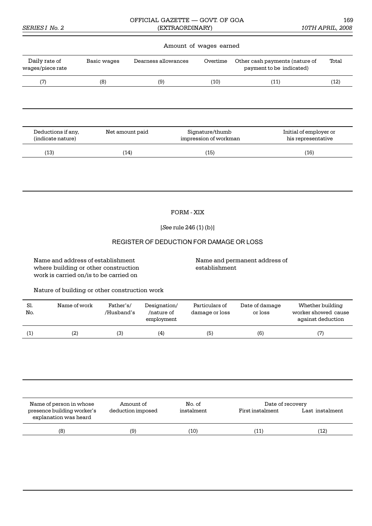### OFFICIAL GAZETTE — GOVT. OF GOA 169 *SERIES I No. 2* (EXTRAORDINARY) *10TH APRIL, 2008*

### Amount of wages earned

| Daily rate of<br>wages/piece rate       | Basic wages     | Dearness allowances | Overtime                                 | Other cash payments (nature of<br>payment to be indicated) | Total |
|-----------------------------------------|-----------------|---------------------|------------------------------------------|------------------------------------------------------------|-------|
| (7)                                     | (8)             | (9)                 | (10)                                     | (11)                                                       | (12)  |
|                                         |                 |                     |                                          |                                                            |       |
|                                         |                 |                     |                                          |                                                            |       |
|                                         |                 |                     |                                          |                                                            |       |
| Deductions if any,<br>(indicate nature) | Net amount paid |                     | Signature/thumb<br>impression of workman | Initial of employer or<br>his representative               |       |
| (13)                                    | (14)            |                     | (15)                                     | (16)                                                       |       |

FORM - XIX

[*See* rule 246 (1) (b)]

## REGISTER OF DEDUCTION FOR DAMAGE OR LOSS

Name and address of establishment Name and permanent address of where building or other construction establishment work is carried on/is to be carried on

Nature of building or other construction work

| Sl.<br>No. | Name of work | Father's/<br>/Husband's | Designation/<br>/nature of<br>employment | Particulars of<br>damage or loss | Date of damage<br>or loss | Whether building<br>worker showed cause<br>against deduction |
|------------|--------------|-------------------------|------------------------------------------|----------------------------------|---------------------------|--------------------------------------------------------------|
|            | (2)          | (3)                     | (4)                                      | (5)                              | (6)                       | (7)                                                          |

| Name of person in whose                             | Amount of         | No. of     | Date of recovery |                 |
|-----------------------------------------------------|-------------------|------------|------------------|-----------------|
| presence building worker's<br>explanation was heard | deduction imposed | instalment | First instalment | Last instalment |
| (8)                                                 | (9)               | (10)       | (11)             | (12)            |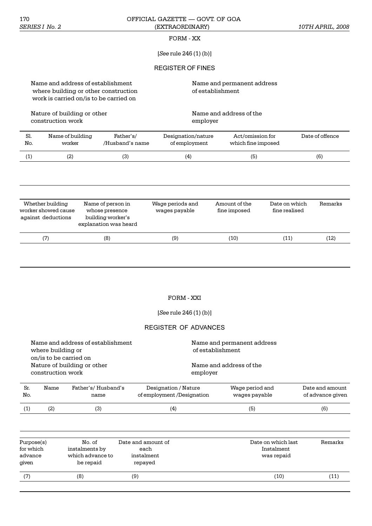### 170 OFFICIAL GAZETTE — GOVT. OF GOA *SERIES I No. 2* (EXTRAORDINARY) *10TH APRIL, 2008*

## FORM - XX

# [*See* rule 246 (1) (b)]

## REGISTER OF FINES

Name and address of establishment Name and permanent address where building or other construction of establishment work is carried on/is to be carried on

Nature of building or other Name and address of the construction work employer

| Sl. | Name of building | Father's/       | Designation/nature | Act/omission for   | Date of offence |
|-----|------------------|-----------------|--------------------|--------------------|-----------------|
| No. | worker           | /Husband's name | of employment      | which fine imposed |                 |
|     |                  | [3]             | (4)                | (ხ)                | (6)             |

| Whether building<br>worker showed cause<br>against deductions | Name of person in<br>whose presence<br>building worker's<br>explanation was heard | Wage periods and<br>wages payable | Amount of the<br>fine imposed | Date on which<br>fine realised | Remarks |
|---------------------------------------------------------------|-----------------------------------------------------------------------------------|-----------------------------------|-------------------------------|--------------------------------|---------|
| (7)                                                           | (8)                                                                               | (9)                               | (10)                          | (11)                           | (12)    |
|                                                               |                                                                                   |                                   |                               |                                |         |

# FORM - XXI

[*See* rule 246 (1) (b)]

# REGISTER OF ADVANCES

|                                                                                                                                      | Wage period and                                    | Date and amount                                                                       |
|--------------------------------------------------------------------------------------------------------------------------------------|----------------------------------------------------|---------------------------------------------------------------------------------------|
|                                                                                                                                      |                                                    |                                                                                       |
|                                                                                                                                      |                                                    |                                                                                       |
| Name and address of establishment<br>where building or<br>on/is to be carried on<br>Nature of building or other<br>construction work | Father's/Husband's<br>Designation / Nature<br>Name | Name and permanent address<br>of establishment<br>Name and address of the<br>employer |

| No. |   | name | of employment /Designation | wages payable | of advance given |
|-----|---|------|----------------------------|---------------|------------------|
|     | ٤ | لۍ   | (4                         | ʹ5            | (6)              |

| Purpose(s) | No. of           | Date and amount of | Date on which last | Remarks |
|------------|------------------|--------------------|--------------------|---------|
| for which  | instalments by   | each               | Instalment         |         |
| advance    | which advance to | instalment         | was repaid         |         |
| qiven      | be repaid        | repayed            |                    |         |
| (7)        | (8)              | (9)                | (10)               | (11)    |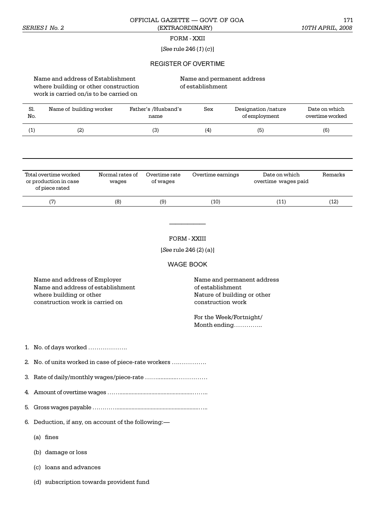### OFFICIAL GAZETTE — GOVT. OF GOA 171 *SERIES I No. 2* (EXTRAORDINARY) *10TH APRIL, 2008*

### FORM - XXII

### [*See* rule 246 (*1*) (*c*)]

#### REGISTER OF OVERTIME

Name and address of Establishment Name and permanent address where building or other construction of establishment work is carried on/is to be carried on

| Sl.<br>No. | Name of building worker                                          |                          | Father's /Husband's<br>name | Sex               | Designation/nature<br>of employment  | Date on which<br>overtime worked |
|------------|------------------------------------------------------------------|--------------------------|-----------------------------|-------------------|--------------------------------------|----------------------------------|
| (1)        | (2)                                                              |                          | (3)                         | (4)               | (5)                                  | (6)                              |
|            |                                                                  |                          |                             |                   |                                      |                                  |
|            | Total overtime worked<br>or production in case<br>of piece rated | Normal rates of<br>wages | Overtime rate<br>of wages   | Overtime earnings | Date on which<br>overtime wages paid | Remarks                          |
|            | (7)                                                              | (8)                      | (9)                         | (10)              | (11)                                 | (12)                             |
|            |                                                                  |                          |                             | FORM - XXIII      |                                      |                                  |

[*See* rule 246 (2) (a)]

WAGE BOOK

Name and address of Employer Name and permanent address Name and address of establishment of establishment where building or other Nature of building or other Nature of building or other construction work is carried on construction work

For the Week/Fortnight/ Month ending..

1. No. of days worked .

2. No. of units worked in case of piece-rate workers ..

3. Rate of daily/monthly wages/piece-rate ............

4. Amount of overtime wages ..................................................

5. Gross wages payable .........................................................

6. Deduction, if any, on account of the following:

(a) fines

(b) damage or loss

(c) loans and advances

(d) subscription towards provident fund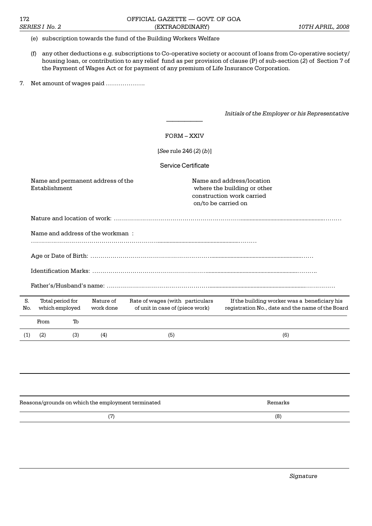### (e) subscription towards the fund of the Building Workers Welfare

- (f) any other deductions e.g. subscriptions to Co-operative society or account of loans from Co-operative society/ housing loan, or contribution to any relief fund as per provision of clause (P) of sub-section (*2*) of Section 7 of the Payment of Wages Act or for payment of any premium of Life Insurance Corporation.
- 7. Net amount of wages paid .

*Initials of the Employer or his Representative*

|           |                          |                                    |                                   | <b>FORM - XXIV</b>                                                 |  |                                                                                                              |  |  |  |  |  |  |
|-----------|--------------------------|------------------------------------|-----------------------------------|--------------------------------------------------------------------|--|--------------------------------------------------------------------------------------------------------------|--|--|--|--|--|--|
|           | [See rule 246 $(2)(b)$ ] |                                    |                                   |                                                                    |  |                                                                                                              |  |  |  |  |  |  |
|           | Service Certificate      |                                    |                                   |                                                                    |  |                                                                                                              |  |  |  |  |  |  |
|           | Establishment            |                                    | Name and permanent address of the |                                                                    |  | Name and address/location<br>where the building or other<br>construction work carried<br>on/to be carried on |  |  |  |  |  |  |
|           |                          |                                    |                                   |                                                                    |  |                                                                                                              |  |  |  |  |  |  |
|           |                          |                                    | Name and address of the workman:  |                                                                    |  |                                                                                                              |  |  |  |  |  |  |
|           |                          |                                    |                                   |                                                                    |  |                                                                                                              |  |  |  |  |  |  |
|           |                          |                                    |                                   |                                                                    |  |                                                                                                              |  |  |  |  |  |  |
|           |                          |                                    |                                   |                                                                    |  |                                                                                                              |  |  |  |  |  |  |
|           |                          |                                    |                                   |                                                                    |  |                                                                                                              |  |  |  |  |  |  |
| S.<br>No. |                          | Total period for<br>which employed | Nature of<br>work done            | Rate of wages (with particulars<br>of unit in case of (piece work) |  | If the building worker was a beneficiary his<br>registration No., date and the name of the Board             |  |  |  |  |  |  |
|           | From                     | Тb                                 |                                   |                                                                    |  |                                                                                                              |  |  |  |  |  |  |
| (1)       | (2)                      | (3)                                | (4)                               | (5)                                                                |  | (6)                                                                                                          |  |  |  |  |  |  |
|           |                          |                                    |                                   |                                                                    |  |                                                                                                              |  |  |  |  |  |  |

| Reasons/grounds on which the employment terminated | Remarks |
|----------------------------------------------------|---------|
|                                                    | (8)     |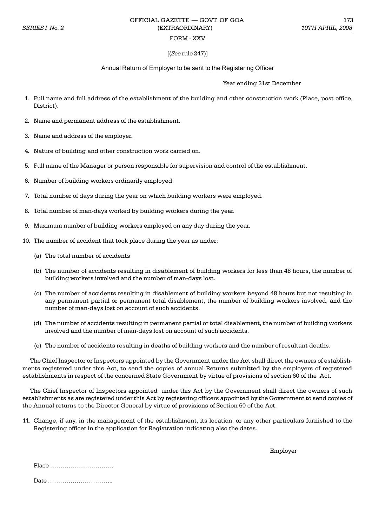### FORM - XXV

#### [(*See* rule 247)]

#### Annual Return of Employer to be sent to the Registering Officer

Year ending 31st December

- 1. Full name and full address of the establishment of the building and other construction work (Place, post office, District).
- 2. Name and permanent address of the establishment.
- 3. Name and address of the employer.
- 4. Nature of building and other construction work carried on.
- 5. Full name of the Manager or person responsible for supervision and control of the establishment.
- 6. Number of building workers ordinarily employed.
- 7. Total number of days during the year on which building workers were employed.
- 8. Total number of man-days worked by building workers during the year.
- 9. Maximum number of building workers employed on any day during the year.
- 10. The number of accident that took place during the year as under:
	- (a) The total number of accidents
	- (b) The number of accidents resulting in disablement of building workers for less than 48 hours, the number of building workers involved and the number of man-days lost.
	- (c) The number of accidents resulting in disablement of building workers beyond 48 hours but not resulting in any permanent partial or permanent total disablement, the number of building workers involved, and the number of man-days lost on account of such accidents.
	- (d) The number of accidents resulting in permanent partial or total disablement, the number of building workers involved and the number of man-days lost on account of such accidents.
	- (e) The number of accidents resulting in deaths of building workers and the number of resultant deaths.

The Chief Inspector or Inspectors appointed by the Government under the Act shall direct the owners of establishments registered under this Act, to send the copies of annual Returns submitted by the employers of registered establishments in respect of the concerned State Government by virtue of provisions of section 60 of the Act.

The Chief Inspector of Inspectors appointed under this Act by the Government shall direct the owners of such establishments as are registered under this Act by registering officers appointed by the Government to send copies of the Annual returns to the Director General by virtue of provisions of Section 60 of the Act.

11. Change, if any, in the management of the establishment, its location, or any other particulars furnished to the Registering officer in the application for Registration indicating also the dates.

Employer

| Place |  |  |  |  |  |  |  |  |  |  |  |  |  |  |  |
|-------|--|--|--|--|--|--|--|--|--|--|--|--|--|--|--|
|       |  |  |  |  |  |  |  |  |  |  |  |  |  |  |  |

Date ..................................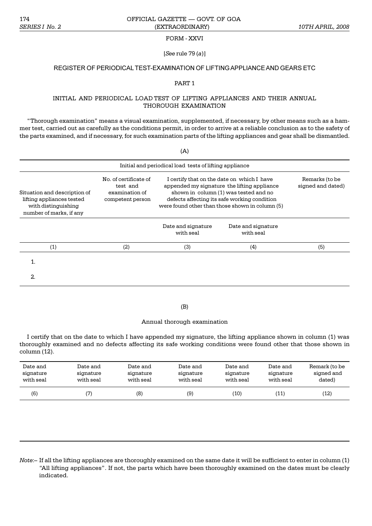#### FORM - XXVI

### [*See* rule 79 (*a*)]

## REGISTER OF PERIODICAL TEST-EXAMINATION OF LIFTING APPLIANCE AND GEARS ETC

### PART 1

### INITIAL AND PERIODICAL LOAD TEST OF LIFTING APPLIANCES AND THEIR ANNUAL THOROUGH EXAMINATION

"Thorough examination" means a visual examination, supplemented, if necessary, by other means such as a hammer test, carried out as carefully as the conditions permit, in order to arrive at a reliable conclusion as to the safety of the parts examined, and if necessary, for such examination parts of the lifting appliances and gear shall be dismantled.

 $(A)$ 

| Initial and periodical load tests of lifting appliance                                                      |                                                                         |                                                                                                                                                                                                                                       |                                     |     |  |  |  |  |  |  |
|-------------------------------------------------------------------------------------------------------------|-------------------------------------------------------------------------|---------------------------------------------------------------------------------------------------------------------------------------------------------------------------------------------------------------------------------------|-------------------------------------|-----|--|--|--|--|--|--|
| Situation and description of<br>lifting appliances tested<br>with distinguishing<br>number of marks, if any | No. of certificate of<br>test and<br>examination of<br>competent person | I certify that on the date on which I have<br>appended my signature the lifting appliance<br>shown in column (1) was tested and no<br>defects affecting its safe working condition<br>were found other than those shown in column (5) | Remarks (to be<br>signed and dated) |     |  |  |  |  |  |  |
|                                                                                                             |                                                                         | Date and signature<br>with seal                                                                                                                                                                                                       | Date and signature<br>with seal     |     |  |  |  |  |  |  |
| (1)                                                                                                         | (2)                                                                     | (3)                                                                                                                                                                                                                                   | (4)                                 | (5) |  |  |  |  |  |  |
| 1.                                                                                                          |                                                                         |                                                                                                                                                                                                                                       |                                     |     |  |  |  |  |  |  |
| 2.                                                                                                          |                                                                         |                                                                                                                                                                                                                                       |                                     |     |  |  |  |  |  |  |

#### (B)

#### Annual thorough examination

I certify that on the date to which I have appended my signature, the lifting appliance shown in column (1) was thoroughly examined and no defects affecting its safe working conditions were found other that those shown in column (12).

| Date and  | Date and  | Date and  | Date and  | Date and  | Date and  | Remark (to be |
|-----------|-----------|-----------|-----------|-----------|-----------|---------------|
| signature | signature | signature | signature | signature | signature | signed and    |
| with seal | with seal | with seal | with seal | with seal | with seal | dated)        |
| (6)       |           | (8)       | (9)       | '10)      | (11       | (12)          |

*Note*:- If all the lifting appliances are thoroughly examined on the same date it will be sufficient to enter in column (1) "All lifting appliances". If not, the parts which have been thoroughly examined on the dates must be clearly indicated.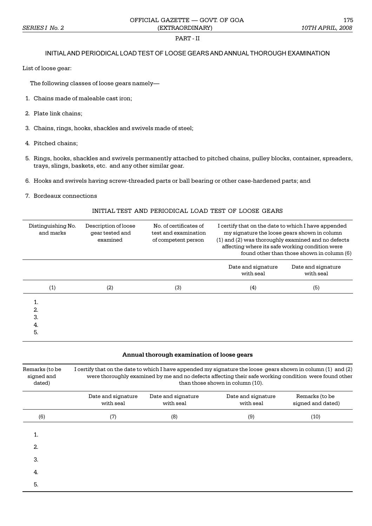# PART - II

# INITIAL AND PERIODICAL LOAD TEST OF LOOSE GEARS AND ANNUAL THOROUGH EXAMINATION

List of loose gear:

The following classes of loose gears namely

- 1. Chains made of maleable cast iron;
- 2. Plate link chains;
- 3. Chains, rings, hooks, shackles and swivels made of steel;
- 4. Pitched chains;
- 5. Rings, hooks, shackles and swivels permanently attached to pitched chains, pulley blocks, container, spreaders, trays, slings, baskets, etc. and any other similar gear.
- 6. Hooks and swivels having screw-threaded parts or ball bearing or other case-hardened parts; and
- 7. Bordeaux connections

## INITIAL TEST AND PERIODICAL LOAD TEST OF LOOSE GEARS

| Distinguishing No.<br>and marks | Description of loose<br>gear tested and<br>examined | No. of certificates of<br>test and examination<br>of competent person | I certify that on the date to which I have appended<br>my signature the loose gears shown in column<br>(1) and (2) was thoroughly examined and no defects<br>affecting where its safe working condition were<br>found other than those shown in column (6) |                                 |  |  |  |  |
|---------------------------------|-----------------------------------------------------|-----------------------------------------------------------------------|------------------------------------------------------------------------------------------------------------------------------------------------------------------------------------------------------------------------------------------------------------|---------------------------------|--|--|--|--|
|                                 |                                                     |                                                                       | Date and signature<br>with seal                                                                                                                                                                                                                            | Date and signature<br>with seal |  |  |  |  |
| (1)                             | (2)                                                 | (3)                                                                   | (4)                                                                                                                                                                                                                                                        | (5)                             |  |  |  |  |
| 1.<br>2.<br>З.<br>4.<br>5.      |                                                     |                                                                       |                                                                                                                                                                                                                                                            |                                 |  |  |  |  |

### **Annual thorough examination of loose gears**

| Remarks (to be<br>signed and<br>dated) | I certify that on the date to which I have appended my signature the loose gears shown in column (1) and (2)<br>were thoroughly examined by me and no defects affecting their safe working condition were found other<br>than those shown in column (10). |                                 |                                 |                                     |  |  |  |  |  |  |
|----------------------------------------|-----------------------------------------------------------------------------------------------------------------------------------------------------------------------------------------------------------------------------------------------------------|---------------------------------|---------------------------------|-------------------------------------|--|--|--|--|--|--|
|                                        | Date and signature<br>with seal                                                                                                                                                                                                                           | Date and signature<br>with seal | Date and signature<br>with seal | Remarks (to be<br>signed and dated) |  |  |  |  |  |  |
| (6)                                    | (7)                                                                                                                                                                                                                                                       | (8)                             | (9)                             | (10)                                |  |  |  |  |  |  |
| 1.                                     |                                                                                                                                                                                                                                                           |                                 |                                 |                                     |  |  |  |  |  |  |
| 2.                                     |                                                                                                                                                                                                                                                           |                                 |                                 |                                     |  |  |  |  |  |  |
| 3.                                     |                                                                                                                                                                                                                                                           |                                 |                                 |                                     |  |  |  |  |  |  |
| 4.                                     |                                                                                                                                                                                                                                                           |                                 |                                 |                                     |  |  |  |  |  |  |
| 5.                                     |                                                                                                                                                                                                                                                           |                                 |                                 |                                     |  |  |  |  |  |  |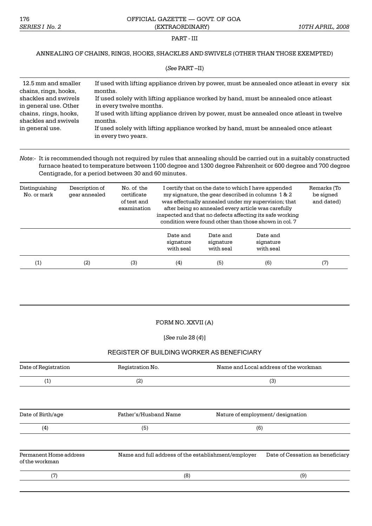#### PART - III

### ANNEALING OF CHAINS, RINGS, HOOKS, SHACKLES AND SWIVELS (OTHER THAN THOSE EXEMPTED)

| $(See$ PART $-II)$                                                                                                                                                |                                                                                                                                                                                                                                                                                                                                                                                                                        |  |  |  |  |
|-------------------------------------------------------------------------------------------------------------------------------------------------------------------|------------------------------------------------------------------------------------------------------------------------------------------------------------------------------------------------------------------------------------------------------------------------------------------------------------------------------------------------------------------------------------------------------------------------|--|--|--|--|
| 12.5 mm and smaller<br>chains, rings, hooks,<br>shackles and swivels<br>in general use. Other<br>chains, rings, hooks,<br>shackles and swivels<br>in general use. | If used with lifting appliance driven by power, must be annealed once at least in every six<br>months.<br>If used solely with lifting appliance worked by hand, must be annealed once atleast<br>in every twelve months.<br>If used with lifting appliance driven by power, must be annealed once at least in twelve<br>months.<br>If used solely with lifting appliance worked by hand, must be annealed once atleast |  |  |  |  |
|                                                                                                                                                                   | in every two years.                                                                                                                                                                                                                                                                                                                                                                                                    |  |  |  |  |

### *Note*:- It is recommended though not required by rules that annealing should be carried out in a suitably constructed furnace heated to temperature between 1100 degree and 1300 degree Fahrenheit or 600 degree and 700 degree Centigrade, for a period between 30 and 60 minutes.

| Distinguishing<br>No. or mark | Description of<br>gear annealed | No. of the<br>certificate<br>of test and<br>examination | I certify that on the date to which I have appended<br>my signature, the gear described in columns 1 & 2<br>was effectually annealed under my supervision; that<br>after being so annealed every article was carefully<br>inspected and that no defects affecting its safe working<br>condition were found other than those shown in col. 7 |                                    |                                    | Remarks (To<br>be signed<br>and dated) |
|-------------------------------|---------------------------------|---------------------------------------------------------|---------------------------------------------------------------------------------------------------------------------------------------------------------------------------------------------------------------------------------------------------------------------------------------------------------------------------------------------|------------------------------------|------------------------------------|----------------------------------------|
|                               |                                 |                                                         | Date and<br>signature<br>with seal                                                                                                                                                                                                                                                                                                          | Date and<br>signature<br>with seal | Date and<br>signature<br>with seal |                                        |
| (1)                           | (2)                             | (3)                                                     | (4)                                                                                                                                                                                                                                                                                                                                         | (5)                                | (6)                                | (7)                                    |

#### FORM NO. XXVII (A)

[*See* rule 28 (*4*)]

## REGISTER OF BUILDING WORKER AS BENEFICIARY

| Date of Registration                     | Registration No.                                    |                                   | Name and Local address of the workman |  |
|------------------------------------------|-----------------------------------------------------|-----------------------------------|---------------------------------------|--|
| (1)                                      | (2)                                                 | (3)                               |                                       |  |
|                                          |                                                     |                                   |                                       |  |
| Date of Birth/age                        | Father's/Husband Name                               | Nature of employment/ designation |                                       |  |
| (4)                                      | (5)                                                 | (6)                               |                                       |  |
| Permanent Home address<br>of the workman | Name and full address of the establishment/employer |                                   | Date of Cessation as beneficiary      |  |
| (7)                                      | (8)                                                 |                                   | (9)                                   |  |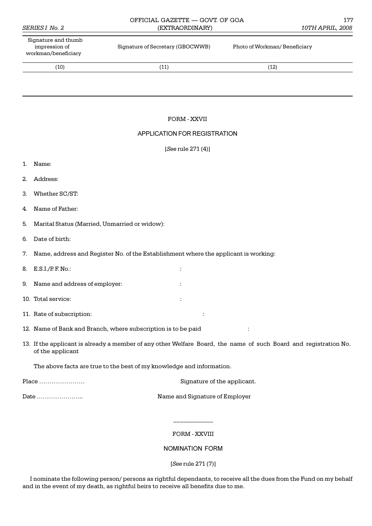|    | Signature and thumb<br>impression of<br>workman/beneficiary | Signature of Secretary (GBOCWWB)                                                    | Photo of Workman/ Beneficiary                                                                                    |
|----|-------------------------------------------------------------|-------------------------------------------------------------------------------------|------------------------------------------------------------------------------------------------------------------|
|    | (10)                                                        | (11)                                                                                | (12)                                                                                                             |
|    |                                                             |                                                                                     |                                                                                                                  |
|    |                                                             |                                                                                     |                                                                                                                  |
|    |                                                             | FORM - XXVII                                                                        |                                                                                                                  |
|    |                                                             | APPLICATION FOR REGISTRATION                                                        |                                                                                                                  |
|    |                                                             | [See rule 271 (4)]                                                                  |                                                                                                                  |
| 1. | Name:                                                       |                                                                                     |                                                                                                                  |
| 2. | Address:                                                    |                                                                                     |                                                                                                                  |
| 3. | Whether SC/ST:                                              |                                                                                     |                                                                                                                  |
| 4. | Name of Father:                                             |                                                                                     |                                                                                                                  |
| 5. | Marital Status (Married, Unmarried or widow):               |                                                                                     |                                                                                                                  |
| 6. | Date of birth:                                              |                                                                                     |                                                                                                                  |
| 7. |                                                             | Name, address and Register No. of the Establishment where the applicant is working: |                                                                                                                  |
| 8. | $E.S.I./P.F.No.$ :                                          | ÷                                                                                   |                                                                                                                  |
| 9. | Name and address of employer:                               |                                                                                     |                                                                                                                  |
|    | 10. Total service:                                          |                                                                                     |                                                                                                                  |
|    | 11. Rate of subscription:                                   |                                                                                     |                                                                                                                  |
|    |                                                             | 12. Name of Bank and Branch, where subscription is to be paid                       | ÷                                                                                                                |
|    | of the applicant                                            |                                                                                     | 13. If the applicant is already a member of any other Welfare Board, the name of such Board and registration No. |
|    |                                                             | The above facts are true to the best of my knowledge and information.               |                                                                                                                  |
|    | Place                                                       | Signature of the applicant.                                                         |                                                                                                                  |

*SERIES I No. 2* (EXTRAORDINARY) *10TH APRIL, 2008*

OFFICIAL GAZETTE — GOVT. OF GOA 177

Date .. Name and Signature of Employer

# FORM - XXVIII

\_\_\_\_\_\_\_\_\_\_\_\_

# NOMINATION FORM

[*See* rule 271 (7)]

I nominate the following person/ persons as rightful dependants, to receive all the dues from the Fund on my behalf and in the event of my death, as rightful heirs to receive all benefits due to me.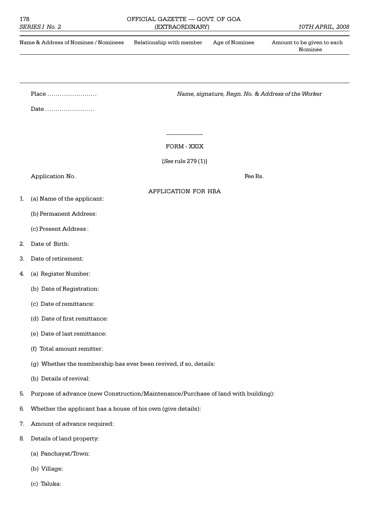# 178 OFFICIAL GAZETTE — GOVT. OF GOA



(c) Taluka: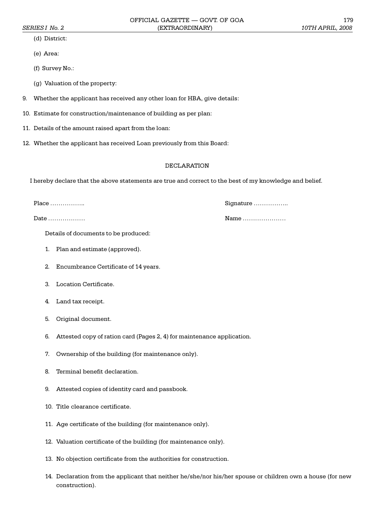OFFICIAL GAZETTE — GOVT. OF GOA 179 *SERIES I No. 2* (EXTRAORDINARY) *10TH APRIL, 2008*

(d) District:

(e) Area:

(f) Survey No.:

- (g) Valuation of the property:
- 9. Whether the applicant has received any other loan for HBA, give details:
- 10. Estimate for construction/maintenance of building as per plan:
- 11. Details of the amount raised apart from the loan:
- 12. Whether the applicant has received Loan previously from this Board:

#### DECLARATION

I hereby declare that the above statements are true and correct to the best of my knowledge and belief.

Details of documents to be produced:

- 1. Plan and estimate (approved).
- 2. Encumbrance Certificate of 14 years.
- 3. Location Certificate.
- 4. Land tax receipt.
- 5. Original document.
- 6. Attested copy of ration card (Pages 2, 4) for maintenance application.
- 7. Ownership of the building (for maintenance only).
- 8. Terminal benefit declaration.
- 9. Attested copies of identity card and passbook.
- 10. Title clearance certificate.
- 11. Age certificate of the building (for maintenance only).
- 12. Valuation certificate of the building (for maintenance only).
- 13. No objection certificate from the authorities for construction.
- 14. Declaration from the applicant that neither he/she/nor his/her spouse or children own a house (for new construction).

Place .. Signature ..

Date Name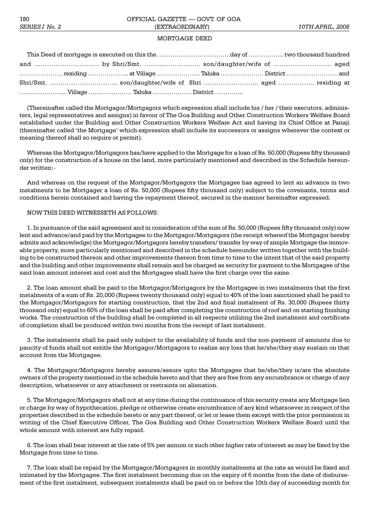#### MORTGAGE DEED

|  |  |  | essaing material and a village member and value and a village member and a village member and series in the series and series and series and series and series and series and series and series and series and series and seri |  |
|--|--|--|--------------------------------------------------------------------------------------------------------------------------------------------------------------------------------------------------------------------------------|--|
|  |  |  |                                                                                                                                                                                                                                |  |
|  |  |  |                                                                                                                                                                                                                                |  |

(Thereinafter called the Mortgagor/Mortgagors which expression shall include his / her / their executors, administers, legal representatives and assigns) in favour of The Goa Building and Other Construction Workers Welfare Board established under the Building and Other Construction Workers Welfare Act and having its Chief Office at Panaji (thereinafter called 'the Mortgage' which expression shall include its successors or assigns wherever the context or meaning thereof shall so require or permit).

Whereas the Mortgagor/Mortgagors has/have applied to the Mortgage for a loan of Rs. 50,000 (Rupees fifty thousand only) for the construction of a house on the land, more particularly mentioned and described in the Schedule hereunder written:-

And whereas on the request of the Mortgagor/Mortgagors the Mortgagee has agreed to lent an advance in two instalments to be Mortgager a loan of Rs. 50,000 (Rupees fifty thousand only) subject to the covenants, terms and conditions herein contained and having the repayment thereof, secured in the manner hereinafter expressed.

#### NOW THIS DEED WITNESSETH AS FOLLOWS:

1. In pursuance of the said agreement and in consideration of the sum of Rs. 50,000 (Rupees fifty thousand only) now lent and advance/and paid by the Mortgagee to the Mortgagor/Mortgagors (the receipt whereof the Mortgagor hereby admits and acknowledge) the Mortgagor/Mortgagors hereby transfers/ transfer by way of simple Mortgage the immovable property, more particularly mentioned and described in the schedule hereunder written together with the building to be constructed thereon and other improvements thereon from time to time to the intent that of the said property and the building and other improvements shall remain and be charged as security for payment to the Mortgagee of the said loan amount interest and cost and the Mortgagee shall have the first charge over the same.

2. The loan amount shall be paid to the Mortgagor/Mortgagors by the Mortgagee in two instalments that the first instalments of a sum of Rs. 20,000 (Rupees twenty thousand only) equal to 40% of the loan sanctioned shall be paid to the Mortgagor/Mortgagors for starting construction, that the 2nd and final instalment of Rs. 30,000 (Rupees thirty thousand only) equal to 60% of the loan shall be paid after completing the construction of roof and on starting finishing works. The construction of the building shall be completed in all respects utilizing the 2nd instalment and certificate of completion shall be produced within two months from the receipt of last instalment.

3. The instalments shall be paid only subject to the availability of funds and the non-payment of amounts due to paucity of funds shall not entitle the Mortgagor/Mortgagors to realize any loss that he/she/they may sustain on that account from the Mortgagee.

4. The Mortgagor/Mortgagors hereby assures/assure upto the Mortgagee that he/she/they is/are the absolute owners of the property mentioned in the schedule hereto and that they are free from any encumbrance or charge of any description, whatsoever or any attachment or restraints on alienation.

5. The Mortgagor/Mortgagors shall not at any time during the continuance of this security create any Mortgage lien or charge by way of hypothecation, pledge or otherwise create encumbrance of any kind whatsoever in respect of the properties described in the schedule hereto or any part thereof, or let or lease them except with the prior permission in writing of the Chief Executive Officer, The Goa Building and Other Construction Workers Welfare Board until the whole amount with interest are fully repaid.

6. The loan shall bear interest at the rate of 5% per annum or such other higher rate of interest as may be fixed by the Mortgage from time to time.

7. The loan shall be repaid by the Mortgagor/Mortgagors in monthly instalments at the rate as would be fixed and intimated by the Mortgagee. The first instalment becoming due on the expiry of 6 months from the date of disbursement of the first instalment, subsequent instalments shall be paid on or before the 10th day of succeeding month for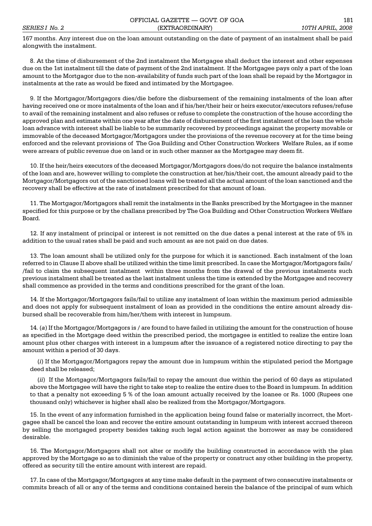167 months. Any interest due on the loan amount outstanding on the date of payment of an instalment shall be paid alongwith the instalment.

8. At the time of disbursement of the 2nd instalment the Mortgagee shall deduct the interest and other expenses due on the 1st instalment till the date of payment of the 2nd instalment. If the Mortgagee pays only a part of the loan amount to the Mortgagor due to the non-availability of funds such part of the loan shall be repaid by the Mortgagor in instalments at the rate as would be fixed and intimated by the Mortgagee.

9. If the Mortgagor/Mortgagors dies/die before the disbursement of the remaining instalments of the loan after having received one or more instalments of the loan and if his/her/their heir or heirs executor/executors refuses/refuse to avail of the remaining instalment and also refuses or refuse to complete the construction of the house according the approved plan and estimate within one year after the date of disbursement of the first instalment of the loan the whole loan advance with interest shall be liable to be summarily recovered by proceedings against the property movable or immovable of the deceased Mortgagor/Mortgagors under the provisions of the revenue recovery at for the time being enforced and the relevant provisions of The Goa Building and Other Construction Workers Welfare Rules, as if some were arrears of public revenue due on land or in such other manner as the Mortgagee may deem fit.

10. If the heir/heirs executors of the deceased Mortgagor/Mortgagors does/do not require the balance instalments of the loan and are, however willing to complete the construction at her/his/their cost, the amount already paid to the Mortgagor/Mortgagors out of the sanctioned loans will be treated all the actual amount of the loan sanctioned and the recovery shall be effective at the rate of instalment prescribed for that amount of loan.

11. The Mortgagor/Mortgagors shall remit the instalments in the Banks prescribed by the Mortgagee in the manner specified for this purpose or by the challans prescribed by The Goa Building and Other Construction Workers Welfare Board.

12. If any instalment of principal or interest is not remitted on the due dates a penal interest at the rate of 5% in addition to the usual rates shall be paid and such amount as are not paid on due dates.

13. The loan amount shall be utilized only for the purpose for which it is sanctioned. Each instalment of the loan referred to in Clause II above shall be utilized within the time limit prescribed. In case the Mortgagor/Mortgagors fails/ /fail to claim the subsequent instalment within three months from the drawal of the previous instalments such previous instalment shall be treated as the last instalment unless the time is extended by the Mortgagee and recovery shall commence as provided in the terms and conditions prescribed for the grant of the loan.

14. If the Mortgagor/Mortgagors fails/fail to utilize any instalment of loan within the maximum period admissible and does not apply for subsequent instalment of loan as provided in the conditions the entire amount already disbursed shall be recoverable from him/her/them with interest in lumpsum.

14. (*a*) If the Mortgagor/Mortgagors is / are found to have failed in utilizing the amount for the construction of house as specified in the Mortgage deed within the prescribed period, the mortgagee is entitled to realize the entire loan amount plus other charges with interest in a lumpsum after the issuance of a registered notice directing to pay the amount within a period of 30 days.

(*i*) If the Mortgagor/Mortgagors repay the amount due in lumpsum within the stipulated period the Mortgage deed shall be released;

(*ii*) If the Mortgagor/Mortgagors fails/fail to repay the amount due within the period of 60 days as stipulated above the Mortgagee will have the right to take step to realize the entire dues to the Board in lumpsum. In addition to that a penalty not exceeding 5 % of the loan amount actually received by the loanee or Rs. 1000 (Rupees one thousand only) whichever is higher shall also be realized from the Mortgagor/Mortgagors.

15. In the event of any information furnished in the application being found false or materially incorrect, the Mortgagee shall be cancel the loan and recover the entire amount outstanding in lumpsum with interest accrued thereon by selling the mortgaged property besides taking such legal action against the borrower as may be considered desirable.

16. The Mortgagor/Mortgagors shall not alter or modify the building constructed in accordance with the plan approved by the Mortgage so as to diminish the value of the property or construct any other building in the property, offered as security till the entire amount with interest are repaid.

17. In case of the Mortgagor/Mortgagors at any time make default in the payment of two consecutive instalments or commits breach of all or any of the terms and conditions contained herein the balance of the principal of sum which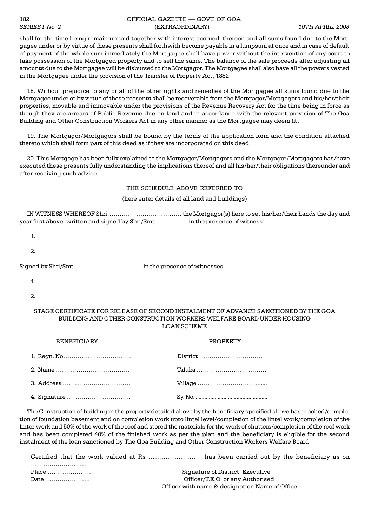## 182 CERTICIAL GAZETTE — GOVT. OF GOA *SERIES I No. 2* (EXTRAORDINARY) *10TH APRIL, 2008*

shall for the time being remain unpaid together with interest accrued thereon and all sums found due to the Mortgagee under or by virtue of these presents shall forthwith become payable in a lumpsum at once and in case of default of payment of the whole sum immediately the Mortgagee shall have power without the intervention of any court to take possession of the Mortgaged property and to sell the same. The balance of the sale proceeds after adjusting all amounts due to the Mortgagee will be disbursed to the Mortgagor. The Mortgagee shall also have all the powers vested in the Mortgagee under the provision of the Transfer of Property Act, 1882.

18. Without prejudice to any or all of the other rights and remedies of the Mortgagee all sums found due to the Mortgagee under or by virtue of these presents shall be recoverable from the Mortgagor/Mortgagors and his/her/their properties, movable and immovable under the provisions of the Revenue Recovery Act for the time being in force as though they are arrears of Public Revenue due on land and in accordance with the relevant provision of The Goa Building and Other Construction Workers Act in any other manner as the Mortgagee may deem fit.

19. The Mortgagor/Mortgagors shall be bound by the terms of the application form and the condition attached thereto which shall form part of this deed as if they are incorporated on this deed.

20. This Mortgage has been fully explained to the Mortgagor/Mortgagors and the Mortgagor/Mortgagors has/have executed these presents fully understanding the implications thereof and all his/her/their obligations thereunder and after receiving such advice.

#### THE SCHEDULE ABOVE REFERRED TO

(here enter details of all land and buildings)

IN WITNESS WHEREOF Shri  $\dots\dots\dots\dots\dots\dots\dots\dots\dots\dots\dots\dots$  the Mortgagor(s) here to set his/her/their hands the day and year first above, written and signed by Shri/Smt. in the presence of witness:

1.

2.

## STAGE CERTIFICATE FOR RELEASE OF SECOND INSTALMENT OF ADVANCE SANCTIONED BY THE GOA BUILDING AND OTHER CONSTRUCTION WORKERS WELFARE BOARD UNDER HOUSING LOAN SCHEME

| <b>BENEFICIARY</b> | <b>PROPERTY</b> |  |  |
|--------------------|-----------------|--|--|
|                    |                 |  |  |
|                    |                 |  |  |
|                    |                 |  |  |
|                    |                 |  |  |

The Construction of building in the property detailed above by the beneficiary specified above has reached/completion of foundation basement and on completion work upto lintel level/completion of the lintel work/completion of the linter work and 50% of the work of the roof and stored the materials for the work of shutters/completion of the roof work and has been completed 40% of the finished work as per the plan and the beneficiary is eligible for the second instalment of the loan sanctioned by The Goa Building and Other Construction Workers Welfare Board.

|                                                 | Certified that the work valued at Rs  has been carried out by the beneficiary as on |
|-------------------------------------------------|-------------------------------------------------------------------------------------|
|                                                 |                                                                                     |
| Place                                           | Signature of District, Executive                                                    |
| Date $\dots\dots\dots\dots\dots\dots\dots\dots$ | Officer/T.E.O. or any Authorised                                                    |
|                                                 | Officer with name & designation Name of Office.                                     |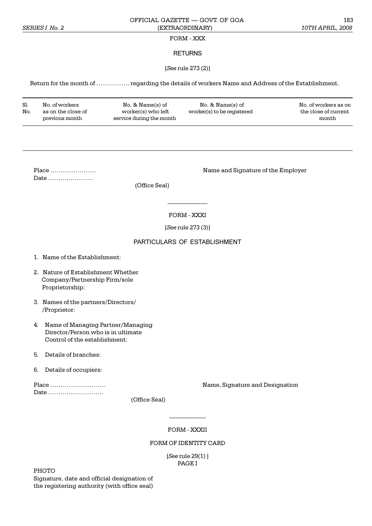## FORM - XXX

## RETURNS

#### [*See* rule 273 (2)]

Return for the month of ................ regarding the details of workers Name and Address of the Establishment.

| Sl.<br>No. | No. of workers<br>as on the close of<br>previous month | $No. & Name(s)$ of<br>worker(s) who left<br>service during the month | $No. & Name(s)$ of<br>worker(s) to be registered | No. of workers as on<br>the close of current<br>month |
|------------|--------------------------------------------------------|----------------------------------------------------------------------|--------------------------------------------------|-------------------------------------------------------|
|------------|--------------------------------------------------------|----------------------------------------------------------------------|--------------------------------------------------|-------------------------------------------------------|

Date .......................

Place . Name and Signature of the Employer

(Office Seal)

FORM - XXXI

\_\_\_\_\_\_\_\_\_\_\_\_

[*See* rule 273 (3)]

## PARTICULARS OF ESTABLISHMENT

- 1. Name of the Establishment:
- 2. Nature of Establishment Whether Company/Partnership Firm/sole Proprietorship:
- 3. Names of the partners/Directors/ /Proprietor:
- 4. Name of Managing Partner/Managing Director/Person who is in ultimate Control of the establishment:
- 5. Details of branches:
- 6. Details of occupiers:

Date .............................

Place Name, Signature and Designation

(Office Seal)

FORM - XXXII

 $\frac{1}{2}$ 

#### FORM OF IDENTITY CARD

[*See* rule 29(1) ] PAGE I

PHOTO

Signature, date and official designation of the registering authority (with office seal)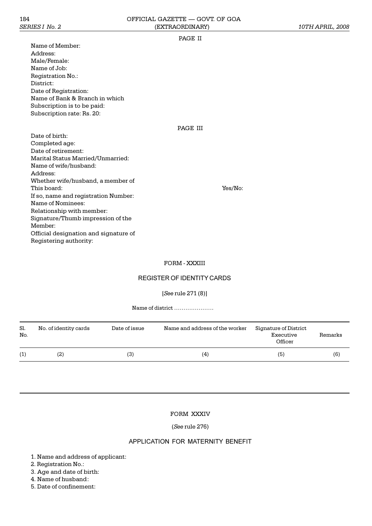#### PAGE II

Name of Member: Address: Male/Female: Name of Job: Registration No.: District: Date of Registration: Name of Bank & Branch in which Subscription is to be paid: Subscription rate: Rs. 20:

## PAGE III

Date of birth: Completed age: Date of retirement: Marital Status Married/Unmarried: Name of wife/husband: Address: Whether wife/husband, a member of This board:  $\gamma$ es/No:  $\gamma$ es/No:  $\gamma$ es/No:  $\gamma$ es/No:  $\gamma$ es/No:  $\gamma$ es/No:  $\gamma$ If so, name and registration Number: Name of Nominees: Relationship with member: Signature/Thumb impression of the Member: Official designation and signature of Registering authority:

## FORM - XXXIII

# REGISTER OF IDENTITY CARDS

## [*See* rule 271 (8)]

Name of district

| Sl.<br>No. | No. of identity cards | Date of issue | Name and address of the worker | Signature of District<br>Executive<br>Officer | Remarks |
|------------|-----------------------|---------------|--------------------------------|-----------------------------------------------|---------|
| (1)        | (2)                   | (3)           | (4)                            | (5)                                           | (6)     |

## FORM XXXIV

(*See* rule 276)

## APPLICATION FOR MATERNITY BENEFIT

- 1. Name and address of applicant:
- 2. Registration No.:
- 3. Age and date of birth:
- 4. Name of husband:
- 5. Date of confinement: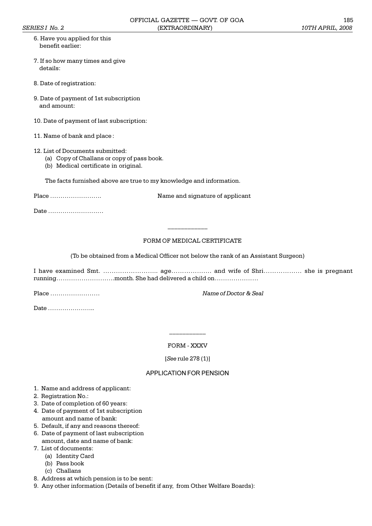- 6. Have you applied for this benefit earlier:
- 7. If so how many times and give details:
- 8. Date of registration:
- 9. Date of payment of 1st subscription and amount:
- 10. Date of payment of last subscription:
- 11. Name of bank and place :

#### 12. List of Documents submitted:

- (a) Copy of Challans or copy of pass book.
- (b) Medical certificate in original.

The facts furnished above are true to my knowledge and information.

Place . Name and signature of applicant

Date ...........................

# FORM OF MEDICAL CERTIFICATE

(To be obtained from a Medical Officer not below the rank of an Assistant Surgeon)

\_\_\_\_\_\_\_\_\_\_\_\_

I have examined Smt. .. age. and wife of Shri she is pregnant running.month. She had delivered a child on

Place *Mame of Doctor & Seal* 

Date ........................

## FORM - XXXV

\_\_\_\_\_\_\_\_\_\_\_

[*See* rule 278 (1)]

## APPLICATION FOR PENSION

- 1. Name and address of applicant:
- 2. Registration No.:
- 3. Date of completion of 60 years:
- 4. Date of payment of 1st subscription amount and name of bank:
- 5. Default, if any and reasons thereof:
- 6. Date of payment of last subscription
- amount, date and name of bank:
- 7. List of documents:
	- (a) Identity Card
	- (b) Pass book
	- (c) Challans
- 8. Address at which pension is to be sent:
- 9. Any other information (Details of benefit if any, from Other Welfare Boards):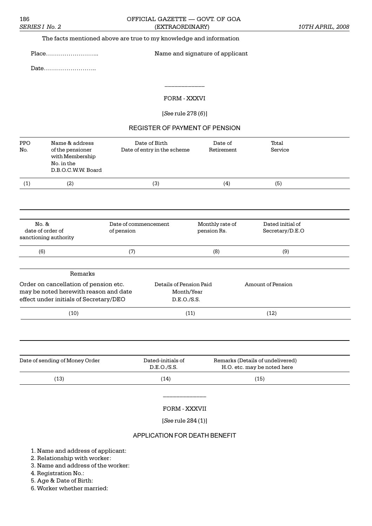# 186 **OFFICIAL GAZETTE — GOVT. OF GOA** *SERIES I No. 2* (EXTRAORDINARY) *10TH APRIL, 2008*

## The facts mentioned above are true to my knowledge and information

# Place.. Name and signature of applicant

Date...........................

## FORM - XXXVI

 $\frac{1}{2}$ 

## [*See* rule 278 (*6*)]

# REGISTER OF PAYMENT OF PENSION

| PPO<br>No.<br>(1) | Name & address<br>of the pensioner<br>with Membership<br>No. in the<br>D.B.O.C.W.W. Board<br>(2)                                    | Date of Birth<br>Date of entry in the scheme<br>(3)  | Date of<br>Retirement<br>(4)   | Total<br>Service<br>(5)                                         |  |
|-------------------|-------------------------------------------------------------------------------------------------------------------------------------|------------------------------------------------------|--------------------------------|-----------------------------------------------------------------|--|
|                   |                                                                                                                                     |                                                      |                                |                                                                 |  |
| No. &             | date of order of<br>sanctioning authority                                                                                           | Date of commencement<br>of pension                   | Monthly rate of<br>pension Rs. | Dated initial of<br>Secretary/D.E.O                             |  |
| (6)<br>(7)        |                                                                                                                                     |                                                      | (8)                            | (9)                                                             |  |
|                   | Remarks<br>Order on cancellation of pension etc.<br>may be noted herewith reason and date<br>effect under initials of Secretary/DEO | Details of Pension Paid<br>Month/Year<br>D.E.O./S.S. |                                | Amount of Pension                                               |  |
|                   | (10)                                                                                                                                | (11)                                                 |                                | (12)                                                            |  |
|                   | Date of sending of Money Order                                                                                                      | Dated-initials of<br>D.E.O./S.S.                     |                                | Remarks (Details of undelivered)<br>H.O. etc. may be noted here |  |
|                   | (13)                                                                                                                                | (14)                                                 |                                | (15)                                                            |  |
|                   |                                                                                                                                     | FORM - XXXVII<br>[See rule 284 (1)]                  |                                |                                                                 |  |

# APPLICATION FOR DEATH BENEFIT

1. Name and address of applicant:

2. Relationship with worker:

3. Name and address of the worker:

4. Registration No.:

5. Age & Date of Birth:

6. Worker whether married: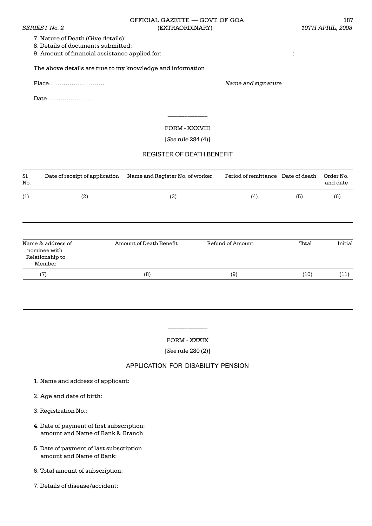7. Nature of Death (Give details):

8. Details of documents submitted:

9. Amount of financial assistance applied for: :

The above details are true to my knowledge and information

Place *Name and signature*

Date .......................

FORM - XXXVIII

 $\overline{\phantom{a}}$ 

[*See* rule 284 (4)]

# REGISTER OF DEATH BENEFIT

| Sl.<br>No.                                | Date of receipt of application | Name and Register No. of worker | Period of remittance | Date of death | Order No.<br>and date |
|-------------------------------------------|--------------------------------|---------------------------------|----------------------|---------------|-----------------------|
| (1)                                       | (2)                            | (3)                             | (4)                  | (5)           | (6)                   |
|                                           |                                |                                 |                      |               |                       |
| nominee with<br>Relationship to<br>Member | Name & address of              | Amount of Death Benefit         | Refund of Amount     | Total         | Initial               |
| (7)                                       |                                | (8)                             | (9)                  | (10)          | (11)                  |

FORM - XXXIX

 $\overline{\phantom{a}}$ 

[*See* rule 280 (2)]

# APPLICATION FOR DISABILITY PENSION

- 1. Name and address of applicant:
- 2. Age and date of birth:
- 3. Registration No.:
- 4. Date of payment of first subscription: amount and Name of Bank & Branch
- 5. Date of payment of last subscription amount and Name of Bank:
- 6. Total amount of subscription:
- 7. Details of disease/accident: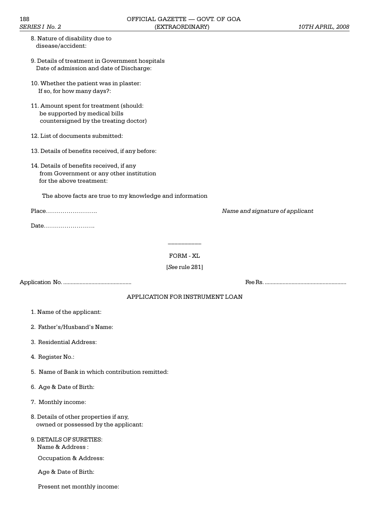| 8. Nature of disability due to |  |
|--------------------------------|--|
| disease/accident:              |  |

- 9. Details of treatment in Government hospitals Date of admission and date of Discharge:
- 10. Whether the patient was in plaster: If so, for how many days?:
- 11. Amount spent for treatment (should: be supported by medical bills countersigned by the treating doctor)
- 12. List of documents submitted:
- 13. Details of benefits received, if any before:
- 14. Details of benefits received, if any from Government or any other institution for the above treatment:

The above facts are true to my knowledge and information

Place. *Name and signature of applicant*

Date.........................

FORM - XL

\_\_\_\_\_\_\_\_\_\_

[*See* rule 281]

Application No. .............................................. Fee Rs. .......................................................

# APPLICATION FOR INSTRUMENT LOAN

- 1. Name of the applicant:
- 2. Father's/Husband's Name:
- 3. Residential Address:
- 4. Register No.:
- 5. Name of Bank in which contribution remitted:
- 6. Age & Date of Birth:
- 7. Monthly income:
- 8. Details of other properties if any, owned or possessed by the applicant:
- 9. DETAILS OF SURETIES: Name & Address :

Occupation & Address:

Age & Date of Birth:

Present net monthly income: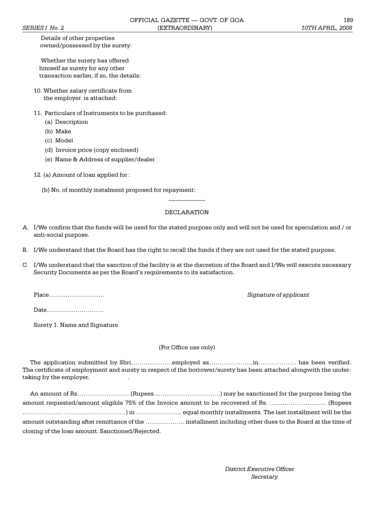Details of other properties owned/possessed by the surety:

 Whether the surety has offered himself as surety for any other transaction earlier, if so, the details:

- 10. Whether salary certificate from the employer is attached:
- 11. Particulars of Instruments to be purchased:
	- (a) Description
	- (b) Make
	- (c) Model
	- (d) Invoice price (copy enclosed)
	- (e) Name & Address of supplier/dealer

12. (a) Amount of loan applied for :

(b) No. of monthly instalment proposed for repayment:

## DECLARATION

 $\frac{1}{2}$ 

- A. I/We confirm that the funds will be used for the stated purpose only and will not be used for speculation and / or anti-social purpose.
- B. I/We understand that the Board has the right to recall the funds if they are not used for the stated purpose.
- C. I/We understand that the sanction of the facility is at the discretion of the Board and I/We will execute necessary Security Documents as per the Board's requirements to its satisfaction.

Place *Signature of applicant Signature of applicant* 

Date............................

Surety 1. Name and Signature

## (For Office use only)

The application submitted by Shri..employed asin has been verified. The certificate of employment and surety in respect of the borrower/surety has been attached alongwith the undertaking by the employer.

|                                                  | amount requested/amount eligible 75% of the Invoice amount to be recovered of Rs. (Rupees                |  |
|--------------------------------------------------|----------------------------------------------------------------------------------------------------------|--|
|                                                  | equal monthly installments. The last installment will be the the the last installment will be the        |  |
|                                                  | amount outstanding after remittance of the  installment including other dues to the Board at the time of |  |
| closing of the loan amount. Sanctioned/Rejected. |                                                                                                          |  |

*District Executive Officer Secretary*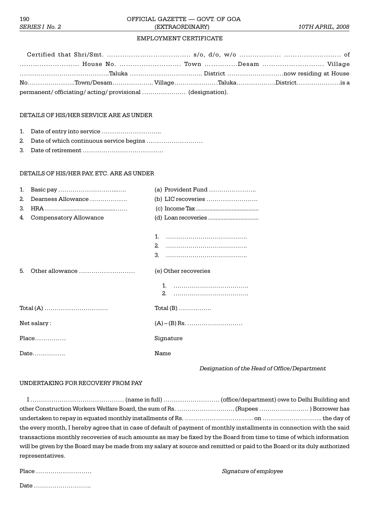# EMPLOYMENT CERTIFICATE

| House No.  Town Desam  Village                                        |  |  |  |
|-----------------------------------------------------------------------|--|--|--|
|                                                                       |  |  |  |
| .is a Town/Desam………………… Village…………………Taluka………………District…………………is a |  |  |  |
| permanent/officiating/acting/provisional  (designation).              |  |  |  |

## DETAILS OF HIS/HER SERVICE ARE AS UNDER

- 1. Date of entry into service ..
- 2. Date of which continuous service begins
- 3. Date of retirement

#### DETAILS OF HIS/HER PAY, ETC. ARE AS UNDER

| $\mathbf{1}$ . |                               | (a) Provident Fund                  |  |
|----------------|-------------------------------|-------------------------------------|--|
| 2 <sub>1</sub> | Dearness Allowance            | (b) LIC recoveries                  |  |
| 3.             |                               |                                     |  |
| 4.             | <b>Compensatory Allowance</b> |                                     |  |
|                |                               |                                     |  |
|                |                               | 1.                                  |  |
|                |                               | 2 <sub>1</sub>                      |  |
|                |                               |                                     |  |
| 5.             | Other allowance               | (e) Other recoveries                |  |
|                |                               |                                     |  |
|                |                               |                                     |  |
|                |                               | $Total (B) \dots \dots \dots \dots$ |  |
| Net salary:    |                               |                                     |  |
|                | Place                         | Signature                           |  |
|                | Date                          | Name                                |  |
|                |                               |                                     |  |

## *Designation of the Head of Office/Department*

#### UNDERTAKING FOR RECOVERY FROM PAY

| other Construction Workers Welfare Board, the sum of Rs. (Rupees ) Borrower has                                          |  |  |
|--------------------------------------------------------------------------------------------------------------------------|--|--|
|                                                                                                                          |  |  |
| the every month, I hereby agree that in case of default of payment of monthly installments in connection with the said   |  |  |
| transactions monthly recoveries of such amounts as may be fixed by the Board from time to time of which information      |  |  |
| will be given by the Board may be made from my salary at source and remitted or paid to the Board or its duly authorized |  |  |
| representatives.                                                                                                         |  |  |

| Place |  |  |
|-------|--|--|
| Date  |  |  |

 $Signature of employee$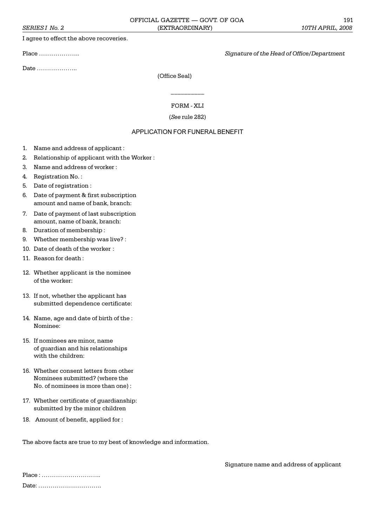I agree to effect the above recoveries.

Date .....................

Place .. *Signature of the Head of Office/Department*

Signature name and address of applicant

(Office Seal)

FORM - XLI

 $\mathcal{L}=\mathcal{L}$ 

(*See* rule 282)

## APPLICATION FOR FUNERAL BENEFIT

- 1. Name and address of applicant :
- 2. Relationship of applicant with the Worker :
- 3. Name and address of worker :
- 4. Registration No. :
- 5. Date of registration :
- 6. Date of payment & first subscription amount and name of bank, branch:
- 7. Date of payment of last subscription amount, name of bank, branch:
- 8. Duration of membership :
- 9. Whether membership was live? :
- 10. Date of death of the worker :
- 11. Reason for death :
- 12. Whether applicant is the nominee of the worker:
- 13. If not, whether the applicant has submitted dependence certificate:
- 14. Name, age and date of birth of the : Nominee:
- 15. If nominees are minor, name of guardian and his relationships with the children:
- 16. Whether consent letters from other Nominees submitted? (where the No. of nominees is more than one) :
- 17. Whether certificate of guardianship: submitted by the minor children
- 18. Amount of benefit, applied for :

The above facts are true to my best of knowledge and information.

Place : ................................ Date: ..................................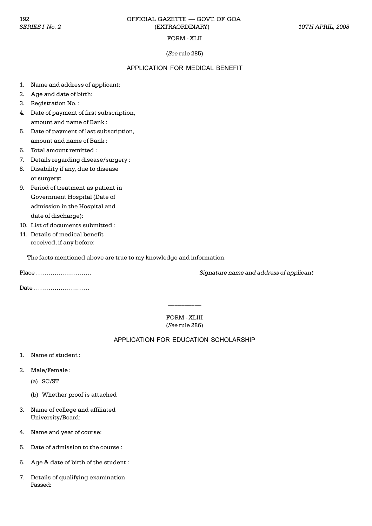## FORM - XLII

# (*See* rule 285)

## APPLICATION FOR MEDICAL BENEFIT

- 1. Name and address of applicant:
- 2. Age and date of birth:
- 3. Registration No. :
- 4. Date of payment of first subscription, amount and name of Bank :
- 5. Date of payment of last subscription, amount and name of Bank :
- 6. Total amount remitted :
- 7. Details regarding disease/surgery :
- 8. Disability if any, due to disease or surgery:
- 9. Period of treatment as patient in Government Hospital (Date of admission in the Hospital and date of discharge):
- 10. List of documents submitted :
- 11. Details of medical benefit received, if any before:

The facts mentioned above are true to my knowledge and information.

Date ............................

Place *Signature name and address of applicant*

FORM - XLIII (*See* rule 286)

\_\_\_\_\_\_\_\_\_\_

# APPLICATION FOR EDUCATION SCHOLARSHIP

- 1. Name of student :
- 2. Male/Female :
	- (a) SC/ST
	- (b) Whether proof is attached
- 3. Name of college and affiliated University/Board:
- 4. Name and year of course:
- 5. Date of admission to the course :
- 6. Age & date of birth of the student :
- 7. Details of qualifying examination Passed: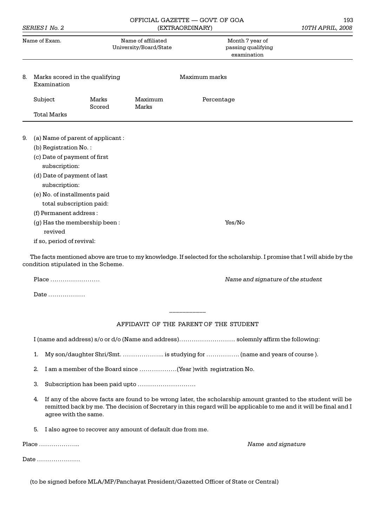| SERIES I No. 2 |                                                                                                                                                                                                                                                                                             | (EXTRAORDINARY)                              |                                                      | 10TH APRIL, 2008 |  |
|----------------|---------------------------------------------------------------------------------------------------------------------------------------------------------------------------------------------------------------------------------------------------------------------------------------------|----------------------------------------------|------------------------------------------------------|------------------|--|
| Name of Exam.  |                                                                                                                                                                                                                                                                                             | Name of affiliated<br>University/Board/State | Month 7 year of<br>passing qualifying<br>examination |                  |  |
| 8.             | Marks scored in the qualifying<br>Examination                                                                                                                                                                                                                                               |                                              |                                                      | Maximum marks    |  |
|                | Subject                                                                                                                                                                                                                                                                                     | Marks<br>Scored                              | Maximum<br><b>Marks</b>                              | Percentage       |  |
|                | <b>Total Marks</b>                                                                                                                                                                                                                                                                          |                                              |                                                      |                  |  |
| 9.             | (a) Name of parent of applicant:<br>(b) Registration No.:<br>(c) Date of payment of first<br>subscription:<br>(d) Date of payment of last<br>subscription:<br>(e) No. of installments paid<br>total subscription paid:<br>(f) Permanent address:<br>(g) Has the membership been:<br>revived |                                              |                                                      | Yes/No           |  |
|                | if so, period of revival:                                                                                                                                                                                                                                                                   |                                              |                                                      |                  |  |

OFFICIAL GAZETTE GOVT. OF GOA 193

condition stipulated in the Scheme.

Place *Mame and signature of the student*  $\blacksquare$ 

Date ..................

# AFFIDAVIT OF THE PARENT OF THE STUDENT

 $\frac{1}{2}$ 

I (name and address) s/o or d/o (Name and address) solemnly affirm the following:

- 1. My son/daughter Shri/Smt. ................... is studying for ................ (name and years of course).
- 2. I am a member of the Board since  $\dots\dots\dots\dots\dots\dots$  (Year ) with registration No.
- 3. Subscription has been paid upto .
- 4. If any of the above facts are found to be wrong later, the scholarship amount granted to the student will be remitted back by me. The decision of Secretary in this regard will be applicable to me and it will be final and I agree with the same.
- 5. I also agree to recover any amount of default due from me.

Place .. *Name and signature*

Date .....................

(to be signed before MLA/MP/Panchayat President/Gazetted Officer of State or Central)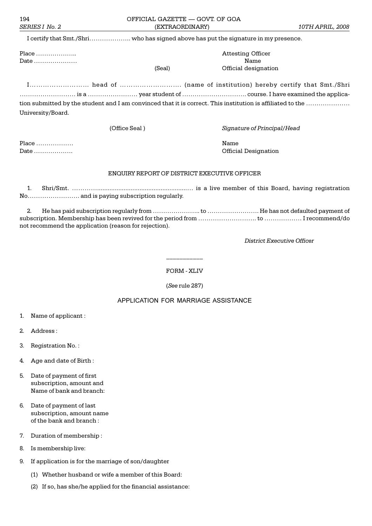I certify that Smt./Shri........................ who has signed above has put the signature in my presence.

Date Name

Place .. Attesting Officer al) Cfficial designation

I head of . (name of institution) hereby certify that Smt./Shri is a year student of . course. I have examined the application submitted by the student and I am convinced that it is correct. This institution is affiliated to the University/Board.

(Office Seal ) *Signature of Principal/Head*

Place Name Date . Official Designation

## ENQUIRY REPORT OF DISTRICT EXECUTIVE OFFICER

1. Shri/Smt. ................................................... is a live member of this Board, having registration No. ... ... ... ... ... ... ... ... and is paying subscription regularly.

2. He has paid subscription regularly from .. to . He has not defaulted payment of subscription. Membership has been revived for the period from . to I recommend/do not recommend the application (reason for rejection).

*District Executive Officer*

FORM - XLIV

\_\_\_\_\_\_\_\_\_\_\_

(*See* rule 287)

# APPLICATION FOR MARRIAGE ASSISTANCE

- 1. Name of applicant :
- 2. Address :
- 3. Registration No. :
- 4. Age and date of Birth :
- 5. Date of payment of first subscription, amount and Name of bank and branch:
- 6. Date of payment of last subscription, amount name of the bank and branch :
- 7. Duration of membership :
- 8. Is membership live:
- 9. If application is for the marriage of son/daughter
	- (1) Whether husband or wife a member of this Board:
	- (2) If so, has she/he applied for the financial assistance: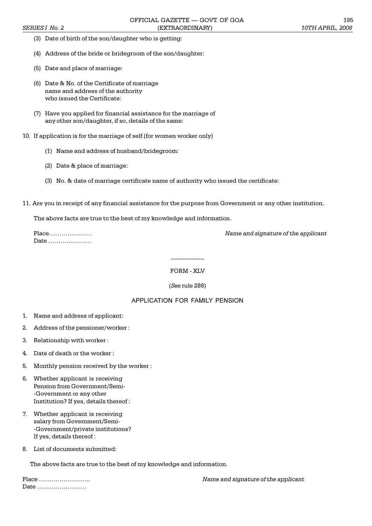- (3) Date of birth of the son/daughter who is getting:
- (4) Address of the bride or bridegroom of the son/daughter:
- (5) Date and place of marriage:
- (6) Date & No. of the Certificate of marriage name and address of the authority who issued the Certificate:
- (7) Have you applied for financial assistance for the marriage of any other son/daughter, if so, details of the same:
- 10. If application is for the marriage of self (for women worker only)
	- (1) Name and address of husband/bridegroom:
	- (2) Date & place of marriage:
	- (3) No. & date of marriage certificate name of authority who issued the certificate:
- 11. Are you in receipt of any financial assistance for the purpose from Government or any other institution.

The above facts are true to the best of my knowledge and information.

| Place |  |
|-------|--|
| Date  |  |

**Name and signature of the applicant** 

FORM - XLV

\_\_\_\_\_\_\_\_\_\_

## (*See* rule 288)

# APPLICATION FOR FAMILY PENSION

- 1. Name and address of applicant:
- 2. Address of the pensioner/worker :
- 3. Relationship with worker :
- 4. Date of death or the worker :
- 5. Monthly pension received by the worker :
- 6. Whether applicant is receiving Pension from Government/Semi- -Government or any other Institution? If yes, details thereof :
- 7. Whether applicant is receiving salary from Government/Semi- -Government/private institutions? If yes, details thereof :
- 8. List of documents submitted:

The above facts are true to the best of my knowledge and information.

Date .........................

Place . *Name and signature of the applicant*